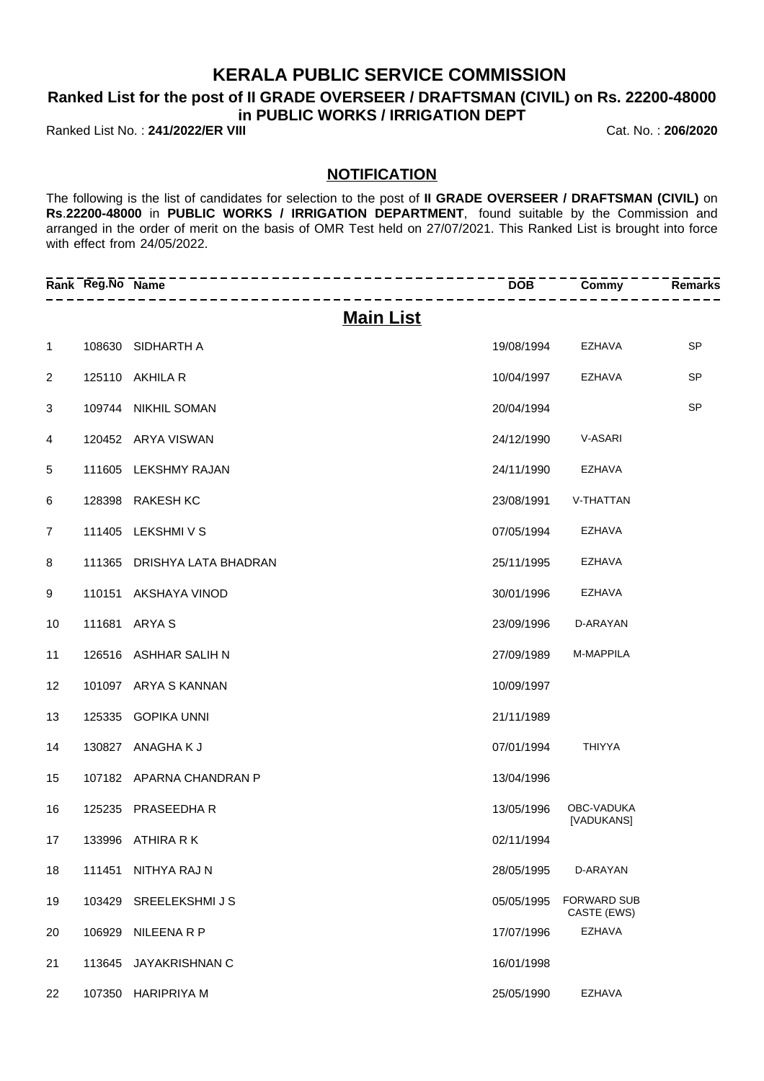## **KERALA PUBLIC SERVICE COMMISSION**

## **Ranked List for the post of II GRADE OVERSEER / DRAFTSMAN (CIVIL) on Rs. 22200-48000 in PUBLIC WORKS / IRRIGATION DEPT**

Ranked List No. : **241/2022/ER VIII** Cat. No. : **206/2020**

## **NOTIFICATION**

The following is the list of candidates for selection to the post of **II GRADE OVERSEER / DRAFTSMAN (CIVIL)** on **Rs**.**22200-48000** in **PUBLIC WORKS / IRRIGATION DEPARTMENT**, found suitable by the Commission and arranged in the order of merit on the basis of OMR Test held on 27/07/2021. This Ranked List is brought into force with effect from 24/05/2022.

|                | Rank Reg.No Name |                          | <b>DOB</b> | Commy                             | <b>Remarks</b> |
|----------------|------------------|--------------------------|------------|-----------------------------------|----------------|
|                |                  | <b>Main List</b>         |            |                                   |                |
| 1              |                  | 108630 SIDHARTH A        | 19/08/1994 | EZHAVA                            | <b>SP</b>      |
| 2              |                  | 125110 AKHILA R          | 10/04/1997 | EZHAVA                            | <b>SP</b>      |
| 3              |                  | 109744 NIKHIL SOMAN      | 20/04/1994 |                                   | <b>SP</b>      |
| 4              |                  | 120452 ARYA VISWAN       | 24/12/1990 | V-ASARI                           |                |
| 5              | 111605           | LEKSHMY RAJAN            | 24/11/1990 | <b>EZHAVA</b>                     |                |
| 6              | 128398           | <b>RAKESH KC</b>         | 23/08/1991 | V-THATTAN                         |                |
| $\overline{7}$ | 111405           | LEKSHMI V S              | 07/05/1994 | <b>EZHAVA</b>                     |                |
| 8              | 111365           | DRISHYA LATA BHADRAN     | 25/11/1995 | <b>EZHAVA</b>                     |                |
| 9              |                  | 110151 AKSHAYA VINOD     | 30/01/1996 | <b>EZHAVA</b>                     |                |
| 10             |                  | 111681 ARYA S            | 23/09/1996 | D-ARAYAN                          |                |
| 11             |                  | 126516 ASHHAR SALIH N    | 27/09/1989 | M-MAPPILA                         |                |
| 12             |                  | 101097 ARYA S KANNAN     | 10/09/1997 |                                   |                |
| 13             | 125335           | <b>GOPIKA UNNI</b>       | 21/11/1989 |                                   |                |
| 14             |                  | 130827 ANAGHAKJ          | 07/01/1994 | <b>THIYYA</b>                     |                |
| 15             |                  | 107182 APARNA CHANDRAN P | 13/04/1996 |                                   |                |
| 16             | 125235           | PRASEEDHA R              | 13/05/1996 | OBC-VADUKA<br>[VADUKANS]          |                |
| 17             |                  | 133996 ATHIRA R K        | 02/11/1994 |                                   |                |
| 18             | 111451           | NITHYA RAJ N             | 28/05/1995 | D-ARAYAN                          |                |
| 19             | 103429           | SREELEKSHMI J S          | 05/05/1995 | <b>FORWARD SUB</b><br>CASTE (EWS) |                |
| 20             | 106929           | NILEENA R P              | 17/07/1996 | <b>EZHAVA</b>                     |                |
| 21             | 113645           | JAYAKRISHNAN C           | 16/01/1998 |                                   |                |
| 22             | 107350           | <b>HARIPRIYA M</b>       | 25/05/1990 | <b>EZHAVA</b>                     |                |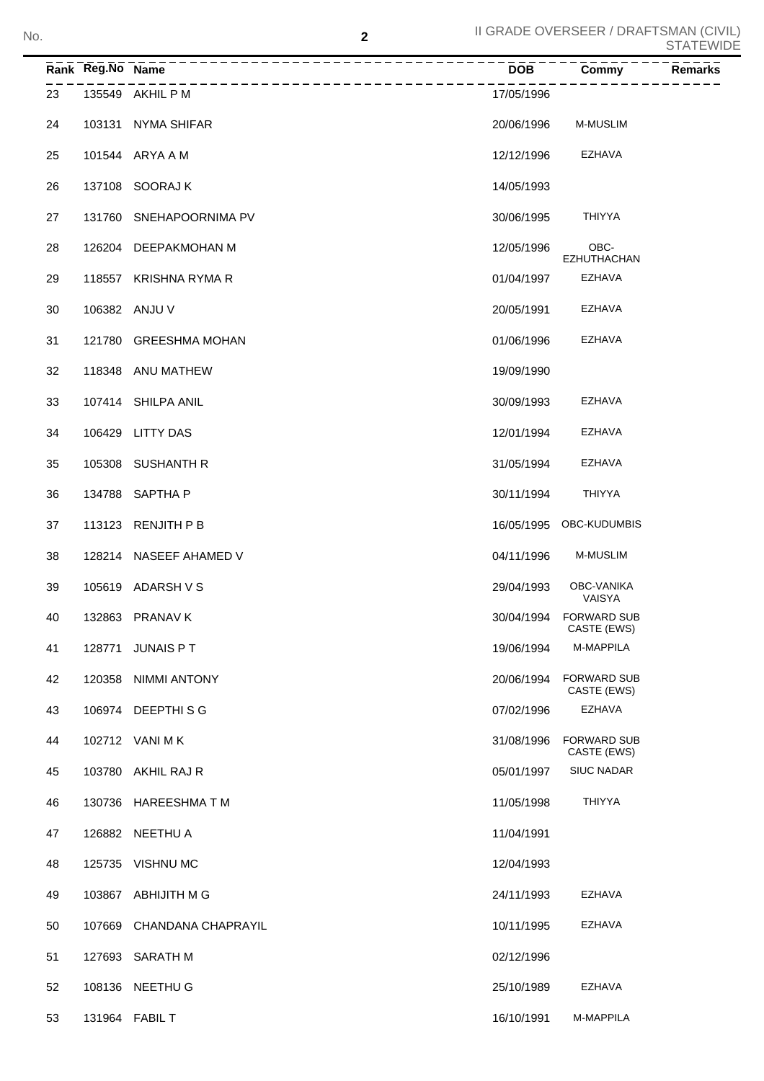|    | Rank Reg.No Name |                         | <b>DOB</b> | <b>Commy</b>                          | <b>Remarks</b> |
|----|------------------|-------------------------|------------|---------------------------------------|----------------|
| 23 |                  | 135549 AKHIL P M        | 17/05/1996 |                                       |                |
| 24 |                  | 103131 NYMA SHIFAR      | 20/06/1996 | <b>M-MUSLIM</b>                       |                |
| 25 |                  | 101544 ARYA A M         | 12/12/1996 | EZHAVA                                |                |
| 26 |                  | 137108 SOORAJ K         | 14/05/1993 |                                       |                |
| 27 |                  | 131760 SNEHAPOORNIMA PV | 30/06/1995 | THIYYA                                |                |
| 28 |                  | 126204 DEEPAKMOHAN M    | 12/05/1996 | OBC-<br>EZHUTHACHAN                   |                |
| 29 |                  | 118557 KRISHNA RYMA R   | 01/04/1997 | <b>EZHAVA</b>                         |                |
| 30 |                  | 106382 ANJU V           | 20/05/1991 | EZHAVA                                |                |
| 31 |                  | 121780 GREESHMA MOHAN   | 01/06/1996 | <b>EZHAVA</b>                         |                |
| 32 |                  | 118348 ANU MATHEW       | 19/09/1990 |                                       |                |
| 33 |                  | 107414 SHILPA ANIL      | 30/09/1993 | <b>EZHAVA</b>                         |                |
| 34 |                  | 106429 LITTY DAS        | 12/01/1994 | <b>EZHAVA</b>                         |                |
| 35 |                  | 105308 SUSHANTH R       | 31/05/1994 | EZHAVA                                |                |
| 36 |                  | 134788 SAPTHA P         | 30/11/1994 | THIYYA                                |                |
| 37 |                  | 113123 RENJITH P B      |            | 16/05/1995 OBC-KUDUMBIS               |                |
| 38 |                  | 128214 NASEEF AHAMED V  | 04/11/1996 | <b>M-MUSLIM</b>                       |                |
| 39 |                  | 105619 ADARSH V S       | 29/04/1993 | <b>OBC-VANIKA</b><br>VAISYA           |                |
| 40 |                  | 132863 PRANAV K         |            | 30/04/1994 FORWARD SUB<br>CASTE (EWS) |                |
| 41 | 128771           | JUNAIS PT               | 19/06/1994 | M-MAPPILA                             |                |
| 42 | 120358           | <b>NIMMI ANTONY</b>     | 20/06/1994 | <b>FORWARD SUB</b><br>CASTE (EWS)     |                |
| 43 |                  | 106974 DEEPTHISG        | 07/02/1996 | <b>EZHAVA</b>                         |                |
| 44 |                  | 102712 VANI MK          | 31/08/1996 | <b>FORWARD SUB</b><br>CASTE (EWS)     |                |
| 45 | 103780           | AKHIL RAJ R             | 05/01/1997 | <b>SIUC NADAR</b>                     |                |
| 46 | 130736           | HAREESHMA T M           | 11/05/1998 | <b>THIYYA</b>                         |                |
| 47 |                  | 126882 NEETHU A         | 11/04/1991 |                                       |                |
| 48 | 125735           | VISHNU MC               | 12/04/1993 |                                       |                |
| 49 |                  | 103867 ABHIJITH M G     | 24/11/1993 | <b>EZHAVA</b>                         |                |
| 50 | 107669           | CHANDANA CHAPRAYIL      | 10/11/1995 | <b>EZHAVA</b>                         |                |
| 51 | 127693           | <b>SARATH M</b>         | 02/12/1996 |                                       |                |
| 52 |                  | 108136 NEETHU G         | 25/10/1989 | <b>EZHAVA</b>                         |                |
| 53 |                  | 131964 FABIL T          | 16/10/1991 | M-MAPPILA                             |                |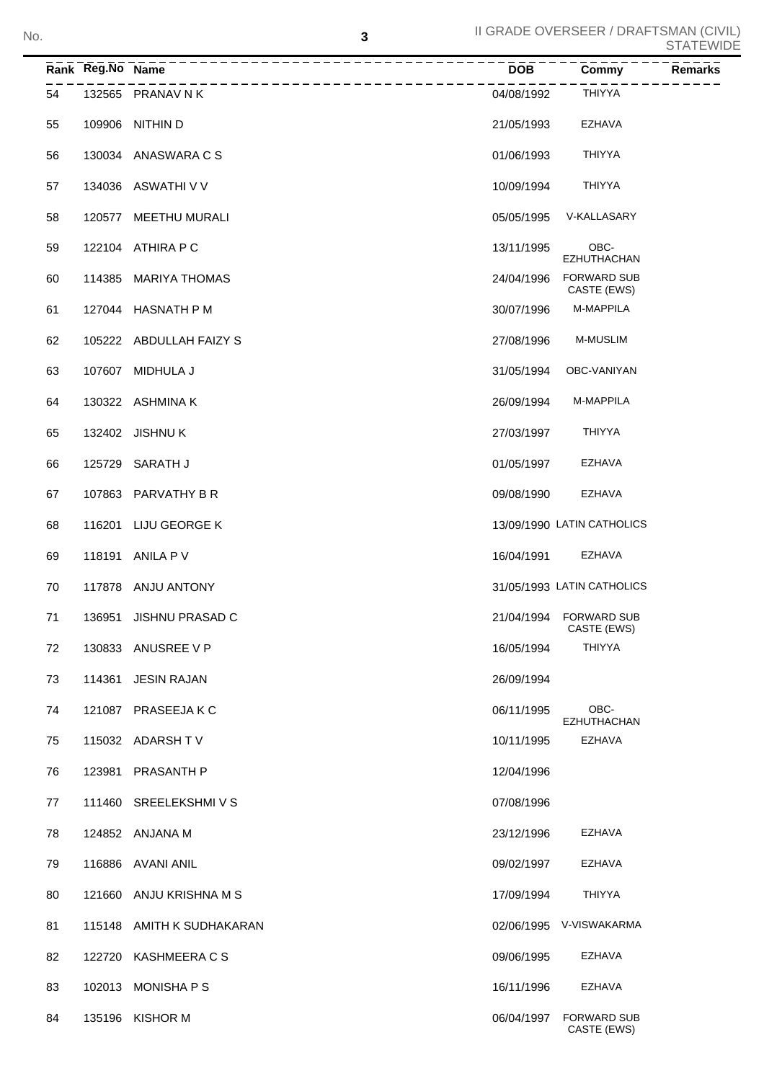## II GRADE OVERSEER / DRAFTSMAN (CIVIL) STATEWIDE No.

|    | Rank Reg.No Name | -----------------         |            | $\overline{\text{Commy}}$             | <b>Remarks</b> |
|----|------------------|---------------------------|------------|---------------------------------------|----------------|
| 54 |                  | 132565 PRANAV N K         | 04/08/1992 | THIYYA                                |                |
| 55 | 109906           | NITHIN D                  | 21/05/1993 | EZHAVA                                |                |
| 56 |                  | 130034 ANASWARA C S       | 01/06/1993 | <b>THIYYA</b>                         |                |
| 57 |                  | 134036 ASWATHI V V        | 10/09/1994 | <b>THIYYA</b>                         |                |
| 58 | 120577           | MEETHU MURALI             | 05/05/1995 | V-KALLASARY                           |                |
| 59 |                  | 122104 ATHIRA P C         | 13/11/1995 | OBC-<br><b>EZHUTHACHAN</b>            |                |
| 60 | 114385           | <b>MARIYA THOMAS</b>      | 24/04/1996 | <b>FORWARD SUB</b><br>CASTE (EWS)     |                |
| 61 |                  | 127044 HASNATH P M        | 30/07/1996 | M-MAPPILA                             |                |
| 62 |                  | 105222 ABDULLAH FAIZY S   | 27/08/1996 | <b>M-MUSLIM</b>                       |                |
| 63 | 107607           | MIDHULA J                 | 31/05/1994 | OBC-VANIYAN                           |                |
| 64 |                  | 130322 ASHMINA K          | 26/09/1994 | M-MAPPILA                             |                |
| 65 |                  | 132402 JISHNU K           | 27/03/1997 | <b>THIYYA</b>                         |                |
| 66 |                  | 125729 SARATH J           | 01/05/1997 | <b>EZHAVA</b>                         |                |
| 67 |                  | 107863 PARVATHY B R       | 09/08/1990 | <b>EZHAVA</b>                         |                |
| 68 | 116201           | LIJU GEORGE K             |            | 13/09/1990 LATIN CATHOLICS            |                |
| 69 | 118191           | ANILA P V                 | 16/04/1991 | <b>EZHAVA</b>                         |                |
| 70 |                  | 117878 ANJU ANTONY        |            | 31/05/1993 LATIN CATHOLICS            |                |
| 71 | 136951           | JISHNU PRASAD C           |            | 21/04/1994 FORWARD SUB<br>CASTE (EWS) |                |
| 72 |                  | 130833 ANUSREE V P        | 16/05/1994 | THIYYA                                |                |
| 73 |                  | 114361 JESIN RAJAN        | 26/09/1994 |                                       |                |
| 74 |                  | 121087 PRASEEJAKC         | 06/11/1995 | OBC-<br>EZHUTHACHAN                   |                |
| 75 |                  | 115032 ADARSHTV           | 10/11/1995 | <b>EZHAVA</b>                         |                |
| 76 |                  | 123981 PRASANTH P         | 12/04/1996 |                                       |                |
| 77 |                  | 111460 SREELEKSHMIVS      | 07/08/1996 |                                       |                |
| 78 |                  | 124852 ANJANA M           | 23/12/1996 | EZHAVA                                |                |
| 79 |                  | 116886 AVANI ANIL         | 09/02/1997 | EZHAVA                                |                |
| 80 |                  | 121660 ANJU KRISHNA M S   | 17/09/1994 | THIYYA                                |                |
| 81 |                  | 115148 AMITH K SUDHAKARAN |            | 02/06/1995 V-VISWAKARMA               |                |
| 82 |                  | 122720 KASHMEERA C S      | 09/06/1995 | EZHAVA                                |                |
| 83 |                  | 102013 MONISHA P S        | 16/11/1996 | EZHAVA                                |                |
| 84 |                  | 135196 KISHOR M           | 06/04/1997 | <b>FORWARD SUB</b><br>CASTE (EWS)     |                |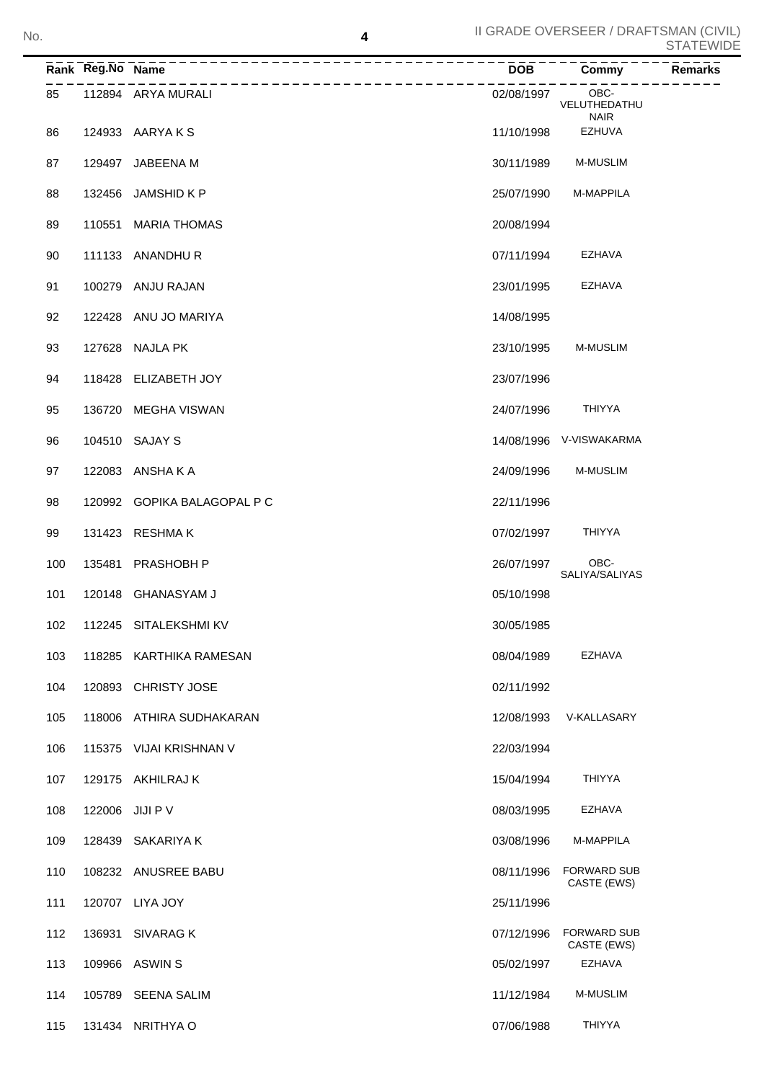|     | Rank Reg.No Name |                                  | <b>DOB</b> | Commy                             | Remarks |
|-----|------------------|----------------------------------|------------|-----------------------------------|---------|
| 85  |                  | ----------<br>112894 ARYA MURALI | 02/08/1997 | OBC-<br>VELUTHEDATHU              |         |
| 86  |                  | 124933 AARYAKS                   | 11/10/1998 | <b>NAIR</b><br><b>EZHUVA</b>      |         |
| 87  |                  | 129497 JABEENA M                 | 30/11/1989 | <b>M-MUSLIM</b>                   |         |
| 88  |                  | 132456 JAMSHID K P               | 25/07/1990 | M-MAPPILA                         |         |
| 89  |                  | 110551 MARIA THOMAS              | 20/08/1994 |                                   |         |
| 90  |                  | 111133 ANANDHUR                  | 07/11/1994 | EZHAVA                            |         |
| 91  |                  | 100279 ANJU RAJAN                | 23/01/1995 | EZHAVA                            |         |
| 92  |                  | 122428 ANU JO MARIYA             | 14/08/1995 |                                   |         |
| 93  |                  | 127628 NAJLA PK                  | 23/10/1995 | M-MUSLIM                          |         |
| 94  |                  | 118428 ELIZABETH JOY             | 23/07/1996 |                                   |         |
| 95  |                  | 136720 MEGHA VISWAN              | 24/07/1996 | THIYYA                            |         |
| 96  |                  | 104510 SAJAY S                   |            | 14/08/1996 V-VISWAKARMA           |         |
| 97  |                  | 122083 ANSHAKA                   | 24/09/1996 | <b>M-MUSLIM</b>                   |         |
| 98  |                  | 120992 GOPIKA BALAGOPAL P C      | 22/11/1996 |                                   |         |
| 99  |                  | 131423 RESHMAK                   | 07/02/1997 | <b>THIYYA</b>                     |         |
| 100 |                  | 135481 PRASHOBH P                | 26/07/1997 | OBC-<br>SALIYA/SALIYAS            |         |
| 101 |                  | 120148 GHANASYAM J               | 05/10/1998 |                                   |         |
| 102 |                  | 112245 SITALEKSHMI KV            | 30/05/1985 |                                   |         |
| 103 |                  | 118285 KARTHIKA RAMESAN          | 08/04/1989 | EZHAVA                            |         |
| 104 |                  | 120893 CHRISTY JOSE              | 02/11/1992 |                                   |         |
| 105 |                  | 118006 ATHIRA SUDHAKARAN         | 12/08/1993 | V-KALLASARY                       |         |
| 106 |                  | 115375 VIJAI KRISHNAN V          | 22/03/1994 |                                   |         |
| 107 |                  | 129175 AKHILRAJ K                | 15/04/1994 | THIYYA                            |         |
| 108 |                  | 122006 JIJI P V                  | 08/03/1995 | EZHAVA                            |         |
| 109 |                  | 128439 SAKARIYA K                | 03/08/1996 | M-MAPPILA                         |         |
| 110 |                  | 108232 ANUSREE BABU              | 08/11/1996 | <b>FORWARD SUB</b><br>CASTE (EWS) |         |
| 111 |                  | 120707 LIYA JOY                  | 25/11/1996 |                                   |         |
| 112 |                  | 136931 SIVARAG K                 | 07/12/1996 | <b>FORWARD SUB</b><br>CASTE (EWS) |         |
| 113 |                  | 109966 ASWIN S                   | 05/02/1997 | <b>EZHAVA</b>                     |         |
| 114 |                  | 105789 SEENA SALIM               | 11/12/1984 | <b>M-MUSLIM</b>                   |         |
| 115 |                  | 131434 NRITHYA O                 | 07/06/1988 | <b>THIYYA</b>                     |         |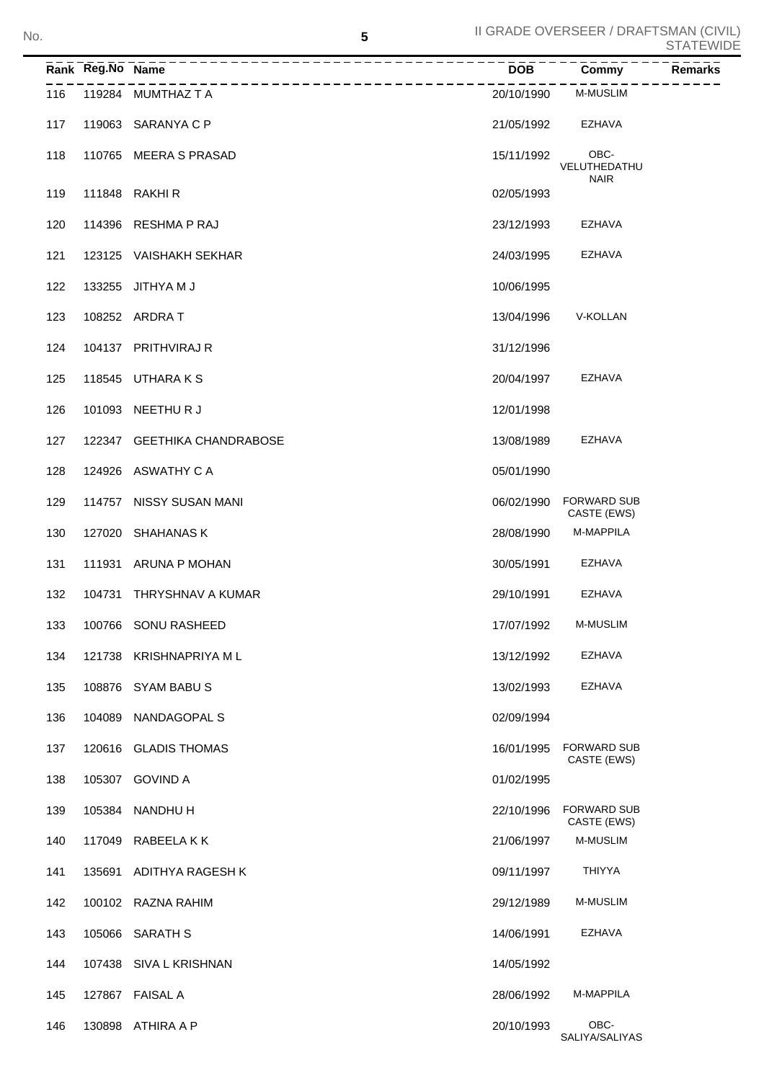SALIYA/SALIYAS

|     | Rank Reg.No Name |                             | <b>DOB</b> | Commy                               | Remarks |
|-----|------------------|-----------------------------|------------|-------------------------------------|---------|
| 116 |                  | 119284 MUMTHAZ T A          | 20/10/1990 | <b>M-MUSLIM</b>                     |         |
| 117 |                  | 119063 SARANYA C P          | 21/05/1992 | EZHAVA                              |         |
| 118 |                  | 110765 MEERA S PRASAD       | 15/11/1992 | OBC-<br>VELUTHEDATHU<br><b>NAIR</b> |         |
| 119 |                  | 111848 RAKHIR               | 02/05/1993 |                                     |         |
| 120 |                  | 114396 RESHMA P RAJ         | 23/12/1993 | EZHAVA                              |         |
| 121 |                  | 123125 VAISHAKH SEKHAR      | 24/03/1995 | EZHAVA                              |         |
| 122 |                  | 133255 JITHYA M J           | 10/06/1995 |                                     |         |
| 123 |                  | 108252 ARDRA T              | 13/04/1996 | V-KOLLAN                            |         |
| 124 |                  | 104137 PRITHVIRAJ R         | 31/12/1996 |                                     |         |
| 125 |                  | 118545 UTHARAKS             | 20/04/1997 | EZHAVA                              |         |
| 126 | 101093           | NEETHUR J                   | 12/01/1998 |                                     |         |
| 127 |                  | 122347 GEETHIKA CHANDRABOSE | 13/08/1989 | EZHAVA                              |         |
| 128 |                  | 124926 ASWATHY CA           | 05/01/1990 |                                     |         |
| 129 |                  | 114757 NISSY SUSAN MANI     | 06/02/1990 | <b>FORWARD SUB</b><br>CASTE (EWS)   |         |
| 130 |                  | 127020 SHAHANAS K           | 28/08/1990 | M-MAPPILA                           |         |
| 131 | 111931           | ARUNA P MOHAN               | 30/05/1991 | EZHAVA                              |         |
| 132 | 104731           | THRYSHNAV A KUMAR           | 29/10/1991 | EZHAVA                              |         |
| 133 |                  | 100766 SONU RASHEED         | 17/07/1992 | M-MUSLIM                            |         |
| 134 |                  | 121738 KRISHNAPRIYA ML      | 13/12/1992 | EZHAVA                              |         |
| 135 |                  | 108876 SYAM BABUS           | 13/02/1993 | EZHAVA                              |         |
| 136 | 104089           | NANDAGOPAL S                | 02/09/1994 |                                     |         |
| 137 |                  | 120616 GLADIS THOMAS        | 16/01/1995 | <b>FORWARD SUB</b><br>CASTE (EWS)   |         |
| 138 |                  | 105307 GOVIND A             | 01/02/1995 |                                     |         |
| 139 |                  | 105384 NANDHU H             | 22/10/1996 | <b>FORWARD SUB</b><br>CASTE (EWS)   |         |
| 140 |                  | 117049 RABEELAKK            | 21/06/1997 | M-MUSLIM                            |         |
| 141 | 135691           | ADITHYA RAGESH K            | 09/11/1997 | <b>THIYYA</b>                       |         |
| 142 |                  | 100102 RAZNA RAHIM          | 29/12/1989 | M-MUSLIM                            |         |
| 143 |                  | 105066 SARATH S             | 14/06/1991 | EZHAVA                              |         |
| 144 |                  | 107438 SIVA L KRISHNAN      | 14/05/1992 |                                     |         |
| 145 |                  | 127867 FAISAL A             | 28/06/1992 | M-MAPPILA                           |         |
| 146 |                  | 130898 ATHIRA A P           | 20/10/1993 | OBC-                                |         |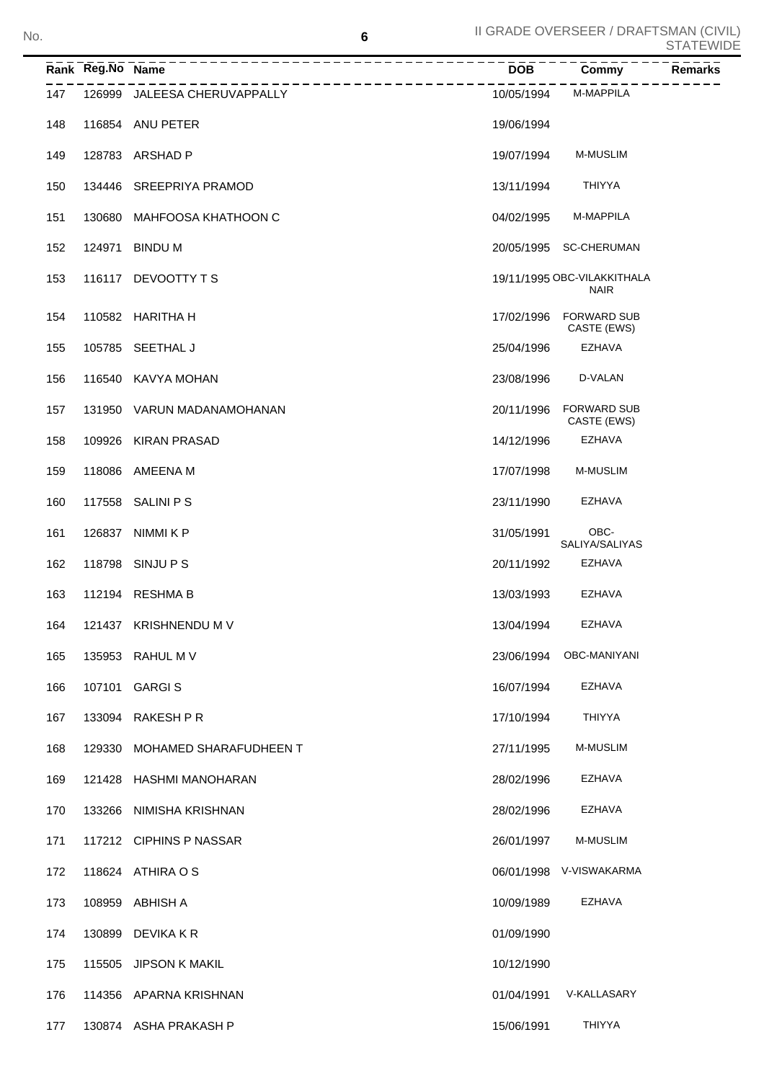|     | Rank Reg.No Name | -----------------------------------<br>. _ _ _ _ _ _ _ _ _ _ _ _ _ _ _ _ _ _ | $\frac{1}{\text{DOB}} - \frac{1}{\text{DOB}}$ | $\overline{Commy}$                         | <b>Remarks</b> |
|-----|------------------|------------------------------------------------------------------------------|-----------------------------------------------|--------------------------------------------|----------------|
| 147 |                  | 126999 JALEESA CHERUVAPPALLY                                                 | 10/05/1994                                    | M-MAPPILA                                  |                |
| 148 |                  | 116854 ANU PETER                                                             | 19/06/1994                                    |                                            |                |
| 149 |                  | 128783 ARSHAD P                                                              | 19/07/1994                                    | <b>M-MUSLIM</b>                            |                |
| 150 |                  | 134446 SREEPRIYA PRAMOD                                                      | 13/11/1994                                    | THIYYA                                     |                |
| 151 |                  | 130680 MAHFOOSA KHATHOON C                                                   | 04/02/1995                                    | <b>M-MAPPILA</b>                           |                |
| 152 |                  | 124971 BINDU M                                                               |                                               | 20/05/1995 SC-CHERUMAN                     |                |
| 153 |                  | 116117 DEVOOTTY TS                                                           |                                               | 19/11/1995 OBC-VILAKKITHALA<br><b>NAIR</b> |                |
| 154 |                  | 110582 HARITHA H                                                             | 17/02/1996                                    | <b>FORWARD SUB</b><br>CASTE (EWS)          |                |
| 155 |                  | 105785 SEETHAL J                                                             | 25/04/1996                                    | <b>EZHAVA</b>                              |                |
| 156 |                  | 116540 KAVYA MOHAN                                                           | 23/08/1996                                    | D-VALAN                                    |                |
| 157 |                  | 131950 VARUN MADANAMOHANAN                                                   | 20/11/1996                                    | <b>FORWARD SUB</b><br>CASTE (EWS)          |                |
| 158 |                  | 109926 KIRAN PRASAD                                                          | 14/12/1996                                    | <b>EZHAVA</b>                              |                |
| 159 |                  | 118086 AMEENA M                                                              | 17/07/1998                                    | <b>M-MUSLIM</b>                            |                |
| 160 |                  | 117558 SALINI P S                                                            | 23/11/1990                                    | EZHAVA                                     |                |
| 161 | 126837           | NIMMI K P                                                                    | 31/05/1991                                    | OBC-<br>SALIYA/SALIYAS                     |                |
| 162 |                  | 118798 SINJU P S                                                             | 20/11/1992                                    | <b>EZHAVA</b>                              |                |
| 163 |                  | 112194 RESHMA B                                                              | 13/03/1993                                    | EZHAVA                                     |                |
| 164 |                  | 121437 KRISHNENDU M V                                                        | 13/04/1994                                    | EZHAVA                                     |                |
| 165 |                  | 135953 RAHUL M V                                                             | 23/06/1994                                    | OBC-MANIYANI                               |                |
| 166 | 107101           | <b>GARGIS</b>                                                                | 16/07/1994                                    | <b>EZHAVA</b>                              |                |
| 167 | 133094           | RAKESH P R                                                                   | 17/10/1994                                    | THIYYA                                     |                |
| 168 | 129330           | MOHAMED SHARAFUDHEEN T                                                       | 27/11/1995                                    | M-MUSLIM                                   |                |
| 169 | 121428           | HASHMI MANOHARAN                                                             | 28/02/1996                                    | EZHAVA                                     |                |
| 170 | 133266           | NIMISHA KRISHNAN                                                             | 28/02/1996                                    | EZHAVA                                     |                |
| 171 |                  | 117212 CIPHINS P NASSAR                                                      | 26/01/1997                                    | M-MUSLIM                                   |                |
| 172 |                  | 118624 ATHIRA O S                                                            |                                               | 06/01/1998 V-VISWAKARMA                    |                |
| 173 | 108959           | ABHISH A                                                                     | 10/09/1989                                    | EZHAVA                                     |                |
| 174 | 130899           | DEVIKA K R                                                                   | 01/09/1990                                    |                                            |                |
| 175 | 115505           | <b>JIPSON K MAKIL</b>                                                        | 10/12/1990                                    |                                            |                |
| 176 |                  | 114356 APARNA KRISHNAN                                                       | 01/04/1991                                    | V-KALLASARY                                |                |
| 177 |                  | 130874 ASHA PRAKASH P                                                        | 15/06/1991                                    | <b>THIYYA</b>                              |                |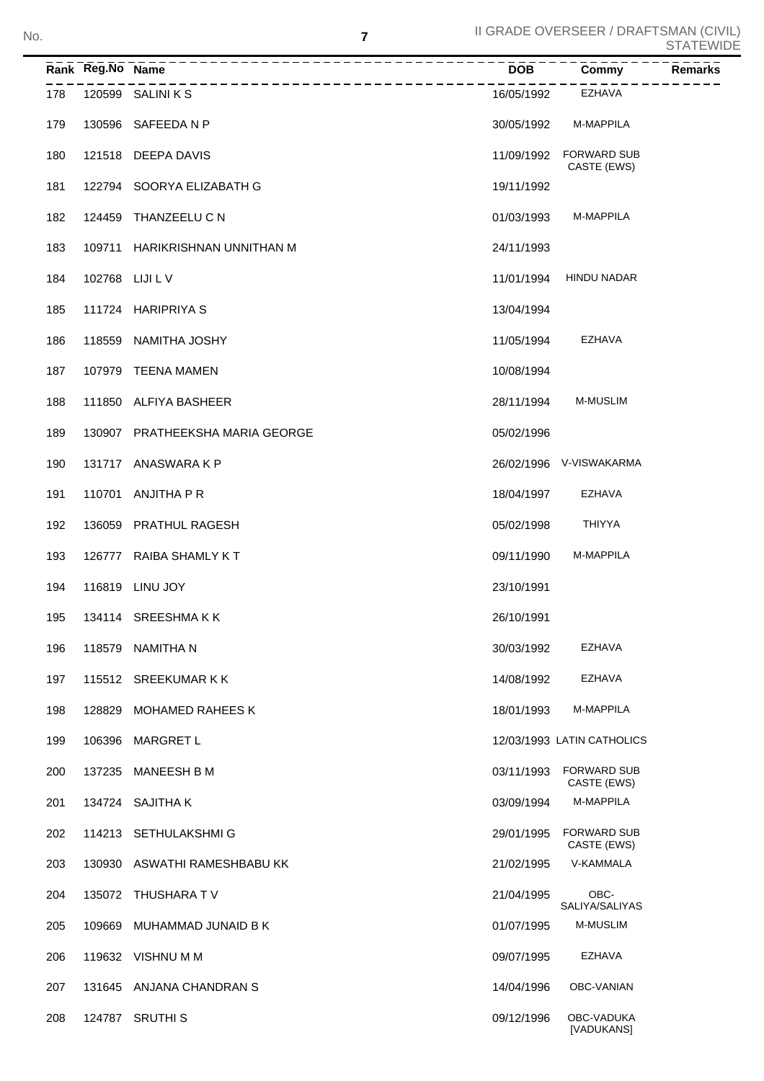|     | Rank Reg.No Name |                                 | <b>DOB</b> | Commy<br><b>Remarks</b>           |
|-----|------------------|---------------------------------|------------|-----------------------------------|
| 178 |                  | 120599 SALINI K S               | 16/05/1992 | EZHAVA                            |
| 179 | 130596           | SAFEEDA N P                     | 30/05/1992 | M-MAPPILA                         |
| 180 | 121518           | DEEPA DAVIS                     | 11/09/1992 | <b>FORWARD SUB</b><br>CASTE (EWS) |
| 181 |                  | 122794 SOORYA ELIZABATH G       | 19/11/1992 |                                   |
| 182 | 124459           | THANZEELU C N                   | 01/03/1993 | M-MAPPILA                         |
| 183 | 109711           | HARIKRISHNAN UNNITHAN M         | 24/11/1993 |                                   |
| 184 | 102768 LIJI L V  |                                 | 11/01/1994 | <b>HINDU NADAR</b>                |
| 185 | 111724           | <b>HARIPRIYA S</b>              | 13/04/1994 |                                   |
| 186 | 118559           | NAMITHA JOSHY                   | 11/05/1994 | EZHAVA                            |
| 187 | 107979           | TEENA MAMEN                     | 10/08/1994 |                                   |
| 188 |                  | 111850 ALFIYA BASHEER           | 28/11/1994 | <b>M-MUSLIM</b>                   |
| 189 | 130907           | <b>PRATHEEKSHA MARIA GEORGE</b> | 05/02/1996 |                                   |
| 190 |                  | 131717 ANASWARA K P             |            | 26/02/1996 V-VISWAKARMA           |
| 191 | 110701           | ANJITHA P R                     | 18/04/1997 | EZHAVA                            |
| 192 | 136059           | <b>PRATHUL RAGESH</b>           | 05/02/1998 | <b>THIYYA</b>                     |
| 193 | 126777           | RAIBA SHAMLY KT                 | 09/11/1990 | M-MAPPILA                         |
| 194 | 116819           | LINU JOY                        | 23/10/1991 |                                   |
| 195 |                  | 134114 SREESHMAKK               | 26/10/1991 |                                   |
| 196 |                  | 118579 NAMITHA N                | 30/03/1992 | EZHAVA                            |
| 197 |                  | 115512 SREEKUMAR K K            | 14/08/1992 | EZHAVA                            |
| 198 | 128829           | <b>MOHAMED RAHEES K</b>         | 18/01/1993 | M-MAPPILA                         |
| 199 | 106396           | <b>MARGRET L</b>                |            | 12/03/1993 LATIN CATHOLICS        |
| 200 | 137235           | <b>MANEESH B M</b>              | 03/11/1993 | <b>FORWARD SUB</b><br>CASTE (EWS) |
| 201 |                  | 134724 SAJITHA K                | 03/09/1994 | M-MAPPILA                         |
| 202 |                  | 114213 SETHULAKSHMIG            | 29/01/1995 | <b>FORWARD SUB</b><br>CASTE (EWS) |
| 203 | 130930           | ASWATHI RAMESHBABU KK           | 21/02/1995 | V-KAMMALA                         |
| 204 |                  | 135072 THUSHARA TV              | 21/04/1995 | OBC-<br>SALIYA/SALIYAS            |
| 205 | 109669           | MUHAMMAD JUNAID B K             | 01/07/1995 | <b>M-MUSLIM</b>                   |
| 206 |                  | 119632 VISHNU M M               | 09/07/1995 | EZHAVA                            |
| 207 | 131645           | ANJANA CHANDRAN S               | 14/04/1996 | OBC-VANIAN                        |
| 208 |                  | 124787 SRUTHI S                 | 09/12/1996 | OBC-VADUKA<br>[VADUKANS]          |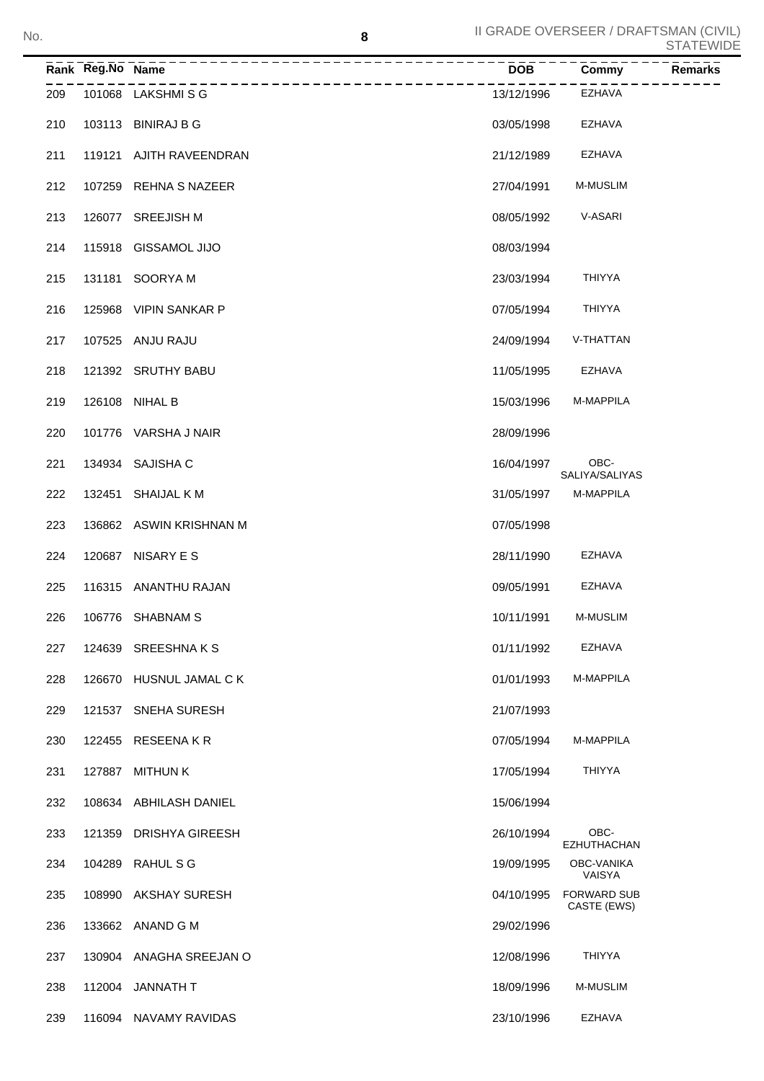|     | Rank Reg.No Name |                                       | <b>DOB</b> | Commy                             | ◡╷┌╮╷∟▾▾╷<br><b>Remarks</b> |
|-----|------------------|---------------------------------------|------------|-----------------------------------|-----------------------------|
| 209 |                  | _________________<br>101068 LAKSHMISG | 13/12/1996 | EZHAVA                            |                             |
| 210 |                  | 103113 BINIRAJ B G                    | 03/05/1998 | EZHAVA                            |                             |
| 211 |                  | 119121 AJITH RAVEENDRAN               | 21/12/1989 | EZHAVA                            |                             |
| 212 |                  | 107259 REHNA S NAZEER                 | 27/04/1991 | <b>M-MUSLIM</b>                   |                             |
| 213 |                  | 126077 SREEJISH M                     | 08/05/1992 | V-ASARI                           |                             |
| 214 |                  | 115918 GISSAMOL JIJO                  | 08/03/1994 |                                   |                             |
| 215 |                  | 131181 SOORYA M                       | 23/03/1994 | <b>THIYYA</b>                     |                             |
| 216 |                  | 125968 VIPIN SANKAR P                 | 07/05/1994 | <b>THIYYA</b>                     |                             |
| 217 |                  | 107525 ANJU RAJU                      | 24/09/1994 | V-THATTAN                         |                             |
| 218 |                  | 121392 SRUTHY BABU                    | 11/05/1995 | EZHAVA                            |                             |
| 219 |                  | 126108 NIHAL B                        | 15/03/1996 | M-MAPPILA                         |                             |
| 220 |                  | 101776 VARSHA J NAIR                  | 28/09/1996 |                                   |                             |
| 221 |                  | 134934 SAJISHA C                      | 16/04/1997 | OBC-<br>SALIYA/SALIYAS            |                             |
| 222 |                  | 132451 SHAIJAL K M                    | 31/05/1997 | M-MAPPILA                         |                             |
| 223 |                  | 136862 ASWIN KRISHNAN M               | 07/05/1998 |                                   |                             |
| 224 |                  | 120687 NISARY E S                     | 28/11/1990 | EZHAVA                            |                             |
| 225 |                  | 116315 ANANTHU RAJAN                  | 09/05/1991 | EZHAVA                            |                             |
| 226 |                  | 106776 SHABNAM S                      | 10/11/1991 | <b>M-MUSLIM</b>                   |                             |
| 227 |                  | 124639 SREESHNAKS                     | 01/11/1992 | EZHAVA                            |                             |
| 228 |                  | 126670 HUSNUL JAMAL C K               | 01/01/1993 | M-MAPPILA                         |                             |
| 229 |                  | 121537 SNEHA SURESH                   | 21/07/1993 |                                   |                             |
| 230 |                  | 122455 RESEENA KR                     | 07/05/1994 | M-MAPPILA                         |                             |
| 231 | 127887           | MITHUN K                              | 17/05/1994 | <b>THIYYA</b>                     |                             |
| 232 | 108634           | ABHILASH DANIEL                       | 15/06/1994 |                                   |                             |
| 233 | 121359           | DRISHYA GIREESH                       | 26/10/1994 | OBC-<br><b>EZHUTHACHAN</b>        |                             |
| 234 |                  | 104289 RAHUL S G                      | 19/09/1995 | OBC-VANIKA<br>VAISYA              |                             |
| 235 | 108990           | AKSHAY SURESH                         | 04/10/1995 | <b>FORWARD SUB</b><br>CASTE (EWS) |                             |
| 236 |                  | 133662 ANAND G M                      | 29/02/1996 |                                   |                             |
| 237 |                  | 130904 ANAGHA SREEJAN O               | 12/08/1996 | <b>THIYYA</b>                     |                             |
| 238 |                  | 112004 JANNATH T                      | 18/09/1996 | <b>M-MUSLIM</b>                   |                             |
| 239 |                  | 116094 NAVAMY RAVIDAS                 | 23/10/1996 | <b>EZHAVA</b>                     |                             |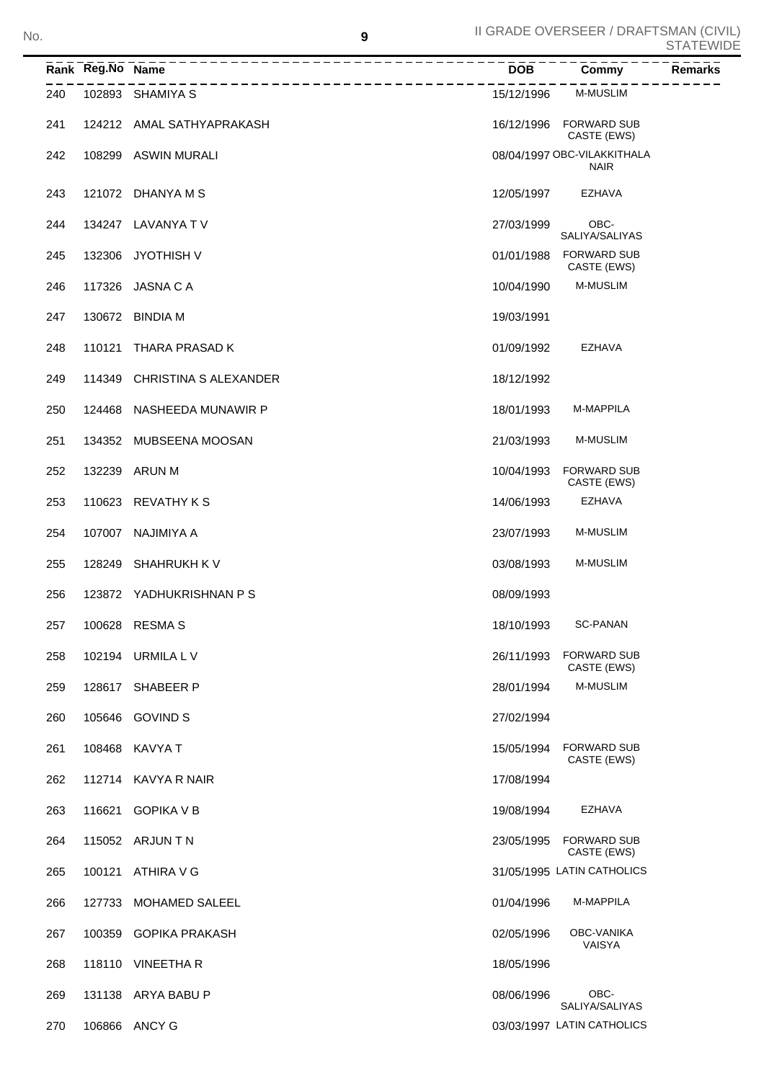|     | Rank Reg.No Name |                              | <b>DOB</b> | Commy                                      | Remarks |
|-----|------------------|------------------------------|------------|--------------------------------------------|---------|
| 240 |                  | 102893 SHAMIYA S             | 15/12/1996 | <b>M-MUSLIM</b>                            |         |
| 241 |                  | 124212 AMAL SATHYAPRAKASH    | 16/12/1996 | <b>FORWARD SUB</b><br>CASTE (EWS)          |         |
| 242 |                  | 108299 ASWIN MURALI          |            | 08/04/1997 OBC-VILAKKITHALA<br><b>NAIR</b> |         |
| 243 |                  | 121072 DHANYA M S            | 12/05/1997 | <b>EZHAVA</b>                              |         |
| 244 |                  | 134247 LAVANYA TV            | 27/03/1999 | OBC-<br>SALIYA/SALIYAS                     |         |
| 245 | 132306           | JYOTHISH V                   | 01/01/1988 | <b>FORWARD SUB</b><br>CASTE (EWS)          |         |
| 246 |                  | 117326 JASNA C A             | 10/04/1990 | M-MUSLIM                                   |         |
| 247 |                  | 130672 BINDIA M              | 19/03/1991 |                                            |         |
| 248 | 110121           | THARA PRASAD K               | 01/09/1992 | <b>EZHAVA</b>                              |         |
| 249 |                  | 114349 CHRISTINA S ALEXANDER | 18/12/1992 |                                            |         |
| 250 |                  | 124468 NASHEEDA MUNAWIR P    | 18/01/1993 | M-MAPPILA                                  |         |
| 251 |                  | 134352 MUBSEENA MOOSAN       | 21/03/1993 | <b>M-MUSLIM</b>                            |         |
| 252 |                  | 132239 ARUN M                | 10/04/1993 | <b>FORWARD SUB</b><br>CASTE (EWS)          |         |
| 253 |                  | 110623 REVATHY KS            | 14/06/1993 | <b>EZHAVA</b>                              |         |
| 254 | 107007           | NAJIMIYA A                   | 23/07/1993 | <b>M-MUSLIM</b>                            |         |
| 255 | 128249           | SHAHRUKH K V                 | 03/08/1993 | <b>M-MUSLIM</b>                            |         |
| 256 |                  | 123872 YADHUKRISHNAN PS      | 08/09/1993 |                                            |         |
| 257 |                  | 100628 RESMA S               | 18/10/1993 | <b>SC-PANAN</b>                            |         |
| 258 |                  | 102194 URMILA L V            | 26/11/1993 | <b>FORWARD SUB</b><br>CASTE (EWS)          |         |
| 259 |                  | 128617 SHABEER P             | 28/01/1994 | <b>M-MUSLIM</b>                            |         |
| 260 |                  | 105646 GOVIND S              | 27/02/1994 |                                            |         |
| 261 |                  | 108468 KAVYA T               | 15/05/1994 | <b>FORWARD SUB</b><br>CASTE (EWS)          |         |
| 262 |                  | 112714 KAVYA R NAIR          | 17/08/1994 |                                            |         |
| 263 | 116621           | <b>GOPIKA V B</b>            | 19/08/1994 | EZHAVA                                     |         |
| 264 |                  | 115052 ARJUN T N             | 23/05/1995 | <b>FORWARD SUB</b><br>CASTE (EWS)          |         |
| 265 | 100121           | ATHIRA V G                   |            | 31/05/1995 LATIN CATHOLICS                 |         |
| 266 | 127733           | <b>MOHAMED SALEEL</b>        | 01/04/1996 | M-MAPPILA                                  |         |
| 267 |                  | 100359 GOPIKA PRAKASH        | 02/05/1996 | OBC-VANIKA<br>VAISYA                       |         |
| 268 |                  | 118110 VINEETHAR             | 18/05/1996 |                                            |         |
| 269 |                  | 131138 ARYA BABU P           | 08/06/1996 | OBC-<br>SALIYA/SALIYAS                     |         |
| 270 |                  | 106866 ANCY G                |            | 03/03/1997 LATIN CATHOLICS                 |         |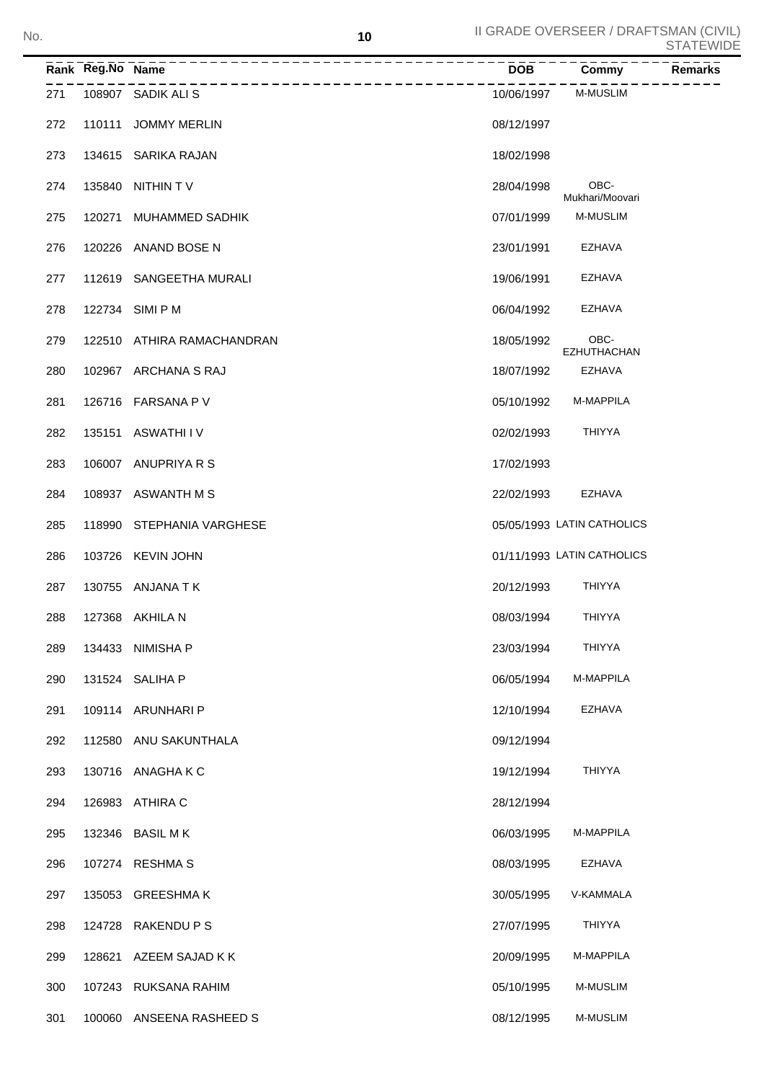|     | Rank Reg.No Name |                        | <b>DOB</b> | Commy                      | Remarks |
|-----|------------------|------------------------|------------|----------------------------|---------|
| 271 |                  | 108907 SADIK ALI S     | 10/06/1997 | <b>M-MUSLIM</b>            |         |
| 272 | 110111           | <b>JOMMY MERLIN</b>    | 08/12/1997 |                            |         |
| 273 |                  | 134615 SARIKA RAJAN    | 18/02/1998 |                            |         |
| 274 | 135840           | NITHIN TV              | 28/04/1998 | OBC-<br>Mukhari/Moovari    |         |
| 275 | 120271           | MUHAMMED SADHIK        | 07/01/1999 | <b>M-MUSLIM</b>            |         |
| 276 | 120226           | ANAND BOSE N           | 23/01/1991 | EZHAVA                     |         |
| 277 | 112619           | SANGEETHA MURALI       | 19/06/1991 | EZHAVA                     |         |
| 278 |                  | 122734 SIMI P M        | 06/04/1992 | EZHAVA                     |         |
| 279 | 122510           | ATHIRA RAMACHANDRAN    | 18/05/1992 | OBC-<br><b>EZHUTHACHAN</b> |         |
| 280 |                  | 102967 ARCHANA S RAJ   | 18/07/1992 | EZHAVA                     |         |
| 281 |                  | 126716 FARSANA P V     | 05/10/1992 | M-MAPPILA                  |         |
| 282 | 135151           | ASWATHI I V            | 02/02/1993 | <b>THIYYA</b>              |         |
| 283 |                  | 106007 ANUPRIYA R S    | 17/02/1993 |                            |         |
| 284 |                  | 108937 ASWANTH M S     | 22/02/1993 | EZHAVA                     |         |
| 285 | 118990           | STEPHANIA VARGHESE     |            | 05/05/1993 LATIN CATHOLICS |         |
| 286 |                  | 103726 KEVIN JOHN      |            | 01/11/1993 LATIN CATHOLICS |         |
| 287 |                  | 130755 ANJANA TK       | 20/12/1993 | <b>THIYYA</b>              |         |
| 288 |                  | 127368 AKHILA N        | 08/03/1994 | <b>THIYYA</b>              |         |
| 289 |                  | 134433 NIMISHA P       | 23/03/1994 | <b>THIYYA</b>              |         |
| 290 |                  | 131524 SALIHA P        | 06/05/1994 | M-MAPPILA                  |         |
| 291 |                  | 109114 ARUNHARI P      | 12/10/1994 | EZHAVA                     |         |
| 292 |                  | 112580 ANU SAKUNTHALA  | 09/12/1994 |                            |         |
| 293 |                  | 130716 ANAGHAKC        | 19/12/1994 | <b>THIYYA</b>              |         |
| 294 |                  | 126983 ATHIRA C        | 28/12/1994 |                            |         |
| 295 |                  | 132346 BASIL M K       | 06/03/1995 | M-MAPPILA                  |         |
| 296 |                  | 107274 RESHMA S        | 08/03/1995 | EZHAVA                     |         |
| 297 |                  | 135053 GREESHMAK       | 30/05/1995 | V-KAMMALA                  |         |
| 298 |                  | 124728 RAKENDU P S     | 27/07/1995 | <b>THIYYA</b>              |         |
| 299 |                  | 128621 AZEEM SAJAD K K | 20/09/1995 | M-MAPPILA                  |         |
| 300 |                  | 107243 RUKSANA RAHIM   | 05/10/1995 | <b>M-MUSLIM</b>            |         |
| 301 | 100060           | ANSEENA RASHEED S      | 08/12/1995 | <b>M-MUSLIM</b>            |         |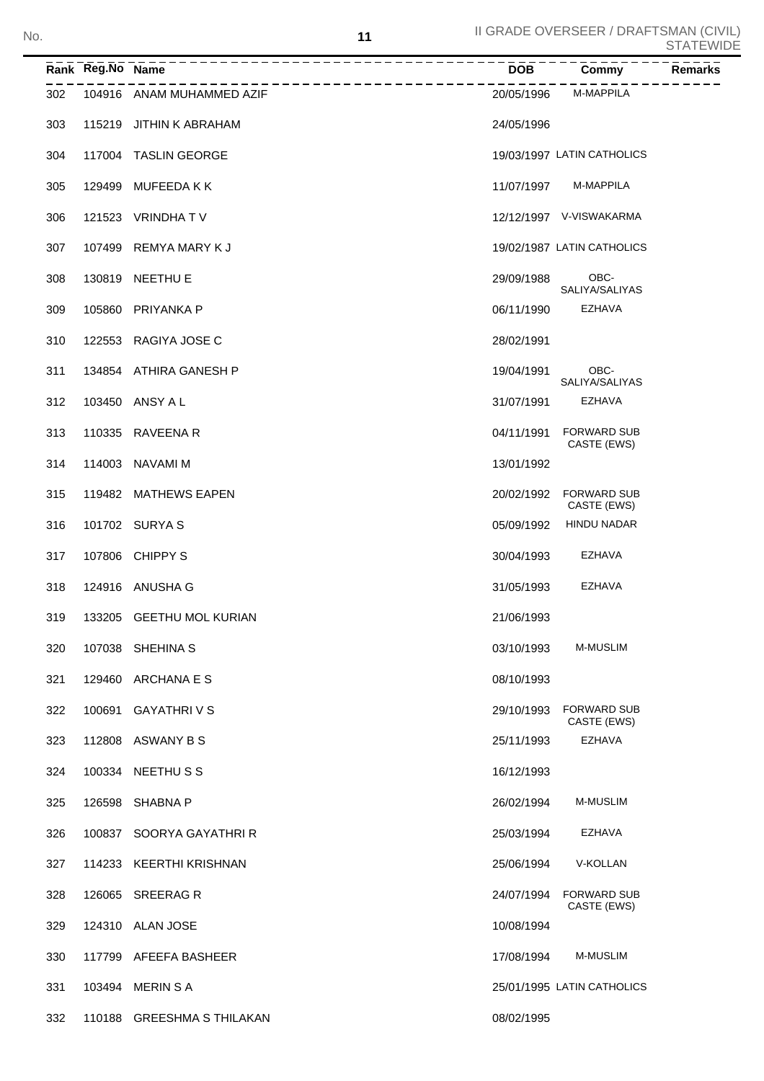CASTE (EWS)

CASTE (EWS)

| No. |     |                  |                           | 11 |            | II GRADE OVERSEER / DRAFTSMAN (CIVIL) | <b>STATEWIDE</b> |
|-----|-----|------------------|---------------------------|----|------------|---------------------------------------|------------------|
|     |     | Rank Reg.No Name |                           |    | <b>DOB</b> | Commy                                 | <b>Remarks</b>   |
|     | 302 |                  | 104916 ANAM MUHAMMED AZIF |    | 20/05/1996 | M-MAPPILA                             |                  |
|     | 303 |                  | 115219 JITHIN K ABRAHAM   |    | 24/05/1996 |                                       |                  |
|     | 304 |                  | 117004 TASLIN GEORGE      |    |            | 19/03/1997 LATIN CATHOLICS            |                  |
|     | 305 |                  | 129499 MUFEEDA K K        |    | 11/07/1997 | <b>M-MAPPILA</b>                      |                  |
|     | 306 |                  | 121523 VRINDHAT V         |    |            | 12/12/1997 V-VISWAKARMA               |                  |
|     | 307 |                  | 107499 REMYA MARY K J     |    |            | 19/02/1987 LATIN CATHOLICS            |                  |
|     | 308 |                  | 130819 NEETHU E           |    | 29/09/1988 | OBC-<br>SALIYA/SALIYAS                |                  |
|     | 309 |                  | 105860 PRIYANKA P         |    | 06/11/1990 | <b>EZHAVA</b>                         |                  |
|     | 310 |                  | 122553 RAGIYA JOSE C      |    | 28/02/1991 |                                       |                  |
|     | 311 |                  | 134854 ATHIRA GANESH P    |    | 19/04/1991 | OBC-<br>SALIYA/SALIYAS                |                  |
|     | 312 |                  | 103450 ANSY A L           |    | 31/07/1991 | <b>EZHAVA</b>                         |                  |
|     | 313 |                  | 110335 RAVEENA R          |    | 04/11/1991 | <b>FORWARD SUB</b><br>CASTE (EWS)     |                  |
|     | 314 |                  | 114003 NAVAMI M           |    | 13/01/1992 |                                       |                  |
|     |     |                  |                           |    |            |                                       |                  |

| 315 119482 MATHEWS EAPEN |  | 20/02/1992 FORWARD SUB<br>CASTE (EWS) |
|--------------------------|--|---------------------------------------|
|--------------------------|--|---------------------------------------|

316 101702 SURYA S 05/09/1992 HINDU NADAR

| 317 | 107806 CHIPPY S |  | 30/04/1993 | EZHAVA |
|-----|-----------------|--|------------|--------|

| 318 | 124916 ANUSHA G | 31/05/1993 | EZHAVA |
|-----|-----------------|------------|--------|
|     |                 |            |        |

- 319 133205 GEETHU MOL KURIAN 21/06/1993
- 320 107038 SHEHINA S 03/10/1993 M-MUSLIM
- 321 129460 ARCHANA E S 08/10/1993
- 322 100691 GAYATHRI V S 29/10/1993 FORWARD SUB
- 323 112808 ASWANY B S 25/11/1993 EZHAVA
- 324 100334 NEETHU S S 16/12/1993
- 325 126598 SHABNA P 26/02/1994 M-MUSLIM
- 326 100837 SOORYA GAYATHRI R 25/03/1994 EZHAVA
- 327 114233 KEERTHI KRISHNAN 25/06/1994 V-KOLLAN
- 328 126065 FORWARD SUB SREERAG R 24/07/1994
- 329 124310 ALAN JOSE 10/08/1994
- 330 117799 AFEEFA BASHEER 17/08/1994 M-MUSLIM
- 331 103494 MERIN S A 25/01/1995 LATIN CATHOLICS
- 332 110188 GREESHMA S THILAKAN 08/02/1995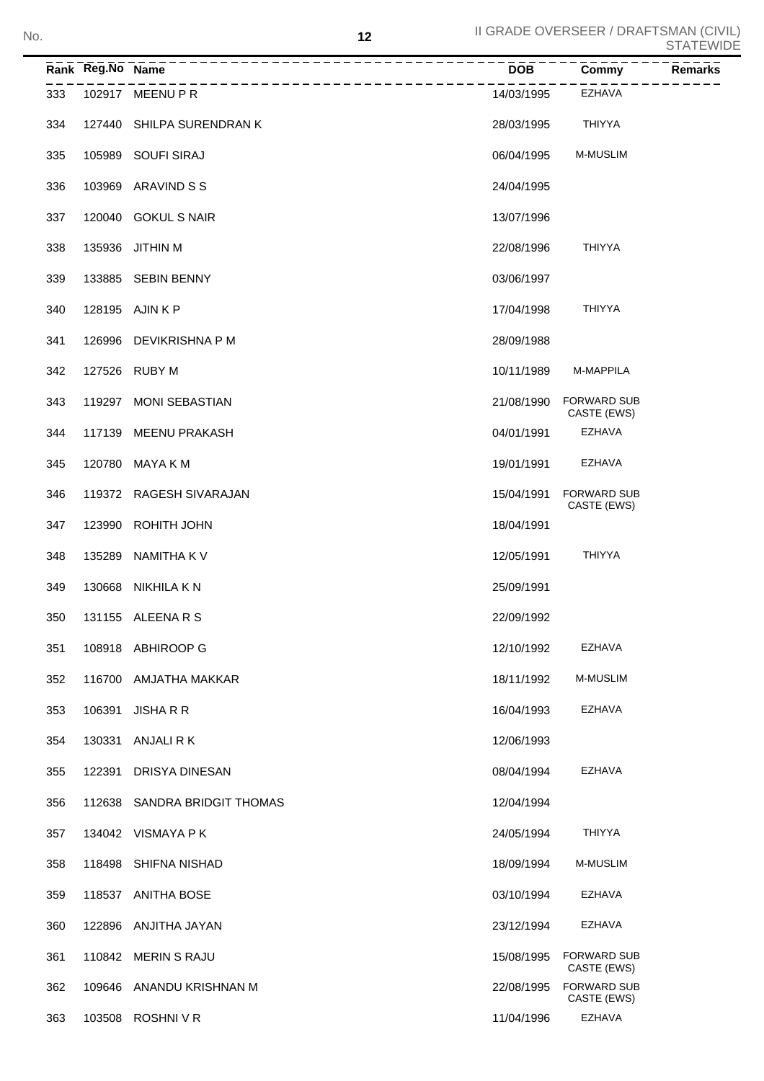|     | Rank Reg.No Name |                           | <b>DOB</b> | Commy                             | <b>Remarks</b> |
|-----|------------------|---------------------------|------------|-----------------------------------|----------------|
| 333 |                  | 102917 MEENU P R          | 14/03/1995 | <b>EZHAVA</b>                     |                |
| 334 |                  | 127440 SHILPA SURENDRAN K | 28/03/1995 | <b>THIYYA</b>                     |                |
| 335 |                  | 105989 SOUFI SIRAJ        | 06/04/1995 | <b>M-MUSLIM</b>                   |                |
| 336 |                  | 103969 ARAVIND S S        | 24/04/1995 |                                   |                |
| 337 |                  | 120040 GOKUL S NAIR       | 13/07/1996 |                                   |                |
| 338 |                  | 135936 JITHIN M           | 22/08/1996 | <b>THIYYA</b>                     |                |
| 339 |                  | 133885 SEBIN BENNY        | 03/06/1997 |                                   |                |
| 340 |                  | 128195 AJIN K P           | 17/04/1998 | <b>THIYYA</b>                     |                |
| 341 |                  | 126996 DEVIKRISHNA P M    | 28/09/1988 |                                   |                |
| 342 |                  | 127526 RUBY M             | 10/11/1989 | M-MAPPILA                         |                |
| 343 | 119297           | MONI SEBASTIAN            | 21/08/1990 | <b>FORWARD SUB</b><br>CASTE (EWS) |                |
| 344 |                  | 117139 MEENU PRAKASH      | 04/01/1991 | <b>EZHAVA</b>                     |                |
| 345 | 120780           | MAYA K M                  | 19/01/1991 | <b>EZHAVA</b>                     |                |
| 346 |                  | 119372 RAGESH SIVARAJAN   | 15/04/1991 | <b>FORWARD SUB</b><br>CASTE (EWS) |                |
| 347 | 123990           | <b>ROHITH JOHN</b>        | 18/04/1991 |                                   |                |
| 348 | 135289           | NAMITHA K V               | 12/05/1991 | <b>THIYYA</b>                     |                |
| 349 | 130668           | NIKHILA K N               | 25/09/1991 |                                   |                |
| 350 |                  | 131155 ALEENA R S         | 22/09/1992 |                                   |                |
| 351 |                  | 108918 ABHIROOP G         | 12/10/1992 | EZHAVA                            |                |
| 352 | 116700           | AMJATHA MAKKAR            | 18/11/1992 | M-MUSLIM                          |                |
| 353 | 106391           | <b>JISHA R R</b>          | 16/04/1993 | <b>EZHAVA</b>                     |                |
| 354 | 130331           | ANJALI R K                | 12/06/1993 |                                   |                |
| 355 | 122391           | DRISYA DINESAN            | 08/04/1994 | EZHAVA                            |                |
| 356 | 112638           | SANDRA BRIDGIT THOMAS     | 12/04/1994 |                                   |                |
| 357 |                  | 134042 VISMAYA PK         | 24/05/1994 | <b>THIYYA</b>                     |                |
| 358 | 118498           | SHIFNA NISHAD             | 18/09/1994 | M-MUSLIM                          |                |
| 359 |                  | 118537 ANITHA BOSE        | 03/10/1994 | EZHAVA                            |                |
| 360 |                  | 122896 ANJITHA JAYAN      | 23/12/1994 | EZHAVA                            |                |
| 361 |                  | 110842 MERIN S RAJU       | 15/08/1995 | <b>FORWARD SUB</b><br>CASTE (EWS) |                |
| 362 |                  | 109646 ANANDU KRISHNAN M  | 22/08/1995 | <b>FORWARD SUB</b><br>CASTE (EWS) |                |
| 363 | 103508           | <b>ROSHNIVR</b>           | 11/04/1996 | EZHAVA                            |                |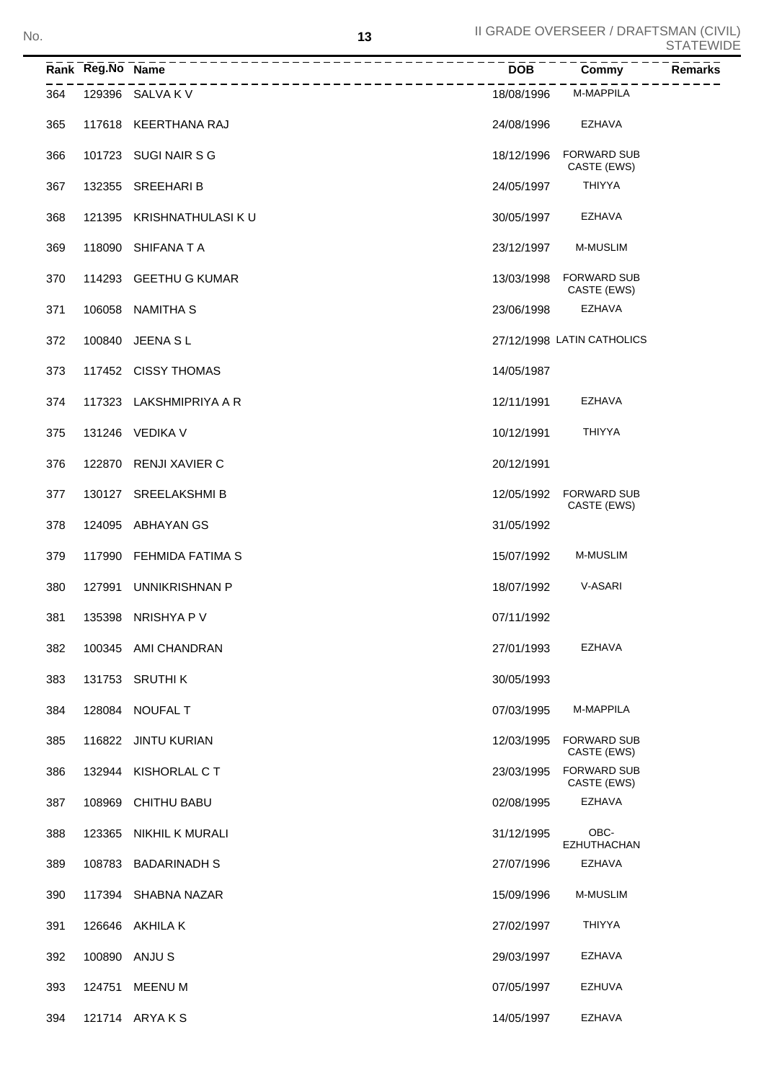|     | Rank Reg.No Name |                         | $\overline{DOB}$ | <b>Commy</b>                      | <b>Remarks</b> |
|-----|------------------|-------------------------|------------------|-----------------------------------|----------------|
| 364 |                  | 129396 SALVA K V        | 18/08/1996       | M-MAPPILA                         |                |
| 365 |                  | 117618 KEERTHANA RAJ    | 24/08/1996       | <b>EZHAVA</b>                     |                |
| 366 |                  | 101723 SUGI NAIR S G    | 18/12/1996       | <b>FORWARD SUB</b><br>CASTE (EWS) |                |
| 367 |                  | 132355 SREEHARI B       | 24/05/1997       | <b>THIYYA</b>                     |                |
| 368 | 121395           | KRISHNATHULASI K U      | 30/05/1997       | <b>EZHAVA</b>                     |                |
| 369 | 118090           | SHIFANA T A             | 23/12/1997       | <b>M-MUSLIM</b>                   |                |
| 370 |                  | 114293 GEETHU G KUMAR   | 13/03/1998       | <b>FORWARD SUB</b><br>CASTE (EWS) |                |
| 371 | 106058           | NAMITHA S               | 23/06/1998       | <b>EZHAVA</b>                     |                |
| 372 | 100840           | JEENA S L               |                  | 27/12/1998 LATIN CATHOLICS        |                |
| 373 |                  | 117452 CISSY THOMAS     | 14/05/1987       |                                   |                |
| 374 |                  | 117323 LAKSHMIPRIYA A R | 12/11/1991       | <b>EZHAVA</b>                     |                |
| 375 |                  | 131246 VEDIKA V         | 10/12/1991       | <b>THIYYA</b>                     |                |
| 376 | 122870           | RENJI XAVIER C          | 20/12/1991       |                                   |                |
| 377 |                  | 130127 SREELAKSHMI B    | 12/05/1992       | <b>FORWARD SUB</b><br>CASTE (EWS) |                |
| 378 | 124095           | ABHAYAN GS              | 31/05/1992       |                                   |                |
| 379 | 117990           | FEHMIDA FATIMA S        | 15/07/1992       | <b>M-MUSLIM</b>                   |                |
| 380 | 127991           | UNNIKRISHNAN P          | 18/07/1992       | V-ASARI                           |                |
| 381 |                  | 135398 NRISHYA P V      | 07/11/1992       |                                   |                |
| 382 |                  | 100345 AMI CHANDRAN     | 27/01/1993       | EZHAVA                            |                |
| 383 |                  | 131753 SRUTHI K         | 30/05/1993       |                                   |                |
| 384 |                  | 128084 NOUFAL T         | 07/03/1995       | M-MAPPILA                         |                |
| 385 |                  | 116822 JINTU KURIAN     | 12/03/1995       | <b>FORWARD SUB</b><br>CASTE (EWS) |                |
| 386 |                  | 132944 KISHORLAL C T    | 23/03/1995       | <b>FORWARD SUB</b><br>CASTE (EWS) |                |
| 387 | 108969           | <b>CHITHU BABU</b>      | 02/08/1995       | EZHAVA                            |                |
| 388 | 123365           | NIKHIL K MURALI         | 31/12/1995       | OBC-<br><b>EZHUTHACHAN</b>        |                |
| 389 |                  | 108783 BADARINADH S     | 27/07/1996       | <b>EZHAVA</b>                     |                |
| 390 |                  | 117394 SHABNA NAZAR     | 15/09/1996       | M-MUSLIM                          |                |
| 391 |                  | 126646 AKHILA K         | 27/02/1997       | THIYYA                            |                |
| 392 |                  | 100890 ANJU S           | 29/03/1997       | EZHAVA                            |                |
| 393 | 124751           | MEENU M                 | 07/05/1997       | EZHUVA                            |                |
| 394 |                  | 121714 ARYAKS           | 14/05/1997       | <b>EZHAVA</b>                     |                |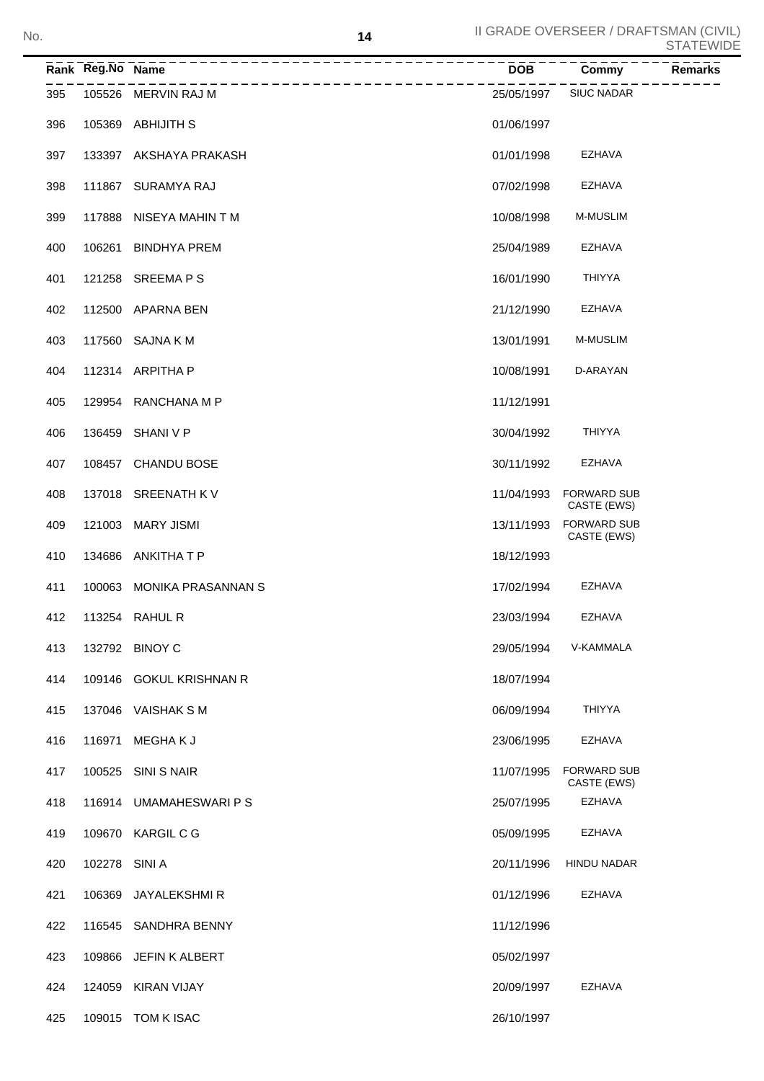|     | Rank Reg.No Name |                                     | <b>DOB</b> | Commy                             | <b>Remarks</b> |
|-----|------------------|-------------------------------------|------------|-----------------------------------|----------------|
| 395 |                  | ------------<br>105526 MERVIN RAJ M | 25/05/1997 | <b>SIUC NADAR</b>                 |                |
| 396 | 105369           | <b>ABHIJITH S</b>                   | 01/06/1997 |                                   |                |
| 397 |                  | 133397 AKSHAYA PRAKASH              | 01/01/1998 | <b>EZHAVA</b>                     |                |
| 398 |                  | 111867 SURAMYA RAJ                  | 07/02/1998 | <b>EZHAVA</b>                     |                |
| 399 | 117888           | NISEYA MAHIN T M                    | 10/08/1998 | M-MUSLIM                          |                |
| 400 | 106261           | <b>BINDHYA PREM</b>                 | 25/04/1989 | <b>EZHAVA</b>                     |                |
| 401 |                  | 121258 SREEMA P S                   | 16/01/1990 | <b>THIYYA</b>                     |                |
| 402 | 112500           | APARNA BEN                          | 21/12/1990 | EZHAVA                            |                |
| 403 |                  | 117560 SAJNA K M                    | 13/01/1991 | M-MUSLIM                          |                |
| 404 |                  | 112314 ARPITHA P                    | 10/08/1991 | D-ARAYAN                          |                |
| 405 |                  | 129954 RANCHANA M P                 | 11/12/1991 |                                   |                |
| 406 | 136459           | SHANI V P                           | 30/04/1992 | <b>THIYYA</b>                     |                |
| 407 |                  | 108457 CHANDU BOSE                  | 30/11/1992 | <b>EZHAVA</b>                     |                |
| 408 |                  | 137018 SREENATH K V                 | 11/04/1993 | <b>FORWARD SUB</b><br>CASTE (EWS) |                |
| 409 | 121003           | <b>MARY JISMI</b>                   | 13/11/1993 | <b>FORWARD SUB</b><br>CASTE (EWS) |                |
| 410 |                  | 134686 ANKITHA T P                  | 18/12/1993 |                                   |                |
| 411 | 100063           | MONIKA PRASANNAN S                  | 17/02/1994 | EZHAVA                            |                |
| 412 |                  | 113254 RAHUL R                      | 23/03/1994 | <b>EZHAVA</b>                     |                |
| 413 |                  | 132792 BINOY C                      | 29/05/1994 | V-KAMMALA                         |                |
| 414 |                  | 109146 GOKUL KRISHNAN R             | 18/07/1994 |                                   |                |
| 415 |                  | 137046 VAISHAK S M                  | 06/09/1994 | <b>THIYYA</b>                     |                |
| 416 | 116971           | <b>MEGHAKJ</b>                      | 23/06/1995 | EZHAVA                            |                |
| 417 | 100525           | SINI S NAIR                         | 11/07/1995 | <b>FORWARD SUB</b><br>CASTE (EWS) |                |
| 418 |                  | 116914 UMAMAHESWARI P S             | 25/07/1995 | <b>EZHAVA</b>                     |                |
| 419 |                  | 109670 KARGIL C G                   | 05/09/1995 | <b>EZHAVA</b>                     |                |
| 420 | 102278 SINI A    |                                     | 20/11/1996 | <b>HINDU NADAR</b>                |                |
| 421 | 106369           | JAYALEKSHMI R                       | 01/12/1996 | <b>EZHAVA</b>                     |                |
| 422 |                  | 116545 SANDHRA BENNY                | 11/12/1996 |                                   |                |
| 423 | 109866           | JEFIN K ALBERT                      | 05/02/1997 |                                   |                |
| 424 | 124059           | KIRAN VIJAY                         | 20/09/1997 | EZHAVA                            |                |
| 425 |                  | 109015 TOM K ISAC                   | 26/10/1997 |                                   |                |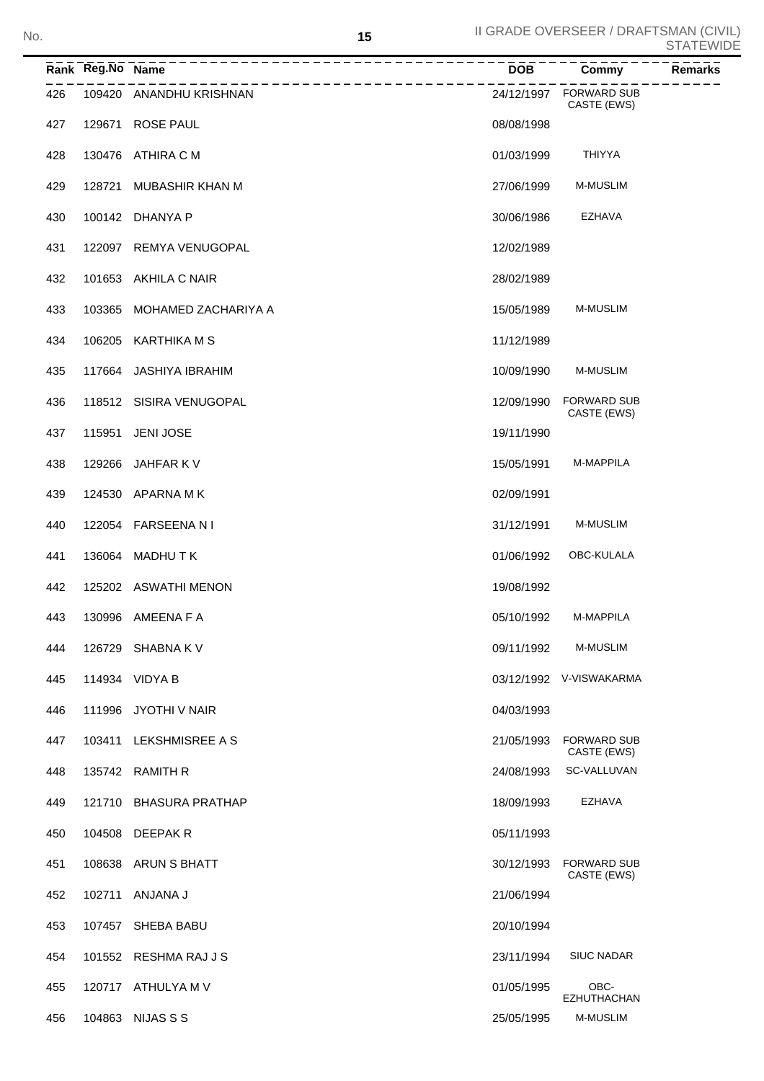|     | Rank Reg.No Name | ----------------------<br>-------------- | <b>DOB</b> | Commy                                 | <b>Remarks</b> |
|-----|------------------|------------------------------------------|------------|---------------------------------------|----------------|
| 426 |                  | 109420 ANANDHU KRISHNAN                  |            | 24/12/1997 FORWARD SUB<br>CASTE (EWS) |                |
| 427 |                  | 129671 ROSE PAUL                         | 08/08/1998 |                                       |                |
| 428 |                  | 130476 ATHIRA C M                        | 01/03/1999 | <b>THIYYA</b>                         |                |
| 429 | 128721           | MUBASHIR KHAN M                          | 27/06/1999 | <b>M-MUSLIM</b>                       |                |
| 430 |                  | 100142 DHANYA P                          | 30/06/1986 | EZHAVA                                |                |
| 431 |                  | 122097 REMYA VENUGOPAL                   | 12/02/1989 |                                       |                |
| 432 |                  | 101653 AKHILA C NAIR                     | 28/02/1989 |                                       |                |
| 433 |                  | 103365 MOHAMED ZACHARIYA A               | 15/05/1989 | <b>M-MUSLIM</b>                       |                |
| 434 |                  | 106205 KARTHIKA M S                      | 11/12/1989 |                                       |                |
| 435 |                  | 117664 JASHIYA IBRAHIM                   | 10/09/1990 | <b>M-MUSLIM</b>                       |                |
| 436 |                  | 118512 SISIRA VENUGOPAL                  | 12/09/1990 | <b>FORWARD SUB</b><br>CASTE (EWS)     |                |
| 437 | 115951           | <b>JENI JOSE</b>                         | 19/11/1990 |                                       |                |
| 438 |                  | 129266 JAHFAR K V                        | 15/05/1991 | M-MAPPILA                             |                |
| 439 |                  | 124530 APARNA M K                        | 02/09/1991 |                                       |                |
| 440 |                  | 122054 FARSEENANI                        | 31/12/1991 | <b>M-MUSLIM</b>                       |                |
| 441 |                  | 136064 MADHUTK                           | 01/06/1992 | OBC-KULALA                            |                |
| 442 |                  | 125202 ASWATHI MENON                     | 19/08/1992 |                                       |                |
| 443 |                  | 130996 AMEENA F A                        | 05/10/1992 | M-MAPPILA                             |                |
| 444 |                  | 126729 SHABNA K V                        | 09/11/1992 | <b>M-MUSLIM</b>                       |                |
| 445 |                  | 114934 VIDYA B                           |            | 03/12/1992 V-VISWAKARMA               |                |
| 446 |                  | 111996 JYOTHI V NAIR                     | 04/03/1993 |                                       |                |
| 447 | 103411           | LEKSHMISREE A S                          | 21/05/1993 | <b>FORWARD SUB</b><br>CASTE (EWS)     |                |
| 448 |                  | 135742 RAMITH R                          | 24/08/1993 | SC-VALLUVAN                           |                |
| 449 | 121710           | BHASURA PRATHAP                          | 18/09/1993 | <b>EZHAVA</b>                         |                |
| 450 |                  | 104508 DEEPAK R                          | 05/11/1993 |                                       |                |
| 451 |                  | 108638 ARUN S BHATT                      | 30/12/1993 | <b>FORWARD SUB</b><br>CASTE (EWS)     |                |
| 452 |                  | 102711 ANJANA J                          | 21/06/1994 |                                       |                |
| 453 |                  | 107457 SHEBA BABU                        | 20/10/1994 |                                       |                |
| 454 |                  | 101552 RESHMA RAJ J S                    | 23/11/1994 | <b>SIUC NADAR</b>                     |                |
| 455 |                  | 120717 ATHULYA M V                       | 01/05/1995 | OBC-<br><b>EZHUTHACHAN</b>            |                |
| 456 |                  | 104863 NIJAS S S                         | 25/05/1995 | <b>M-MUSLIM</b>                       |                |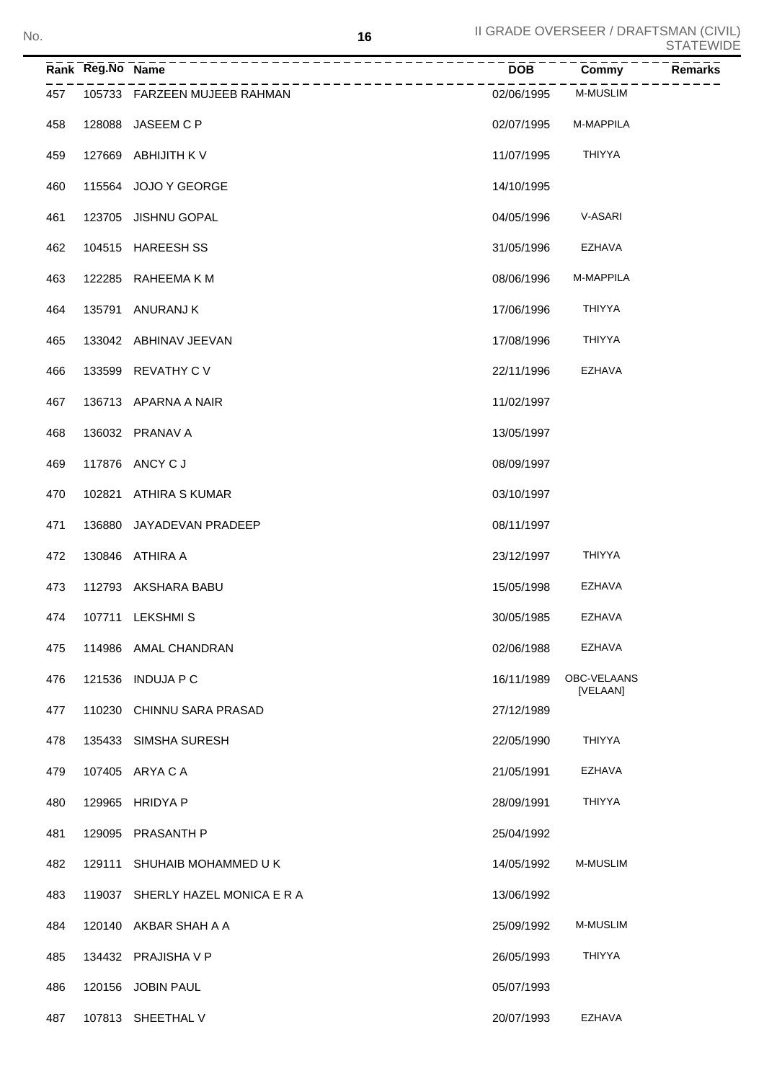|     | Rank Reg.No Name | <u> -----------------------</u>                     | <b>DOB</b> | Commy                   | <b>Remarks</b> |
|-----|------------------|-----------------------------------------------------|------------|-------------------------|----------------|
| 457 |                  | ___________________<br>105733 FARZEEN MUJEEB RAHMAN | 02/06/1995 | <b>M-MUSLIM</b>         |                |
| 458 |                  | 128088 JASEEM C P                                   | 02/07/1995 | M-MAPPILA               |                |
| 459 |                  | 127669 ABHIJITH K V                                 | 11/07/1995 | <b>THIYYA</b>           |                |
| 460 |                  | 115564 JOJO Y GEORGE                                | 14/10/1995 |                         |                |
| 461 |                  | 123705 JISHNU GOPAL                                 | 04/05/1996 | V-ASARI                 |                |
| 462 |                  | 104515 HAREESH SS                                   | 31/05/1996 | EZHAVA                  |                |
| 463 |                  | 122285 RAHEEMAKM                                    | 08/06/1996 | M-MAPPILA               |                |
| 464 |                  | 135791 ANURANJ K                                    | 17/06/1996 | THIYYA                  |                |
| 465 |                  | 133042 ABHINAV JEEVAN                               | 17/08/1996 | THIYYA                  |                |
| 466 |                  | 133599 REVATHY C V                                  | 22/11/1996 | EZHAVA                  |                |
| 467 |                  | 136713 APARNA A NAIR                                | 11/02/1997 |                         |                |
| 468 |                  | 136032 PRANAV A                                     | 13/05/1997 |                         |                |
| 469 |                  | 117876 ANCY C J                                     | 08/09/1997 |                         |                |
| 470 |                  | 102821 ATHIRA S KUMAR                               | 03/10/1997 |                         |                |
| 471 |                  | 136880 JAYADEVAN PRADEEP                            | 08/11/1997 |                         |                |
| 472 |                  | 130846 ATHIRA A                                     | 23/12/1997 | <b>THIYYA</b>           |                |
| 473 |                  | 112793 AKSHARA BABU                                 | 15/05/1998 | EZHAVA                  |                |
| 474 |                  | 107711 LEKSHMIS                                     | 30/05/1985 | EZHAVA                  |                |
| 475 |                  | 114986 AMAL CHANDRAN                                | 02/06/1988 | <b>EZHAVA</b>           |                |
| 476 | 121536           | <b>INDUJA P C</b>                                   | 16/11/1989 | OBC-VELAANS<br>[VELAAN] |                |
| 477 |                  | 110230 CHINNU SARA PRASAD                           | 27/12/1989 |                         |                |
| 478 |                  | 135433 SIMSHA SURESH                                | 22/05/1990 | <b>THIYYA</b>           |                |
| 479 |                  | 107405 ARYA C A                                     | 21/05/1991 | <b>EZHAVA</b>           |                |
| 480 |                  | 129965 HRIDYA P                                     | 28/09/1991 | <b>THIYYA</b>           |                |
| 481 | 129095           | <b>PRASANTH P</b>                                   | 25/04/1992 |                         |                |
| 482 | 129111           | SHUHAIB MOHAMMED U K                                | 14/05/1992 | <b>M-MUSLIM</b>         |                |
| 483 |                  | 119037 SHERLY HAZEL MONICA E R A                    | 13/06/1992 |                         |                |
| 484 |                  | 120140 AKBAR SHAH A A                               | 25/09/1992 | <b>M-MUSLIM</b>         |                |
| 485 |                  | 134432 PRAJISHA V P                                 | 26/05/1993 | <b>THIYYA</b>           |                |
| 486 |                  | 120156 JOBIN PAUL                                   | 05/07/1993 |                         |                |

107813 SHEETHAL V 20/07/1993 EZHAVA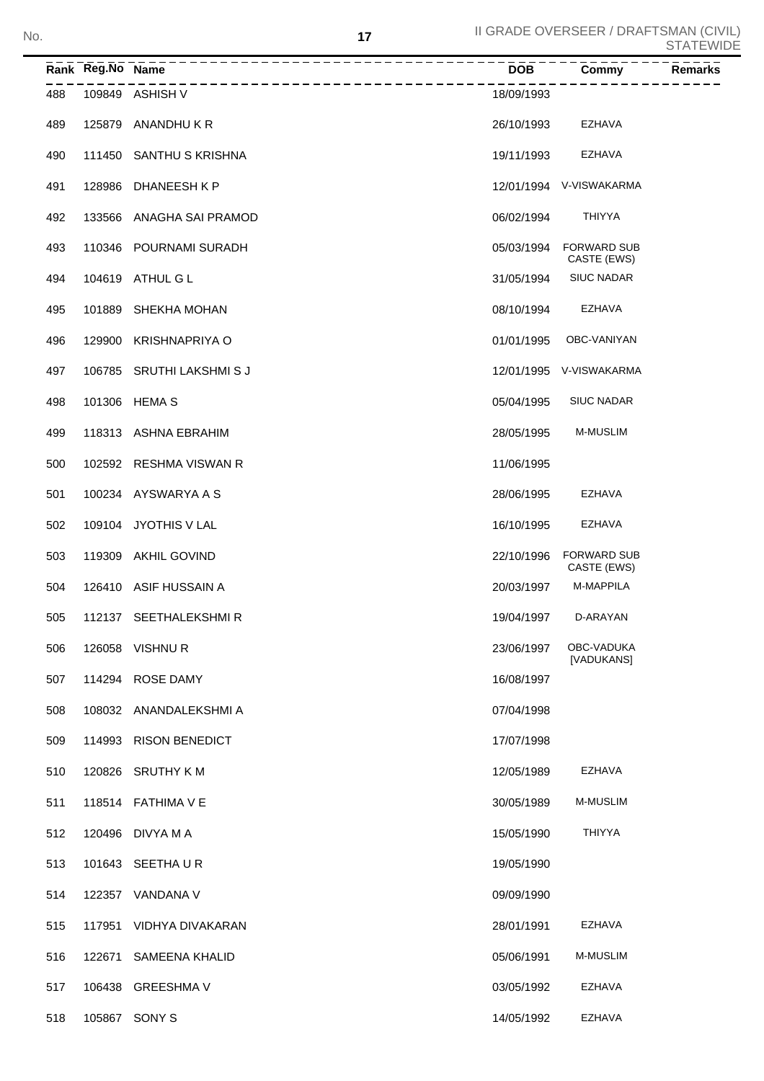| No. |     |                            | 17 |            | II GRADE OVERSEER / DRAFTSMAN (CIVIL) | <b>STATEWIDE</b> |
|-----|-----|----------------------------|----|------------|---------------------------------------|------------------|
|     |     | __________________________ |    | <b>DOB</b> | Commy                                 | Remarks          |
|     | 488 | 109849 ASHISH V            |    | 18/09/1993 |                                       |                  |
|     | 489 | 125879 ANANDHUKR           |    | 26/10/1993 | EZHAVA                                |                  |
|     | 490 | 111450 SANTHU S KRISHNA    |    | 19/11/1993 | EZHAVA                                |                  |
|     | 491 | 128986 DHANEESH K P        |    |            | 12/01/1994 V-VISWAKARMA               |                  |
|     | 492 | 133566 ANAGHA SAI PRAMOD   |    | 06/02/1994 | <b>THIYYA</b>                         |                  |
|     | 493 | 110346 POURNAMI SURADH     |    |            | 05/03/1994 FORWARD SUB<br>CASTE (EWS) |                  |
|     | 494 | 104619 ATHUL G L           |    | 31/05/1994 | <b>SIUC NADAR</b>                     |                  |
|     | 495 | 101889 SHEKHA MOHAN        |    | 08/10/1994 | <b>EZHAVA</b>                         |                  |
|     | 496 | 129900 KRISHNAPRIYA O      |    | 01/01/1995 | OBC-VANIYAN                           |                  |
|     | 497 | 106785 SRUTHI LAKSHMISJ    |    |            | 12/01/1995 V-VISWAKARMA               |                  |
|     | 498 | 101306 HEMA S              |    | 05/04/1995 | <b>SIUC NADAR</b>                     |                  |
|     | 499 | 118313 ASHNA EBRAHIM       |    | 28/05/1995 | <b>M-MUSLIM</b>                       |                  |
|     | 500 | 102592 RESHMA VISWAN R     |    | 11/06/1995 |                                       |                  |
|     | 501 | 100234 AYSWARYA A S        |    | 28/06/1995 | EZHAVA                                |                  |
|     | 502 | 109104 JYOTHIS V LAL       |    | 16/10/1995 | <b>EZHAVA</b>                         |                  |
|     | 503 | 119309 AKHIL GOVIND        |    |            | 22/10/1996 FORWARD SUB<br>CASTE (EWS) |                  |
|     | 504 | 126410 ASIF HUSSAIN A      |    | 20/03/1997 | M-MAPPILA                             |                  |
|     | 505 | 112137 SEETHALEKSHMIR      |    | 19/04/1997 | D-ARAYAN                              |                  |
|     | 506 | 126058 VISHNUR             |    | 23/06/1997 | OBC-VADUKA<br>[VADUKANS]              |                  |
|     | 507 | 114294 ROSE DAMY           |    | 16/08/1997 |                                       |                  |
|     | 508 | 108032 ANANDALEKSHMIA      |    | 07/04/1998 |                                       |                  |
|     | 509 | 114993 RISON BENEDICT      |    | 17/07/1998 |                                       |                  |
|     | 510 | 120826 SRUTHY K M          |    | 12/05/1989 | EZHAVA                                |                  |
|     | 511 | 118514 FATHIMA V E         |    | 30/05/1989 | M-MUSLIM                              |                  |
|     | 512 | 120496 DIVYA M A           |    | 15/05/1990 | <b>THIYYA</b>                         |                  |
|     | 513 | 101643 SEETHAUR            |    | 19/05/1990 |                                       |                  |
|     | 514 | 122357 VANDANA V           |    | 09/09/1990 |                                       |                  |
|     | 515 | 117951 VIDHYA DIVAKARAN    |    | 28/01/1991 | EZHAVA                                |                  |
|     | 516 | 122671 SAMEENA KHALID      |    | 05/06/1991 | M-MUSLIM                              |                  |
|     | 517 | 106438 GREESHMA V          |    | 03/05/1992 | EZHAVA                                |                  |
|     | 518 | 105867 SONY S              |    | 14/05/1992 | EZHAVA                                |                  |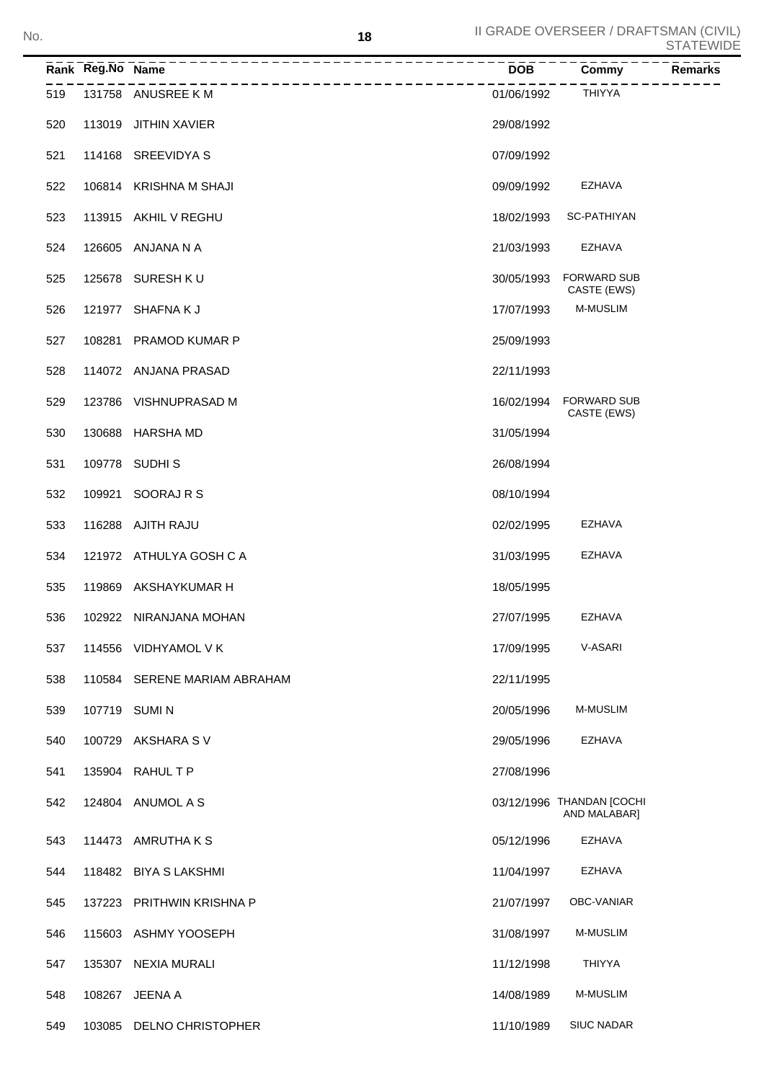|     | Rank Reg.No Name | _____________                | <b>DOB</b> | Commy<br><b>Remarks</b>                   |
|-----|------------------|------------------------------|------------|-------------------------------------------|
| 519 |                  | 131758 ANUSREE K M           | 01/06/1992 | <b>THIYYA</b>                             |
| 520 |                  | 113019 JITHIN XAVIER         | 29/08/1992 |                                           |
| 521 |                  | 114168 SREEVIDYA S           | 07/09/1992 |                                           |
| 522 |                  | 106814 KRISHNA M SHAJI       | 09/09/1992 | EZHAVA                                    |
| 523 |                  | 113915 AKHIL V REGHU         | 18/02/1993 | SC-PATHIYAN                               |
| 524 |                  | 126605 ANJANA N A            | 21/03/1993 | <b>EZHAVA</b>                             |
| 525 |                  | 125678 SURESH K U            | 30/05/1993 | <b>FORWARD SUB</b><br>CASTE (EWS)         |
| 526 |                  | 121977 SHAFNAKJ              | 17/07/1993 | <b>M-MUSLIM</b>                           |
| 527 |                  | 108281 PRAMOD KUMAR P        | 25/09/1993 |                                           |
| 528 |                  | 114072 ANJANA PRASAD         | 22/11/1993 |                                           |
| 529 |                  | 123786 VISHNUPRASAD M        | 16/02/1994 | <b>FORWARD SUB</b><br>CASTE (EWS)         |
| 530 |                  | 130688 HARSHA MD             | 31/05/1994 |                                           |
| 531 |                  | 109778 SUDHIS                | 26/08/1994 |                                           |
| 532 | 109921           | SOORAJ R S                   | 08/10/1994 |                                           |
| 533 |                  | 116288 AJITH RAJU            | 02/02/1995 | EZHAVA                                    |
| 534 |                  | 121972 ATHULYA GOSH C A      | 31/03/1995 | <b>EZHAVA</b>                             |
| 535 |                  | 119869 AKSHAYKUMAR H         | 18/05/1995 |                                           |
| 536 |                  | 102922 NIRANJANA MOHAN       | 27/07/1995 | <b>EZHAVA</b>                             |
| 537 |                  | 114556 VIDHYAMOL V K         | 17/09/1995 | V-ASARI                                   |
| 538 |                  | 110584 SERENE MARIAM ABRAHAM | 22/11/1995 |                                           |
| 539 |                  | 107719 SUMIN                 | 20/05/1996 | M-MUSLIM                                  |
| 540 |                  | 100729 AKSHARA SV            | 29/05/1996 | EZHAVA                                    |
| 541 |                  | 135904 RAHUL T P             | 27/08/1996 |                                           |
| 542 |                  | 124804 ANUMOL A S            |            | 03/12/1996 THANDAN [COCHI<br>AND MALABAR] |
| 543 |                  | 114473 AMRUTHAKS             | 05/12/1996 | EZHAVA                                    |
| 544 |                  | 118482 BIYA S LAKSHMI        | 11/04/1997 | EZHAVA                                    |
| 545 |                  | 137223 PRITHWIN KRISHNA P    | 21/07/1997 | OBC-VANIAR                                |
| 546 |                  | 115603 ASHMY YOOSEPH         | 31/08/1997 | M-MUSLIM                                  |
| 547 |                  | 135307 NEXIA MURALI          | 11/12/1998 | <b>THIYYA</b>                             |
| 548 |                  | 108267 JEENA A               | 14/08/1989 | M-MUSLIM                                  |
| 549 |                  | 103085 DELNO CHRISTOPHER     | 11/10/1989 | <b>SIUC NADAR</b>                         |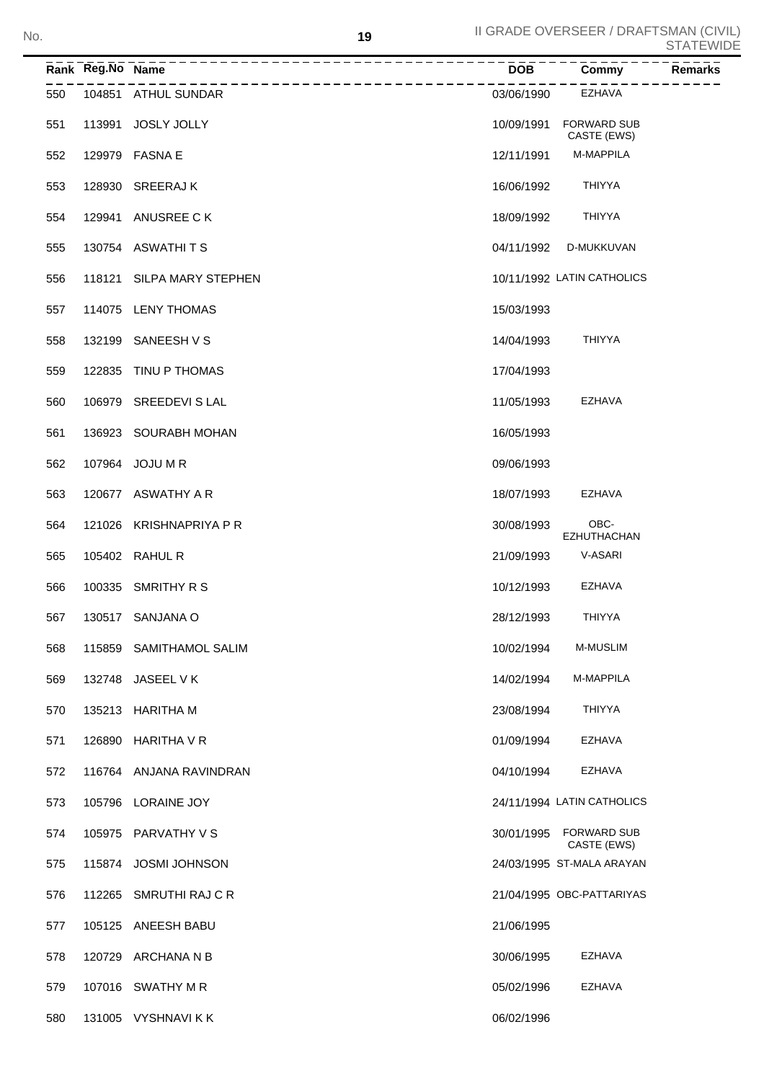|     | Rank Reg.No Name |                           | <b>DOB</b> | Commy                             | <b>Remarks</b> |
|-----|------------------|---------------------------|------------|-----------------------------------|----------------|
| 550 |                  | 104851 ATHUL SUNDAR       | 03/06/1990 | <b>EZHAVA</b>                     |                |
| 551 | 113991           | <b>JOSLY JOLLY</b>        | 10/09/1991 | <b>FORWARD SUB</b><br>CASTE (EWS) |                |
| 552 |                  | 129979 FASNA E            | 12/11/1991 | M-MAPPILA                         |                |
| 553 |                  | 128930 SREERAJK           | 16/06/1992 | <b>THIYYA</b>                     |                |
| 554 |                  | 129941 ANUSREE CK         | 18/09/1992 | <b>THIYYA</b>                     |                |
| 555 |                  | 130754 ASWATHITS          | 04/11/1992 | D-MUKKUVAN                        |                |
| 556 |                  | 118121 SILPA MARY STEPHEN |            | 10/11/1992 LATIN CATHOLICS        |                |
| 557 |                  | 114075 LENY THOMAS        | 15/03/1993 |                                   |                |
| 558 |                  | 132199 SANEESH V S        | 14/04/1993 | <b>THIYYA</b>                     |                |
| 559 |                  | 122835 TINU P THOMAS      | 17/04/1993 |                                   |                |
| 560 |                  | 106979 SREEDEVI S LAL     | 11/05/1993 | <b>EZHAVA</b>                     |                |
| 561 |                  | 136923 SOURABH MOHAN      | 16/05/1993 |                                   |                |
| 562 |                  | 107964 JOJU M R           | 09/06/1993 |                                   |                |
| 563 |                  | 120677 ASWATHY A R        | 18/07/1993 | <b>EZHAVA</b>                     |                |
| 564 |                  | 121026 KRISHNAPRIYA P R   | 30/08/1993 | OBC-<br><b>EZHUTHACHAN</b>        |                |
| 565 |                  | 105402 RAHUL R            | 21/09/1993 | V-ASARI                           |                |
| 566 |                  | 100335 SMRITHY R S        | 10/12/1993 | <b>EZHAVA</b>                     |                |
| 567 |                  | 130517 SANJANA O          | 28/12/1993 | <b>THIYYA</b>                     |                |
| 568 |                  | 115859 SAMITHAMOL SALIM   | 10/02/1994 | M-MUSLIM                          |                |
| 569 |                  | 132748 JASEEL V K         | 14/02/1994 | M-MAPPILA                         |                |
| 570 |                  | 135213 HARITHA M          | 23/08/1994 | <b>THIYYA</b>                     |                |
| 571 |                  | 126890 HARITHA V R        | 01/09/1994 | EZHAVA                            |                |
| 572 |                  | 116764 ANJANA RAVINDRAN   | 04/10/1994 | EZHAVA                            |                |
| 573 |                  | 105796 LORAINE JOY        |            | 24/11/1994 LATIN CATHOLICS        |                |
| 574 |                  | 105975 PARVATHY V S       | 30/01/1995 | <b>FORWARD SUB</b><br>CASTE (EWS) |                |
| 575 |                  | 115874 JOSMI JOHNSON      |            | 24/03/1995 ST-MALA ARAYAN         |                |
| 576 |                  | 112265 SMRUTHI RAJ CR     |            | 21/04/1995 OBC-PATTARIYAS         |                |
| 577 |                  | 105125 ANEESH BABU        | 21/06/1995 |                                   |                |
| 578 |                  | 120729 ARCHANA N B        | 30/06/1995 | EZHAVA                            |                |
| 579 |                  | 107016 SWATHY M R         | 05/02/1996 | EZHAVA                            |                |
| 580 |                  | 131005 VYSHNAVIKK         | 06/02/1996 |                                   |                |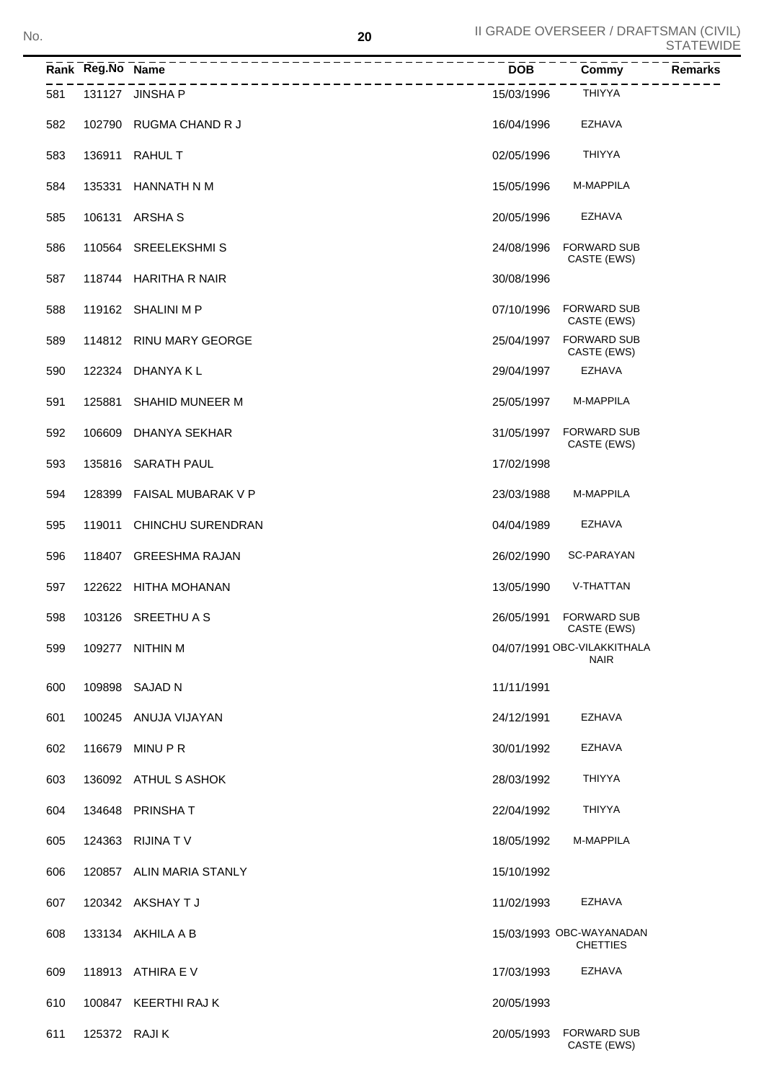|     | Rank Reg.No Name | _______________________________ | $\overline{DOB}$ | Commy                                       | Remarks |
|-----|------------------|---------------------------------|------------------|---------------------------------------------|---------|
| 581 |                  | 131127 JINSHA P                 | 15/03/1996       | <b>THIYYA</b>                               |         |
| 582 |                  | 102790 RUGMA CHAND R J          | 16/04/1996       | <b>EZHAVA</b>                               |         |
| 583 |                  | 136911 RAHUL T                  | 02/05/1996       | <b>THIYYA</b>                               |         |
| 584 |                  | 135331 HANNATH N M              | 15/05/1996       | M-MAPPILA                                   |         |
| 585 |                  | 106131 ARSHAS                   | 20/05/1996       | EZHAVA                                      |         |
| 586 |                  | 110564 SREELEKSHMIS             | 24/08/1996       | <b>FORWARD SUB</b><br>CASTE (EWS)           |         |
| 587 |                  | 118744 HARITHA R NAIR           | 30/08/1996       |                                             |         |
| 588 |                  | 119162 SHALINI M P              | 07/10/1996       | <b>FORWARD SUB</b><br>CASTE (EWS)           |         |
| 589 |                  | 114812 RINU MARY GEORGE         | 25/04/1997       | <b>FORWARD SUB</b><br>CASTE (EWS)           |         |
| 590 |                  | 122324 DHANYA K L               | 29/04/1997       | EZHAVA                                      |         |
| 591 |                  | 125881 SHAHID MUNEER M          | 25/05/1997       | <b>M-MAPPILA</b>                            |         |
| 592 | 106609           | DHANYA SEKHAR                   | 31/05/1997       | <b>FORWARD SUB</b><br>CASTE (EWS)           |         |
| 593 |                  | 135816 SARATH PAUL              | 17/02/1998       |                                             |         |
| 594 |                  | 128399 FAISAL MUBARAK V P       | 23/03/1988       | M-MAPPILA                                   |         |
| 595 | 119011           | CHINCHU SURENDRAN               | 04/04/1989       | EZHAVA                                      |         |
| 596 |                  | 118407 GREESHMA RAJAN           | 26/02/1990       | SC-PARAYAN                                  |         |
| 597 |                  | 122622 HITHA MOHANAN            | 13/05/1990       | V-THATTAN                                   |         |
| 598 |                  | 103126 SREETHU A S              | 26/05/1991       | <b>FORWARD SUB</b><br>CASTE (EWS)           |         |
| 599 |                  | 109277 NITHIN M                 |                  | 04/07/1991 OBC-VILAKKITHALA<br><b>NAIR</b>  |         |
| 600 |                  | 109898 SAJAD N                  | 11/11/1991       |                                             |         |
| 601 |                  | 100245 ANUJA VIJAYAN            | 24/12/1991       | EZHAVA                                      |         |
| 602 |                  | 116679 MINU P R                 | 30/01/1992       | EZHAVA                                      |         |
| 603 |                  | 136092 ATHUL S ASHOK            | 28/03/1992       | <b>THIYYA</b>                               |         |
| 604 |                  | 134648 PRINSHAT                 | 22/04/1992       | <b>THIYYA</b>                               |         |
| 605 |                  | 124363 RIJINA TV                | 18/05/1992       | M-MAPPILA                                   |         |
| 606 |                  | 120857 ALIN MARIA STANLY        | 15/10/1992       |                                             |         |
| 607 |                  | 120342 AKSHAY T J               | 11/02/1993       | EZHAVA                                      |         |
| 608 |                  | 133134 AKHILA A B               |                  | 15/03/1993 OBC-WAYANADAN<br><b>CHETTIES</b> |         |
| 609 |                  | 118913 ATHIRA E V               | 17/03/1993       | EZHAVA                                      |         |
| 610 |                  | 100847 KEERTHI RAJ K            | 20/05/1993       |                                             |         |
| 611 | 125372 RAJI K    |                                 | 20/05/1993       | <b>FORWARD SUB</b><br>CASTE (EWS)           |         |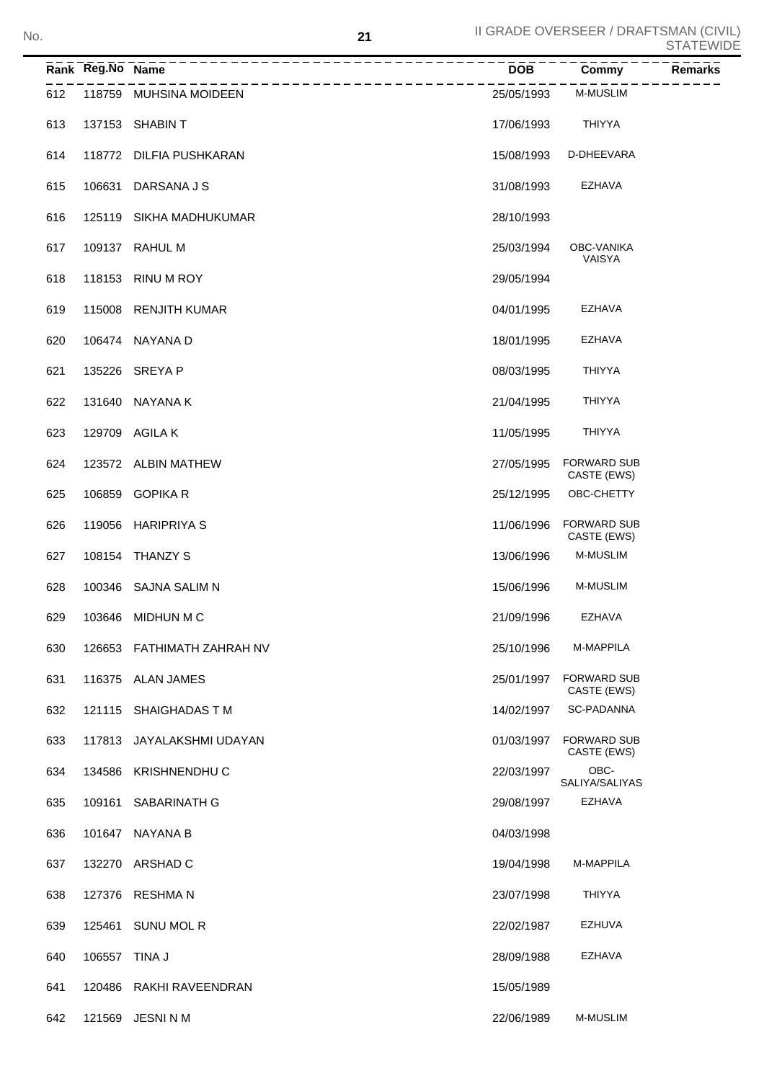|     | Rank Reg.No Name | -------------------------- | <b>DOB</b> | Commy                             | <b>Remarks</b> |
|-----|------------------|----------------------------|------------|-----------------------------------|----------------|
| 612 |                  | 118759 MUHSINA MOIDEEN     | 25/05/1993 | <b>M-MUSLIM</b>                   |                |
| 613 |                  | 137153 SHABIN T            | 17/06/1993 | <b>THIYYA</b>                     |                |
| 614 |                  | 118772 DILFIA PUSHKARAN    | 15/08/1993 | D-DHEEVARA                        |                |
| 615 | 106631           | DARSANA J S                | 31/08/1993 | EZHAVA                            |                |
| 616 |                  | 125119 SIKHA MADHUKUMAR    | 28/10/1993 |                                   |                |
| 617 |                  | 109137 RAHUL M             | 25/03/1994 | OBC-VANIKA<br>VAISYA              |                |
| 618 |                  | 118153 RINU M ROY          | 29/05/1994 |                                   |                |
| 619 |                  | 115008 RENJITH KUMAR       | 04/01/1995 | EZHAVA                            |                |
| 620 |                  | 106474 NAYANA D            | 18/01/1995 | EZHAVA                            |                |
| 621 | 135226           | SREYA P                    | 08/03/1995 | <b>THIYYA</b>                     |                |
| 622 | 131640           | NAYANA K                   | 21/04/1995 | <b>THIYYA</b>                     |                |
| 623 |                  | 129709 AGILA K             | 11/05/1995 | <b>THIYYA</b>                     |                |
| 624 |                  | 123572 ALBIN MATHEW        | 27/05/1995 | <b>FORWARD SUB</b><br>CASTE (EWS) |                |
| 625 | 106859           | <b>GOPIKA R</b>            | 25/12/1995 | OBC-CHETTY                        |                |
| 626 | 119056           | <b>HARIPRIYA S</b>         | 11/06/1996 | <b>FORWARD SUB</b><br>CASTE (EWS) |                |
| 627 |                  | 108154 THANZY S            | 13/06/1996 | <b>M-MUSLIM</b>                   |                |
| 628 |                  | 100346 SAJNA SALIM N       | 15/06/1996 | M-MUSLIM                          |                |
| 629 |                  | 103646 MIDHUN M C          | 21/09/1996 | EZHAVA                            |                |
| 630 |                  | 126653 FATHIMATH ZAHRAH NV | 25/10/1996 | M-MAPPILA                         |                |
| 631 |                  | 116375 ALAN JAMES          | 25/01/1997 | <b>FORWARD SUB</b><br>CASTE (EWS) |                |
| 632 |                  | 121115 SHAIGHADAS T M      | 14/02/1997 | SC-PADANNA                        |                |
| 633 | 117813           | JAYALAKSHMI UDAYAN         | 01/03/1997 | <b>FORWARD SUB</b><br>CASTE (EWS) |                |
| 634 | 134586           | <b>KRISHNENDHU C</b>       | 22/03/1997 | OBC-<br>SALIYA/SALIYAS            |                |
| 635 | 109161           | SABARINATH G               | 29/08/1997 | <b>EZHAVA</b>                     |                |
| 636 | 101647           | NAYANA B                   | 04/03/1998 |                                   |                |
| 637 | 132270           | ARSHAD C                   | 19/04/1998 | M-MAPPILA                         |                |
| 638 | 127376           | RESHMA N                   | 23/07/1998 | <b>THIYYA</b>                     |                |
| 639 | 125461           | <b>SUNU MOL R</b>          | 22/02/1987 | EZHUVA                            |                |
| 640 | 106557           | TINA J                     | 28/09/1988 | <b>EZHAVA</b>                     |                |
| 641 |                  | 120486 RAKHI RAVEENDRAN    | 15/05/1989 |                                   |                |
|     |                  |                            |            |                                   |                |

121569 JESNI N M 22/06/1989 M-MUSLIM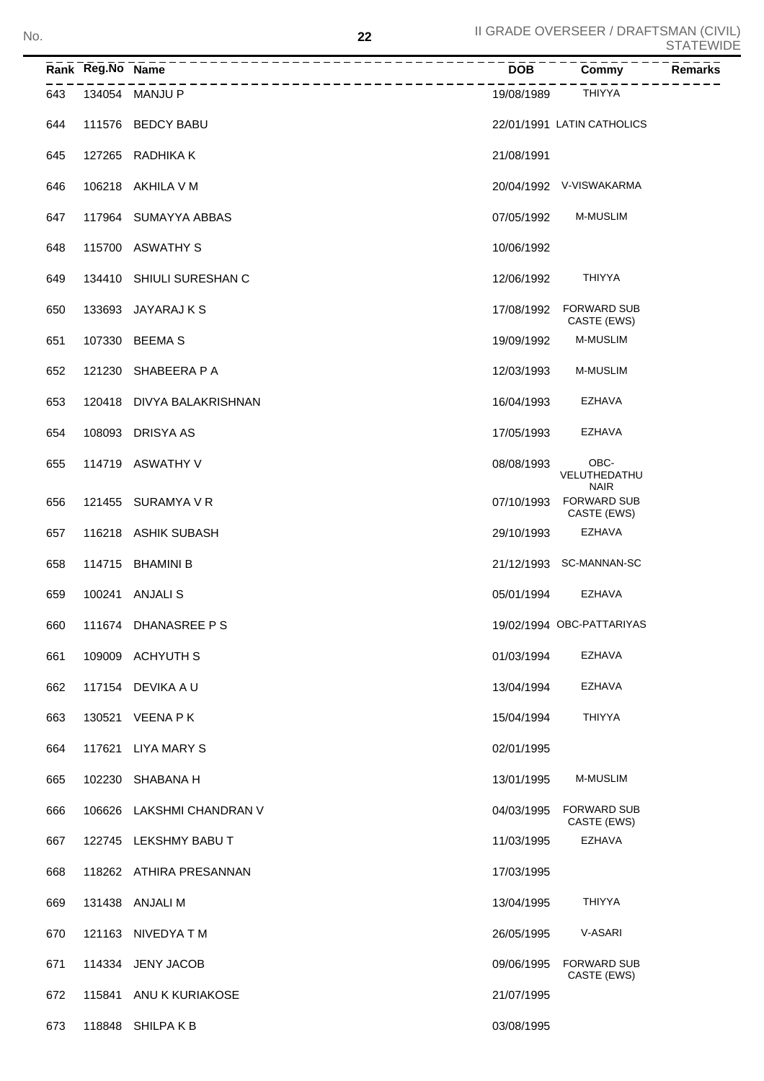|     | Rank Reg.No Name | -----------------------------     | <b>DOB</b> | Commy                                            | <b>Remarks</b> |
|-----|------------------|-----------------------------------|------------|--------------------------------------------------|----------------|
| 643 |                  | ---------------<br>134054 MANJU P | 19/08/1989 | <b>THIYYA</b>                                    |                |
| 644 |                  | 111576 BEDCY BABU                 |            | 22/01/1991 LATIN CATHOLICS                       |                |
| 645 |                  | 127265 RADHIKA K                  | 21/08/1991 |                                                  |                |
| 646 |                  | 106218 AKHILA V M                 |            | 20/04/1992 V-VISWAKARMA                          |                |
| 647 |                  | 117964 SUMAYYA ABBAS              | 07/05/1992 | M-MUSLIM                                         |                |
| 648 |                  | 115700 ASWATHY S                  | 10/06/1992 |                                                  |                |
| 649 |                  | 134410 SHIULI SURESHAN C          | 12/06/1992 | <b>THIYYA</b>                                    |                |
| 650 |                  | 133693 JAYARAJ K S                | 17/08/1992 | <b>FORWARD SUB</b><br>CASTE (EWS)                |                |
| 651 |                  | 107330 BEEMA S                    | 19/09/1992 | <b>M-MUSLIM</b>                                  |                |
| 652 |                  | 121230 SHABEERA P A               | 12/03/1993 | <b>M-MUSLIM</b>                                  |                |
| 653 |                  | 120418 DIVYA BALAKRISHNAN         | 16/04/1993 | <b>EZHAVA</b>                                    |                |
| 654 |                  | 108093 DRISYA AS                  | 17/05/1993 | <b>EZHAVA</b>                                    |                |
| 655 |                  | 114719 ASWATHY V                  | 08/08/1993 | OBC-<br>VELUTHEDATHU                             |                |
| 656 |                  | 121455 SURAMYA V R                | 07/10/1993 | <b>NAIR</b><br><b>FORWARD SUB</b><br>CASTE (EWS) |                |
| 657 |                  | 116218 ASHIK SUBASH               | 29/10/1993 | <b>EZHAVA</b>                                    |                |
| 658 |                  | 114715 BHAMINI B                  |            | 21/12/1993 SC-MANNAN-SC                          |                |
| 659 |                  | 100241 ANJALIS                    | 05/01/1994 | <b>EZHAVA</b>                                    |                |
| 660 |                  | 111674 DHANASREE PS               |            | 19/02/1994 OBC-PATTARIYAS                        |                |
| 661 |                  | 109009 ACHYUTH S                  | 01/03/1994 | EZHAVA                                           |                |
| 662 |                  | 117154 DEVIKA A U                 | 13/04/1994 | EZHAVA                                           |                |
| 663 |                  | 130521 VEENA P K                  | 15/04/1994 | <b>THIYYA</b>                                    |                |
| 664 |                  | 117621 LIYA MARY S                | 02/01/1995 |                                                  |                |
| 665 |                  | 102230 SHABANA H                  | 13/01/1995 | M-MUSLIM                                         |                |
| 666 |                  | 106626 LAKSHMI CHANDRAN V         | 04/03/1995 | <b>FORWARD SUB</b><br>CASTE (EWS)                |                |
| 667 |                  | 122745 LEKSHMY BABU T             | 11/03/1995 | <b>EZHAVA</b>                                    |                |
| 668 |                  | 118262 ATHIRA PRESANNAN           | 17/03/1995 |                                                  |                |
| 669 |                  | 131438 ANJALI M                   | 13/04/1995 | <b>THIYYA</b>                                    |                |
| 670 |                  | 121163 NIVEDYA TM                 | 26/05/1995 | V-ASARI                                          |                |
| 671 |                  | 114334 JENY JACOB                 | 09/06/1995 | <b>FORWARD SUB</b><br>CASTE (EWS)                |                |
| 672 |                  | 115841 ANU K KURIAKOSE            | 21/07/1995 |                                                  |                |
| 673 |                  | 118848 SHILPAKB                   | 03/08/1995 |                                                  |                |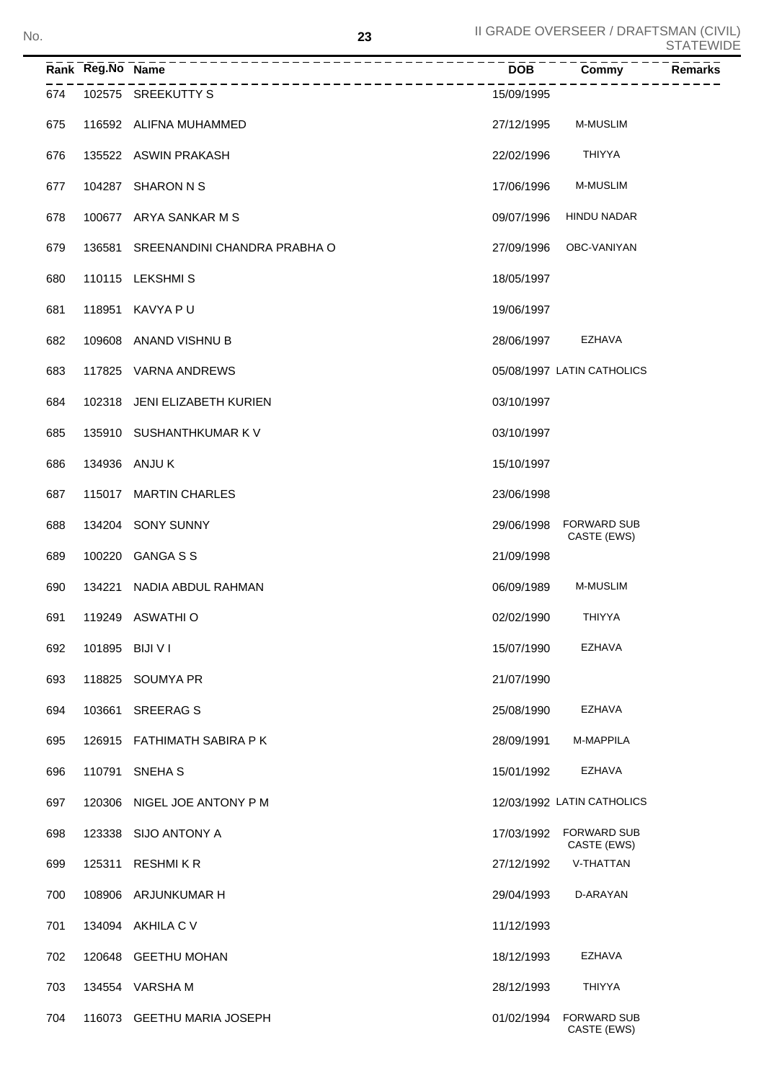|     | Rank Reg.No Name |                              | <b>DOB</b> | Commy                             | <b>Remarks</b> |
|-----|------------------|------------------------------|------------|-----------------------------------|----------------|
| 674 |                  | 102575 SREEKUTTY S           | 15/09/1995 |                                   |                |
| 675 |                  | 116592 ALIFNA MUHAMMED       | 27/12/1995 | <b>M-MUSLIM</b>                   |                |
| 676 |                  | 135522 ASWIN PRAKASH         | 22/02/1996 | THIYYA                            |                |
| 677 |                  | 104287 SHARON N S            | 17/06/1996 | M-MUSLIM                          |                |
| 678 |                  | 100677 ARYA SANKAR M S       | 09/07/1996 | HINDU NADAR                       |                |
| 679 | 136581           | SREENANDINI CHANDRA PRABHA O | 27/09/1996 | OBC-VANIYAN                       |                |
| 680 |                  | 110115 LEKSHMIS              | 18/05/1997 |                                   |                |
| 681 | 118951           | KAVYA P U                    | 19/06/1997 |                                   |                |
| 682 |                  | 109608 ANAND VISHNU B        | 28/06/1997 | EZHAVA                            |                |
| 683 |                  | 117825 VARNA ANDREWS         |            | 05/08/1997 LATIN CATHOLICS        |                |
| 684 |                  | 102318 JENI ELIZABETH KURIEN | 03/10/1997 |                                   |                |
| 685 |                  | 135910 SUSHANTHKUMAR K V     | 03/10/1997 |                                   |                |
| 686 |                  | 134936 ANJU K                | 15/10/1997 |                                   |                |
| 687 | 115017           | <b>MARTIN CHARLES</b>        | 23/06/1998 |                                   |                |
| 688 |                  | 134204 SONY SUNNY            | 29/06/1998 | <b>FORWARD SUB</b><br>CASTE (EWS) |                |
| 689 |                  | 100220 GANGA S S             | 21/09/1998 |                                   |                |
| 690 | 134221           | NADIA ABDUL RAHMAN           | 06/09/1989 | <b>M-MUSLIM</b>                   |                |
| 691 |                  | 119249 ASWATHIO              | 02/02/1990 | <b>THIYYA</b>                     |                |
| 692 |                  | 101895 BIJI V I              | 15/07/1990 | <b>EZHAVA</b>                     |                |
| 693 |                  | 118825 SOUMYA PR             | 21/07/1990 |                                   |                |
| 694 | 103661           | <b>SREERAGS</b>              | 25/08/1990 | EZHAVA                            |                |
| 695 |                  | 126915 FATHIMATH SABIRA PK   | 28/09/1991 | M-MAPPILA                         |                |
| 696 | 110791           | <b>SNEHA S</b>               | 15/01/1992 | <b>EZHAVA</b>                     |                |
| 697 | 120306           | NIGEL JOE ANTONY P M         |            | 12/03/1992 LATIN CATHOLICS        |                |
| 698 | 123338           | SIJO ANTONY A                | 17/03/1992 | <b>FORWARD SUB</b><br>CASTE (EWS) |                |
| 699 | 125311           | <b>RESHMIKR</b>              | 27/12/1992 | V-THATTAN                         |                |
| 700 |                  | 108906 ARJUNKUMAR H          | 29/04/1993 | D-ARAYAN                          |                |
| 701 |                  | 134094 AKHILA C V            | 11/12/1993 |                                   |                |
| 702 |                  | 120648 GEETHU MOHAN          | 18/12/1993 | EZHAVA                            |                |
| 703 |                  | 134554 VARSHA M              | 28/12/1993 | <b>THIYYA</b>                     |                |
| 704 |                  | 116073 GEETHU MARIA JOSEPH   | 01/02/1994 | <b>FORWARD SUB</b><br>CASTE (EWS) |                |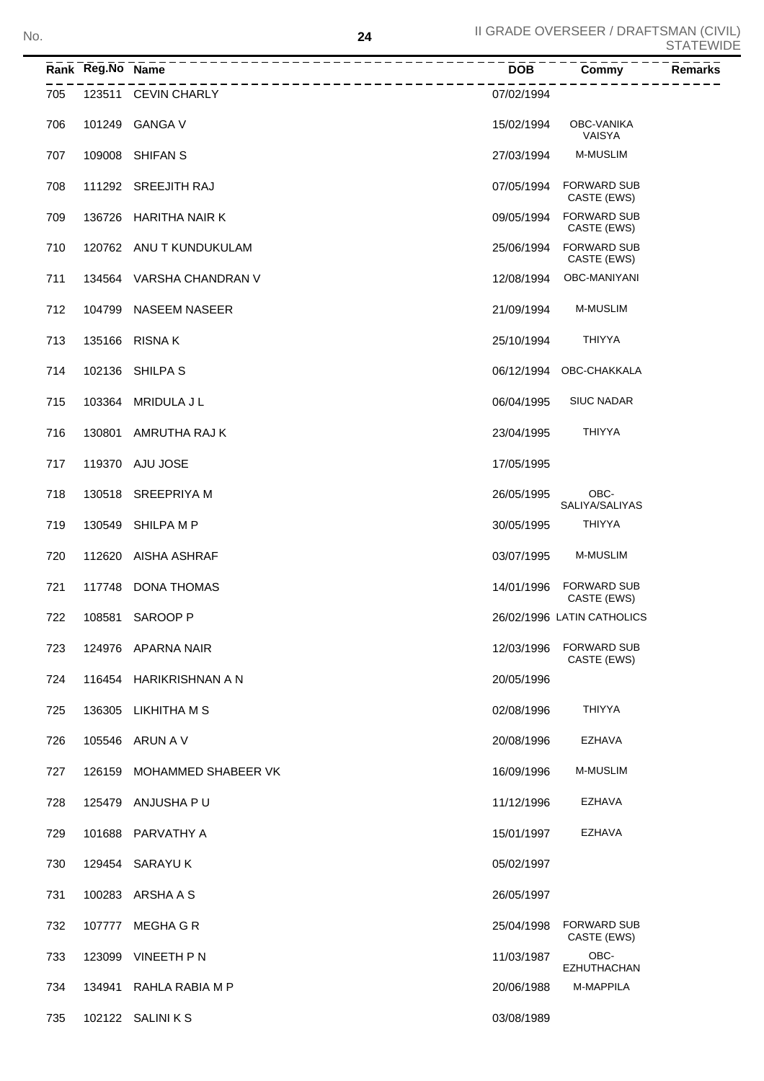|     | Rank Reg.No Name | _________________        | <b>DOB</b> | Commy                             | <b>Remarks</b> |
|-----|------------------|--------------------------|------------|-----------------------------------|----------------|
| 705 |                  | 123511 CEVIN CHARLY      | 07/02/1994 |                                   |                |
| 706 |                  | 101249 GANGA V           | 15/02/1994 | <b>OBC-VANIKA</b><br>VAISYA       |                |
| 707 |                  | 109008 SHIFAN S          | 27/03/1994 | M-MUSLIM                          |                |
| 708 |                  | 111292 SREEJITH RAJ      | 07/05/1994 | FORWARD SUB<br>CASTE (EWS)        |                |
| 709 |                  | 136726 HARITHA NAIR K    | 09/05/1994 | <b>FORWARD SUB</b><br>CASTE (EWS) |                |
| 710 |                  | 120762 ANU T KUNDUKULAM  | 25/06/1994 | <b>FORWARD SUB</b><br>CASTE (EWS) |                |
| 711 |                  | 134564 VARSHA CHANDRAN V | 12/08/1994 | OBC-MANIYANI                      |                |
| 712 |                  | 104799 NASEEM NASEER     | 21/09/1994 | <b>M-MUSLIM</b>                   |                |
| 713 |                  | 135166 RISNAK            | 25/10/1994 | <b>THIYYA</b>                     |                |
| 714 |                  | 102136 SHILPA S          |            | 06/12/1994 OBC-CHAKKALA           |                |
| 715 |                  | 103364 MRIDULA J L       | 06/04/1995 | <b>SIUC NADAR</b>                 |                |
| 716 | 130801           | AMRUTHA RAJ K            | 23/04/1995 | <b>THIYYA</b>                     |                |
| 717 |                  | 119370 AJU JOSE          | 17/05/1995 |                                   |                |
| 718 |                  | 130518 SREEPRIYA M       | 26/05/1995 | OBC-<br>SALIYA/SALIYAS            |                |
| 719 |                  | 130549 SHILPA M P        | 30/05/1995 | <b>THIYYA</b>                     |                |
| 720 | 112620           | AISHA ASHRAF             | 03/07/1995 | <b>M-MUSLIM</b>                   |                |
| 721 |                  | 117748 DONA THOMAS       | 14/01/1996 | <b>FORWARD SUB</b><br>CASTE (EWS) |                |
| 722 |                  | 108581 SAROOP P          |            | 26/02/1996 LATIN CATHOLICS        |                |
| 723 |                  | 124976 APARNA NAIR       | 12/03/1996 | <b>FORWARD SUB</b><br>CASTE (EWS) |                |
| 724 |                  | 116454 HARIKRISHNAN A N  | 20/05/1996 |                                   |                |
| 725 |                  | 136305 LIKHITHA M S      | 02/08/1996 | THIYYA                            |                |
| 726 |                  | 105546 ARUN A V          | 20/08/1996 | EZHAVA                            |                |
| 727 | 126159           | MOHAMMED SHABEER VK      | 16/09/1996 | M-MUSLIM                          |                |
| 728 |                  | 125479 ANJUSHA PU        | 11/12/1996 | EZHAVA                            |                |
| 729 |                  | 101688 PARVATHY A        | 15/01/1997 | EZHAVA                            |                |
| 730 |                  | 129454 SARAYU K          | 05/02/1997 |                                   |                |
| 731 |                  | 100283 ARSHA A S         | 26/05/1997 |                                   |                |
| 732 | 107777           | MEGHA G R                | 25/04/1998 | <b>FORWARD SUB</b><br>CASTE (EWS) |                |
| 733 | 123099           | VINEETH P N              | 11/03/1987 | OBC-<br><b>EZHUTHACHAN</b>        |                |
| 734 |                  | 134941 RAHLA RABIA M P   | 20/06/1988 | <b>M-MAPPILA</b>                  |                |
| 735 |                  | 102122 SALINI K S        | 03/08/1989 |                                   |                |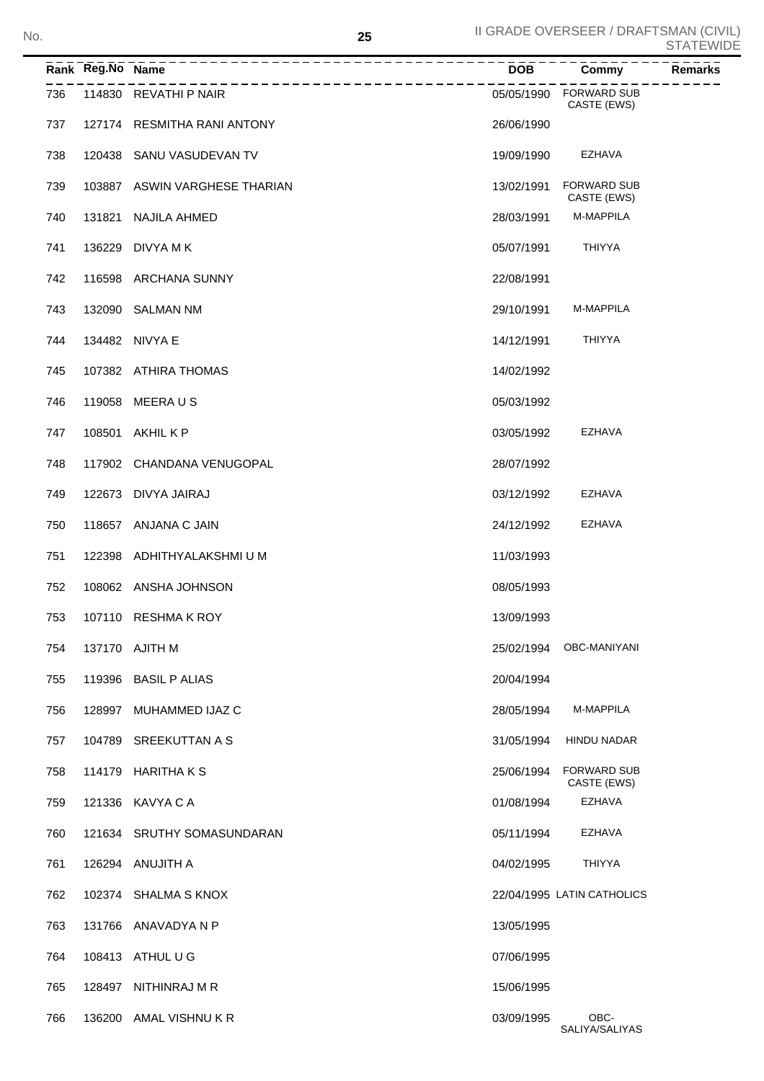SALIYA/SALIYAS

|     | Rank Reg.No Name |                               | $\overline{DOB}$ | Commy<br><b>Remarks</b>           |
|-----|------------------|-------------------------------|------------------|-----------------------------------|
| 736 |                  | 114830 REVATHI P NAIR         | 05/05/1990       | <b>FORWARD SUB</b><br>CASTE (EWS) |
| 737 |                  | 127174 RESMITHA RANI ANTONY   | 26/06/1990       |                                   |
| 738 |                  | 120438 SANU VASUDEVAN TV      | 19/09/1990       | EZHAVA                            |
| 739 |                  | 103887 ASWIN VARGHESE THARIAN | 13/02/1991       | <b>FORWARD SUB</b><br>CASTE (EWS) |
| 740 | 131821           | NAJILA AHMED                  | 28/03/1991       | M-MAPPILA                         |
| 741 |                  | 136229 DIVYA M K              | 05/07/1991       | <b>THIYYA</b>                     |
| 742 |                  | 116598 ARCHANA SUNNY          | 22/08/1991       |                                   |
| 743 |                  | 132090 SALMAN NM              | 29/10/1991       | <b>M-MAPPILA</b>                  |
| 744 |                  | 134482 NIVYA E                | 14/12/1991       | <b>THIYYA</b>                     |
| 745 |                  | 107382 ATHIRA THOMAS          | 14/02/1992       |                                   |
| 746 | 119058           | MEERA U S                     | 05/03/1992       |                                   |
| 747 | 108501           | AKHIL K P                     | 03/05/1992       | <b>EZHAVA</b>                     |
| 748 |                  | 117902 CHANDANA VENUGOPAL     | 28/07/1992       |                                   |
| 749 |                  | 122673 DIVYA JAIRAJ           | 03/12/1992       | <b>EZHAVA</b>                     |
| 750 |                  | 118657 ANJANA C JAIN          | 24/12/1992       | <b>EZHAVA</b>                     |
| 751 |                  | 122398 ADHITHYALAKSHMI U M    | 11/03/1993       |                                   |
| 752 |                  | 108062 ANSHA JOHNSON          | 08/05/1993       |                                   |
| 753 |                  | 107110 RESHMA K ROY           | 13/09/1993       |                                   |
| 754 |                  | 137170 AJITH M                | 25/02/1994       | OBC-MANIYANI                      |
| 755 |                  | 119396 BASIL P ALIAS          | 20/04/1994       |                                   |
| 756 | 128997           | MUHAMMED IJAZ C               | 28/05/1994       | M-MAPPILA                         |
| 757 | 104789           | SREEKUTTAN A S                | 31/05/1994       | <b>HINDU NADAR</b>                |
| 758 |                  | 114179 HARITHAKS              | 25/06/1994       | <b>FORWARD SUB</b><br>CASTE (EWS) |
| 759 |                  | 121336 KAVYA C A              | 01/08/1994       | <b>EZHAVA</b>                     |
| 760 |                  | 121634 SRUTHY SOMASUNDARAN    | 05/11/1994       | <b>EZHAVA</b>                     |
| 761 |                  | 126294 ANUJITH A              | 04/02/1995       | <b>THIYYA</b>                     |
| 762 |                  | 102374 SHALMA S KNOX          |                  | 22/04/1995 LATIN CATHOLICS        |
| 763 |                  | 131766 ANAVADYA N P           | 13/05/1995       |                                   |
| 764 |                  | 108413 ATHUL U G              | 07/06/1995       |                                   |
| 765 | 128497           | NITHINRAJ M R                 | 15/06/1995       |                                   |
| 766 |                  | 136200 AMAL VISHNU KR         | 03/09/1995       | OBC-                              |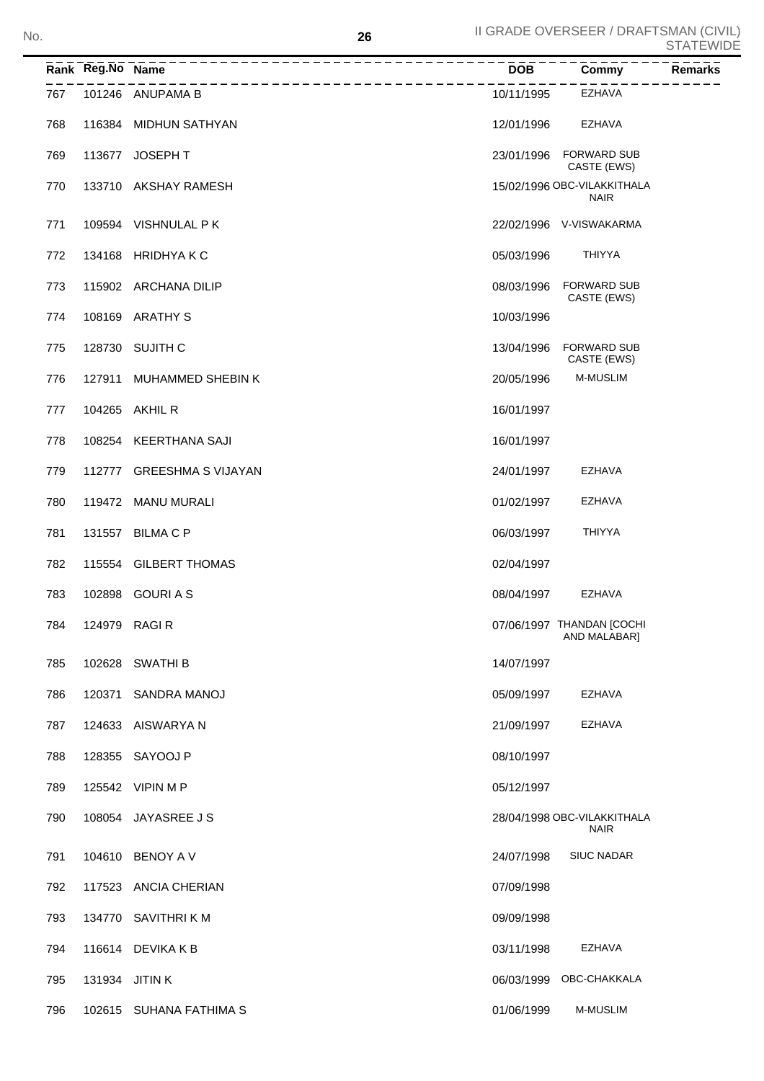|     | Rank Reg.No Name | ---------------------------------<br>_____________________ | $\overline{DOB}$ ---- $\overline{C}$ | $\overline{Commy}$ $-- \overline{R}$       | <b>Remarks</b> |
|-----|------------------|------------------------------------------------------------|--------------------------------------|--------------------------------------------|----------------|
| 767 |                  | 101246 ANUPAMA B                                           | 10/11/1995                           | EZHAVA                                     |                |
| 768 |                  | 116384 MIDHUN SATHYAN                                      | 12/01/1996                           | EZHAVA                                     |                |
| 769 |                  | 113677 JOSEPH T                                            |                                      | 23/01/1996 FORWARD SUB<br>CASTE (EWS)      |                |
| 770 |                  | 133710 AKSHAY RAMESH                                       |                                      | 15/02/1996 OBC-VILAKKITHALA<br><b>NAIR</b> |                |
| 771 |                  | 109594 VISHNULAL PK                                        |                                      | 22/02/1996 V-VISWAKARMA                    |                |
| 772 |                  | 134168 HRIDHYAKC                                           | 05/03/1996                           | THIYYA                                     |                |
| 773 |                  | 115902 ARCHANA DILIP                                       | 08/03/1996                           | <b>FORWARD SUB</b><br>CASTE (EWS)          |                |
| 774 |                  | 108169 ARATHY S                                            | 10/03/1996                           |                                            |                |
| 775 |                  | 128730 SUJITH C                                            | 13/04/1996                           | <b>FORWARD SUB</b><br>CASTE (EWS)          |                |
| 776 |                  | 127911 MUHAMMED SHEBIN K                                   | 20/05/1996                           | <b>M-MUSLIM</b>                            |                |
| 777 |                  | 104265 AKHIL R                                             | 16/01/1997                           |                                            |                |
| 778 |                  | 108254 KEERTHANA SAJI                                      | 16/01/1997                           |                                            |                |
| 779 |                  | 112777 GREESHMA S VIJAYAN                                  | 24/01/1997                           | EZHAVA                                     |                |
| 780 |                  | 119472 MANU MURALI                                         | 01/02/1997                           | EZHAVA                                     |                |
| 781 |                  | 131557 BILMA C P                                           | 06/03/1997                           | THIYYA                                     |                |
| 782 |                  | 115554 GILBERT THOMAS                                      | 02/04/1997                           |                                            |                |
| 783 |                  | 102898 GOURIAS                                             | 08/04/1997                           | EZHAVA                                     |                |
| 784 |                  | 124979 RAGIR                                               |                                      | 07/06/1997 THANDAN [COCHI<br>AND MALABAR]  |                |
| 785 |                  | 102628 SWATHI B                                            | 14/07/1997                           |                                            |                |
| 786 |                  | 120371 SANDRA MANOJ                                        | 05/09/1997                           | EZHAVA                                     |                |
| 787 |                  | 124633 AISWARYA N                                          | 21/09/1997                           | EZHAVA                                     |                |
| 788 |                  | 128355 SAYOOJ P                                            | 08/10/1997                           |                                            |                |
| 789 |                  | 125542 VIPIN M P                                           | 05/12/1997                           |                                            |                |
| 790 |                  | 108054 JAYASREE J S                                        |                                      | 28/04/1998 OBC-VILAKKITHALA<br><b>NAIR</b> |                |
| 791 |                  | 104610 BENOY A V                                           | 24/07/1998                           | <b>SIUC NADAR</b>                          |                |
| 792 |                  | 117523 ANCIA CHERIAN                                       | 07/09/1998                           |                                            |                |
| 793 |                  | 134770 SAVITHRI K M                                        | 09/09/1998                           |                                            |                |
| 794 |                  | 116614 DEVIKA K B                                          | 03/11/1998                           | EZHAVA                                     |                |
| 795 |                  | 131934 JITIN K                                             | 06/03/1999                           | OBC-CHAKKALA                               |                |
| 796 |                  | 102615 SUHANA FATHIMA S                                    | 01/06/1999                           | M-MUSLIM                                   |                |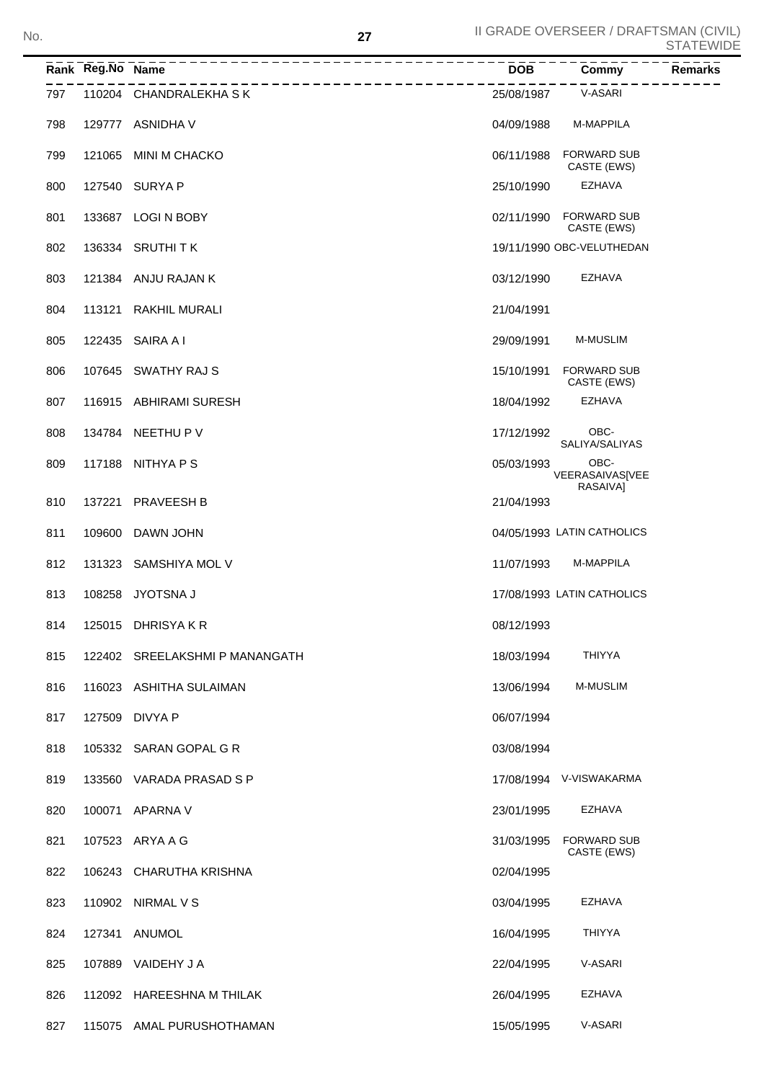|     | Rank Reg.No Name |                                | <b>DOB</b> | Commy                               | <b>Remarks</b> |
|-----|------------------|--------------------------------|------------|-------------------------------------|----------------|
| 797 |                  | 110204 CHANDRALEKHA SK         | 25/08/1987 | V-ASARI                             |                |
| 798 |                  | 129777 ASNIDHA V               | 04/09/1988 | M-MAPPILA                           |                |
| 799 | 121065           | MINI M CHACKO                  | 06/11/1988 | <b>FORWARD SUB</b><br>CASTE (EWS)   |                |
| 800 |                  | 127540 SURYA P                 | 25/10/1990 | <b>EZHAVA</b>                       |                |
| 801 |                  | 133687 LOGI N BOBY             | 02/11/1990 | <b>FORWARD SUB</b><br>CASTE (EWS)   |                |
| 802 |                  | 136334 SRUTHITK                |            | 19/11/1990 OBC-VELUTHEDAN           |                |
| 803 |                  | 121384 ANJU RAJAN K            | 03/12/1990 | EZHAVA                              |                |
| 804 | 113121           | <b>RAKHIL MURALI</b>           | 21/04/1991 |                                     |                |
| 805 | 122435           | SAIRA A I                      | 29/09/1991 | M-MUSLIM                            |                |
| 806 |                  | 107645 SWATHY RAJ S            | 15/10/1991 | <b>FORWARD SUB</b><br>CASTE (EWS)   |                |
| 807 |                  | 116915 ABHIRAMI SURESH         | 18/04/1992 | <b>EZHAVA</b>                       |                |
| 808 | 134784           | NEETHU P V                     | 17/12/1992 | OBC-<br>SALIYA/SALIYAS              |                |
| 809 | 117188           | NITHYA P S                     | 05/03/1993 | OBC-<br>VEERASAIVAS[VEE<br>RASAIVAI |                |
| 810 | 137221           | <b>PRAVEESH B</b>              | 21/04/1993 |                                     |                |
| 811 | 109600           | DAWN JOHN                      |            | 04/05/1993 LATIN CATHOLICS          |                |
| 812 | 131323           | SAMSHIYA MOL V                 | 11/07/1993 | M-MAPPILA                           |                |
| 813 | 108258           | JYOTSNA J                      |            | 17/08/1993 LATIN CATHOLICS          |                |
| 814 |                  | 125015 DHRISYAKR               | 08/12/1993 |                                     |                |
| 815 |                  | 122402 SREELAKSHMI P MANANGATH | 18/03/1994 | <b>THIYYA</b>                       |                |
| 816 |                  | 116023 ASHITHA SULAIMAN        | 13/06/1994 | <b>M-MUSLIM</b>                     |                |
| 817 |                  | 127509 DIVYA P                 | 06/07/1994 |                                     |                |
| 818 |                  | 105332 SARAN GOPAL G R         | 03/08/1994 |                                     |                |
| 819 |                  | 133560 VARADA PRASAD S P       |            | 17/08/1994 V-VISWAKARMA             |                |
| 820 |                  | 100071 APARNA V                | 23/01/1995 | EZHAVA                              |                |
| 821 |                  | 107523 ARYA A G                | 31/03/1995 | <b>FORWARD SUB</b><br>CASTE (EWS)   |                |
| 822 |                  | 106243 CHARUTHA KRISHNA        | 02/04/1995 |                                     |                |
| 823 |                  | 110902 NIRMAL V S              | 03/04/1995 | EZHAVA                              |                |
| 824 |                  | 127341 ANUMOL                  | 16/04/1995 | <b>THIYYA</b>                       |                |
| 825 |                  | 107889 VAIDEHY J A             | 22/04/1995 | V-ASARI                             |                |
| 826 |                  | 112092 HAREESHNA M THILAK      | 26/04/1995 | <b>EZHAVA</b>                       |                |
| 827 |                  | 115075 AMAL PURUSHOTHAMAN      | 15/05/1995 | V-ASARI                             |                |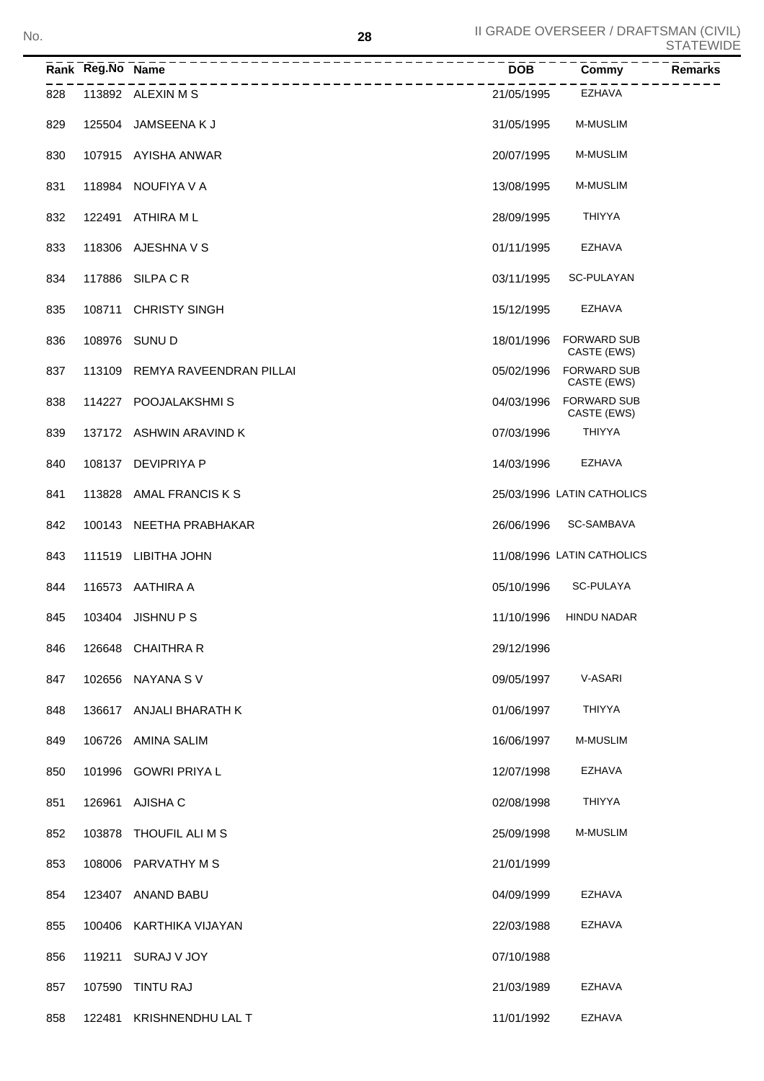|     | Rank Reg.No Name | _____________________________  | <b>DOB</b> | Commy                             | Remarks |
|-----|------------------|--------------------------------|------------|-----------------------------------|---------|
| 828 |                  | 113892 ALEXIN M S              | 21/05/1995 | EZHAVA                            |         |
| 829 |                  | 125504 JAMSEENA K J            | 31/05/1995 | <b>M-MUSLIM</b>                   |         |
| 830 |                  | 107915 AYISHA ANWAR            | 20/07/1995 | <b>M-MUSLIM</b>                   |         |
| 831 |                  | 118984 NOUFIYA V A             | 13/08/1995 | <b>M-MUSLIM</b>                   |         |
| 832 | 122491           | ATHIRA M L                     | 28/09/1995 | <b>THIYYA</b>                     |         |
| 833 |                  | 118306 AJESHNA V S             | 01/11/1995 | <b>EZHAVA</b>                     |         |
| 834 |                  | 117886 SILPA C R               | 03/11/1995 | SC-PULAYAN                        |         |
| 835 |                  | 108711 CHRISTY SINGH           | 15/12/1995 | <b>EZHAVA</b>                     |         |
| 836 |                  | 108976 SUNU D                  | 18/01/1996 | <b>FORWARD SUB</b><br>CASTE (EWS) |         |
| 837 |                  | 113109 REMYA RAVEENDRAN PILLAI | 05/02/1996 | <b>FORWARD SUB</b><br>CASTE (EWS) |         |
| 838 |                  | 114227 POOJALAKSHMIS           | 04/03/1996 | <b>FORWARD SUB</b><br>CASTE (EWS) |         |
| 839 |                  | 137172 ASHWIN ARAVIND K        | 07/03/1996 | <b>THIYYA</b>                     |         |
| 840 |                  | 108137 DEVIPRIYA P             | 14/03/1996 | <b>EZHAVA</b>                     |         |
| 841 | 113828           | AMAL FRANCIS K S               |            | 25/03/1996 LATIN CATHOLICS        |         |
| 842 |                  | 100143 NEETHA PRABHAKAR        | 26/06/1996 | SC-SAMBAVA                        |         |
| 843 | 111519           | LIBITHA JOHN                   |            | 11/08/1996 LATIN CATHOLICS        |         |
| 844 |                  | 116573 AATHIRA A               | 05/10/1996 | <b>SC-PULAYA</b>                  |         |
| 845 |                  | 103404 JISHNU P S              | 11/10/1996 | <b>HINDU NADAR</b>                |         |
| 846 |                  | 126648 CHAITHRA R              | 29/12/1996 |                                   |         |
| 847 |                  | 102656 NAYANA S V              | 09/05/1997 | V-ASARI                           |         |
| 848 |                  | 136617 ANJALI BHARATH K        | 01/06/1997 | <b>THIYYA</b>                     |         |
| 849 |                  | 106726 AMINA SALIM             | 16/06/1997 | <b>M-MUSLIM</b>                   |         |
| 850 |                  | 101996 GOWRI PRIYA L           | 12/07/1998 | EZHAVA                            |         |
| 851 | 126961           | AJISHA C                       | 02/08/1998 | <b>THIYYA</b>                     |         |
| 852 | 103878           | THOUFIL ALI M S                | 25/09/1998 | M-MUSLIM                          |         |
| 853 |                  | 108006 PARVATHY M S            | 21/01/1999 |                                   |         |
| 854 |                  | 123407 ANAND BABU              | 04/09/1999 | EZHAVA                            |         |
| 855 |                  | 100406 KARTHIKA VIJAYAN        | 22/03/1988 | EZHAVA                            |         |
| 856 |                  | 119211 SURAJ V JOY             | 07/10/1988 |                                   |         |
| 857 | 107590           | TINTU RAJ                      | 21/03/1989 | EZHAVA                            |         |
| 858 | 122481           | KRISHNENDHU LAL T              | 11/01/1992 | EZHAVA                            |         |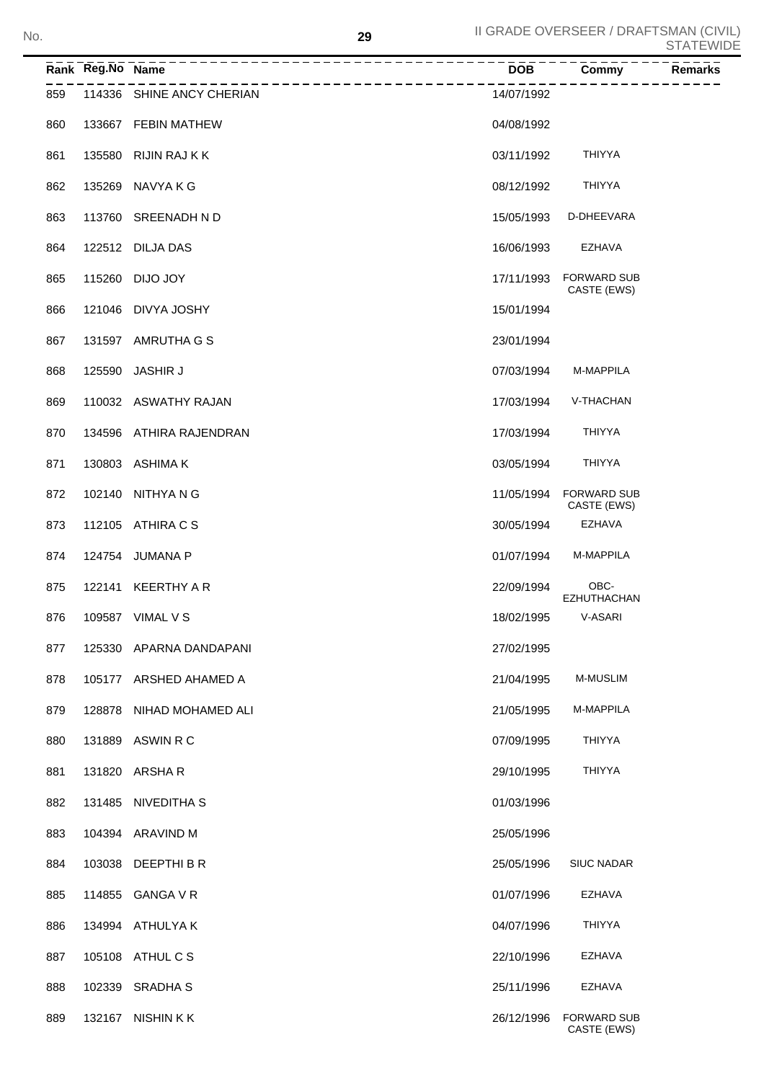|     | Rank Reg.No Name |                                           | <b>DOB</b> | Commy                             | <b>SIAIEVVI</b><br><b>Remarks</b> |
|-----|------------------|-------------------------------------------|------------|-----------------------------------|-----------------------------------|
| 859 |                  | ------------<br>114336 SHINE ANCY CHERIAN | 14/07/1992 |                                   |                                   |
| 860 |                  | 133667 FEBIN MATHEW                       | 04/08/1992 |                                   |                                   |
| 861 |                  | 135580 RIJIN RAJ K K                      | 03/11/1992 | <b>THIYYA</b>                     |                                   |
| 862 |                  | 135269 NAVYA K G                          | 08/12/1992 | <b>THIYYA</b>                     |                                   |
| 863 |                  | 113760 SREENADH N D                       | 15/05/1993 | D-DHEEVARA                        |                                   |
| 864 |                  | 122512 DILJA DAS                          | 16/06/1993 | EZHAVA                            |                                   |
| 865 | 115260           | <b>DIJO JOY</b>                           | 17/11/1993 | <b>FORWARD SUB</b><br>CASTE (EWS) |                                   |
| 866 |                  | 121046 DIVYA JOSHY                        | 15/01/1994 |                                   |                                   |
| 867 |                  | 131597 AMRUTHA G S                        | 23/01/1994 |                                   |                                   |
| 868 | 125590           | <b>JASHIR J</b>                           | 07/03/1994 | M-MAPPILA                         |                                   |
| 869 |                  | 110032 ASWATHY RAJAN                      | 17/03/1994 | V-THACHAN                         |                                   |
| 870 |                  | 134596 ATHIRA RAJENDRAN                   | 17/03/1994 | <b>THIYYA</b>                     |                                   |
| 871 |                  | 130803 ASHIMA K                           | 03/05/1994 | <b>THIYYA</b>                     |                                   |
| 872 |                  | 102140 NITHYA N G                         | 11/05/1994 | <b>FORWARD SUB</b><br>CASTE (EWS) |                                   |
| 873 |                  | 112105 ATHIRA C S                         | 30/05/1994 | EZHAVA                            |                                   |
| 874 | 124754           | <b>JUMANA P</b>                           | 01/07/1994 | M-MAPPILA                         |                                   |
| 875 | 122141           | KEERTHY A R                               | 22/09/1994 | OBC-<br><b>EZHUTHACHAN</b>        |                                   |
| 876 |                  | 109587 VIMAL V S                          | 18/02/1995 | V-ASARI                           |                                   |
| 877 | 125330           | APARNA DANDAPANI                          | 27/02/1995 |                                   |                                   |
| 878 | 105177           | ARSHED AHAMED A                           | 21/04/1995 | <b>M-MUSLIM</b>                   |                                   |
| 879 | 128878           | NIHAD MOHAMED ALI                         | 21/05/1995 | M-MAPPILA                         |                                   |
| 880 | 131889           | ASWIN R C                                 | 07/09/1995 | THIYYA                            |                                   |
| 881 | 131820           | ARSHA R                                   | 29/10/1995 | THIYYA                            |                                   |
| 882 | 131485           | NIVEDITHA S                               | 01/03/1996 |                                   |                                   |
| 883 |                  | 104394 ARAVIND M                          | 25/05/1996 |                                   |                                   |
| 884 | 103038           | DEEPTHI B R                               | 25/05/1996 | <b>SIUC NADAR</b>                 |                                   |
| 885 | 114855           | <b>GANGA V R</b>                          | 01/07/1996 | <b>EZHAVA</b>                     |                                   |
| 886 | 134994           | ATHULYA K                                 | 04/07/1996 | THIYYA                            |                                   |
| 887 |                  | 105108 ATHUL C S                          | 22/10/1996 | <b>EZHAVA</b>                     |                                   |
| 888 | 102339           | <b>SRADHA S</b>                           | 25/11/1996 | <b>EZHAVA</b>                     |                                   |
| 889 |                  | 132167 NISHIN K K                         | 26/12/1996 | <b>FORWARD SUB</b><br>CASTE (EWS) |                                   |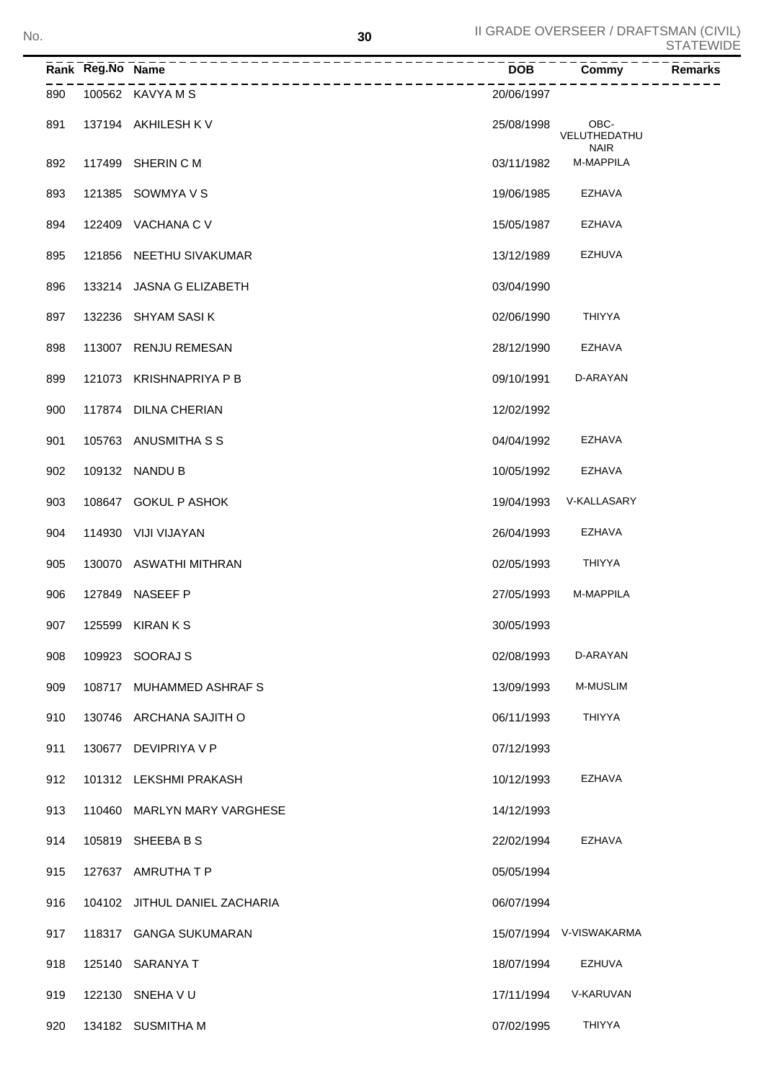|     | Rank Reg.No Name |                               | <b>DOB</b> | Commy                               | <b>Remarks</b> |
|-----|------------------|-------------------------------|------------|-------------------------------------|----------------|
| 890 |                  | 100562 KAVYA M S              | 20/06/1997 |                                     |                |
| 891 |                  | 137194 AKHILESH K V           | 25/08/1998 | OBC-<br>VELUTHEDATHU<br><b>NAIR</b> |                |
| 892 | 117499           | SHERIN C M                    | 03/11/1982 | M-MAPPILA                           |                |
| 893 | 121385           | SOWMYA V S                    | 19/06/1985 | <b>EZHAVA</b>                       |                |
| 894 | 122409           | VACHANA C V                   | 15/05/1987 | <b>EZHAVA</b>                       |                |
| 895 | 121856           | NEETHU SIVAKUMAR              | 13/12/1989 | <b>EZHUVA</b>                       |                |
| 896 | 133214           | JASNA G ELIZABETH             | 03/04/1990 |                                     |                |
| 897 | 132236           | <b>SHYAM SASIK</b>            | 02/06/1990 | <b>THIYYA</b>                       |                |
| 898 |                  | 113007 RENJU REMESAN          | 28/12/1990 | <b>EZHAVA</b>                       |                |
| 899 | 121073           | <b>KRISHNAPRIYA P B</b>       | 09/10/1991 | D-ARAYAN                            |                |
| 900 |                  | 117874 DILNA CHERIAN          | 12/02/1992 |                                     |                |
| 901 |                  | 105763 ANUSMITHA S S          | 04/04/1992 | <b>EZHAVA</b>                       |                |
| 902 |                  | 109132 NANDU B                | 10/05/1992 | <b>EZHAVA</b>                       |                |
| 903 |                  | 108647 GOKUL P ASHOK          | 19/04/1993 | V-KALLASARY                         |                |
| 904 |                  | 114930 VIJI VIJAYAN           | 26/04/1993 | <b>EZHAVA</b>                       |                |
| 905 |                  | 130070 ASWATHI MITHRAN        | 02/05/1993 | <b>THIYYA</b>                       |                |
| 906 |                  | 127849 NASEEF P               | 27/05/1993 | M-MAPPILA                           |                |
| 907 |                  | 125599 KIRAN K S              | 30/05/1993 |                                     |                |
| 908 |                  | 109923 SOORAJ S               | 02/08/1993 | D-ARAYAN                            |                |
| 909 |                  | 108717 MUHAMMED ASHRAFS       | 13/09/1993 | <b>M-MUSLIM</b>                     |                |
| 910 |                  | 130746 ARCHANA SAJITH O       | 06/11/1993 | <b>THIYYA</b>                       |                |
| 911 |                  | 130677 DEVIPRIYA V P          | 07/12/1993 |                                     |                |
| 912 |                  | 101312 LEKSHMI PRAKASH        | 10/12/1993 | <b>EZHAVA</b>                       |                |
| 913 |                  | 110460 MARLYN MARY VARGHESE   | 14/12/1993 |                                     |                |
| 914 |                  | 105819 SHEEBABS               | 22/02/1994 | <b>EZHAVA</b>                       |                |
| 915 |                  | 127637 AMRUTHATP              | 05/05/1994 |                                     |                |
| 916 |                  | 104102 JITHUL DANIEL ZACHARIA | 06/07/1994 |                                     |                |
| 917 |                  | 118317 GANGA SUKUMARAN        |            | 15/07/1994 V-VISWAKARMA             |                |
| 918 |                  | 125140 SARANYA T              | 18/07/1994 | EZHUVA                              |                |
| 919 |                  | 122130 SNEHA V U              | 17/11/1994 | V-KARUVAN                           |                |
| 920 |                  | 134182 SUSMITHA M             | 07/02/1995 | <b>THIYYA</b>                       |                |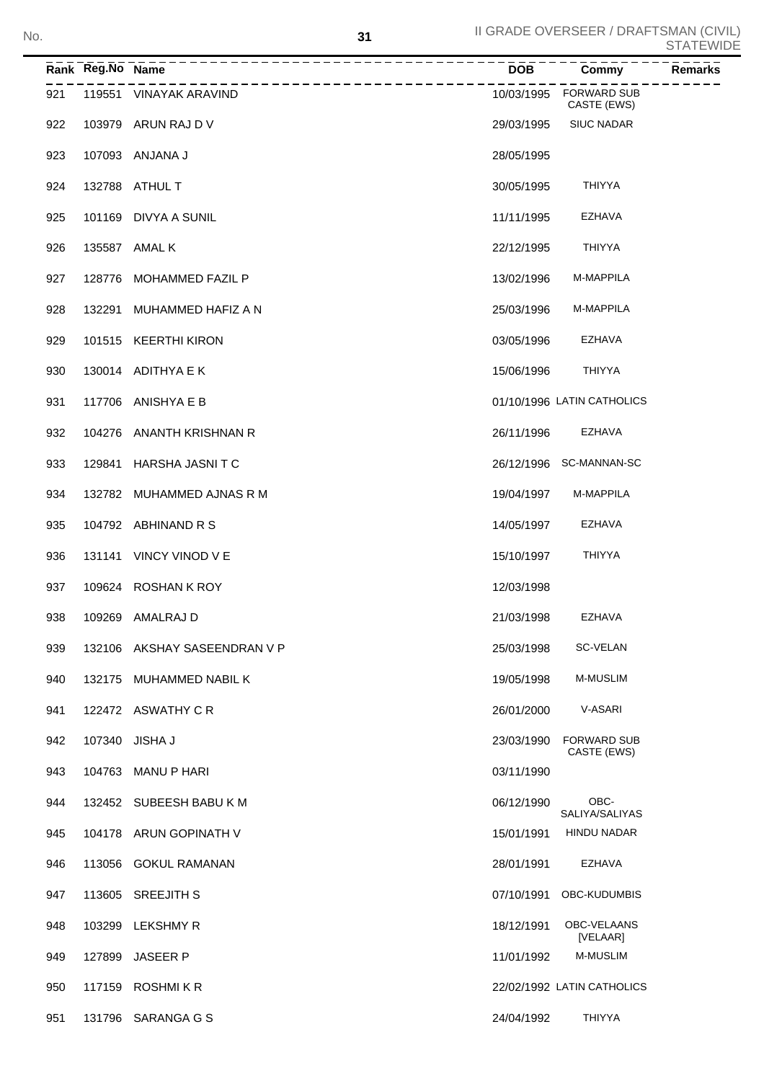|     | Rank Reg.No Name |                              | $\overline{DOB}$ | Commy                                 | <b>Remarks</b> |
|-----|------------------|------------------------------|------------------|---------------------------------------|----------------|
| 921 |                  | 119551 VINAYAK ARAVIND       |                  | 10/03/1995 FORWARD SUB<br>CASTE (EWS) |                |
| 922 |                  | 103979 ARUN RAJ D V          | 29/03/1995       | <b>SIUC NADAR</b>                     |                |
| 923 |                  | 107093 ANJANA J              | 28/05/1995       |                                       |                |
| 924 |                  | 132788 ATHUL T               | 30/05/1995       | <b>THIYYA</b>                         |                |
| 925 |                  | 101169 DIVYA A SUNIL         | 11/11/1995       | <b>EZHAVA</b>                         |                |
| 926 |                  | 135587 AMAL K                | 22/12/1995       | THIYYA                                |                |
| 927 |                  | 128776 MOHAMMED FAZIL P      | 13/02/1996       | M-MAPPILA                             |                |
| 928 |                  | 132291 MUHAMMED HAFIZ A N    | 25/03/1996       | M-MAPPILA                             |                |
| 929 |                  | 101515 KEERTHI KIRON         | 03/05/1996       | <b>EZHAVA</b>                         |                |
| 930 |                  | 130014 ADITHYA E K           | 15/06/1996       | <b>THIYYA</b>                         |                |
| 931 |                  | 117706 ANISHYA E B           |                  | 01/10/1996 LATIN CATHOLICS            |                |
| 932 |                  | 104276 ANANTH KRISHNAN R     | 26/11/1996       | <b>EZHAVA</b>                         |                |
| 933 |                  | 129841 HARSHA JASNITC        |                  | 26/12/1996 SC-MANNAN-SC               |                |
| 934 |                  | 132782 MUHAMMED AJNAS R M    | 19/04/1997       | M-MAPPILA                             |                |
| 935 |                  | 104792 ABHINAND R S          | 14/05/1997       | <b>EZHAVA</b>                         |                |
| 936 |                  | 131141 VINCY VINOD V E       | 15/10/1997       | <b>THIYYA</b>                         |                |
| 937 |                  | 109624 ROSHAN K ROY          | 12/03/1998       |                                       |                |
| 938 |                  | 109269 AMALRAJ D             | 21/03/1998       | <b>EZHAVA</b>                         |                |
| 939 |                  | 132106 AKSHAY SASEENDRAN V P | 25/03/1998       | <b>SC-VELAN</b>                       |                |
| 940 | 132175           | MUHAMMED NABIL K             | 19/05/1998       | <b>M-MUSLIM</b>                       |                |
| 941 |                  | 122472 ASWATHY CR            | 26/01/2000       | V-ASARI                               |                |
| 942 | 107340           | JISHA J                      | 23/03/1990       | <b>FORWARD SUB</b><br>CASTE (EWS)     |                |
| 943 | 104763           | MANU P HARI                  | 03/11/1990       |                                       |                |
| 944 |                  | 132452 SUBEESH BABU K M      | 06/12/1990       | OBC-<br>SALIYA/SALIYAS                |                |
| 945 |                  | 104178 ARUN GOPINATH V       | 15/01/1991       | <b>HINDU NADAR</b>                    |                |
| 946 | 113056           | <b>GOKUL RAMANAN</b>         | 28/01/1991       | <b>EZHAVA</b>                         |                |
| 947 |                  | 113605 SREEJITH S            | 07/10/1991       | OBC-KUDUMBIS                          |                |
| 948 | 103299           | <b>LEKSHMY R</b>             | 18/12/1991       | OBC-VELAANS<br>[VELAAR]               |                |
| 949 | 127899           | <b>JASEER P</b>              | 11/01/1992       | <b>M-MUSLIM</b>                       |                |
| 950 | 117159           | <b>ROSHMIKR</b>              |                  | 22/02/1992 LATIN CATHOLICS            |                |
| 951 |                  | 131796 SARANGA G S           | 24/04/1992       | <b>THIYYA</b>                         |                |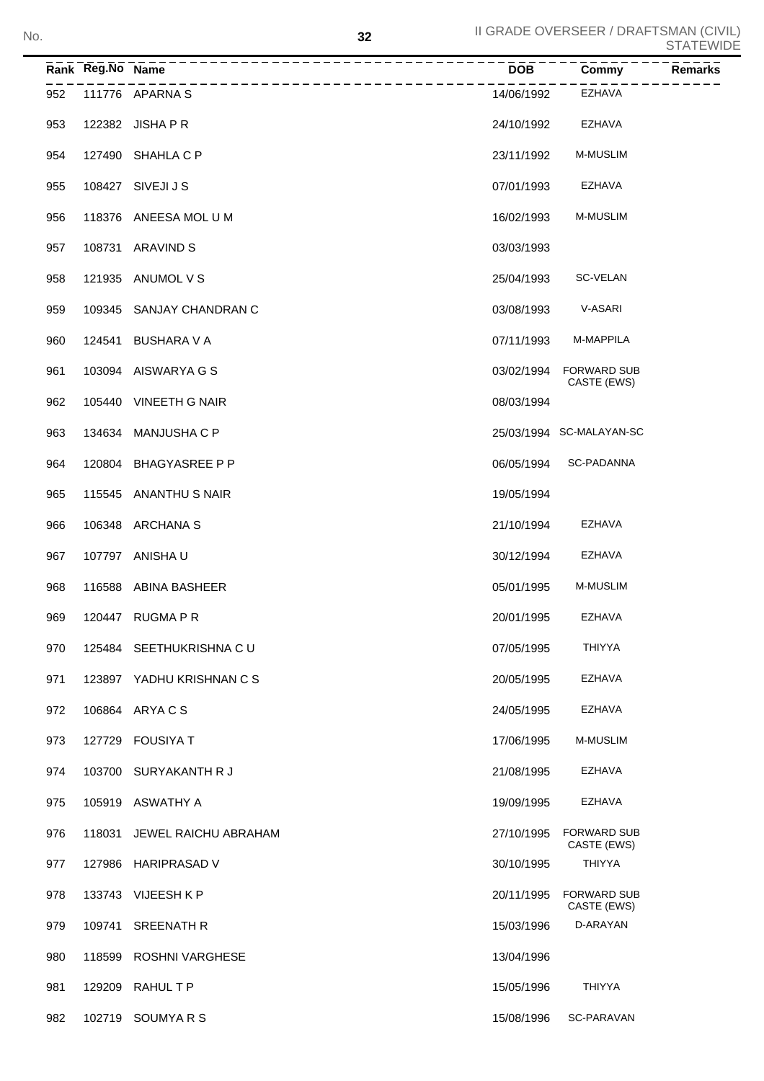|     | Rank Reg.No Name |                           | <b>DOB</b> | Commy                             | <b>Remarks</b> |
|-----|------------------|---------------------------|------------|-----------------------------------|----------------|
| 952 |                  | 111776 APARNA S           | 14/06/1992 | EZHAVA                            |                |
| 953 |                  | 122382 JISHA P R          | 24/10/1992 | EZHAVA                            |                |
| 954 |                  | 127490 SHAHLA C P         | 23/11/1992 | <b>M-MUSLIM</b>                   |                |
| 955 |                  | 108427 SIVEJI J S         | 07/01/1993 | EZHAVA                            |                |
| 956 |                  | 118376 ANEESA MOL U M     | 16/02/1993 | <b>M-MUSLIM</b>                   |                |
| 957 |                  | 108731 ARAVIND S          | 03/03/1993 |                                   |                |
| 958 |                  | 121935 ANUMOL V S         | 25/04/1993 | SC-VELAN                          |                |
| 959 |                  | 109345 SANJAY CHANDRAN C  | 03/08/1993 | V-ASARI                           |                |
| 960 |                  | 124541 BUSHARA V A        | 07/11/1993 | M-MAPPILA                         |                |
| 961 |                  | 103094 AISWARYA G S       | 03/02/1994 | <b>FORWARD SUB</b><br>CASTE (EWS) |                |
| 962 |                  | 105440 VINEETH G NAIR     | 08/03/1994 |                                   |                |
| 963 |                  | 134634 MANJUSHA C P       |            | 25/03/1994 SC-MALAYAN-SC          |                |
| 964 |                  | 120804 BHAGYASREE P P     | 06/05/1994 | SC-PADANNA                        |                |
| 965 |                  | 115545 ANANTHU S NAIR     | 19/05/1994 |                                   |                |
| 966 |                  | 106348 ARCHANA S          | 21/10/1994 | EZHAVA                            |                |
| 967 |                  | 107797 ANISHA U           | 30/12/1994 | <b>EZHAVA</b>                     |                |
| 968 |                  | 116588 ABINA BASHEER      | 05/01/1995 | <b>M-MUSLIM</b>                   |                |
| 969 |                  | 120447 RUGMA P R          | 20/01/1995 | EZHAVA                            |                |
| 970 |                  | 125484 SEETHUKRISHNA CU   | 07/05/1995 | <b>THIYYA</b>                     |                |
| 971 |                  | 123897 YADHU KRISHNAN C S | 20/05/1995 | EZHAVA                            |                |
| 972 |                  | 106864 ARYACS             | 24/05/1995 | EZHAVA                            |                |
| 973 |                  | 127729 FOUSIYA T          | 17/06/1995 | <b>M-MUSLIM</b>                   |                |
| 974 |                  | 103700 SURYAKANTH R J     | 21/08/1995 | EZHAVA                            |                |
| 975 |                  | 105919 ASWATHY A          | 19/09/1995 | EZHAVA                            |                |
| 976 | 118031           | JEWEL RAICHU ABRAHAM      | 27/10/1995 | <b>FORWARD SUB</b><br>CASTE (EWS) |                |
| 977 |                  | 127986 HARIPRASAD V       | 30/10/1995 | <b>THIYYA</b>                     |                |
| 978 |                  | 133743 VIJEESH K P        | 20/11/1995 | <b>FORWARD SUB</b><br>CASTE (EWS) |                |
| 979 |                  | 109741 SREENATH R         | 15/03/1996 | D-ARAYAN                          |                |
| 980 |                  | 118599 ROSHNI VARGHESE    | 13/04/1996 |                                   |                |
| 981 |                  | 129209 RAHUL T P          | 15/05/1996 | <b>THIYYA</b>                     |                |
| 982 |                  | 102719 SOUMYARS           | 15/08/1996 | SC-PARAVAN                        |                |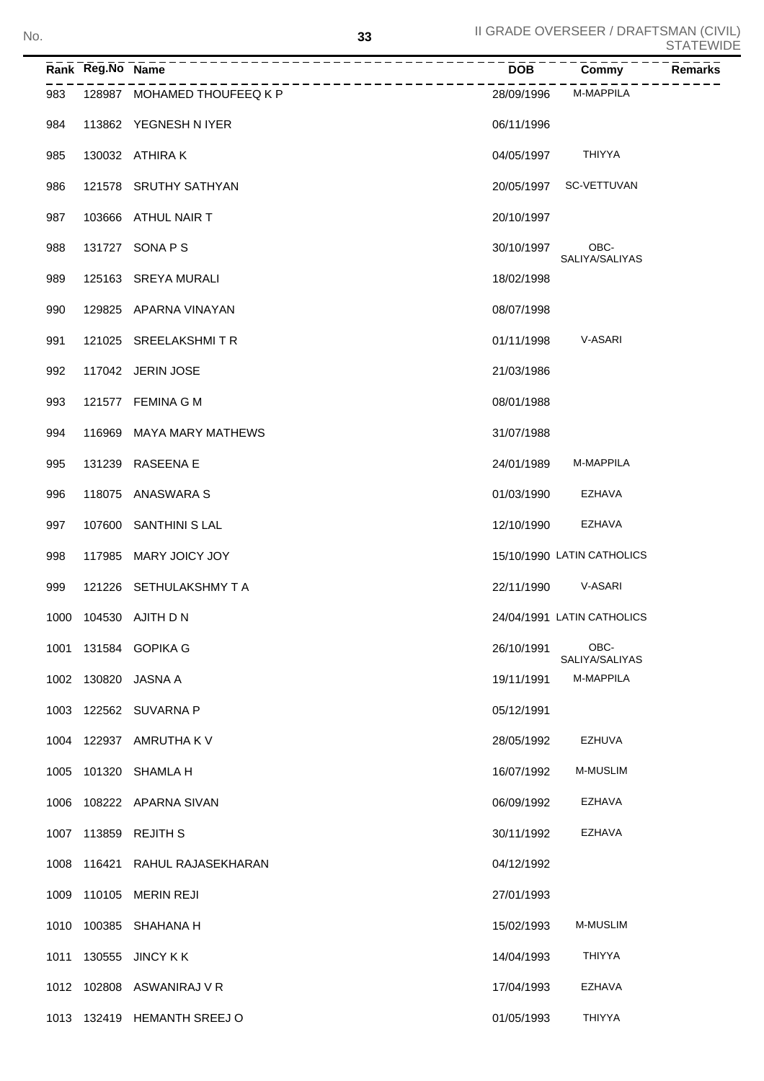|      |                  |                             |            |                            | ◡╷┌╷∟ッッ        |
|------|------------------|-----------------------------|------------|----------------------------|----------------|
|      | Rank Reg.No Name |                             | <b>DOB</b> | Commy                      | <b>Remarks</b> |
| 983  |                  | 128987 MOHAMED THOUFEEQ K P | 28/09/1996 | M-MAPPILA                  |                |
| 984  |                  | 113862 YEGNESH N IYER       | 06/11/1996 |                            |                |
| 985  |                  | 130032 ATHIRA K             | 04/05/1997 | THIYYA                     |                |
| 986  |                  | 121578 SRUTHY SATHYAN       | 20/05/1997 | SC-VETTUVAN                |                |
| 987  |                  | 103666 ATHUL NAIR T         | 20/10/1997 |                            |                |
| 988  |                  | 131727 SONA P S             | 30/10/1997 | OBC-<br>SALIYA/SALIYAS     |                |
| 989  |                  | 125163 SREYA MURALI         | 18/02/1998 |                            |                |
| 990  |                  | 129825 APARNA VINAYAN       | 08/07/1998 |                            |                |
| 991  |                  | 121025 SREELAKSHMITR        | 01/11/1998 | V-ASARI                    |                |
| 992  |                  | 117042 JERIN JOSE           | 21/03/1986 |                            |                |
| 993  |                  | 121577 FEMINA G M           | 08/01/1988 |                            |                |
| 994  | 116969           | MAYA MARY MATHEWS           | 31/07/1988 |                            |                |
| 995  |                  | 131239 RASEENA E            | 24/01/1989 | M-MAPPILA                  |                |
| 996  |                  | 118075 ANASWARA S           | 01/03/1990 | EZHAVA                     |                |
| 997  | 107600           | <b>SANTHINI S LAL</b>       | 12/10/1990 | <b>EZHAVA</b>              |                |
| 998  | 117985           | MARY JOICY JOY              |            | 15/10/1990 LATIN CATHOLICS |                |
| 999  |                  | 121226 SETHULAKSHMY T A     | 22/11/1990 | V-ASARI                    |                |
| 1000 |                  | 104530 AJITH D N            |            | 24/04/1991 LATIN CATHOLICS |                |
| 1001 |                  | 131584 GOPIKA G             | 26/10/1991 | OBC-<br>SALIYA/SALIYAS     |                |
| 1002 | 130820           | JASNA A                     | 19/11/1991 | M-MAPPILA                  |                |
| 1003 |                  | 122562 SUVARNA P            | 05/12/1991 |                            |                |
| 1004 | 122937           | AMRUTHA K V                 | 28/05/1992 | EZHUVA                     |                |
| 1005 | 101320           | <b>SHAMLA H</b>             | 16/07/1992 | M-MUSLIM                   |                |
| 1006 |                  | 108222 APARNA SIVAN         | 06/09/1992 | EZHAVA                     |                |
| 1007 | 113859           | REJITH S                    | 30/11/1992 | EZHAVA                     |                |
| 1008 | 116421           | RAHUL RAJASEKHARAN          | 04/12/1992 |                            |                |
| 1009 | 110105           | MERIN REJI                  | 27/01/1993 |                            |                |
| 1010 | 100385           | <b>SHAHANA H</b>            | 15/02/1993 | M-MUSLIM                   |                |
| 1011 | 130555           | <b>JINCY K K</b>            | 14/04/1993 | THIYYA                     |                |
|      |                  | 1012 102808 ASWANIRAJ V R   | 17/04/1993 | EZHAVA                     |                |
| 1013 |                  | 132419 HEMANTH SREEJ O      | 01/05/1993 | <b>THIYYA</b>              |                |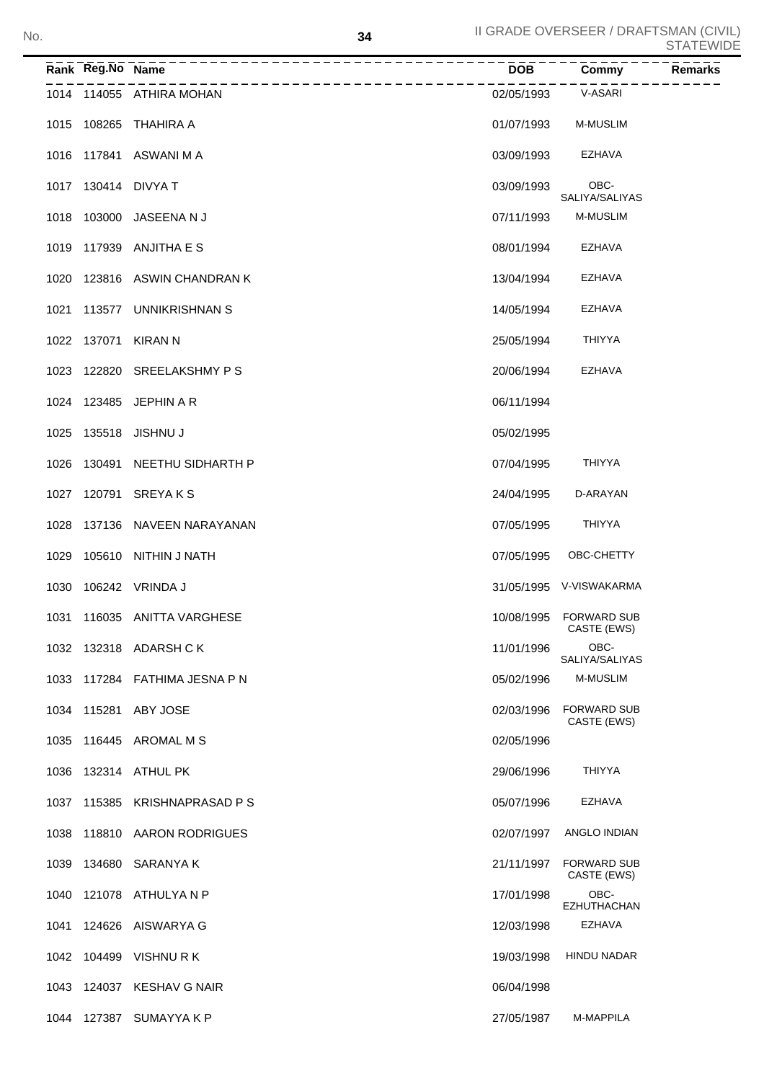|      | Rank Reg.No Name | -------------------      | $\overline{DOB}$ ---- | Commy                             | Remarks |
|------|------------------|--------------------------|-----------------------|-----------------------------------|---------|
|      |                  | 1014 114055 ATHIRA MOHAN | 02/05/1993            | V-ASARI                           |         |
| 1015 |                  | 108265 THAHIRA A         | 01/07/1993            | <b>M-MUSLIM</b>                   |         |
| 1016 |                  | 117841 ASWANI M A        | 03/09/1993            | EZHAVA                            |         |
| 1017 |                  | 130414 DIVYA T           | 03/09/1993            | OBC-<br>SALIYA/SALIYAS            |         |
| 1018 |                  | 103000 JASEENA N J       | 07/11/1993            | <b>M-MUSLIM</b>                   |         |
| 1019 |                  | 117939 ANJITHA E S       | 08/01/1994            | EZHAVA                            |         |
| 1020 |                  | 123816 ASWIN CHANDRAN K  | 13/04/1994            | EZHAVA                            |         |
| 1021 |                  | 113577 UNNIKRISHNAN S    | 14/05/1994            | EZHAVA                            |         |
| 1022 |                  | 137071 KIRAN N           | 25/05/1994            | <b>THIYYA</b>                     |         |
| 1023 |                  | 122820 SREELAKSHMY PS    | 20/06/1994            | EZHAVA                            |         |
| 1024 |                  | 123485 JEPHIN A R        | 06/11/1994            |                                   |         |
| 1025 |                  | 135518 JISHNU J          | 05/02/1995            |                                   |         |
| 1026 |                  | 130491 NEETHU SIDHARTH P | 07/04/1995            | <b>THIYYA</b>                     |         |
| 1027 |                  | 120791 SREYAKS           | 24/04/1995            | D-ARAYAN                          |         |
| 1028 |                  | 137136 NAVEEN NARAYANAN  | 07/05/1995            | <b>THIYYA</b>                     |         |
| 1029 |                  | 105610 NITHIN J NATH     | 07/05/1995            | OBC-CHETTY                        |         |
| 1030 |                  | 106242 VRINDA J          |                       | 31/05/1995 V-VISWAKARMA           |         |
| 1031 |                  | 116035 ANITTA VARGHESE   | 10/08/1995            | <b>FORWARD SUB</b><br>CASTE (EWS) |         |
|      |                  | 1032 132318 ADARSH C K   | 11/01/1996            | OBC-<br>SALIYA/SALIYAS            |         |
| 1033 |                  | 117284 FATHIMA JESNA P N | 05/02/1996            | <b>M-MUSLIM</b>                   |         |
| 1034 |                  | 115281 ABY JOSE          | 02/03/1996            | <b>FORWARD SUB</b><br>CASTE (EWS) |         |
| 1035 |                  | 116445 AROMAL M S        | 02/05/1996            |                                   |         |
| 1036 |                  | 132314 ATHUL PK          | 29/06/1996            | <b>THIYYA</b>                     |         |
| 1037 |                  | 115385 KRISHNAPRASAD P S | 05/07/1996            | EZHAVA                            |         |
| 1038 |                  | 118810 AARON RODRIGUES   | 02/07/1997            | ANGLO INDIAN                      |         |
| 1039 |                  | 134680 SARANYA K         | 21/11/1997            | <b>FORWARD SUB</b><br>CASTE (EWS) |         |
| 1040 |                  | 121078 ATHULYAN P        | 17/01/1998            | OBC-<br><b>EZHUTHACHAN</b>        |         |
| 1041 |                  | 124626 AISWARYA G        | 12/03/1998            | EZHAVA                            |         |
|      |                  | 1042 104499 VISHNURK     | 19/03/1998            | <b>HINDU NADAR</b>                |         |
| 1043 |                  | 124037 KESHAV G NAIR     | 06/04/1998            |                                   |         |
|      |                  | 1044 127387 SUMAYYA K P  | 27/05/1987            | M-MAPPILA                         |         |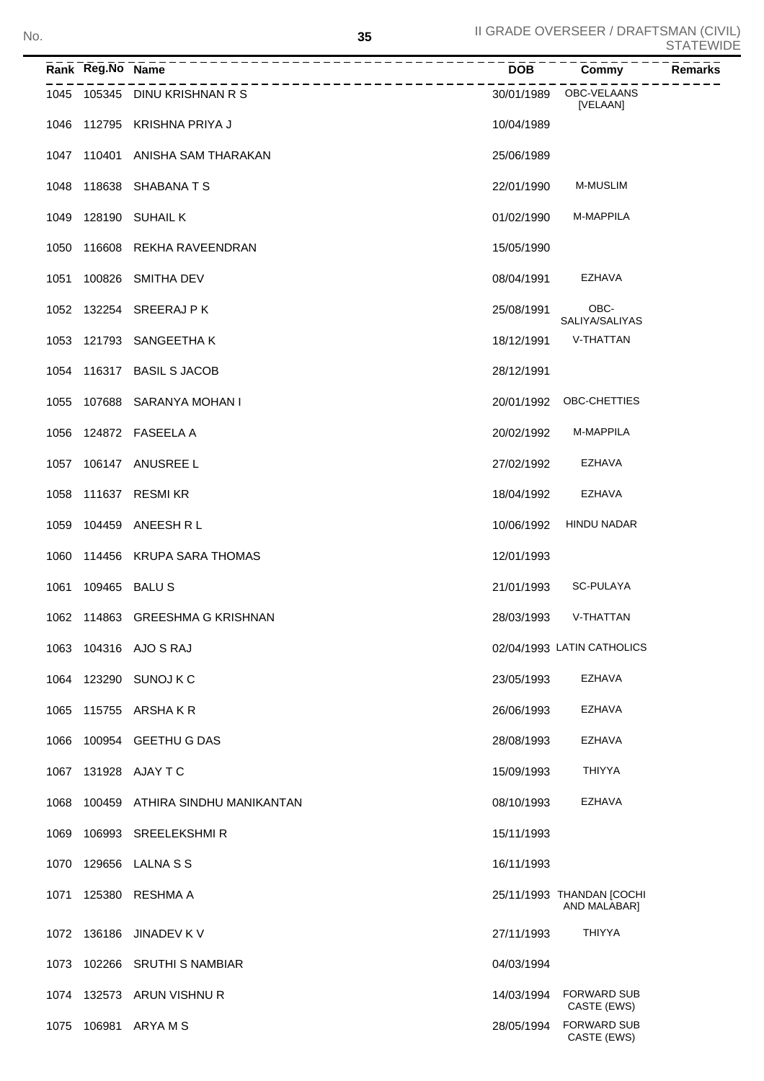| No. |                   |                                                          | 35 |            | II GRADE OVERSEER / DRAFTSMAN (CIVIL)     | <b>STATEWIDE</b> |
|-----|-------------------|----------------------------------------------------------|----|------------|-------------------------------------------|------------------|
|     | Rank Reg.No Name  | ------------------------------------<br>---------------- |    | <b>DOB</b> | Commy                                     | Remarks          |
|     |                   | 1045 105345 DINU KRISHNAN R S                            |    |            | 30/01/1989 OBC-VELAANS<br>[VELAAN]        |                  |
|     |                   | 1046 112795 KRISHNA PRIYA J                              |    | 10/04/1989 |                                           |                  |
|     |                   | 1047 110401 ANISHA SAM THARAKAN                          |    | 25/06/1989 |                                           |                  |
|     |                   | 1048 118638 SHABANA T S                                  |    | 22/01/1990 | <b>M-MUSLIM</b>                           |                  |
|     |                   | 1049 128190 SUHAIL K                                     |    | 01/02/1990 | M-MAPPILA                                 |                  |
|     |                   | 1050 116608 REKHA RAVEENDRAN                             |    | 15/05/1990 |                                           |                  |
|     |                   | 1051 100826 SMITHA DEV                                   |    | 08/04/1991 | EZHAVA                                    |                  |
|     |                   | 1052 132254 SREERAJ PK                                   |    | 25/08/1991 | OBC-<br>SALIYA/SALIYAS                    |                  |
|     |                   | 1053 121793 SANGEETHA K                                  |    | 18/12/1991 | V-THATTAN                                 |                  |
|     |                   | 1054 116317 BASIL S JACOB                                |    | 28/12/1991 |                                           |                  |
|     |                   | 1055 107688 SARANYA MOHAN I                              |    |            | 20/01/1992 OBC-CHETTIES                   |                  |
|     |                   | 1056 124872 FASEELA A                                    |    | 20/02/1992 | M-MAPPILA                                 |                  |
|     |                   | 1057 106147 ANUSREE L                                    |    | 27/02/1992 | <b>EZHAVA</b>                             |                  |
|     |                   | 1058 111637 RESMIKR                                      |    | 18/04/1992 | EZHAVA                                    |                  |
|     |                   | 1059 104459 ANEESH R L                                   |    | 10/06/1992 | HINDU NADAR                               |                  |
|     |                   | 1060 114456 KRUPA SARA THOMAS                            |    | 12/01/1993 |                                           |                  |
|     | 1061 109465 BALUS |                                                          |    | 21/01/1993 | SC-PULAYA                                 |                  |
|     |                   | 1062 114863 GREESHMA G KRISHNAN                          |    | 28/03/1993 | V-THATTAN                                 |                  |
|     |                   | 1063 104316 AJO S RAJ                                    |    |            | 02/04/1993 LATIN CATHOLICS                |                  |
|     |                   | 1064 123290 SUNOJ K C                                    |    | 23/05/1993 | EZHAVA                                    |                  |
|     |                   | 1065 115755 ARSHAKR                                      |    | 26/06/1993 | EZHAVA                                    |                  |
|     |                   | 1066 100954 GEETHU G DAS                                 |    | 28/08/1993 | EZHAVA                                    |                  |
|     |                   | 1067 131928 AJAY T C                                     |    | 15/09/1993 | <b>THIYYA</b>                             |                  |
|     |                   | 1068 100459 ATHIRA SINDHU MANIKANTAN                     |    | 08/10/1993 | EZHAVA                                    |                  |
|     |                   | 1069 106993 SREELEKSHMIR                                 |    | 15/11/1993 |                                           |                  |
|     |                   | 1070 129656 LALNA S S                                    |    | 16/11/1993 |                                           |                  |
|     |                   | 1071 125380 RESHMA A                                     |    |            | 25/11/1993 THANDAN [COCHI<br>AND MALABAR] |                  |
|     |                   | 1072 136186 JINADEV K V                                  |    | 27/11/1993 | THIYYA                                    |                  |
|     |                   | 1073 102266 SRUTHI S NAMBIAR                             |    | 04/03/1994 |                                           |                  |
|     |                   | 1074 132573 ARUN VISHNU R                                |    |            | 14/03/1994 FORWARD SUB<br>CASTE (EWS)     |                  |
|     |                   | 1075 106981 ARYA M S                                     |    |            | 28/05/1994 FORWARD SUB<br>CASTE (EWS)     |                  |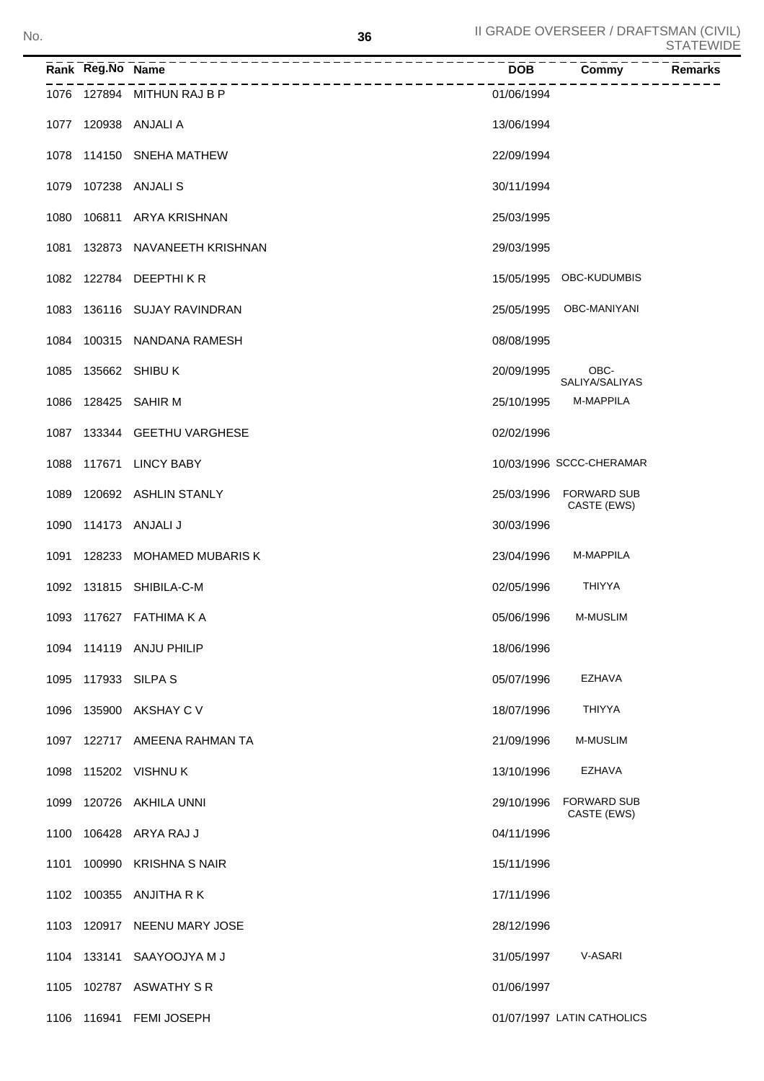|      | Rank Reg.No Name |                                | <b>DOB</b> | <b>Commy</b>                      | <b>Remarks</b> |
|------|------------------|--------------------------------|------------|-----------------------------------|----------------|
|      |                  | 1076 127894 MITHUN RAJ B P     | 01/06/1994 |                                   |                |
|      |                  | 1077 120938 ANJALI A           | 13/06/1994 |                                   |                |
|      |                  | 1078 114150 SNEHA MATHEW       | 22/09/1994 |                                   |                |
|      |                  | 1079 107238 ANJALIS            | 30/11/1994 |                                   |                |
|      |                  | 1080 106811 ARYA KRISHNAN      | 25/03/1995 |                                   |                |
|      |                  | 1081 132873 NAVANEETH KRISHNAN | 29/03/1995 |                                   |                |
|      |                  | 1082 122784 DEEPTHIKR          |            | 15/05/1995 OBC-KUDUMBIS           |                |
|      |                  | 1083 136116 SUJAY RAVINDRAN    | 25/05/1995 | OBC-MANIYANI                      |                |
|      |                  | 1084 100315 NANDANA RAMESH     | 08/08/1995 |                                   |                |
| 1085 |                  | 135662 SHIBU K                 | 20/09/1995 | OBC-<br>SALIYA/SALIYAS            |                |
|      |                  | 1086 128425 SAHIR M            | 25/10/1995 | M-MAPPILA                         |                |
|      |                  | 1087 133344 GEETHU VARGHESE    | 02/02/1996 |                                   |                |
| 1088 |                  | 117671 LINCY BABY              |            | 10/03/1996 SCCC-CHERAMAR          |                |
|      |                  | 1089 120692 ASHLIN STANLY      | 25/03/1996 | <b>FORWARD SUB</b><br>CASTE (EWS) |                |
|      |                  | 1090 114173 ANJALI J           | 30/03/1996 |                                   |                |
|      |                  | 1091 128233 MOHAMED MUBARIS K  | 23/04/1996 | M-MAPPILA                         |                |
|      |                  | 1092 131815 SHIBILA-C-M        | 02/05/1996 | <b>THIYYA</b>                     |                |
|      |                  | 1093 117627 FATHIMA K A        | 05/06/1996 | <b>M-MUSLIM</b>                   |                |
|      |                  | 1094 114119 ANJU PHILIP        | 18/06/1996 |                                   |                |
| 1095 |                  | 117933 SILPA S                 | 05/07/1996 | <b>EZHAVA</b>                     |                |
| 1096 |                  | 135900 AKSHAY C V              | 18/07/1996 | <b>THIYYA</b>                     |                |
|      |                  | 1097 122717 AMEENA RAHMAN TA   | 21/09/1996 | <b>M-MUSLIM</b>                   |                |
| 1098 |                  | 115202 VISHNU K                | 13/10/1996 | <b>EZHAVA</b>                     |                |
| 1099 |                  | 120726 AKHILA UNNI             | 29/10/1996 | <b>FORWARD SUB</b><br>CASTE (EWS) |                |
| 1100 |                  | 106428 ARYA RAJ J              | 04/11/1996 |                                   |                |
| 1101 |                  | 100990 KRISHNA S NAIR          | 15/11/1996 |                                   |                |
|      |                  | 1102 100355 ANJITHA R K        | 17/11/1996 |                                   |                |
|      |                  | 1103 120917 NEENU MARY JOSE    | 28/12/1996 |                                   |                |
|      |                  | 1104 133141 SAAYOOJYA M J      | 31/05/1997 | V-ASARI                           |                |
| 1105 |                  | 102787 ASWATHY S R             | 01/06/1997 |                                   |                |
|      |                  | 1106 116941 FEMI JOSEPH        |            | 01/07/1997 LATIN CATHOLICS        |                |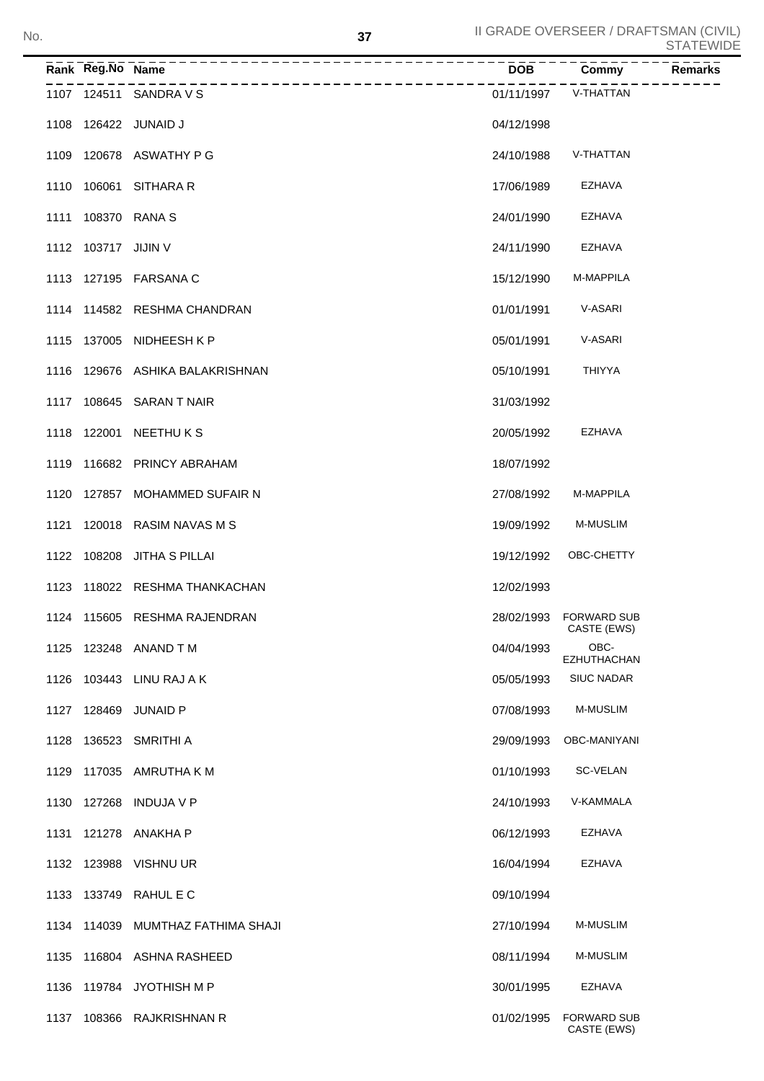|      | Rank Reg.No Name    |                                                          | <b>DOB</b> | Commy                                 | Remarks |
|------|---------------------|----------------------------------------------------------|------------|---------------------------------------|---------|
|      |                     | ______________________________<br>1107 124511 SANDRA V S | 01/11/1997 | V-THATTAN                             |         |
|      |                     | 1108 126422 JUNAID J                                     | 04/12/1998 |                                       |         |
|      |                     | 1109 120678 ASWATHY P G                                  | 24/10/1988 | V-THATTAN                             |         |
|      |                     | 1110 106061 SITHARA R                                    | 17/06/1989 | <b>EZHAVA</b>                         |         |
|      |                     | 1111 108370 RANA S                                       | 24/01/1990 | <b>EZHAVA</b>                         |         |
|      | 1112 103717 JIJIN V |                                                          | 24/11/1990 | EZHAVA                                |         |
|      |                     | 1113 127195 FARSANA C                                    | 15/12/1990 | M-MAPPILA                             |         |
|      |                     | 1114 114582 RESHMA CHANDRAN                              | 01/01/1991 | V-ASARI                               |         |
|      |                     | 1115 137005 NIDHEESH K P                                 | 05/01/1991 | V-ASARI                               |         |
|      |                     | 1116 129676 ASHIKA BALAKRISHNAN                          | 05/10/1991 | THIYYA                                |         |
|      |                     | 1117 108645 SARAN T NAIR                                 | 31/03/1992 |                                       |         |
|      |                     | 1118 122001 NEETHU K S                                   | 20/05/1992 | EZHAVA                                |         |
|      |                     | 1119 116682 PRINCY ABRAHAM                               | 18/07/1992 |                                       |         |
|      |                     | 1120 127857 MOHAMMED SUFAIR N                            | 27/08/1992 | <b>M-MAPPILA</b>                      |         |
|      |                     | 1121 120018 RASIM NAVAS M S                              | 19/09/1992 | <b>M-MUSLIM</b>                       |         |
|      |                     | 1122 108208 JITHA S PILLAI                               | 19/12/1992 | OBC-CHETTY                            |         |
|      |                     | 1123 118022 RESHMA THANKACHAN                            | 12/02/1993 |                                       |         |
|      |                     | 1124 115605 RESHMA RAJENDRAN                             |            | 28/02/1993 FORWARD SUB<br>CASTE (EWS) |         |
|      |                     | 1125 123248 ANAND T M                                    | 04/04/1993 | OBC-<br><b>EZHUTHACHAN</b>            |         |
| 1126 |                     | 103443 LINU RAJ A K                                      | 05/05/1993 | <b>SIUC NADAR</b>                     |         |
| 1127 |                     | 128469 JUNAID P                                          | 07/08/1993 | <b>M-MUSLIM</b>                       |         |
| 1128 |                     | 136523 SMRITHI A                                         | 29/09/1993 | OBC-MANIYANI                          |         |
| 1129 |                     | 117035 AMRUTHA K M                                       | 01/10/1993 | SC-VELAN                              |         |
| 1130 | 127268              | <b>INDUJA V P</b>                                        | 24/10/1993 | V-KAMMALA                             |         |
| 1131 |                     | 121278 ANAKHA P                                          | 06/12/1993 | <b>EZHAVA</b>                         |         |
| 1132 |                     | 123988 VISHNU UR                                         | 16/04/1994 | <b>EZHAVA</b>                         |         |
| 1133 |                     | 133749 RAHUL E C                                         | 09/10/1994 |                                       |         |
| 1134 | 114039              | MUMTHAZ FATHIMA SHAJI                                    | 27/10/1994 | <b>M-MUSLIM</b>                       |         |
| 1135 |                     | 116804 ASHNA RASHEED                                     | 08/11/1994 | <b>M-MUSLIM</b>                       |         |
| 1136 |                     | 119784 JYOTHISH M P                                      | 30/01/1995 | <b>EZHAVA</b>                         |         |
|      |                     | 1137 108366 RAJKRISHNAN R                                | 01/02/1995 | <b>FORWARD SUB</b><br>CASTE (EWS)     |         |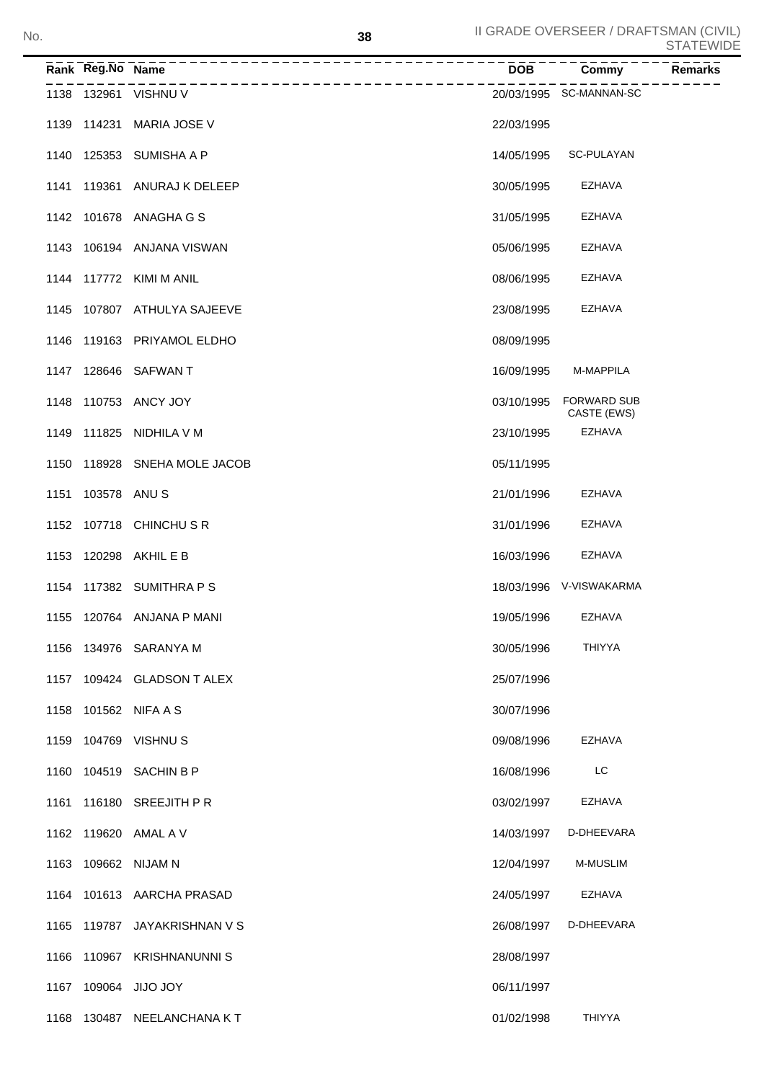|      | Rank Reg.No Name |                           | <b>DOB</b> | Commy                             | <b>Remarks</b> |
|------|------------------|---------------------------|------------|-----------------------------------|----------------|
|      |                  | 1138 132961 VISHNU V      |            | 20/03/1995 SC-MANNAN-SC           |                |
| 1139 | 114231           | <b>MARIA JOSE V</b>       | 22/03/1995 |                                   |                |
| 1140 |                  | 125353 SUMISHA A P        | 14/05/1995 | SC-PULAYAN                        |                |
| 1141 |                  | 119361 ANURAJ K DELEEP    | 30/05/1995 | EZHAVA                            |                |
|      |                  | 1142 101678 ANAGHA G S    | 31/05/1995 | EZHAVA                            |                |
| 1143 |                  | 106194 ANJANA VISWAN      | 05/06/1995 | <b>EZHAVA</b>                     |                |
|      |                  | 1144 117772 KIMI M ANIL   | 08/06/1995 | <b>EZHAVA</b>                     |                |
| 1145 |                  | 107807 ATHULYA SAJEEVE    | 23/08/1995 | <b>EZHAVA</b>                     |                |
| 1146 |                  | 119163 PRIYAMOL ELDHO     | 08/09/1995 |                                   |                |
|      |                  | 1147 128646 SAFWAN T      | 16/09/1995 | M-MAPPILA                         |                |
| 1148 |                  | 110753 ANCY JOY           | 03/10/1995 | <b>FORWARD SUB</b><br>CASTE (EWS) |                |
| 1149 |                  | 111825 NIDHILA V M        | 23/10/1995 | <b>EZHAVA</b>                     |                |
| 1150 |                  | 118928 SNEHA MOLE JACOB   | 05/11/1995 |                                   |                |
| 1151 | 103578 ANUS      |                           | 21/01/1996 | <b>EZHAVA</b>                     |                |
|      |                  | 1152 107718 CHINCHUSR     | 31/01/1996 | <b>EZHAVA</b>                     |                |
| 1153 |                  | 120298 AKHIL E B          | 16/03/1996 | <b>EZHAVA</b>                     |                |
|      |                  | 1154 117382 SUMITHRA P S  |            | 18/03/1996 V-VISWAKARMA           |                |
|      |                  | 1155 120764 ANJANA P MANI | 19/05/1996 | <b>EZHAVA</b>                     |                |
| 1156 |                  | 134976 SARANYA M          | 30/05/1996 | <b>THIYYA</b>                     |                |
| 1157 |                  | 109424 GLADSON T ALEX     | 25/07/1996 |                                   |                |
| 1158 |                  | 101562 NIFA A S           | 30/07/1996 |                                   |                |
| 1159 |                  | 104769 VISHNUS            | 09/08/1996 | <b>EZHAVA</b>                     |                |
| 1160 | 104519           | <b>SACHIN B P</b>         | 16/08/1996 | LC                                |                |
| 1161 | 116180           | <b>SREEJITH P R</b>       | 03/02/1997 | <b>EZHAVA</b>                     |                |
| 1162 | 119620           | AMAL A V                  | 14/03/1997 | D-DHEEVARA                        |                |
| 1163 |                  | 109662 NIJAM N            | 12/04/1997 | <b>M-MUSLIM</b>                   |                |
| 1164 |                  | 101613 AARCHA PRASAD      | 24/05/1997 | <b>EZHAVA</b>                     |                |
| 1165 |                  | 119787 JAYAKRISHNAN V S   | 26/08/1997 | D-DHEEVARA                        |                |
| 1166 |                  | 110967 KRISHNANUNNIS      | 28/08/1997 |                                   |                |
| 1167 |                  | 109064 JIJO JOY           | 06/11/1997 |                                   |                |
| 1168 |                  | 130487 NEELANCHANA KT     | 01/02/1998 | <b>THIYYA</b>                     |                |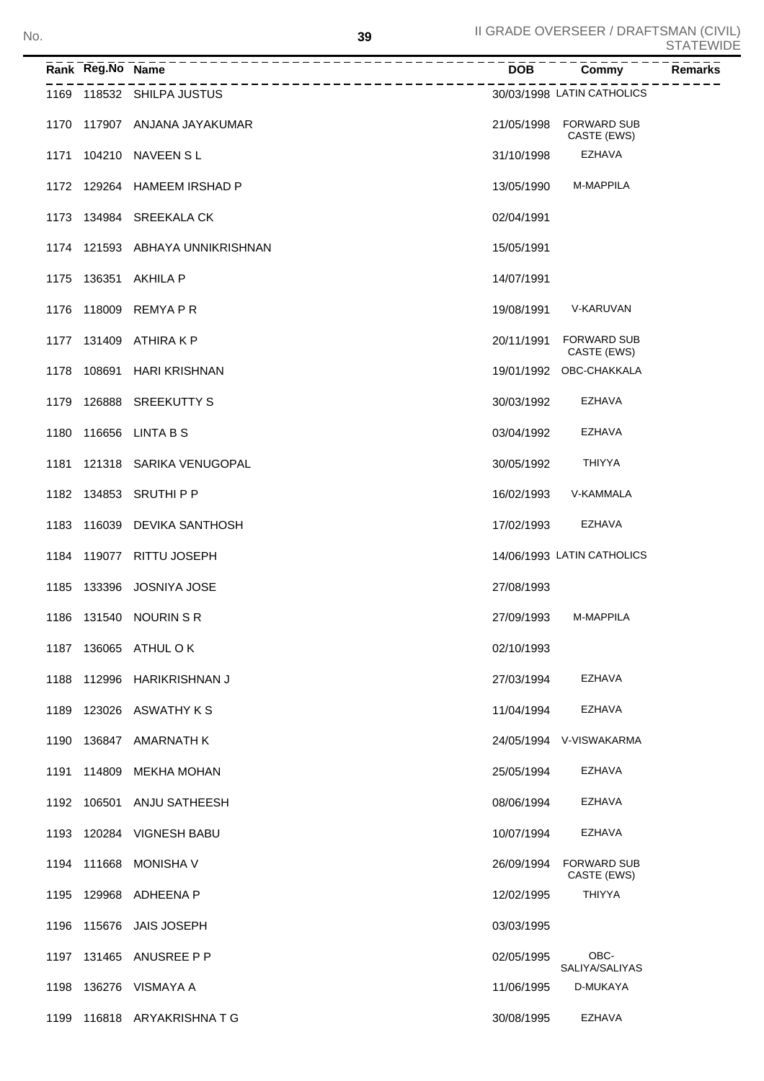|      | Rank Reg.No Name |                                 | <b>DOB</b> | Commy                             | <b>Remarks</b> |
|------|------------------|---------------------------------|------------|-----------------------------------|----------------|
|      |                  | 1169 118532 SHILPA JUSTUS       |            | 30/03/1998 LATIN CATHOLICS        |                |
|      |                  | 1170 117907 ANJANA JAYAKUMAR    | 21/05/1998 | <b>FORWARD SUB</b><br>CASTE (EWS) |                |
|      |                  | 1171 104210 NAVEEN SL           | 31/10/1998 | <b>EZHAVA</b>                     |                |
|      |                  | 1172 129264 HAMEEM IRSHAD P     | 13/05/1990 | M-MAPPILA                         |                |
|      |                  | 1173 134984 SREEKALA CK         | 02/04/1991 |                                   |                |
|      |                  | 1174 121593 ABHAYA UNNIKRISHNAN | 15/05/1991 |                                   |                |
|      |                  | 1175 136351 AKHILA P            | 14/07/1991 |                                   |                |
|      |                  | 1176 118009 REMYA P R           | 19/08/1991 | V-KARUVAN                         |                |
|      |                  | 1177 131409 ATHIRA K P          | 20/11/1991 | <b>FORWARD SUB</b><br>CASTE (EWS) |                |
|      |                  | 1178 108691 HARI KRISHNAN       |            | 19/01/1992 OBC-CHAKKALA           |                |
|      |                  | 1179 126888 SREEKUTTY S         | 30/03/1992 | EZHAVA                            |                |
|      |                  | 1180 116656 LINTA B S           | 03/04/1992 | <b>EZHAVA</b>                     |                |
|      |                  | 1181 121318 SARIKA VENUGOPAL    | 30/05/1992 | <b>THIYYA</b>                     |                |
|      |                  | 1182 134853 SRUTHI P P          | 16/02/1993 | V-KAMMALA                         |                |
|      |                  | 1183 116039 DEVIKA SANTHOSH     | 17/02/1993 | <b>EZHAVA</b>                     |                |
|      |                  | 1184 119077 RITTU JOSEPH        |            | 14/06/1993 LATIN CATHOLICS        |                |
|      |                  | 1185 133396 JOSNIYA JOSE        | 27/08/1993 |                                   |                |
|      |                  | 1186 131540 NOURIN S R          | 27/09/1993 | M-MAPPILA                         |                |
|      |                  | 1187 136065 ATHUL O K           | 02/10/1993 |                                   |                |
| 1188 |                  | 112996 HARIKRISHNAN J           | 27/03/1994 | <b>EZHAVA</b>                     |                |
| 1189 |                  | 123026 ASWATHY K S              | 11/04/1994 | <b>EZHAVA</b>                     |                |
| 1190 |                  | 136847 AMARNATH K               |            | 24/05/1994 V-VISWAKARMA           |                |
| 1191 | 114809           | <b>MEKHA MOHAN</b>              | 25/05/1994 | <b>EZHAVA</b>                     |                |
|      |                  | 1192 106501 ANJU SATHEESH       | 08/06/1994 | <b>EZHAVA</b>                     |                |
| 1193 |                  | 120284 VIGNESH BABU             | 10/07/1994 | <b>EZHAVA</b>                     |                |
|      | 1194 111668      | <b>MONISHA V</b>                | 26/09/1994 | <b>FORWARD SUB</b><br>CASTE (EWS) |                |
| 1195 |                  | 129968 ADHEENA P                | 12/02/1995 | <b>THIYYA</b>                     |                |
| 1196 |                  | 115676 JAIS JOSEPH              | 03/03/1995 |                                   |                |
| 1197 |                  | 131465 ANUSREE P P              | 02/05/1995 | OBC-<br>SALIYA/SALIYAS            |                |
| 1198 |                  | 136276 VISMAYA A                | 11/06/1995 | D-MUKAYA                          |                |
| 1199 |                  | 116818 ARYAKRISHNATG            | 30/08/1995 | <b>EZHAVA</b>                     |                |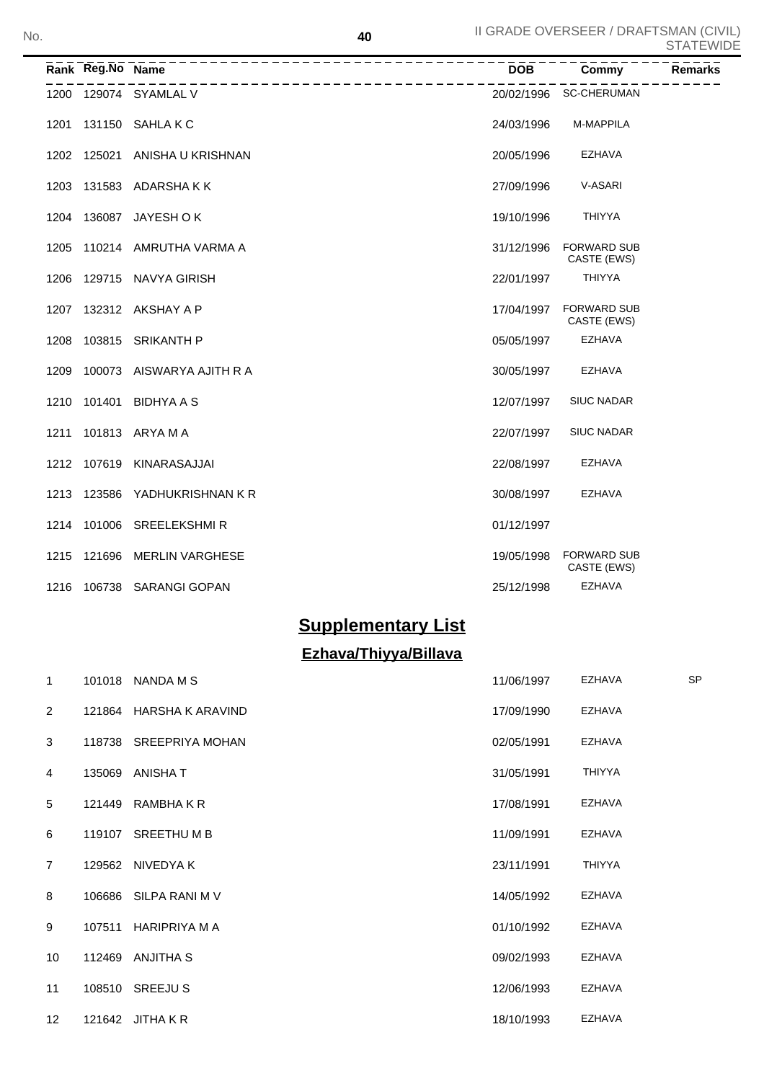|      | Rank Reg.No Name | ----------------------------------<br>________________________ | <b>DOB</b> | Commy                             | <b>Remarks</b> |
|------|------------------|----------------------------------------------------------------|------------|-----------------------------------|----------------|
|      |                  | 1200 129074 SYAMLAL V                                          |            | 20/02/1996 SC-CHERUMAN            |                |
| 1201 |                  | 131150 SAHLAKC                                                 | 24/03/1996 | M-MAPPILA                         |                |
|      |                  | 1202 125021 ANISHA U KRISHNAN                                  | 20/05/1996 | <b>EZHAVA</b>                     |                |
| 1203 |                  | 131583 ADARSHAKK                                               | 27/09/1996 | V-ASARI                           |                |
|      |                  | 1204 136087 JAYESH OK                                          | 19/10/1996 | <b>THIYYA</b>                     |                |
|      |                  | 1205 110214 AMRUTHA VARMA A                                    | 31/12/1996 | <b>FORWARD SUB</b><br>CASTE (EWS) |                |
|      |                  | 1206 129715 NAVYA GIRISH                                       | 22/01/1997 | <b>THIYYA</b>                     |                |
|      |                  | 1207 132312 AKSHAY A P                                         | 17/04/1997 | <b>FORWARD SUB</b><br>CASTE (EWS) |                |
| 1208 |                  | 103815 SRIKANTH P                                              | 05/05/1997 | <b>EZHAVA</b>                     |                |
| 1209 |                  | 100073 AISWARYA AJITH R A                                      | 30/05/1997 | <b>EZHAVA</b>                     |                |
| 1210 |                  | 101401 BIDHYA A S                                              | 12/07/1997 | <b>SIUC NADAR</b>                 |                |
| 1211 |                  | 101813 ARYA M A                                                | 22/07/1997 | <b>SIUC NADAR</b>                 |                |
|      |                  | 1212 107619 KINARASAJJAI                                       | 22/08/1997 | <b>EZHAVA</b>                     |                |
| 1213 |                  | 123586 YADHUKRISHNAN K R                                       | 30/08/1997 | <b>EZHAVA</b>                     |                |
|      |                  | 1214 101006 SREELEKSHMIR                                       | 01/12/1997 |                                   |                |
| 1215 |                  | 121696 MERLIN VARGHESE                                         | 19/05/1998 | <b>FORWARD SUB</b><br>CASTE (EWS) |                |
|      |                  | 1216 106738 SARANGI GOPAN                                      | 25/12/1998 | <b>EZHAVA</b>                     |                |

## **Supplementary List**

## **Ezhava/Thiyya/Billava**

| 1               | 101018 NANDA M S        | 11/06/1997 | <b>EZHAVA</b> | <b>SP</b> |
|-----------------|-------------------------|------------|---------------|-----------|
| 2               | 121864 HARSHA K ARAVIND | 17/09/1990 | EZHAVA        |           |
| 3               | 118738 SREEPRIYA MOHAN  | 02/05/1991 | EZHAVA        |           |
| 4               | 135069 ANISHA T         | 31/05/1991 | <b>THIYYA</b> |           |
| 5               | 121449 RAMBHAKR         | 17/08/1991 | EZHAVA        |           |
| 6               | 119107 SREETHUMB        | 11/09/1991 | <b>EZHAVA</b> |           |
| $\overline{7}$  | 129562 NIVEDYAK         | 23/11/1991 | <b>THIYYA</b> |           |
| 8               | 106686 SILPA RANI M V   | 14/05/1992 | <b>EZHAVA</b> |           |
| 9               | 107511 HARIPRIYA M A    | 01/10/1992 | EZHAVA        |           |
| 10              | 112469 ANJITHA S        | 09/02/1993 | <b>EZHAVA</b> |           |
| 11              | 108510 SREEJU S         | 12/06/1993 | <b>EZHAVA</b> |           |
| 12 <sup>2</sup> | 121642 JITHA K R        | 18/10/1993 | EZHAVA        |           |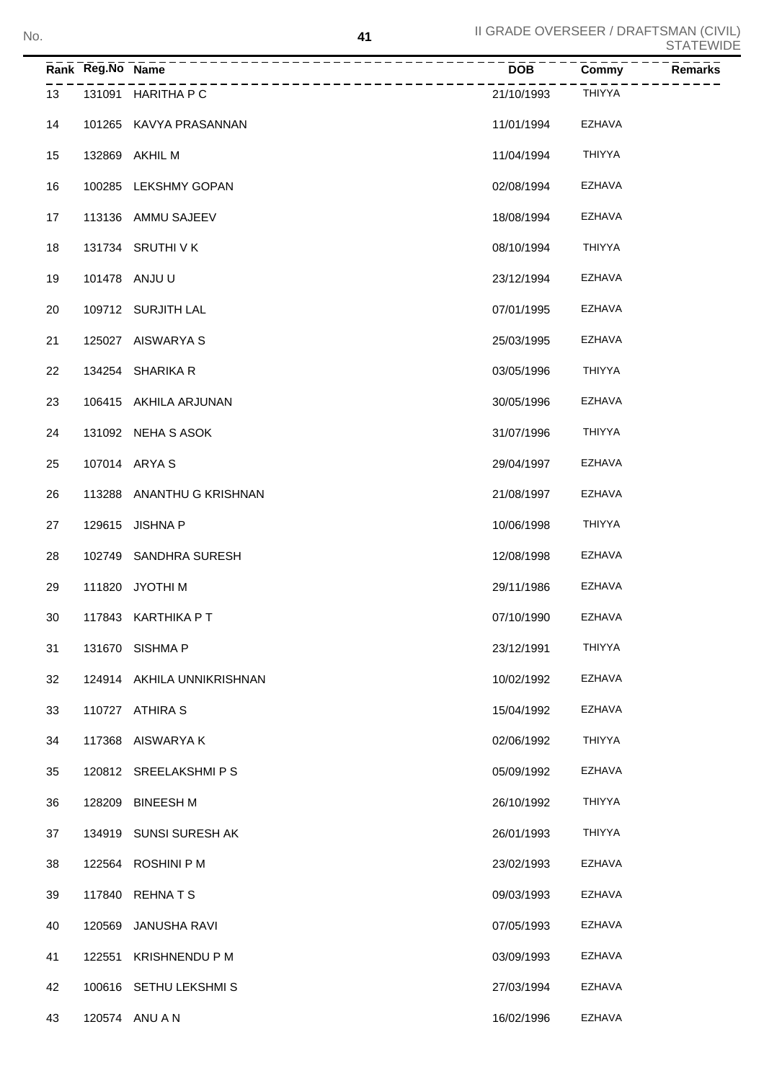|    | Rank Reg.No Name |                                     | $\overline{DOB}$ | Commy         | Remarks |
|----|------------------|-------------------------------------|------------------|---------------|---------|
| 13 |                  | -------------<br>131091 HARITHA P C | 21/10/1993       | <b>THIYYA</b> |         |
| 14 |                  | 101265 KAVYA PRASANNAN              | 11/01/1994       | EZHAVA        |         |
| 15 |                  | 132869 AKHIL M                      | 11/04/1994       | THIYYA        |         |
| 16 |                  | 100285 LEKSHMY GOPAN                | 02/08/1994       | EZHAVA        |         |
| 17 |                  | 113136 AMMU SAJEEV                  | 18/08/1994       | EZHAVA        |         |
| 18 |                  | 131734 SRUTHI V K                   | 08/10/1994       | THIYYA        |         |
| 19 |                  | 101478 ANJU U                       | 23/12/1994       | EZHAVA        |         |
| 20 |                  | 109712 SURJITH LAL                  | 07/01/1995       | EZHAVA        |         |
| 21 |                  | 125027 AISWARYA S                   | 25/03/1995       | EZHAVA        |         |
| 22 |                  | 134254 SHARIKA R                    | 03/05/1996       | THIYYA        |         |
| 23 |                  | 106415 AKHILA ARJUNAN               | 30/05/1996       | EZHAVA        |         |
| 24 |                  | 131092 NEHA S ASOK                  | 31/07/1996       | THIYYA        |         |
| 25 |                  | 107014 ARYA S                       | 29/04/1997       | EZHAVA        |         |
| 26 |                  | 113288 ANANTHU G KRISHNAN           | 21/08/1997       | EZHAVA        |         |
| 27 |                  | 129615 JISHNA P                     | 10/06/1998       | THIYYA        |         |
| 28 |                  | 102749 SANDHRA SURESH               | 12/08/1998       | EZHAVA        |         |
| 29 |                  | 111820 JYOTHI M                     | 29/11/1986       | EZHAVA        |         |
| 30 |                  | 117843 KARTHIKA PT                  | 07/10/1990       | <b>EZHAVA</b> |         |
| 31 |                  | 131670 SISHMA P                     | 23/12/1991       | THIYYA        |         |
| 32 |                  | 124914 AKHILA UNNIKRISHNAN          | 10/02/1992       | <b>EZHAVA</b> |         |
| 33 |                  | 110727 ATHIRA S                     | 15/04/1992       | EZHAVA        |         |
| 34 |                  | 117368 AISWARYA K                   | 02/06/1992       | THIYYA        |         |
| 35 |                  | 120812 SREELAKSHMIPS                | 05/09/1992       | EZHAVA        |         |
| 36 | 128209           | <b>BINEESH M</b>                    | 26/10/1992       | THIYYA        |         |
| 37 |                  | 134919 SUNSI SURESH AK              | 26/01/1993       | THIYYA        |         |
| 38 |                  | 122564 ROSHINI P M                  | 23/02/1993       | EZHAVA        |         |
| 39 |                  | 117840 REHNATS                      | 09/03/1993       | EZHAVA        |         |
| 40 | 120569           | JANUSHA RAVI                        | 07/05/1993       | EZHAVA        |         |
| 41 | 122551           | <b>KRISHNENDU P M</b>               | 03/09/1993       | EZHAVA        |         |
| 42 |                  | 100616 SETHU LEKSHMIS               | 27/03/1994       | EZHAVA        |         |
| 43 |                  | 120574 ANU A N                      | 16/02/1996       | <b>EZHAVA</b> |         |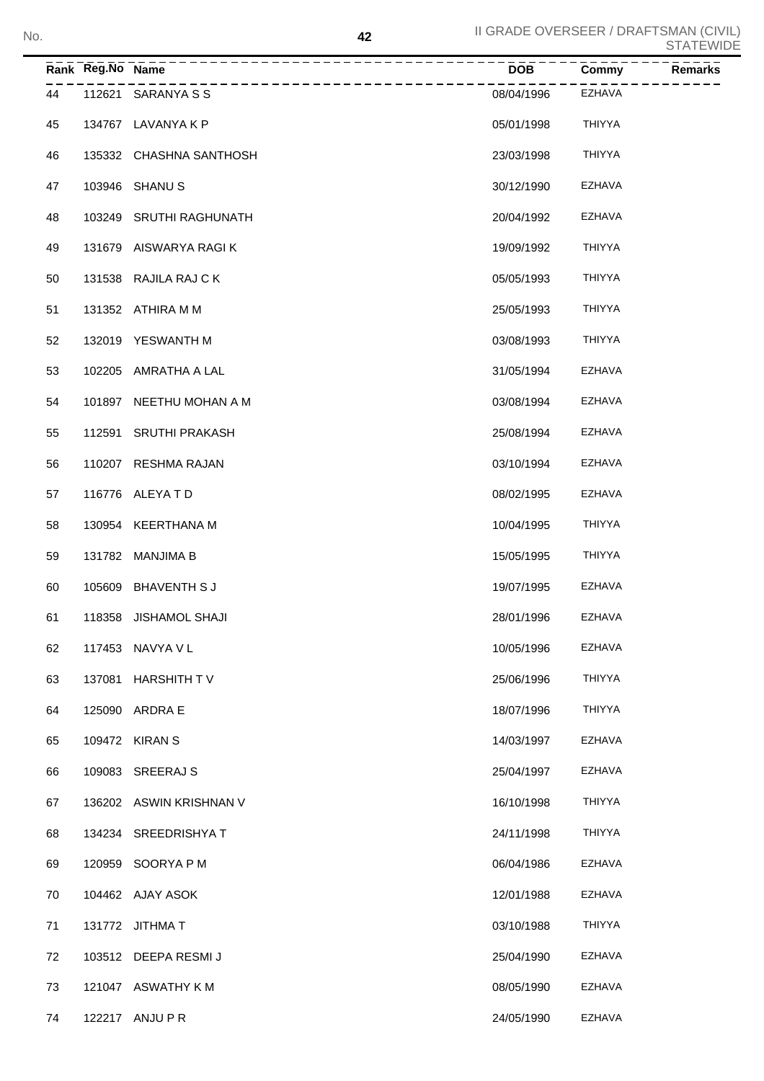## II GRADE OVERSEER / DRAFTSMAN (CIVIL)<br>STATEWIDE **Rank Reg.No Name DOB Commy Remarks** 112621 SARANYA S S 08/04/1996 EZHAVA 134767 LAVANYA K P 05/01/1998 THIYYA 135332 CHASHNA SANTHOSH 23/03/1998 THIYYA 47 103946 SHANU S 30/12/1990 EZHAVA 103249 SRUTHI RAGHUNATH 20/04/1992 EZHAVA 131679 AISWARYA RAGI K 19/09/1992 THIYYA 131538 RAJILA RAJ C K 05/05/1993 THIYYA 131352 ATHIRA M M 25/05/1993 THIYYA 132019 YESWANTH M 03/08/1993 THIYYA 102205 AMRATHA A LAL 31/05/1994 EZHAVA 54 101897 NEETHU MOHAN A M 03/08/1994 EZHAVA 112591 SRUTHI PRAKASH 25/08/1994 EZHAVA 110207 RESHMA RAJAN 03/10/1994 EZHAVA 116776 ALEYA T D 08/02/1995 EZHAVA 130954 KEERTHANA M 10/04/1995 THIYYA 131782 MANJIMA B 15/05/1995 THIYYA 105609 BHAVENTH S J 19/07/1995 EZHAVA 118358 JISHAMOL SHAJI 28/01/1996 EZHAVA 62 117453 NAVYA V L 10/05/1996 EZHAVA 137081 HARSHITH T V 25/06/1996 THIYYA 64 125090 ARDRA E 18/07/1996 THIYYA 65 109472 KIRAN S 14/03/1997 EZHAVA 109083 SREERAJ S 25/04/1997 EZHAVA

| 68 | 134234 SREEDRISHYA T | 24/11/1998 | <b>THIYYA</b> |
|----|----------------------|------------|---------------|
|    |                      |            |               |

67 136202 ASWIN KRISHNAN V 16/10/1998 THIYYA

120959 SOORYA P M 06/04/1986 EZHAVA

104462 AJAY ASOK 12/01/1988 EZHAVA

131772 JITHMA T 03/10/1988 THIYYA

103512 DEEPA RESMI J 25/04/1990 EZHAVA

121047 ASWATHY K M 08/05/1990 EZHAVA

122217 ANJU P R 24/05/1990 EZHAVA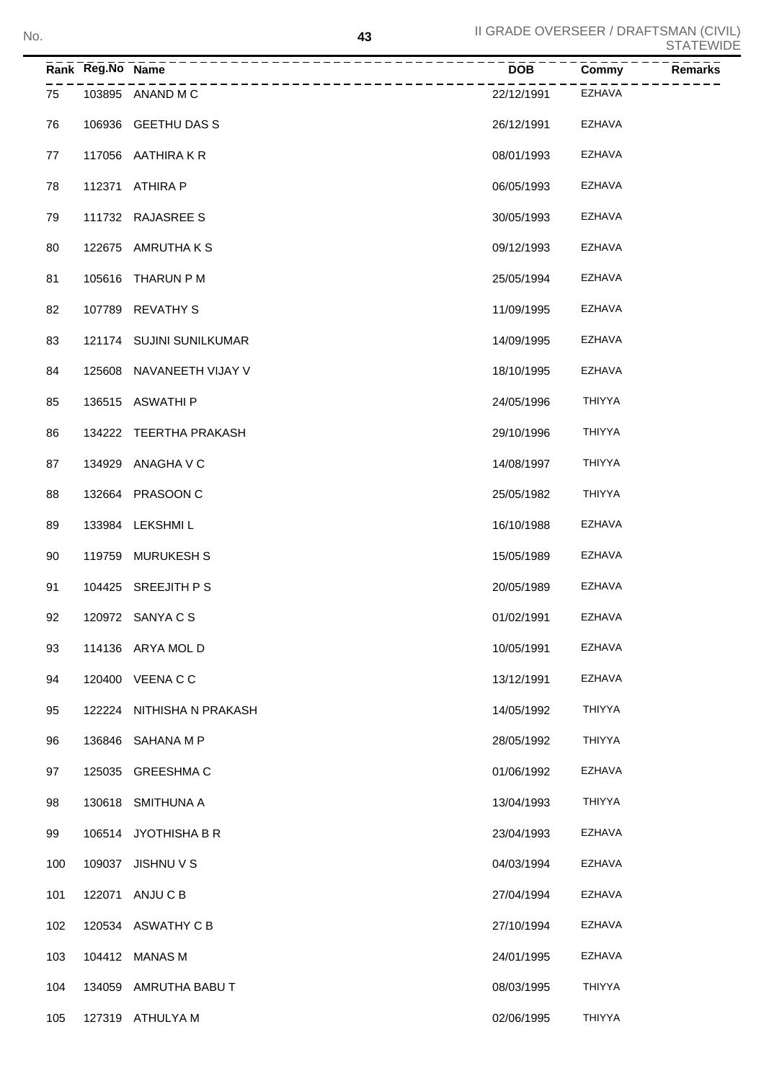|     | Rank Reg.No Name | _________________________<br>__________________________ | <b>DOB</b> | Commy<br><b>Remarks</b> |
|-----|------------------|---------------------------------------------------------|------------|-------------------------|
| 75  |                  | 103895 ANAND M C                                        | 22/12/1991 | EZHAVA                  |
| 76  |                  | 106936 GEETHU DAS S                                     | 26/12/1991 | EZHAVA                  |
| 77  |                  | 117056 AATHIRAKR                                        | 08/01/1993 | EZHAVA                  |
| 78  |                  | 112371 ATHIRA P                                         | 06/05/1993 | EZHAVA                  |
| 79  |                  | 111732 RAJASREE S                                       | 30/05/1993 | EZHAVA                  |
| 80  |                  | 122675 AMRUTHA K S                                      | 09/12/1993 | EZHAVA                  |
| 81  |                  | 105616 THARUN P M                                       | 25/05/1994 | EZHAVA                  |
| 82  |                  | 107789 REVATHY S                                        | 11/09/1995 | EZHAVA                  |
| 83  |                  | 121174 SUJINI SUNILKUMAR                                | 14/09/1995 | EZHAVA                  |
| 84  |                  | 125608 NAVANEETH VIJAY V                                | 18/10/1995 | EZHAVA                  |
| 85  |                  | 136515 ASWATHI P                                        | 24/05/1996 | <b>THIYYA</b>           |
| 86  |                  | 134222 TEERTHA PRAKASH                                  | 29/10/1996 | <b>THIYYA</b>           |
| 87  |                  | 134929 ANAGHA V C                                       | 14/08/1997 | <b>THIYYA</b>           |
| 88  |                  | 132664 PRASOON C                                        | 25/05/1982 | <b>THIYYA</b>           |
| 89  |                  | 133984 LEKSHMI L                                        | 16/10/1988 | EZHAVA                  |
| 90  |                  | 119759 MURUKESH S                                       | 15/05/1989 | <b>EZHAVA</b>           |
| 91  |                  | 104425 SREEJITH PS                                      | 20/05/1989 | EZHAVA                  |
| 92  |                  | 120972 SANYA C S                                        | 01/02/1991 | <b>EZHAVA</b>           |
| 93  |                  | 114136 ARYA MOL D                                       | 10/05/1991 | EZHAVA                  |
| 94  |                  | 120400 VEENA C C                                        | 13/12/1991 | EZHAVA                  |
| 95  |                  | 122224 NITHISHA N PRAKASH                               | 14/05/1992 | <b>THIYYA</b>           |
| 96  |                  | 136846 SAHANA M P                                       | 28/05/1992 | THIYYA                  |
| 97  |                  | 125035 GREESHMAC                                        | 01/06/1992 | EZHAVA                  |
| 98  |                  | 130618 SMITHUNA A                                       | 13/04/1993 | <b>THIYYA</b>           |
| 99  |                  | 106514 JYOTHISHA B R                                    | 23/04/1993 | EZHAVA                  |
| 100 |                  | 109037 JISHNU V S                                       | 04/03/1994 | EZHAVA                  |
| 101 |                  | 122071 ANJU C B                                         | 27/04/1994 | EZHAVA                  |
| 102 |                  | 120534 ASWATHY C B                                      | 27/10/1994 | EZHAVA                  |
| 103 |                  | 104412 MANAS M                                          | 24/01/1995 | EZHAVA                  |
| 104 |                  | 134059 AMRUTHA BABU T                                   | 08/03/1995 | THIYYA                  |
| 105 |                  | 127319 ATHULYA M                                        | 02/06/1995 | THIYYA                  |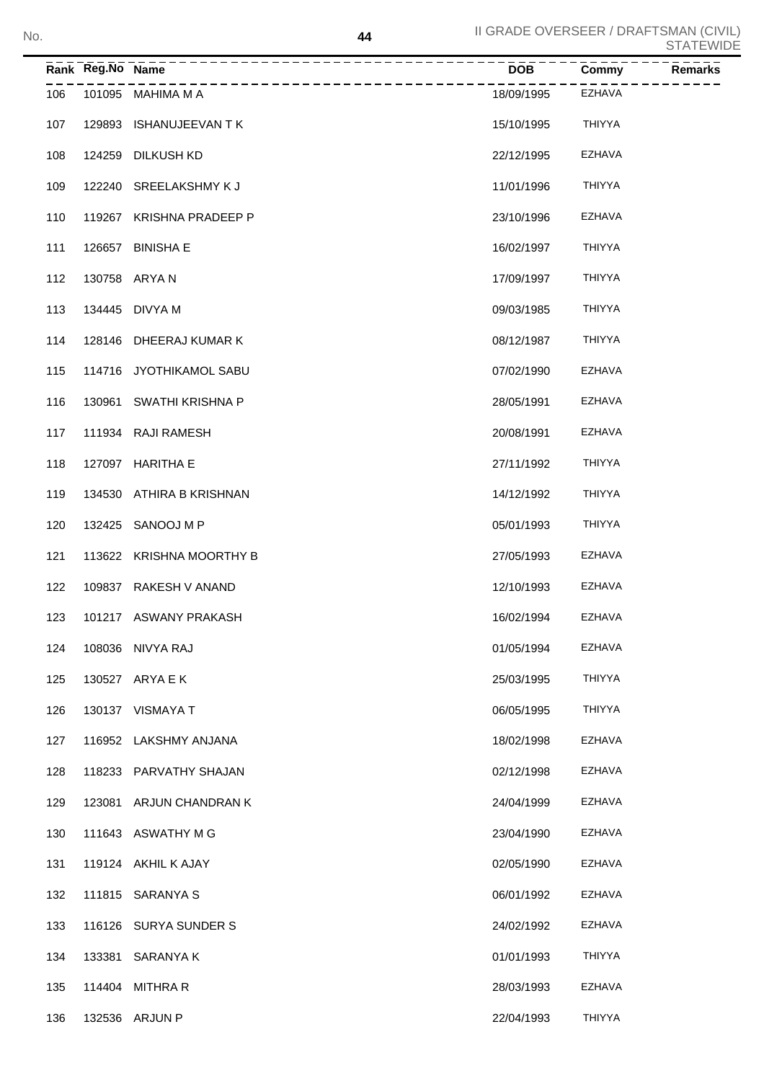|     | Rank Reg.No Name |                                                   | <b>DOB</b> | Commy         | Remarks |
|-----|------------------|---------------------------------------------------|------------|---------------|---------|
| 106 |                  | ____________________________<br>101095 MAHIMA M A | 18/09/1995 | EZHAVA        |         |
| 107 |                  | 129893 ISHANUJEEVAN TK                            | 15/10/1995 | THIYYA        |         |
| 108 |                  | 124259 DILKUSH KD                                 | 22/12/1995 | EZHAVA        |         |
| 109 |                  | 122240 SREELAKSHMY K J                            | 11/01/1996 | THIYYA        |         |
| 110 |                  | 119267 KRISHNA PRADEEP P                          | 23/10/1996 | <b>EZHAVA</b> |         |
| 111 |                  | 126657 BINISHA E                                  | 16/02/1997 | THIYYA        |         |
| 112 |                  | 130758 ARYA N                                     | 17/09/1997 | THIYYA        |         |
| 113 |                  | 134445 DIVYA M                                    | 09/03/1985 | THIYYA        |         |
| 114 |                  | 128146 DHEERAJ KUMAR K                            | 08/12/1987 | THIYYA        |         |
| 115 |                  | 114716 JYOTHIKAMOL SABU                           | 07/02/1990 | EZHAVA        |         |
| 116 |                  | 130961 SWATHI KRISHNA P                           | 28/05/1991 | EZHAVA        |         |
| 117 |                  | 111934 RAJI RAMESH                                | 20/08/1991 | <b>EZHAVA</b> |         |
| 118 |                  | 127097 HARITHA E                                  | 27/11/1992 | THIYYA        |         |
| 119 |                  | 134530 ATHIRA B KRISHNAN                          | 14/12/1992 | THIYYA        |         |
| 120 |                  | 132425 SANOOJ M P                                 | 05/01/1993 | THIYYA        |         |
| 121 |                  | 113622 KRISHNA MOORTHY B                          | 27/05/1993 | EZHAVA        |         |
| 122 |                  | 109837 RAKESH V ANAND                             | 12/10/1993 | EZHAVA        |         |
| 123 |                  | 101217 ASWANY PRAKASH                             | 16/02/1994 | EZHAVA        |         |
| 124 |                  | 108036 NIVYA RAJ                                  | 01/05/1994 | <b>EZHAVA</b> |         |
| 125 |                  | 130527 ARYA E K                                   | 25/03/1995 | <b>THIYYA</b> |         |
| 126 |                  | 130137 VISMAYA T                                  | 06/05/1995 | <b>THIYYA</b> |         |
| 127 |                  | 116952 LAKSHMY ANJANA                             | 18/02/1998 | <b>EZHAVA</b> |         |
| 128 |                  | 118233 PARVATHY SHAJAN                            | 02/12/1998 | <b>EZHAVA</b> |         |
| 129 |                  | 123081 ARJUN CHANDRAN K                           | 24/04/1999 | <b>EZHAVA</b> |         |
| 130 |                  | 111643 ASWATHY M G                                | 23/04/1990 | <b>EZHAVA</b> |         |
| 131 |                  | 119124 AKHIL K AJAY                               | 02/05/1990 | <b>EZHAVA</b> |         |
| 132 |                  | 111815 SARANYA S                                  | 06/01/1992 | <b>EZHAVA</b> |         |
| 133 |                  | 116126 SURYA SUNDER S                             | 24/02/1992 | <b>EZHAVA</b> |         |
| 134 |                  | 133381 SARANYA K                                  | 01/01/1993 | <b>THIYYA</b> |         |
| 135 |                  | 114404 MITHRAR                                    | 28/03/1993 | <b>EZHAVA</b> |         |
| 136 |                  | 132536 ARJUN P                                    | 22/04/1993 | THIYYA        |         |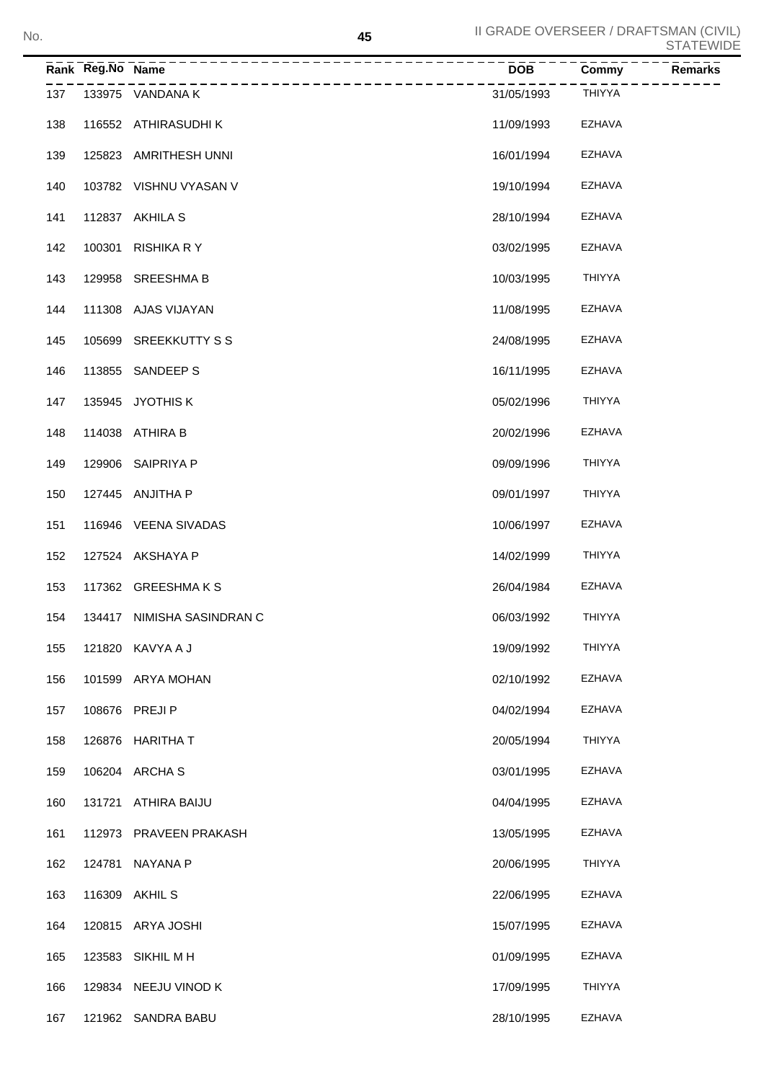|     | Rank Reg.No Name | --------                   | <b>DOB</b> | <b>Remarks</b><br><b>Commy</b> |
|-----|------------------|----------------------------|------------|--------------------------------|
| 137 |                  | 133975 VANDANA K           | 31/05/1993 | <b>THIYYA</b>                  |
| 138 |                  | 116552 ATHIRASUDHI K       | 11/09/1993 | EZHAVA                         |
| 139 |                  | 125823 AMRITHESH UNNI      | 16/01/1994 | EZHAVA                         |
| 140 |                  | 103782 VISHNU VYASAN V     | 19/10/1994 | EZHAVA                         |
| 141 |                  | 112837 AKHILA S            | 28/10/1994 | EZHAVA                         |
| 142 |                  | 100301 RISHIKA R Y         | 03/02/1995 | EZHAVA                         |
| 143 |                  | 129958 SREESHMA B          | 10/03/1995 | <b>THIYYA</b>                  |
| 144 |                  | 111308 AJAS VIJAYAN        | 11/08/1995 | <b>EZHAVA</b>                  |
| 145 |                  | 105699 SREEKKUTTY S S      | 24/08/1995 | EZHAVA                         |
| 146 |                  | 113855 SANDEEP S           | 16/11/1995 | EZHAVA                         |
| 147 |                  | 135945 JYOTHIS K           | 05/02/1996 | <b>THIYYA</b>                  |
| 148 |                  | 114038 ATHIRA B            | 20/02/1996 | EZHAVA                         |
| 149 |                  | 129906 SAIPRIYA P          | 09/09/1996 | <b>THIYYA</b>                  |
| 150 |                  | 127445 ANJITHA P           | 09/01/1997 | <b>THIYYA</b>                  |
| 151 |                  | 116946 VEENA SIVADAS       | 10/06/1997 | EZHAVA                         |
| 152 |                  | 127524 AKSHAYA P           | 14/02/1999 | <b>THIYYA</b>                  |
| 153 |                  | 117362 GREESHMAKS          | 26/04/1984 | EZHAVA                         |
| 154 |                  | 134417 NIMISHA SASINDRAN C | 06/03/1992 | <b>THIYYA</b>                  |
| 155 |                  | 121820 KAVYA A J           | 19/09/1992 | <b>THIYYA</b>                  |
| 156 |                  | 101599 ARYA MOHAN          | 02/10/1992 | EZHAVA                         |
| 157 |                  | 108676 PREJI P             | 04/02/1994 | <b>EZHAVA</b>                  |
| 158 |                  | 126876 HARITHA T           | 20/05/1994 | <b>THIYYA</b>                  |
| 159 |                  | 106204 ARCHA S             | 03/01/1995 | <b>EZHAVA</b>                  |
| 160 | 131721           | ATHIRA BAIJU               | 04/04/1995 | <b>EZHAVA</b>                  |
| 161 |                  | 112973 PRAVEEN PRAKASH     | 13/05/1995 | <b>EZHAVA</b>                  |
| 162 | 124781           | NAYANA P                   | 20/06/1995 | <b>THIYYA</b>                  |
| 163 |                  | 116309 AKHIL S             | 22/06/1995 | <b>EZHAVA</b>                  |
| 164 |                  | 120815 ARYA JOSHI          | 15/07/1995 | <b>EZHAVA</b>                  |
| 165 | 123583           | SIKHIL M H                 | 01/09/1995 | <b>EZHAVA</b>                  |
| 166 |                  | 129834 NEEJU VINOD K       | 17/09/1995 | <b>THIYYA</b>                  |
| 167 |                  | 121962 SANDRA BABU         | 28/10/1995 | EZHAVA                         |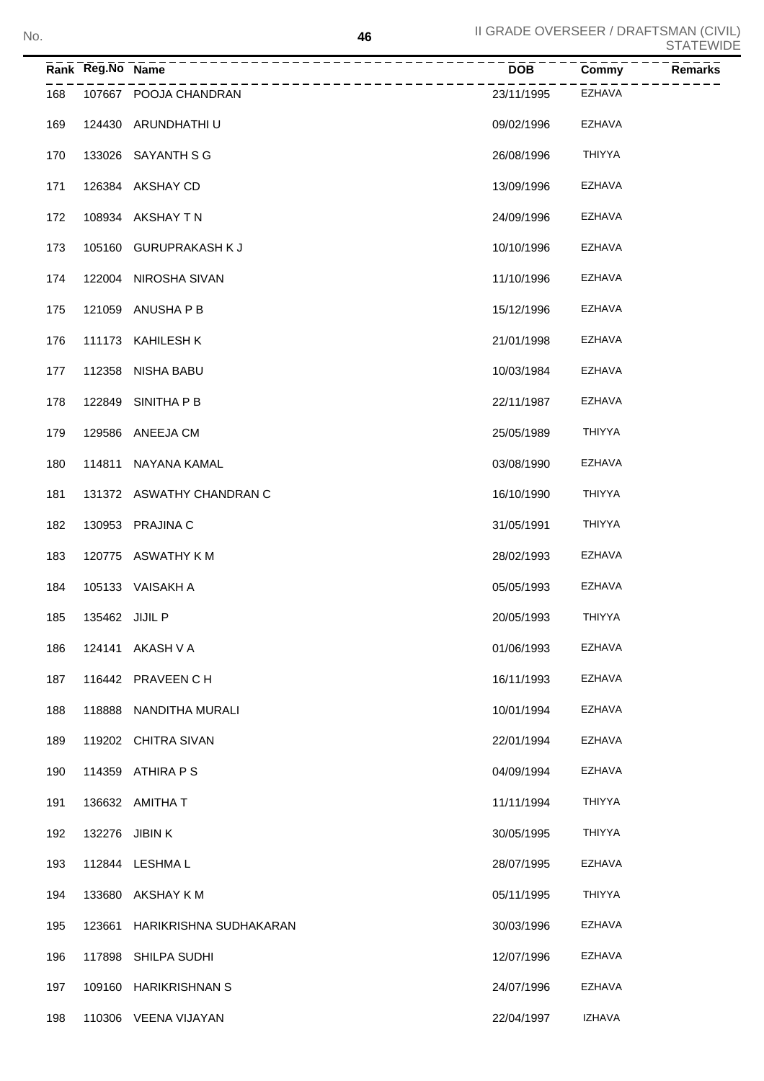|     | Rank Reg.No Name |                           | <b>DOB</b> | Commy         | <b>Remarks</b> |
|-----|------------------|---------------------------|------------|---------------|----------------|
| 168 |                  | 107667 POOJA CHANDRAN     | 23/11/1995 | EZHAVA        |                |
| 169 |                  | 124430 ARUNDHATHI U       | 09/02/1996 | EZHAVA        |                |
| 170 |                  | 133026 SAYANTH S G        | 26/08/1996 | <b>THIYYA</b> |                |
| 171 |                  | 126384 AKSHAY CD          | 13/09/1996 | EZHAVA        |                |
| 172 |                  | 108934 AKSHAY TN          | 24/09/1996 | EZHAVA        |                |
| 173 |                  | 105160 GURUPRAKASH K J    | 10/10/1996 | EZHAVA        |                |
| 174 |                  | 122004 NIROSHA SIVAN      | 11/10/1996 | EZHAVA        |                |
| 175 |                  | 121059 ANUSHA P B         | 15/12/1996 | EZHAVA        |                |
| 176 |                  | 111173 KAHILESH K         | 21/01/1998 | EZHAVA        |                |
| 177 |                  | 112358 NISHA BABU         | 10/03/1984 | EZHAVA        |                |
| 178 |                  | 122849 SINITHA P B        | 22/11/1987 | EZHAVA        |                |
| 179 |                  | 129586 ANEEJA CM          | 25/05/1989 | <b>THIYYA</b> |                |
| 180 |                  | 114811 NAYANA KAMAL       | 03/08/1990 | <b>EZHAVA</b> |                |
| 181 |                  | 131372 ASWATHY CHANDRAN C | 16/10/1990 | <b>THIYYA</b> |                |
| 182 |                  | 130953 PRAJINA C          | 31/05/1991 | <b>THIYYA</b> |                |
| 183 |                  | 120775 ASWATHY K M        | 28/02/1993 | <b>EZHAVA</b> |                |
| 184 |                  | 105133 VAISAKH A          | 05/05/1993 | EZHAVA        |                |
| 185 | 135462 JIJIL P   |                           | 20/05/1993 | <b>THIYYA</b> |                |
| 186 |                  | 124141 AKASH V A          | 01/06/1993 | <b>EZHAVA</b> |                |
| 187 |                  | 116442 PRAVEEN CH         | 16/11/1993 | EZHAVA        |                |
| 188 | 118888           | NANDITHA MURALI           | 10/01/1994 | EZHAVA        |                |
| 189 |                  | 119202 CHITRA SIVAN       | 22/01/1994 | EZHAVA        |                |
| 190 |                  | 114359 ATHIRA P S         | 04/09/1994 | EZHAVA        |                |
| 191 |                  | 136632 AMITHA T           | 11/11/1994 | <b>THIYYA</b> |                |
| 192 |                  | 132276 JIBIN K            | 30/05/1995 | <b>THIYYA</b> |                |
| 193 |                  | 112844 LESHMA L           | 28/07/1995 | EZHAVA        |                |
| 194 | 133680           | AKSHAY K M                | 05/11/1995 | <b>THIYYA</b> |                |
| 195 | 123661           | HARIKRISHNA SUDHAKARAN    | 30/03/1996 | EZHAVA        |                |
| 196 | 117898           | SHILPA SUDHI              | 12/07/1996 | <b>EZHAVA</b> |                |
| 197 |                  | 109160 HARIKRISHNAN S     | 24/07/1996 | EZHAVA        |                |
| 198 |                  | 110306 VEENA VIJAYAN      | 22/04/1997 | <b>IZHAVA</b> |                |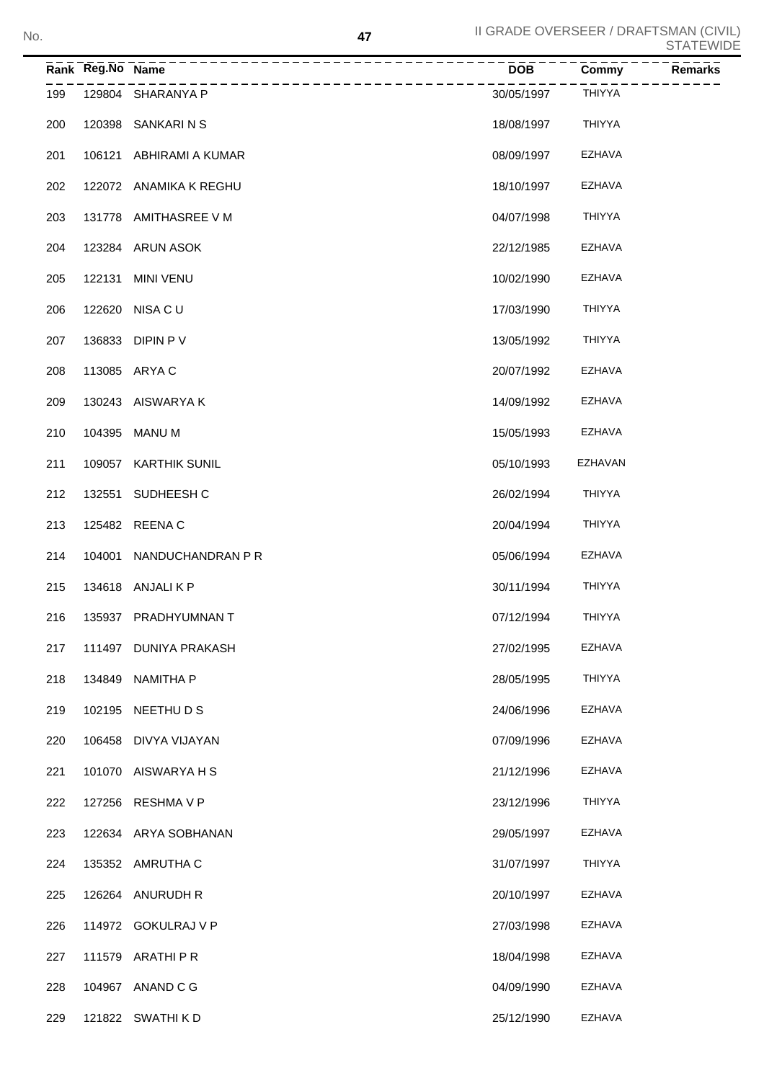| No. |               |                  |                        | 47 | II GRADE OVERSEER / DRAFTSMAN (CIVIL) |               | <b>STATEWIDE</b> |
|-----|---------------|------------------|------------------------|----|---------------------------------------|---------------|------------------|
|     |               | Rank Reg.No Name |                        |    | <b>DOB</b>                            | Commy         | <b>Remarks</b>   |
|     | 199           |                  | 129804 SHARANYA P      |    | 30/05/1997                            | <b>THIYYA</b> |                  |
|     | 200           | 120398           | SANKARI N S            |    | 18/08/1997                            | <b>THIYYA</b> |                  |
|     | 201           | 106121           | ABHIRAMI A KUMAR       |    | 08/09/1997                            | EZHAVA        |                  |
|     | 202           |                  | 122072 ANAMIKA K REGHU |    | 18/10/1997                            | EZHAVA        |                  |
|     | $\sim$ $\sim$ |                  | $101770$ $11711000$    |    | 0.10711000                            | T11117777     |                  |

| 201 |        | 106121 ABHIRAMI A KUMAR  | 08/09/1997 | EZHAVA        |
|-----|--------|--------------------------|------------|---------------|
| 202 |        | 122072 ANAMIKA K REGHU   | 18/10/1997 | EZHAVA        |
| 203 |        | 131778 AMITHASREE V M    | 04/07/1998 | <b>THIYYA</b> |
| 204 |        | 123284 ARUN ASOK         | 22/12/1985 | EZHAVA        |
| 205 | 122131 | <b>MINI VENU</b>         | 10/02/1990 | EZHAVA        |
| 206 |        | 122620 NISA C U          | 17/03/1990 | <b>THIYYA</b> |
| 207 |        | 136833 DIPIN P V         | 13/05/1992 | <b>THIYYA</b> |
| 208 |        | 113085 ARYA C            | 20/07/1992 | EZHAVA        |
| 209 |        | 130243 AISWARYA K        | 14/09/1992 | EZHAVA        |
| 210 |        | 104395 MANU M            | 15/05/1993 | EZHAVA        |
| 211 |        | 109057 KARTHIK SUNIL     | 05/10/1993 | EZHAVAN       |
| 212 | 132551 | SUDHEESH C               | 26/02/1994 | <b>THIYYA</b> |
| 213 |        | 125482 REENA C           | 20/04/1994 | <b>THIYYA</b> |
| 214 |        | 104001 NANDUCHANDRAN P R | 05/06/1994 | EZHAVA        |
| 215 |        | 134618 ANJALIKP          | 30/11/1994 | <b>THIYYA</b> |
| 216 |        | 135937 PRADHYUMNAN T     | 07/12/1994 | <b>THIYYA</b> |
| 217 |        | 111497 DUNIYA PRAKASH    | 27/02/1995 | <b>EZHAVA</b> |
| 218 |        | 134849 NAMITHA P         | 28/05/1995 | <b>THIYYA</b> |
| 219 |        | 102195 NEETHU D S        | 24/06/1996 | <b>EZHAVA</b> |
| 220 |        | 106458 DIVYA VIJAYAN     | 07/09/1996 | <b>EZHAVA</b> |
| 221 | 101070 | AISWARYA H S             | 21/12/1996 | <b>EZHAVA</b> |
| 222 | 127256 | <b>RESHMAVP</b>          | 23/12/1996 | THIYYA        |
| 223 | 122634 | ARYA SOBHANAN            | 29/05/1997 | EZHAVA        |
| 224 | 135352 | AMRUTHA C                | 31/07/1997 | <b>THIYYA</b> |
| 225 | 126264 | ANURUDH R                | 20/10/1997 | EZHAVA        |
| 226 | 114972 | <b>GOKULRAJ V P</b>      | 27/03/1998 | EZHAVA        |
| 227 | 111579 | ARATHI P R               | 18/04/1998 | EZHAVA        |
| 228 | 104967 | ANAND C G                | 04/09/1990 | EZHAVA        |
| 229 |        | 121822 SWATHI K D        | 25/12/1990 | EZHAVA        |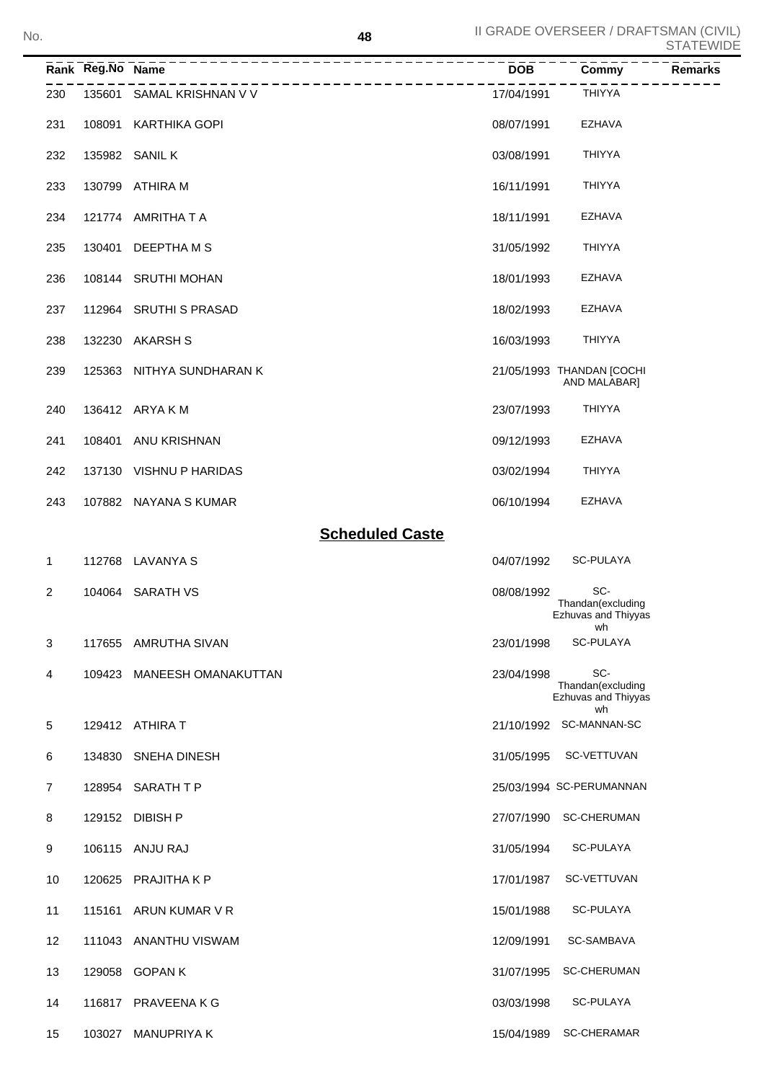| No. |                | 48                         |            | II GRADE OVERSEER / DRAFTSMAN (CIVIL)                 | <b>STATEWIDE</b> |
|-----|----------------|----------------------------|------------|-------------------------------------------------------|------------------|
|     |                | ___________________        | <b>DOB</b> | Commy                                                 | $R$ emarks       |
|     | 230            | 135601 SAMAL KRISHNAN V V  | 17/04/1991 | <b>THIYYA</b>                                         |                  |
|     | 231            | 108091 KARTHIKA GOPI       | 08/07/1991 | <b>EZHAVA</b>                                         |                  |
|     | 232            | 135982 SANIL K             | 03/08/1991 | <b>THIYYA</b>                                         |                  |
|     | 233            | 130799 ATHIRA M            | 16/11/1991 | <b>THIYYA</b>                                         |                  |
|     | 234            | 121774 AMRITHATA           | 18/11/1991 | <b>EZHAVA</b>                                         |                  |
|     | 235            | 130401 DEEPTHA M S         | 31/05/1992 | <b>THIYYA</b>                                         |                  |
|     | 236            | 108144 SRUTHI MOHAN        | 18/01/1993 | <b>EZHAVA</b>                                         |                  |
|     | 237            | 112964 SRUTHI S PRASAD     | 18/02/1993 | <b>EZHAVA</b>                                         |                  |
|     | 238            | 132230 AKARSH S            | 16/03/1993 | <b>THIYYA</b>                                         |                  |
|     | 239            | 125363 NITHYA SUNDHARAN K  |            | 21/05/1993 THANDAN [COCHI<br>AND MALABAR]             |                  |
|     | 240            | 136412 ARYA K M            | 23/07/1993 | <b>THIYYA</b>                                         |                  |
|     | 241            | 108401 ANU KRISHNAN        | 09/12/1993 | <b>EZHAVA</b>                                         |                  |
|     | 242            | 137130 VISHNU P HARIDAS    | 03/02/1994 | <b>THIYYA</b>                                         |                  |
|     | 243            | 107882 NAYANA S KUMAR      | 06/10/1994 | <b>EZHAVA</b>                                         |                  |
|     |                | <b>Scheduled Caste</b>     |            |                                                       |                  |
|     | 1              | 112768 LAVANYA S           | 04/07/1992 | SC-PULAYA                                             |                  |
|     | $\overline{2}$ | 104064 SARATH VS           | 08/08/1992 | SC-<br>Thandan(excluding<br>Ezhuvas and Thiyyas<br>wh |                  |
|     | 3              | 117655 AMRUTHA SIVAN       | 23/01/1998 | <b>SC-PULAYA</b>                                      |                  |
|     | 4              | 109423 MANEESH OMANAKUTTAN | 23/04/1998 | SC-<br>Thandan(excluding<br>Ezhuvas and Thiyyas<br>wh |                  |
|     | 5              | 129412 ATHIRA T            |            | 21/10/1992 SC-MANNAN-SC                               |                  |
|     | 6              | 134830 SNEHA DINESH        |            | 31/05/1995 SC-VETTUVAN                                |                  |
|     | $\overline{7}$ | 128954 SARATH T P          |            | 25/03/1994 SC-PERUMANNAN                              |                  |
|     | 8              | 129152 DIBISH P            |            | 27/07/1990 SC-CHERUMAN                                |                  |
|     | 9              | 106115 ANJU RAJ            | 31/05/1994 | SC-PULAYA                                             |                  |
|     | 10             | 120625 PRAJITHA K P        | 17/01/1987 | SC-VETTUVAN                                           |                  |
|     | 11             | 115161 ARUN KUMAR V R      | 15/01/1988 | <b>SC-PULAYA</b>                                      |                  |
|     | 12             | 111043 ANANTHU VISWAM      | 12/09/1991 | SC-SAMBAVA                                            |                  |
|     | 13             | 129058 GOPAN K             |            | 31/07/1995 SC-CHERUMAN                                |                  |
|     | 14             | 116817 PRAVEENA K G        | 03/03/1998 | SC-PULAYA                                             |                  |
|     | 15             | 103027 MANUPRIYA K         |            | 15/04/1989 SC-CHERAMAR                                |                  |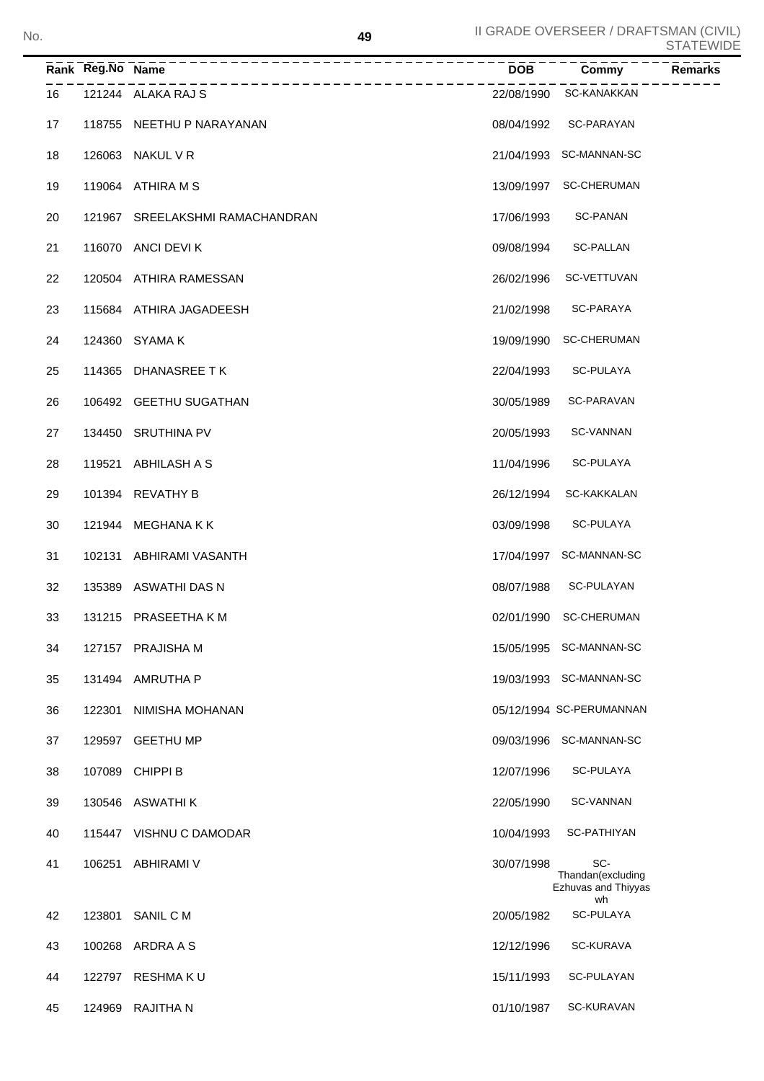|    | Rank Reg.No Name | _____________________________________     | $\overline{DOB}$ | <b>Commy</b>                                    | <b>Remarks</b> |
|----|------------------|-------------------------------------------|------------------|-------------------------------------------------|----------------|
| 16 |                  | ___________________<br>121244 ALAKA RAJ S |                  | 22/08/1990 SC-KANAKKAN                          |                |
| 17 |                  | 118755 NEETHU P NARAYANAN                 |                  | 08/04/1992 SC-PARAYAN                           |                |
| 18 |                  | 126063 NAKUL V R                          |                  | 21/04/1993 SC-MANNAN-SC                         |                |
| 19 |                  | 119064 ATHIRA M S                         |                  | 13/09/1997 SC-CHERUMAN                          |                |
| 20 |                  | 121967 SREELAKSHMI RAMACHANDRAN           |                  | 17/06/1993 SC-PANAN                             |                |
| 21 |                  | 116070 ANCI DEVI K                        |                  | 09/08/1994 SC-PALLAN                            |                |
| 22 |                  | 120504 ATHIRA RAMESSAN                    | 26/02/1996       | SC-VETTUVAN                                     |                |
| 23 |                  | 115684 ATHIRA JAGADEESH                   | 21/02/1998       | SC-PARAYA                                       |                |
| 24 |                  | 124360 SYAMA K                            |                  | 19/09/1990 SC-CHERUMAN                          |                |
| 25 |                  | 114365 DHANASREE TK                       | 22/04/1993       | SC-PULAYA                                       |                |
| 26 |                  | 106492 GEETHU SUGATHAN                    | 30/05/1989       | SC-PARAVAN                                      |                |
| 27 |                  | 134450 SRUTHINA PV                        | 20/05/1993       | SC-VANNAN                                       |                |
| 28 |                  | 119521 ABHILASH A S                       | 11/04/1996       | SC-PULAYA                                       |                |
| 29 |                  | 101394 REVATHY B                          | 26/12/1994       | SC-KAKKALAN                                     |                |
| 30 |                  | 121944 MEGHANA KK                         | 03/09/1998       | SC-PULAYA                                       |                |
| 31 |                  | 102131 ABHIRAMI VASANTH                   |                  | 17/04/1997 SC-MANNAN-SC                         |                |
| 32 |                  | 135389 ASWATHI DAS N                      | 08/07/1988       | SC-PULAYAN                                      |                |
| 33 |                  | 131215 PRASEETHA K M                      |                  | 02/01/1990 SC-CHERUMAN                          |                |
| 34 |                  | 127157 PRAJISHA M                         |                  | 15/05/1995 SC-MANNAN-SC                         |                |
| 35 | 131494           | AMRUTHA P                                 |                  | 19/03/1993 SC-MANNAN-SC                         |                |
| 36 | 122301           | NIMISHA MOHANAN                           |                  | 05/12/1994 SC-PERUMANNAN                        |                |
| 37 | 129597           | <b>GEETHU MP</b>                          |                  | 09/03/1996 SC-MANNAN-SC                         |                |
| 38 | 107089           | CHIPPI B                                  | 12/07/1996       | SC-PULAYA                                       |                |
| 39 |                  | 130546 ASWATHI K                          | 22/05/1990       | <b>SC-VANNAN</b>                                |                |
| 40 | 115447           | VISHNU C DAMODAR                          | 10/04/1993       | <b>SC-PATHIYAN</b>                              |                |
| 41 | 106251           | ABHIRAMI V                                | 30/07/1998       | SC-<br>Thandan(excluding<br>Ezhuvas and Thiyyas |                |
| 42 | 123801           | SANIL C M                                 | 20/05/1982       | wh<br><b>SC-PULAYA</b>                          |                |
| 43 |                  | 100268 ARDRA A S                          | 12/12/1996       | <b>SC-KURAVA</b>                                |                |
| 44 |                  | 122797 RESHMA K U                         | 15/11/1993       | SC-PULAYAN                                      |                |
| 45 |                  | 124969 RAJITHA N                          | 01/10/1987       | SC-KURAVAN                                      |                |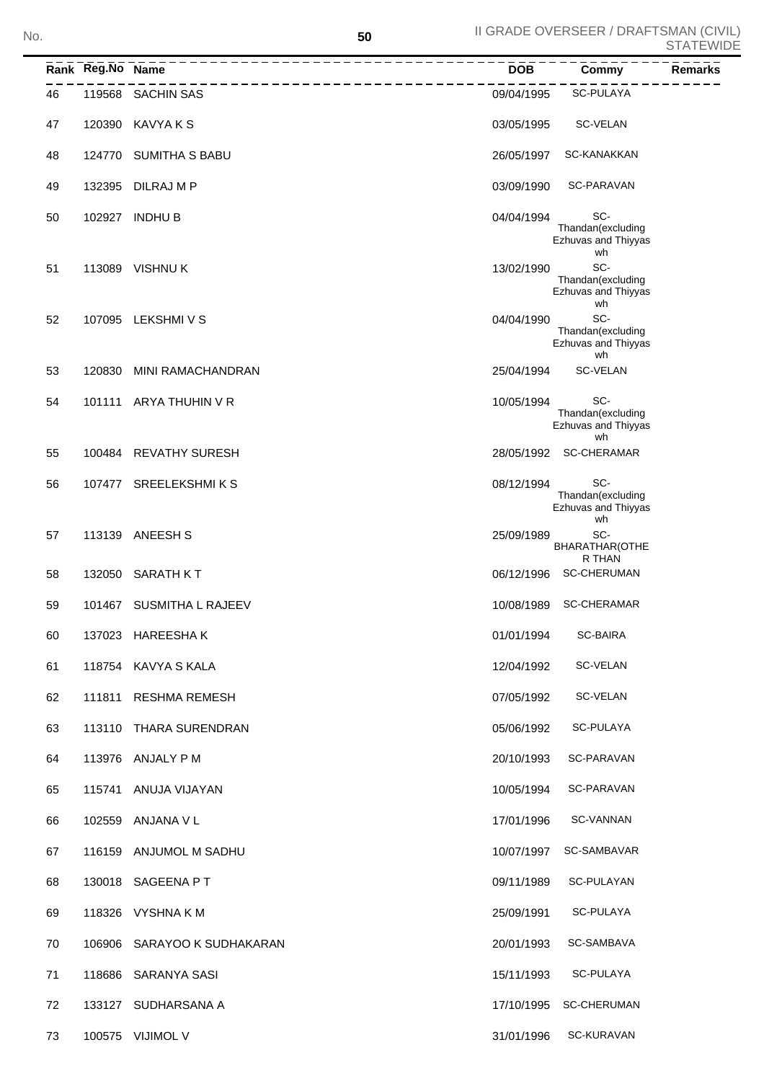|    | Rank Reg.No Name |                             | <b>DOB</b> | Commy                                                 | <b>Remarks</b> |
|----|------------------|-----------------------------|------------|-------------------------------------------------------|----------------|
| 46 |                  | 119568 SACHIN SAS           | 09/04/1995 | <b>SC-PULAYA</b>                                      |                |
| 47 |                  | 120390 KAVYA K S            | 03/05/1995 | SC-VELAN                                              |                |
| 48 | 124770           | <b>SUMITHA S BABU</b>       | 26/05/1997 | <b>SC-KANAKKAN</b>                                    |                |
| 49 |                  | 132395 DILRAJ M P           | 03/09/1990 | SC-PARAVAN                                            |                |
| 50 |                  | 102927 INDHU B              | 04/04/1994 | SC-<br>Thandan(excluding<br>Ezhuvas and Thiyyas<br>wh |                |
| 51 |                  | 113089 VISHNU K             | 13/02/1990 | SC-<br>Thandan(excluding<br>Ezhuvas and Thiyyas<br>wh |                |
| 52 |                  | 107095 LEKSHMIVS            | 04/04/1990 | SC-<br>Thandan(excluding<br>Ezhuvas and Thiyyas<br>wh |                |
| 53 | 120830           | MINI RAMACHANDRAN           | 25/04/1994 | SC-VELAN                                              |                |
| 54 | 101111           | ARYA THUHIN V R             | 10/05/1994 | SC-<br>Thandan(excluding<br>Ezhuvas and Thiyyas<br>wh |                |
| 55 |                  | 100484 REVATHY SURESH       |            | 28/05/1992 SC-CHERAMAR                                |                |
| 56 |                  | 107477 SREELEKSHMIKS        | 08/12/1994 | SC-<br>Thandan(excluding<br>Ezhuvas and Thiyyas<br>wh |                |
| 57 |                  | 113139 ANEESH S             | 25/09/1989 | SC-<br>BHARATHAR(OTHE<br>R THAN                       |                |
| 58 |                  | 132050 SARATH KT            | 06/12/1996 | <b>SC-CHERUMAN</b>                                    |                |
| 59 |                  | 101467 SUSMITHA L RAJEEV    | 10/08/1989 | <b>SC-CHERAMAR</b>                                    |                |
| 60 |                  | 137023 HAREESHAK            | 01/01/1994 | <b>SC-BAIRA</b>                                       |                |
| 61 |                  | 118754 KAVYA S KALA         | 12/04/1992 | SC-VELAN                                              |                |
| 62 |                  | 111811 RESHMA REMESH        | 07/05/1992 | SC-VELAN                                              |                |
| 63 |                  | 113110 THARA SURENDRAN      | 05/06/1992 | SC-PULAYA                                             |                |
| 64 |                  | 113976 ANJALY P M           | 20/10/1993 | SC-PARAVAN                                            |                |
| 65 |                  | 115741 ANUJA VIJAYAN        | 10/05/1994 | SC-PARAVAN                                            |                |
| 66 |                  | 102559 ANJANA V L           | 17/01/1996 | SC-VANNAN                                             |                |
| 67 |                  | 116159 ANJUMOL M SADHU      | 10/07/1997 | SC-SAMBAVAR                                           |                |
| 68 |                  | 130018 SAGEENA PT           | 09/11/1989 | SC-PULAYAN                                            |                |
| 69 |                  | 118326 VYSHNAKM             | 25/09/1991 | SC-PULAYA                                             |                |
| 70 |                  | 106906 SARAYOO K SUDHAKARAN | 20/01/1993 | SC-SAMBAVA                                            |                |
| 71 |                  | 118686 SARANYA SASI         | 15/11/1993 | SC-PULAYA                                             |                |
| 72 |                  | 133127 SUDHARSANA A         | 17/10/1995 | <b>SC-CHERUMAN</b>                                    |                |
| 73 |                  | 100575 VIJIMOL V            | 31/01/1996 | SC-KURAVAN                                            |                |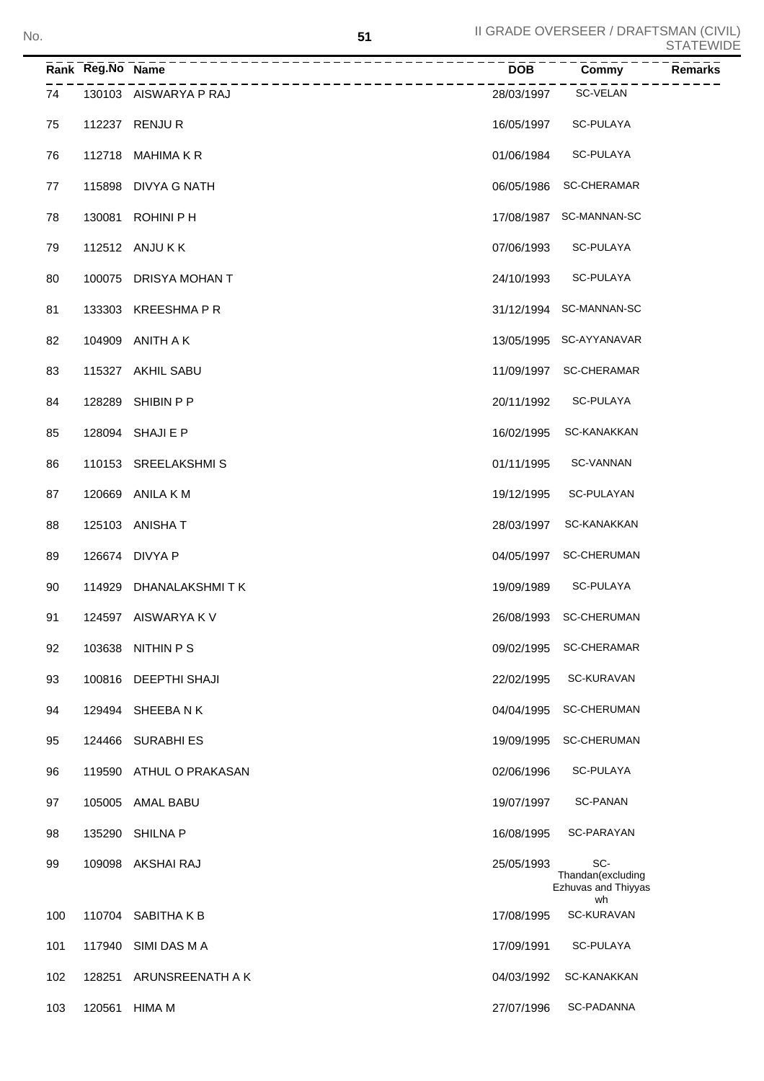|     | Rank Reg.No Name |                       | <b>DOB</b> | Commy<br><b>Remarks</b>                         |
|-----|------------------|-----------------------|------------|-------------------------------------------------|
| 74  |                  | 130103 AISWARYA P RAJ | 28/03/1997 | SC-VELAN                                        |
| 75  |                  | 112237 RENJUR         | 16/05/1997 | SC-PULAYA                                       |
| 76  |                  | 112718 MAHIMA K R     | 01/06/1984 | SC-PULAYA                                       |
| 77  |                  | 115898 DIVYA G NATH   | 06/05/1986 | SC-CHERAMAR                                     |
| 78  |                  | 130081 ROHINI P H     | 17/08/1987 | SC-MANNAN-SC                                    |
| 79  |                  | 112512 ANJU K K       | 07/06/1993 | SC-PULAYA                                       |
| 80  |                  | 100075 DRISYA MOHAN T | 24/10/1993 | SC-PULAYA                                       |
| 81  |                  | 133303 KREESHMA P R   |            | 31/12/1994 SC-MANNAN-SC                         |
| 82  |                  | 104909 ANITH A K      |            | 13/05/1995 SC-AYYANAVAR                         |
| 83  |                  | 115327 AKHIL SABU     | 11/09/1997 | SC-CHERAMAR                                     |
| 84  |                  | 128289 SHIBIN P P     | 20/11/1992 | SC-PULAYA                                       |
| 85  |                  | 128094 SHAJI E P      | 16/02/1995 | SC-KANAKKAN                                     |
| 86  |                  | 110153 SREELAKSHMIS   | 01/11/1995 | <b>SC-VANNAN</b>                                |
| 87  |                  | 120669 ANILA K M      | 19/12/1995 | SC-PULAYAN                                      |
| 88  |                  | 125103 ANISHA T       | 28/03/1997 | SC-KANAKKAN                                     |
| 89  |                  | 126674 DIVYA P        | 04/05/1997 | <b>SC-CHERUMAN</b>                              |
| 90  |                  | 114929 DHANALAKSHMITK | 19/09/1989 | SC-PULAYA                                       |
| 91  |                  | 124597 AISWARYA K V   |            | 26/08/1993 SC-CHERUMAN                          |
| 92  | 103638           | NITHIN P S            | 09/02/1995 | <b>SC-CHERAMAR</b>                              |
| 93  | 100816           | <b>DEEPTHI SHAJI</b>  | 22/02/1995 | SC-KURAVAN                                      |
| 94  | 129494           | SHEEBANK              | 04/04/1995 | <b>SC-CHERUMAN</b>                              |
| 95  | 124466           | <b>SURABHI ES</b>     | 19/09/1995 | <b>SC-CHERUMAN</b>                              |
| 96  | 119590           | ATHUL O PRAKASAN      | 02/06/1996 | SC-PULAYA                                       |
| 97  | 105005           | AMAL BABU             | 19/07/1997 | <b>SC-PANAN</b>                                 |
| 98  | 135290           | <b>SHILNA P</b>       | 16/08/1995 | SC-PARAYAN                                      |
| 99  |                  | 109098 AKSHAI RAJ     | 25/05/1993 | SC-<br>Thandan(excluding<br>Ezhuvas and Thiyyas |
| 100 |                  | 110704 SABITHAKB      | 17/08/1995 | wh<br>SC-KURAVAN                                |
| 101 | 117940           | SIMI DAS M A          | 17/09/1991 | SC-PULAYA                                       |
| 102 | 128251           | ARUNSREENATH A K      | 04/03/1992 | SC-KANAKKAN                                     |
| 103 | 120561           | <b>HIMA M</b>         | 27/07/1996 | SC-PADANNA                                      |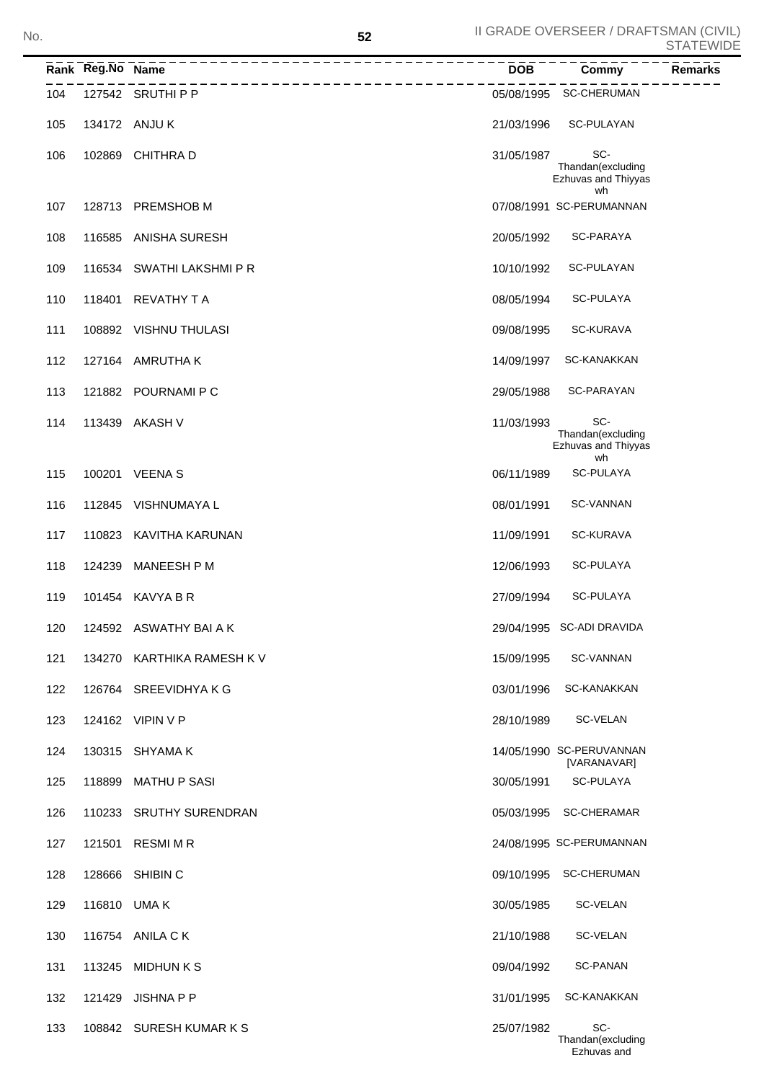Ezhuvas and

|     | Rank Reg.No Name | -----------------------------------     | <b>DOB</b> | Commy                                                 | <b>Remarks</b> |
|-----|------------------|-----------------------------------------|------------|-------------------------------------------------------|----------------|
| 104 |                  | __________________<br>127542 SRUTHI P P |            | 05/08/1995 SC-CHERUMAN                                |                |
| 105 |                  | 134172 ANJU K                           | 21/03/1996 | SC-PULAYAN                                            |                |
| 106 |                  | 102869 CHITHRA D                        | 31/05/1987 | SC-<br>Thandan(excluding<br>Ezhuvas and Thiyyas<br>wh |                |
| 107 |                  | 128713 PREMSHOB M                       |            | 07/08/1991 SC-PERUMANNAN                              |                |
| 108 |                  | 116585 ANISHA SURESH                    | 20/05/1992 | SC-PARAYA                                             |                |
| 109 |                  | 116534 SWATHI LAKSHMI P R               | 10/10/1992 | SC-PULAYAN                                            |                |
| 110 | 118401           | <b>REVATHY T A</b>                      | 08/05/1994 | SC-PULAYA                                             |                |
| 111 |                  | 108892 VISHNU THULASI                   | 09/08/1995 | SC-KURAVA                                             |                |
| 112 | 127164           | AMRUTHA K                               | 14/09/1997 | SC-KANAKKAN                                           |                |
| 113 |                  | 121882 POURNAMI P C                     | 29/05/1988 | SC-PARAYAN                                            |                |
| 114 |                  | 113439 AKASH V                          | 11/03/1993 | SC-<br>Thandan(excluding<br>Ezhuvas and Thiyyas<br>wh |                |
| 115 |                  | 100201 VEENA S                          | 06/11/1989 | <b>SC-PULAYA</b>                                      |                |
| 116 |                  | 112845 VISHNUMAYA L                     | 08/01/1991 | <b>SC-VANNAN</b>                                      |                |
| 117 |                  | 110823 KAVITHA KARUNAN                  | 11/09/1991 | <b>SC-KURAVA</b>                                      |                |
| 118 | 124239           | MANEESH P M                             | 12/06/1993 | <b>SC-PULAYA</b>                                      |                |
| 119 |                  | 101454 KAVYA B R                        | 27/09/1994 | SC-PULAYA                                             |                |
| 120 |                  | 124592 ASWATHY BAI A K                  |            | 29/04/1995 SC-ADI DRAVIDA                             |                |
| 121 |                  | 134270 KARTHIKA RAMESH K V              | 15/09/1995 | SC-VANNAN                                             |                |
| 122 |                  | 126764 SREEVIDHYAKG                     | 03/01/1996 | SC-KANAKKAN                                           |                |
| 123 |                  | 124162 VIPIN V P                        | 28/10/1989 | SC-VELAN                                              |                |
| 124 |                  | 130315 SHYAMA K                         |            | 14/05/1990 SC-PERUVANNAN<br>[VARANAVAR]               |                |
| 125 |                  | 118899 MATHU P SASI                     | 30/05/1991 | SC-PULAYA                                             |                |
| 126 |                  | 110233 SRUTHY SURENDRAN                 |            | 05/03/1995 SC-CHERAMAR                                |                |
| 127 |                  | 121501 RESMIMR                          |            | 24/08/1995 SC-PERUMANNAN                              |                |
| 128 |                  | 128666 SHIBIN C                         | 09/10/1995 | <b>SC-CHERUMAN</b>                                    |                |
| 129 |                  | 116810 UMA K                            | 30/05/1985 | SC-VELAN                                              |                |
| 130 |                  | 116754 ANILA C K                        | 21/10/1988 | SC-VELAN                                              |                |
| 131 |                  | 113245 MIDHUN K S                       | 09/04/1992 | <b>SC-PANAN</b>                                       |                |
| 132 |                  | 121429 JISHNA P P                       | 31/01/1995 | SC-KANAKKAN                                           |                |
| 133 |                  | 108842 SURESH KUMAR K S                 | 25/07/1982 | SC-<br>Thandan(excluding                              |                |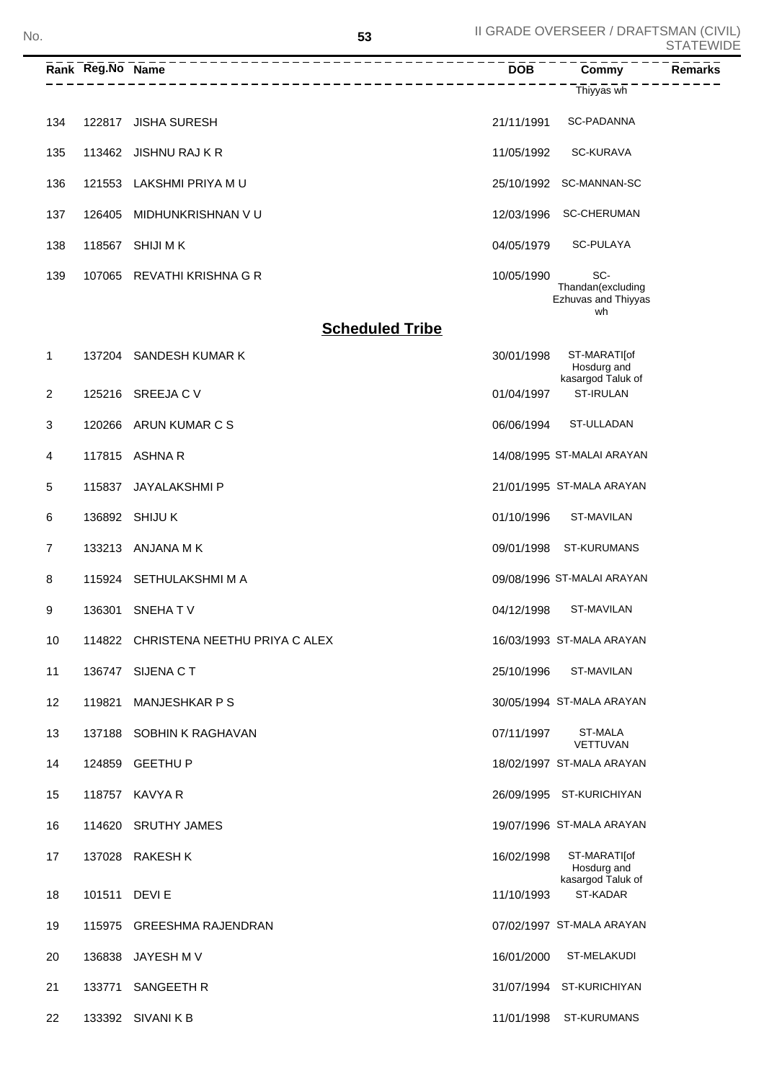|     | Rank Reg.No Name |                                      | $\overline{DOB}$ | <b>Commy</b>                                    | <b>Remarks</b> |
|-----|------------------|--------------------------------------|------------------|-------------------------------------------------|----------------|
|     |                  | __________________                   |                  | Thiyyas wh                                      |                |
| 134 |                  | 122817 JISHA SURESH                  | 21/11/1991       | SC-PADANNA                                      |                |
| 135 |                  | 113462 JISHNU RAJ K R                | 11/05/1992       | <b>SC-KURAVA</b>                                |                |
| 136 | 121553           | LAKSHMI PRIYA MU                     |                  | 25/10/1992 SC-MANNAN-SC                         |                |
| 137 | 126405           | MIDHUNKRISHNAN V U                   | 12/03/1996       | <b>SC-CHERUMAN</b>                              |                |
| 138 | 118567           | <b>SHIJI MK</b>                      | 04/05/1979       | SC-PULAYA                                       |                |
| 139 |                  | 107065 REVATHI KRISHNA G R           | 10/05/1990       | SC-<br>Thandan(excluding<br>Ezhuvas and Thiyyas |                |
|     |                  | <b>Scheduled Tribe</b>               |                  | wh                                              |                |
| 1   |                  | 137204 SANDESH KUMAR K               | 30/01/1998       | ST-MARATI[of<br>Hosdurg and                     |                |
| 2   |                  | 125216 SREEJA C V                    | 01/04/1997       | kasargod Taluk of<br>ST-IRULAN                  |                |
| 3   | 120266           | ARUN KUMAR C S                       | 06/06/1994       | ST-ULLADAN                                      |                |
| 4   | 117815           | ASHNA R                              |                  | 14/08/1995 ST-MALAI ARAYAN                      |                |
| 5   | 115837           | JAYALAKSHMI P                        |                  | 21/01/1995 ST-MALA ARAYAN                       |                |
| 6   | 136892           | <b>SHIJUK</b>                        | 01/10/1996       | ST-MAVILAN                                      |                |
| 7   | 133213           | ANJANA M K                           | 09/01/1998       | ST-KURUMANS                                     |                |
| 8   | 115924           | SETHULAKSHMI M A                     |                  | 09/08/1996 ST-MALAI ARAYAN                      |                |
| 9   | 136301           | SNEHATV                              | 04/12/1998       | ST-MAVILAN                                      |                |
| 10  |                  | 114822 CHRISTENA NEETHU PRIYA C ALEX |                  | 16/03/1993 ST-MALA ARAYAN                       |                |
| 11  |                  | 136747 SIJENA C T                    | 25/10/1996       | ST-MAVILAN                                      |                |
| 12  | 119821           | <b>MANJESHKAR P S</b>                |                  | 30/05/1994 ST-MALA ARAYAN                       |                |
| 13  |                  | 137188 SOBHIN K RAGHAVAN             | 07/11/1997       | ST-MALA<br><b>VETTUVAN</b>                      |                |
| 14  |                  | 124859 GEETHU P                      |                  | 18/02/1997 ST-MALA ARAYAN                       |                |
| 15  |                  | 118757 KAVYA R                       |                  | 26/09/1995 ST-KURICHIYAN                        |                |
| 16  |                  | 114620 SRUTHY JAMES                  |                  | 19/07/1996 ST-MALA ARAYAN                       |                |
| 17  |                  | 137028 RAKESH K                      | 16/02/1998       | ST-MARATI[of<br>Hosdurg and                     |                |
| 18  | 101511           | DEVI E                               | 11/10/1993       | kasargod Taluk of<br>ST-KADAR                   |                |
| 19  |                  | 115975 GREESHMA RAJENDRAN            |                  | 07/02/1997 ST-MALA ARAYAN                       |                |
| 20  | 136838           | JAYESH M V                           | 16/01/2000       | ST-MELAKUDI                                     |                |
| 21  | 133771           | SANGEETH R                           |                  | 31/07/1994 ST-KURICHIYAN                        |                |
| 22  |                  | 133392 SIVANI K B                    | 11/01/1998       | ST-KURUMANS                                     |                |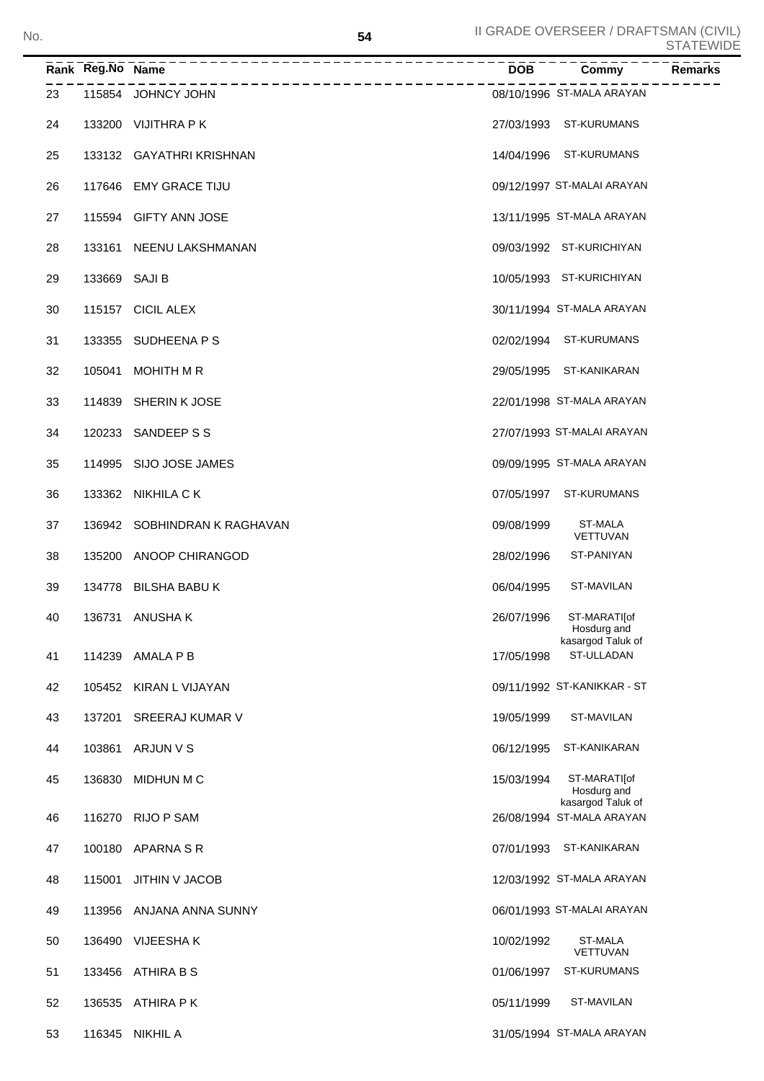|    | Rank Reg.No Name | ---------------------------  | <b>DOB</b> | Commy                                                         | Remarks |
|----|------------------|------------------------------|------------|---------------------------------------------------------------|---------|
| 23 |                  | 115854 JOHNCY JOHN           |            | 08/10/1996 ST-MALA ARAYAN                                     |         |
| 24 |                  | 133200 VIJITHRA PK           |            | 27/03/1993 ST-KURUMANS                                        |         |
| 25 |                  | 133132 GAYATHRI KRISHNAN     |            | 14/04/1996 ST-KURUMANS                                        |         |
| 26 |                  | 117646 EMY GRACE TIJU        |            | 09/12/1997 ST-MALAI ARAYAN                                    |         |
| 27 |                  | 115594 GIFTY ANN JOSE        |            | 13/11/1995 ST-MALA ARAYAN                                     |         |
| 28 |                  | 133161 NEENU LAKSHMANAN      |            | 09/03/1992 ST-KURICHIYAN                                      |         |
| 29 | 133669 SAJI B    |                              |            | 10/05/1993 ST-KURICHIYAN                                      |         |
| 30 |                  | 115157 CICIL ALEX            |            | 30/11/1994 ST-MALA ARAYAN                                     |         |
| 31 |                  | 133355 SUDHEENA P S          |            | 02/02/1994 ST-KURUMANS                                        |         |
| 32 |                  | 105041 MOHITH M R            |            | 29/05/1995 ST-KANIKARAN                                       |         |
| 33 |                  | 114839 SHERIN K JOSE         |            | 22/01/1998 ST-MALA ARAYAN                                     |         |
| 34 |                  | 120233 SANDEEP S S           |            | 27/07/1993 ST-MALAI ARAYAN                                    |         |
| 35 |                  | 114995 SIJO JOSE JAMES       |            | 09/09/1995 ST-MALA ARAYAN                                     |         |
| 36 |                  | 133362 NIKHILA CK            |            | 07/05/1997 ST-KURUMANS                                        |         |
| 37 |                  | 136942 SOBHINDRAN K RAGHAVAN | 09/08/1999 | <b>ST-MALA</b><br>VETTUVAN                                    |         |
| 38 |                  | 135200 ANOOP CHIRANGOD       | 28/02/1996 | ST-PANIYAN                                                    |         |
| 39 |                  | 134778 BILSHA BABU K         | 06/04/1995 | ST-MAVILAN                                                    |         |
| 40 |                  | 136731 ANUSHAK               | 26/07/1996 | ST-MARATI[of<br>Hosdurg and                                   |         |
| 41 |                  | 114239 AMALA P B             | 17/05/1998 | kasargod Taluk of<br>ST-ULLADAN                               |         |
| 42 |                  | 105452 KIRAN L VIJAYAN       |            | 09/11/1992 ST-KANIKKAR - ST                                   |         |
| 43 |                  | 137201 SREERAJ KUMAR V       | 19/05/1999 | ST-MAVILAN                                                    |         |
| 44 |                  | 103861 ARJUN V S             | 06/12/1995 | ST-KANIKARAN                                                  |         |
| 45 | 136830           | MIDHUN M C                   | 15/03/1994 | ST-MARATI[of                                                  |         |
| 46 |                  | 116270 RIJO P SAM            |            | Hosdurg and<br>kasargod Taluk of<br>26/08/1994 ST-MALA ARAYAN |         |
|    |                  | 100180 APARNA S R            | 07/01/1993 | ST-KANIKARAN                                                  |         |
| 47 |                  |                              |            | 12/03/1992 ST-MALA ARAYAN                                     |         |
| 48 | 115001           | JITHIN V JACOB               |            |                                                               |         |
| 49 | 113956           | ANJANA ANNA SUNNY            |            | 06/01/1993 ST-MALAI ARAYAN                                    |         |
| 50 |                  | 136490 VIJEESHAK             | 10/02/1992 | ST-MALA<br>VETTUVAN                                           |         |
| 51 | 133456           | ATHIRA B S                   | 01/06/1997 | ST-KURUMANS                                                   |         |
| 52 |                  | 136535 ATHIRA PK             | 05/11/1999 | ST-MAVILAN                                                    |         |
| 53 |                  | 116345 NIKHIL A              |            | 31/05/1994 ST-MALA ARAYAN                                     |         |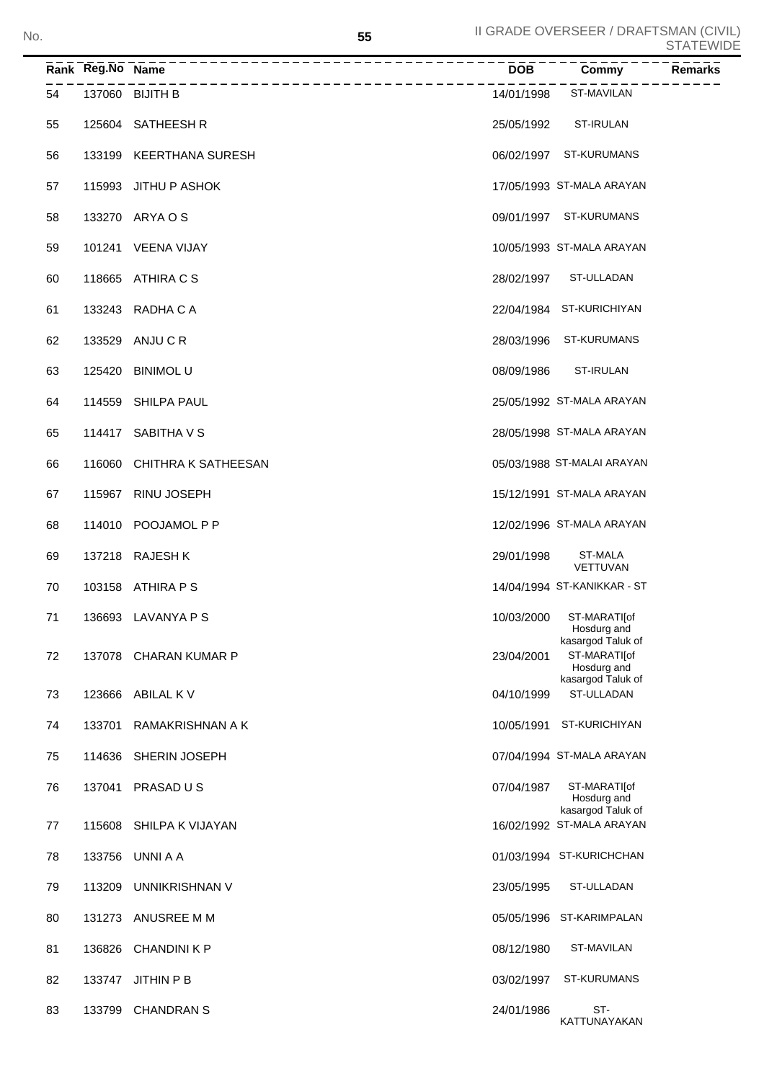|    | Rank Reg.No Name | ___________________________ | <b>DOB</b> | Commy                                            | <b>Remarks</b> |
|----|------------------|-----------------------------|------------|--------------------------------------------------|----------------|
| 54 |                  | 137060 BIJITH B             | 14/01/1998 | ST-MAVILAN                                       |                |
| 55 |                  | 125604 SATHEESH R           | 25/05/1992 | ST-IRULAN                                        |                |
| 56 |                  | 133199 KEERTHANA SURESH     |            | 06/02/1997 ST-KURUMANS                           |                |
| 57 |                  | 115993 JITHU P ASHOK        |            | 17/05/1993 ST-MALA ARAYAN                        |                |
| 58 |                  | 133270 ARYA O S             |            | 09/01/1997 ST-KURUMANS                           |                |
| 59 |                  | 101241 VEENA VIJAY          |            | 10/05/1993 ST-MALA ARAYAN                        |                |
| 60 |                  | 118665 ATHIRA C S           | 28/02/1997 | ST-ULLADAN                                       |                |
| 61 |                  | 133243 RADHA C A            |            | 22/04/1984 ST-KURICHIYAN                         |                |
| 62 |                  | 133529 ANJU C R             |            | 28/03/1996 ST-KURUMANS                           |                |
| 63 |                  | 125420 BINIMOL U            | 08/09/1986 | ST-IRULAN                                        |                |
| 64 |                  | 114559 SHILPA PAUL          |            | 25/05/1992 ST-MALA ARAYAN                        |                |
| 65 |                  | 114417 SABITHA V S          |            | 28/05/1998 ST-MALA ARAYAN                        |                |
| 66 |                  | 116060 CHITHRA K SATHEESAN  |            | 05/03/1988 ST-MALAI ARAYAN                       |                |
| 67 |                  | 115967 RINU JOSEPH          |            | 15/12/1991 ST-MALA ARAYAN                        |                |
| 68 |                  | 114010 POOJAMOL P P         |            | 12/02/1996 ST-MALA ARAYAN                        |                |
| 69 |                  | 137218 RAJESH K             | 29/01/1998 | <b>ST-MALA</b><br>VETTUVAN                       |                |
| 70 |                  | 103158 ATHIRA P S           |            | 14/04/1994 ST-KANIKKAR - ST                      |                |
| 71 |                  | 136693 LAVANYA P S          | 10/03/2000 | ST-MARATI[of<br>Hosdurg and                      |                |
| 72 |                  | 137078 CHARAN KUMAR P       | 23/04/2001 | kasargod Taluk of<br>ST-MARATI[of<br>Hosdurg and |                |
| 73 | 123666           | ABILAL K V                  | 04/10/1999 | kasargod Taluk of<br>ST-ULLADAN                  |                |
| 74 | 133701           | RAMAKRISHNAN A K            | 10/05/1991 | ST-KURICHIYAN                                    |                |
| 75 | 114636           | SHERIN JOSEPH               |            | 07/04/1994 ST-MALA ARAYAN                        |                |
| 76 | 137041           | PRASAD U S                  | 07/04/1987 | ST-MARATI[of<br>Hosdurg and                      |                |
| 77 | 115608           | SHILPA K VIJAYAN            |            | kasargod Taluk of<br>16/02/1992 ST-MALA ARAYAN   |                |
| 78 | 133756           | UNNI A A                    |            | 01/03/1994 ST-KURICHCHAN                         |                |
| 79 | 113209           | UNNIKRISHNAN V              | 23/05/1995 | ST-ULLADAN                                       |                |
| 80 |                  | 131273 ANUSREE M M          |            | 05/05/1996 ST-KARIMPALAN                         |                |
| 81 |                  | 136826 CHANDINI K P         | 08/12/1980 | ST-MAVILAN                                       |                |
| 82 |                  | 133747 JITHIN P B           | 03/02/1997 | ST-KURUMANS                                      |                |
| 83 |                  | 133799 CHANDRAN S           | 24/01/1986 | ST-<br>KATTUNAYAKAN                              |                |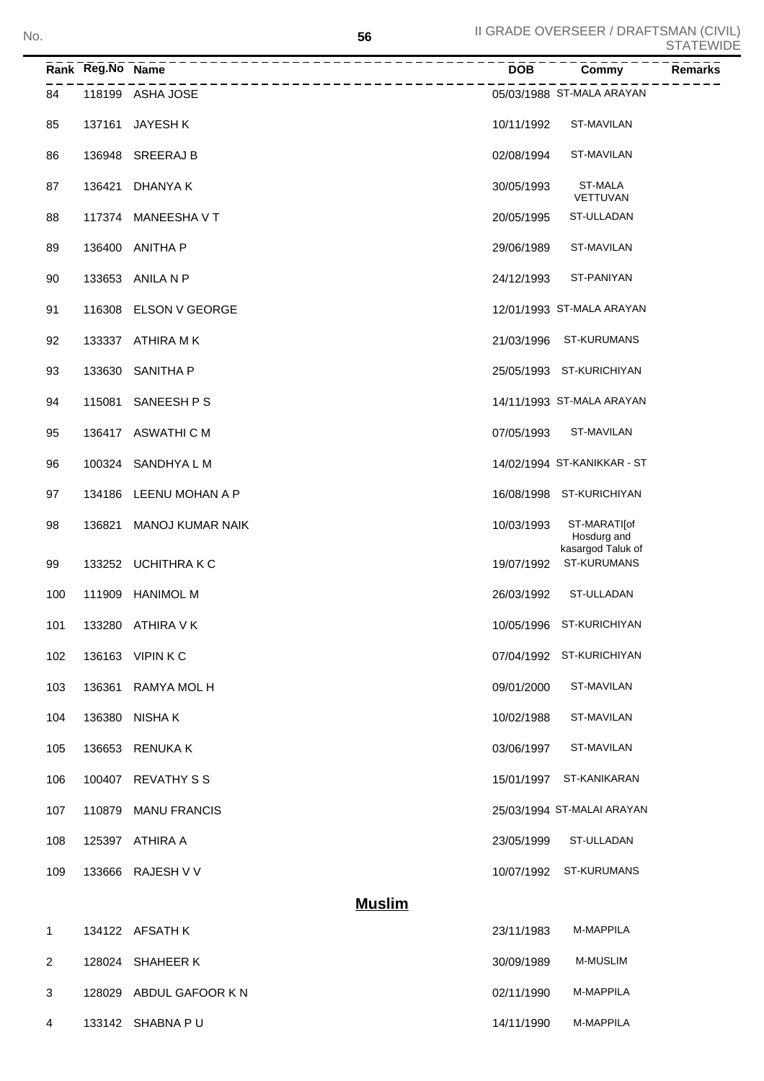|              | Rank Reg.No Name | --------------------                      | <b>DOB</b> | Commy                                       | ◡ ╷┌╮╷ ∟ ѵѵ<br><b>Remarks</b> |
|--------------|------------------|-------------------------------------------|------------|---------------------------------------------|-------------------------------|
| 84           |                  | ---------------------<br>118199 ASHA JOSE |            | 05/03/1988 ST-MALA ARAYAN                   |                               |
| 85           | 137161           | JAYESH K                                  | 10/11/1992 | ST-MAVILAN                                  |                               |
| 86           |                  | 136948 SREERAJ B                          | 02/08/1994 | ST-MAVILAN                                  |                               |
| 87           | 136421           | DHANYA K                                  | 30/05/1993 | ST-MALA<br><b>VETTUVAN</b>                  |                               |
| 88           |                  | 117374 MANEESHA V T                       | 20/05/1995 | ST-ULLADAN                                  |                               |
| 89           | 136400           | ANITHA P                                  | 29/06/1989 | ST-MAVILAN                                  |                               |
| 90           |                  | 133653 ANILA N P                          | 24/12/1993 | ST-PANIYAN                                  |                               |
| 91           |                  | 116308 ELSON V GEORGE                     |            | 12/01/1993 ST-MALA ARAYAN                   |                               |
| 92           |                  | 133337 ATHIRA MK                          | 21/03/1996 | ST-KURUMANS                                 |                               |
| 93           | 133630           | <b>SANITHA P</b>                          |            | 25/05/1993 ST-KURICHIYAN                    |                               |
| 94           | 115081           | SANEESH P S                               |            | 14/11/1993 ST-MALA ARAYAN                   |                               |
| 95           |                  | 136417 ASWATHICM                          | 07/05/1993 | ST-MAVILAN                                  |                               |
| 96           | 100324           | SANDHYA L M                               |            | 14/02/1994 ST-KANIKKAR - ST                 |                               |
| 97           |                  | 134186 LEENU MOHAN A P                    |            | 16/08/1998 ST-KURICHIYAN                    |                               |
| 98           | 136821           | <b>MANOJ KUMAR NAIK</b>                   | 10/03/1993 | ST-MARATI[of<br>Hosdurg and                 |                               |
| 99           |                  | 133252 UCHITHRAKC                         |            | kasargod Taluk of<br>19/07/1992 ST-KURUMANS |                               |
| 100          |                  | 111909 HANIMOL M                          | 26/03/1992 | ST-ULLADAN                                  |                               |
| 101          |                  | 133280 ATHIRA V K                         |            | 10/05/1996 ST-KURICHIYAN                    |                               |
| 102          |                  | 136163 VIPIN K C                          |            | 07/04/1992 ST-KURICHIYAN                    |                               |
| 103          | 136361           | RAMYA MOL H                               | 09/01/2000 | ST-MAVILAN                                  |                               |
| 104          |                  | 136380 NISHAK                             | 10/02/1988 | ST-MAVILAN                                  |                               |
| 105          |                  | 136653 RENUKA K                           | 03/06/1997 | ST-MAVILAN                                  |                               |
| 106          |                  | 100407 REVATHY S S                        | 15/01/1997 | ST-KANIKARAN                                |                               |
| 107          |                  | 110879 MANU FRANCIS                       |            | 25/03/1994 ST-MALAI ARAYAN                  |                               |
| 108          |                  | 125397 ATHIRA A                           | 23/05/1999 | ST-ULLADAN                                  |                               |
| 109          |                  | 133666 RAJESH V V                         |            | 10/07/1992 ST-KURUMANS                      |                               |
|              |                  | <b>Muslim</b>                             |            |                                             |                               |
| $\mathbf{1}$ |                  | 134122 AFSATH K                           | 23/11/1983 | M-MAPPILA                                   |                               |

| 2 | 128024 SHAHEER K        | 30/09/1989 | M-MUSLIM         |
|---|-------------------------|------------|------------------|
| 3 | 128029 ABDUL GAFOOR K N | 02/11/1990 | M-MAPPILA        |
| 4 | 133142 SHABNA P U       | 14/11/1990 | <b>M-MAPPILA</b> |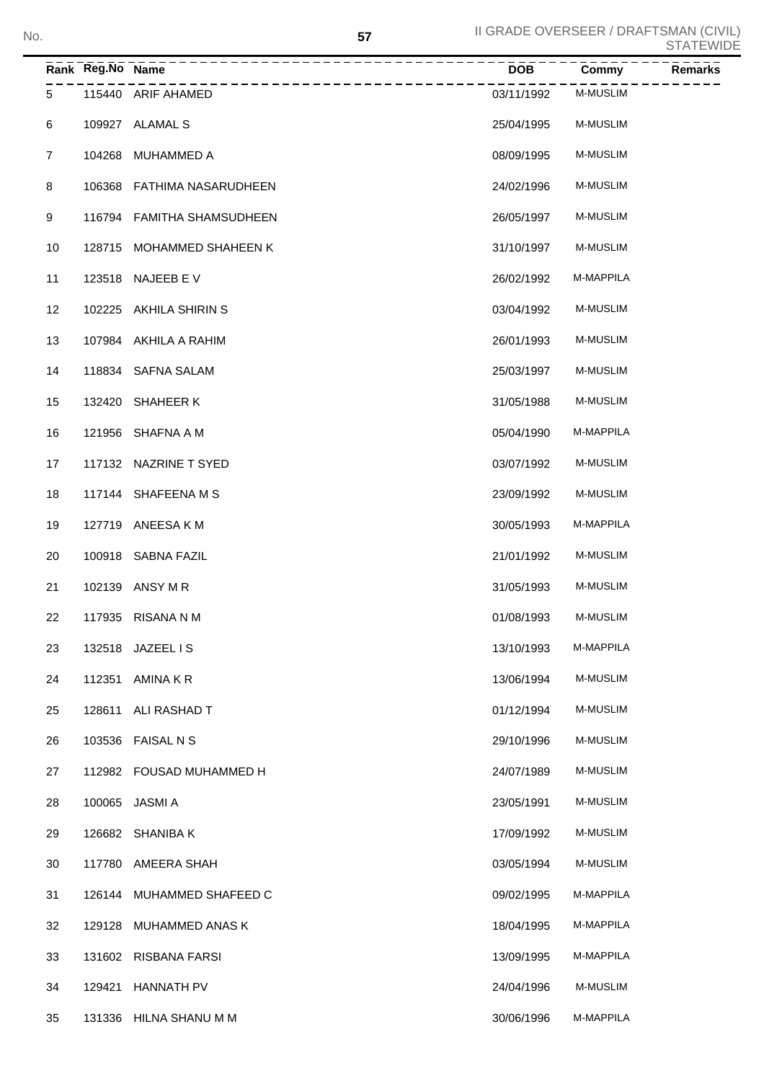|                | Rank Reg.No Name | ______________             | <b>DOB</b> | Commy           | Remarks |
|----------------|------------------|----------------------------|------------|-----------------|---------|
| 5              |                  | 115440 ARIF AHAMED         | 03/11/1992 | <b>M-MUSLIM</b> |         |
| 6              |                  | 109927 ALAMAL S            | 25/04/1995 | <b>M-MUSLIM</b> |         |
| $\overline{7}$ | 104268           | MUHAMMED A                 | 08/09/1995 | M-MUSLIM        |         |
| 8              |                  | 106368 FATHIMA NASARUDHEEN | 24/02/1996 | M-MUSLIM        |         |
| 9              |                  | 116794 FAMITHA SHAMSUDHEEN | 26/05/1997 | M-MUSLIM        |         |
| 10             | 128715           | MOHAMMED SHAHEEN K         | 31/10/1997 | M-MUSLIM        |         |
| 11             |                  | 123518 NAJEEB E V          | 26/02/1992 | M-MAPPILA       |         |
| 12             |                  | 102225 AKHILA SHIRIN S     | 03/04/1992 | <b>M-MUSLIM</b> |         |
| 13             |                  | 107984 AKHILA A RAHIM      | 26/01/1993 | <b>M-MUSLIM</b> |         |
| 14             |                  | 118834 SAFNA SALAM         | 25/03/1997 | M-MUSLIM        |         |
| 15             | 132420           | SHAHEER K                  | 31/05/1988 | <b>M-MUSLIM</b> |         |
| 16             | 121956           | SHAFNA A M                 | 05/04/1990 | M-MAPPILA       |         |
| 17             |                  | 117132 NAZRINE T SYED      | 03/07/1992 | M-MUSLIM        |         |
| 18             |                  | 117144 SHAFEENA M S        | 23/09/1992 | M-MUSLIM        |         |
| 19             |                  | 127719 ANEESAKM            | 30/05/1993 | M-MAPPILA       |         |
| 20             |                  | 100918 SABNA FAZIL         | 21/01/1992 | M-MUSLIM        |         |
| 21             |                  | 102139 ANSY M R            | 31/05/1993 | M-MUSLIM        |         |
| 22             |                  | 117935 RISANA N M          | 01/08/1993 | M-MUSLIM        |         |
| 23             |                  | 132518 JAZEEL IS           | 13/10/1993 | M-MAPPILA       |         |
| 24             | 112351           | AMINA K R                  | 13/06/1994 | M-MUSLIM        |         |
| 25             | 128611           | ALI RASHAD T               | 01/12/1994 | M-MUSLIM        |         |
| 26             |                  | 103536 FAISAL N S          | 29/10/1996 | M-MUSLIM        |         |
| 27             |                  | 112982 FOUSAD MUHAMMED H   | 24/07/1989 | M-MUSLIM        |         |
| 28             | 100065           | JASMI A                    | 23/05/1991 | M-MUSLIM        |         |
| 29             |                  | 126682 SHANIBA K           | 17/09/1992 | M-MUSLIM        |         |
| 30             | 117780           | AMEERA SHAH                | 03/05/1994 | M-MUSLIM        |         |
| 31             | 126144           | MUHAMMED SHAFEED C         | 09/02/1995 | M-MAPPILA       |         |
| 32             | 129128           | MUHAMMED ANAS K            | 18/04/1995 | M-MAPPILA       |         |
| 33             |                  | 131602 RISBANA FARSI       | 13/09/1995 | M-MAPPILA       |         |
| 34             | 129421           | <b>HANNATH PV</b>          | 24/04/1996 | M-MUSLIM        |         |

131336 HILNA SHANU M M 30/06/1996 M-MAPPILA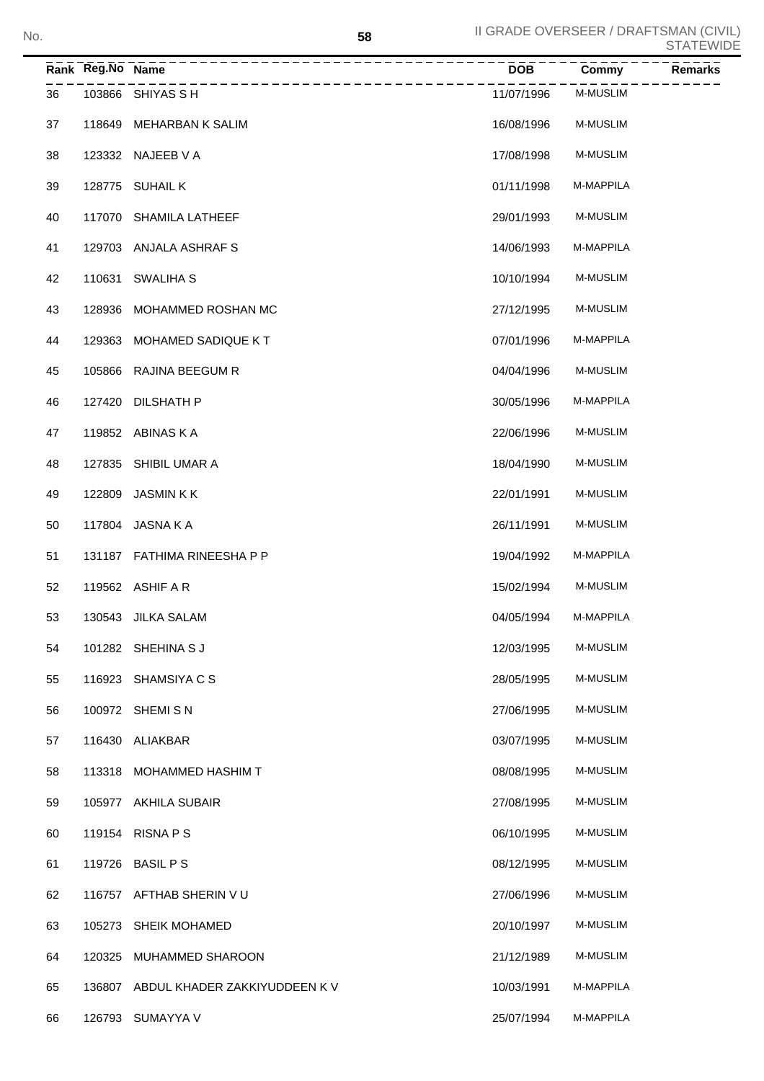|    | Rank Reg.No Name                     | $\overline{DOB}$ | Commy           | <b>Remarks</b> |
|----|--------------------------------------|------------------|-----------------|----------------|
| 36 | 103866 SHIYAS S H                    | 11/07/1996       | M-MUSLIM        |                |
| 37 | 118649 MEHARBAN K SALIM              | 16/08/1996       | M-MUSLIM        |                |
| 38 | 123332 NAJEEB V A                    | 17/08/1998       | <b>M-MUSLIM</b> |                |
| 39 | 128775 SUHAIL K                      | 01/11/1998       | M-MAPPILA       |                |
| 40 | 117070 SHAMILA LATHEEF               | 29/01/1993       | <b>M-MUSLIM</b> |                |
| 41 | 129703 ANJALA ASHRAFS                | 14/06/1993       | M-MAPPILA       |                |
| 42 | 110631 SWALIHA S                     | 10/10/1994       | <b>M-MUSLIM</b> |                |
| 43 | 128936 MOHAMMED ROSHAN MC            | 27/12/1995       | <b>M-MUSLIM</b> |                |
| 44 | 129363 MOHAMED SADIQUE KT            | 07/01/1996       | M-MAPPILA       |                |
| 45 | 105866 RAJINA BEEGUM R               | 04/04/1996       | <b>M-MUSLIM</b> |                |
| 46 | 127420 DILSHATH P                    | 30/05/1996       | M-MAPPILA       |                |
| 47 | 119852 ABINAS K A                    | 22/06/1996       | <b>M-MUSLIM</b> |                |
| 48 | 127835 SHIBIL UMAR A                 | 18/04/1990       | <b>M-MUSLIM</b> |                |
| 49 | 122809 JASMINKK                      | 22/01/1991       | <b>M-MUSLIM</b> |                |
| 50 | 117804 JASNA K A                     | 26/11/1991       | <b>M-MUSLIM</b> |                |
| 51 | 131187 FATHIMA RINEESHA P P          | 19/04/1992       | M-MAPPILA       |                |
| 52 | 119562 ASHIF A R                     | 15/02/1994       | M-MUSLIM        |                |
| 53 | 130543 JILKA SALAM                   | 04/05/1994       | M-MAPPILA       |                |
| 54 | 101282 SHEHINA S J                   | 12/03/1995       | <b>M-MUSLIM</b> |                |
| 55 | 116923 SHAMSIYA C S                  | 28/05/1995       | <b>M-MUSLIM</b> |                |
| 56 | 100972 SHEMISN                       | 27/06/1995       | <b>M-MUSLIM</b> |                |
| 57 | 116430 ALIAKBAR                      | 03/07/1995       | <b>M-MUSLIM</b> |                |
| 58 | 113318 MOHAMMED HASHIM T             | 08/08/1995       | M-MUSLIM        |                |
| 59 | 105977 AKHILA SUBAIR                 | 27/08/1995       | M-MUSLIM        |                |
| 60 | 119154 RISNA P S                     | 06/10/1995       | <b>M-MUSLIM</b> |                |
| 61 | 119726 BASIL P S                     | 08/12/1995       | <b>M-MUSLIM</b> |                |
| 62 | 116757 AFTHAB SHERIN VU              | 27/06/1996       | <b>M-MUSLIM</b> |                |
| 63 | 105273 SHEIK MOHAMED                 | 20/10/1997       | <b>M-MUSLIM</b> |                |
| 64 | 120325 MUHAMMED SHAROON              | 21/12/1989       | <b>M-MUSLIM</b> |                |
| 65 | 136807 ABDUL KHADER ZAKKIYUDDEEN K V | 10/03/1991       | M-MAPPILA       |                |
| 66 | 126793 SUMAYYA V                     | 25/07/1994       | M-MAPPILA       |                |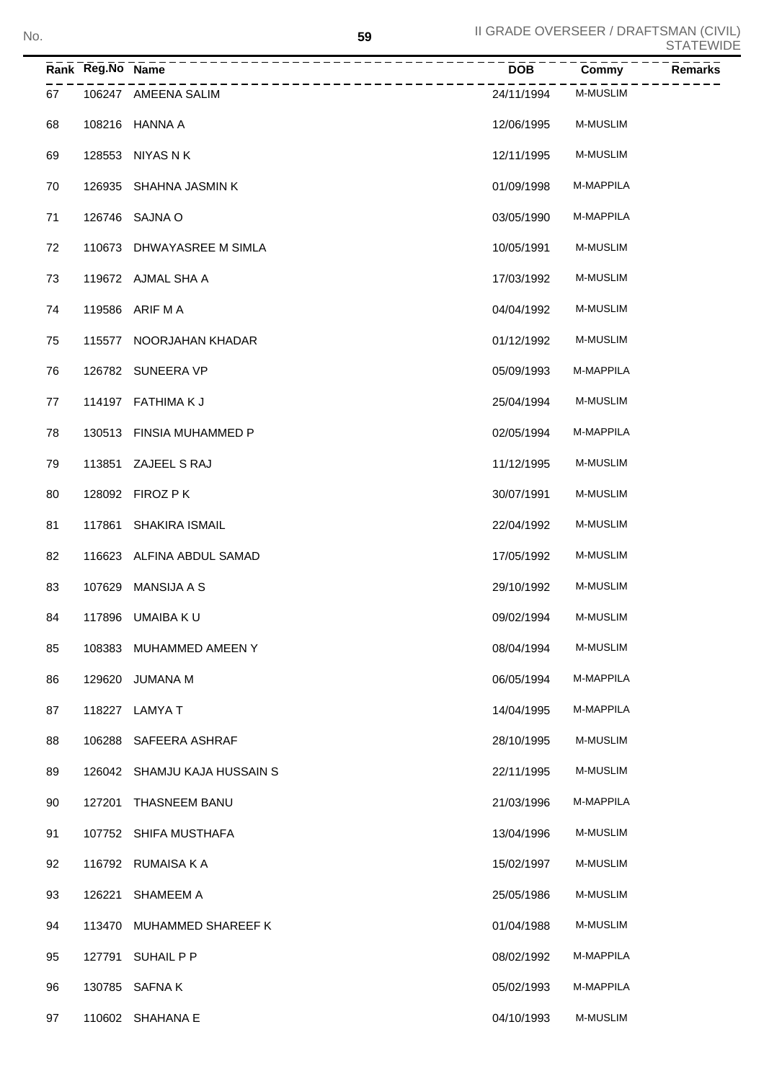| No. |    |                  |                              | 59 | II GRADE OVERSEER / DRAFTSMAN (CIVIL) |                 | <b>STATEWIDE</b> |
|-----|----|------------------|------------------------------|----|---------------------------------------|-----------------|------------------|
|     |    | Rank Reg.No Name | <u>______________</u>        |    | <b>DOB</b>                            | Commy           | Remarks          |
|     | 67 |                  | 106247 AMEENA SALIM          |    | 24/11/1994                            | <b>M-MUSLIM</b> |                  |
|     | 68 |                  | 108216 HANNA A               |    | 12/06/1995                            | <b>M-MUSLIM</b> |                  |
|     | 69 |                  | 128553 NIYAS N K             |    | 12/11/1995                            | <b>M-MUSLIM</b> |                  |
|     | 70 |                  | 126935 SHAHNA JASMIN K       |    | 01/09/1998                            | M-MAPPILA       |                  |
|     | 71 |                  | 126746 SAJNA O               |    | 03/05/1990                            | M-MAPPILA       |                  |
|     | 72 |                  | 110673 DHWAYASREE M SIMLA    |    | 10/05/1991                            | <b>M-MUSLIM</b> |                  |
|     | 73 |                  | 119672 AJMAL SHA A           |    | 17/03/1992                            | <b>M-MUSLIM</b> |                  |
|     | 74 |                  | 119586 ARIF M A              |    | 04/04/1992                            | <b>M-MUSLIM</b> |                  |
|     | 75 |                  | 115577 NOORJAHAN KHADAR      |    | 01/12/1992                            | <b>M-MUSLIM</b> |                  |
|     | 76 |                  | 126782 SUNEERA VP            |    | 05/09/1993                            | M-MAPPILA       |                  |
|     | 77 |                  | 114197 FATHIMAKJ             |    | 25/04/1994                            | <b>M-MUSLIM</b> |                  |
|     | 78 |                  | 130513 FINSIA MUHAMMED P     |    | 02/05/1994                            | M-MAPPILA       |                  |
|     | 79 |                  | 113851 ZAJEEL S RAJ          |    | 11/12/1995                            | <b>M-MUSLIM</b> |                  |
|     | 80 |                  | 128092 FIROZ P K             |    | 30/07/1991                            | <b>M-MUSLIM</b> |                  |
|     | 81 |                  | 117861 SHAKIRA ISMAIL        |    | 22/04/1992                            | <b>M-MUSLIM</b> |                  |
|     | 82 |                  | 116623 ALFINA ABDUL SAMAD    |    | 17/05/1992                            | <b>M-MUSLIM</b> |                  |
|     | 83 |                  | 107629 MANSIJA A S           |    | 29/10/1992                            | <b>M-MUSLIM</b> |                  |
|     | 84 |                  | 117896 UMAIBA KU             |    | 09/02/1994                            | <b>M-MUSLIM</b> |                  |
|     | 85 |                  | 108383 MUHAMMED AMEEN Y      |    | 08/04/1994                            | M-MUSLIM        |                  |
|     | 86 |                  | 129620 JUMANA M              |    | 06/05/1994                            | M-MAPPILA       |                  |
|     | 87 |                  | 118227 LAMYA T               |    | 14/04/1995                            | M-MAPPILA       |                  |
|     | 88 |                  | 106288 SAFEERA ASHRAF        |    | 28/10/1995                            | M-MUSLIM        |                  |
|     | 89 |                  | 126042 SHAMJU KAJA HUSSAIN S |    | 22/11/1995                            | M-MUSLIM        |                  |
|     | 90 |                  | 127201 THASNEEM BANU         |    | 21/03/1996                            | M-MAPPILA       |                  |
|     | 91 |                  | 107752 SHIFA MUSTHAFA        |    | 13/04/1996                            | M-MUSLIM        |                  |
|     | 92 |                  | 116792 RUMAISA K A           |    | 15/02/1997                            | M-MUSLIM        |                  |
|     | 93 |                  | 126221 SHAMEEM A             |    | 25/05/1986                            | M-MUSLIM        |                  |
|     | 94 |                  | 113470 MUHAMMED SHAREEF K    |    | 01/04/1988                            | M-MUSLIM        |                  |
|     | 95 |                  | 127791 SUHAIL P P            |    | 08/02/1992                            | M-MAPPILA       |                  |
|     | 96 |                  | 130785 SAFNA K               |    | 05/02/1993                            | M-MAPPILA       |                  |
|     | 97 |                  | 110602 SHAHANA E             |    | 04/10/1993                            | M-MUSLIM        |                  |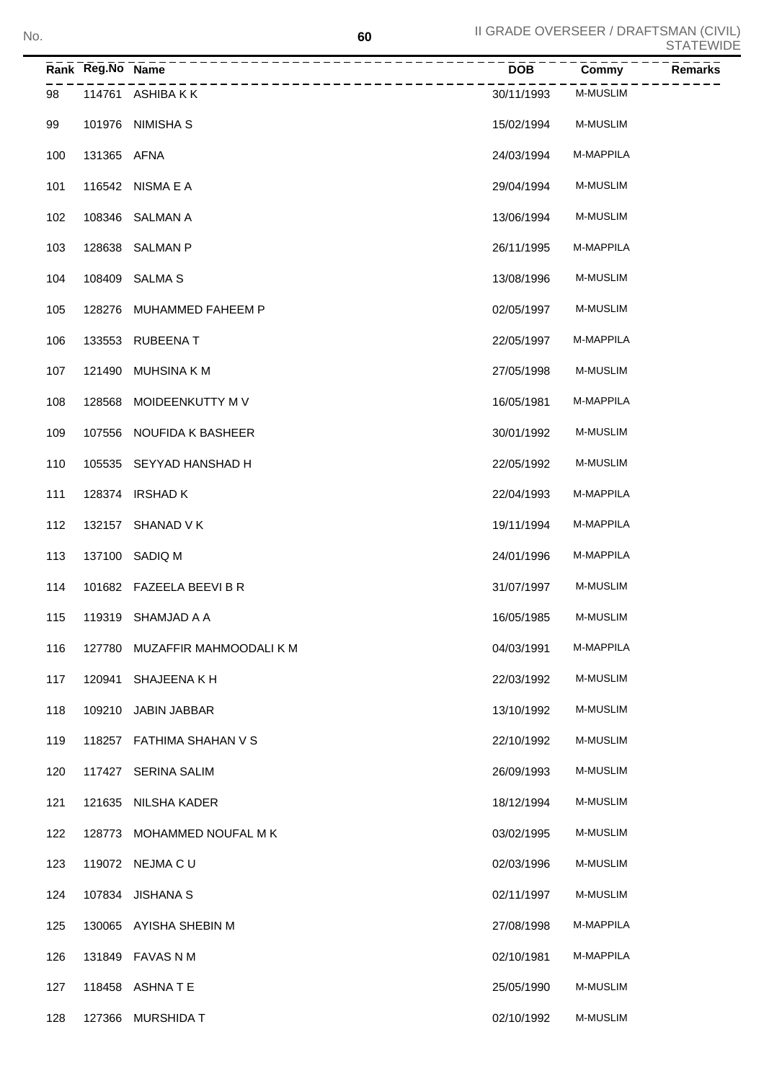|     | Rank Reg.No Name |                                | <b>DOB</b> | Commy           | Remarks |
|-----|------------------|--------------------------------|------------|-----------------|---------|
| 98  |                  | 114761 ASHIBAKK                | 30/11/1993 | <b>M-MUSLIM</b> |         |
| 99  |                  | 101976 NIMISHA S               | 15/02/1994 | <b>M-MUSLIM</b> |         |
| 100 | 131365 AFNA      |                                | 24/03/1994 | M-MAPPILA       |         |
| 101 |                  | 116542 NISMA E A               | 29/04/1994 | <b>M-MUSLIM</b> |         |
| 102 |                  | 108346 SALMAN A                | 13/06/1994 | <b>M-MUSLIM</b> |         |
| 103 |                  | 128638 SALMAN P                | 26/11/1995 | M-MAPPILA       |         |
| 104 |                  | 108409 SALMA S                 | 13/08/1996 | <b>M-MUSLIM</b> |         |
| 105 |                  | 128276 MUHAMMED FAHEEM P       | 02/05/1997 | <b>M-MUSLIM</b> |         |
| 106 |                  | 133553 RUBEENA T               | 22/05/1997 | M-MAPPILA       |         |
| 107 |                  | 121490 MUHSINA KM              | 27/05/1998 | <b>M-MUSLIM</b> |         |
| 108 |                  | 128568 MOIDEENKUTTY M V        | 16/05/1981 | M-MAPPILA       |         |
| 109 |                  | 107556 NOUFIDA K BASHEER       | 30/01/1992 | <b>M-MUSLIM</b> |         |
| 110 |                  | 105535 SEYYAD HANSHAD H        | 22/05/1992 | <b>M-MUSLIM</b> |         |
| 111 |                  | 128374 IRSHAD K                | 22/04/1993 | M-MAPPILA       |         |
| 112 |                  | 132157 SHANAD V K              | 19/11/1994 | M-MAPPILA       |         |
| 113 |                  | 137100 SADIQ M                 | 24/01/1996 | M-MAPPILA       |         |
| 114 |                  | 101682 FAZEELA BEEVI B R       | 31/07/1997 | <b>M-MUSLIM</b> |         |
| 115 |                  | 119319 SHAMJAD A A             | 16/05/1985 | <b>M-MUSLIM</b> |         |
| 116 |                  | 127780 MUZAFFIR MAHMOODALI K M | 04/03/1991 | M-MAPPILA       |         |
| 117 | 120941           | SHAJEENA K H                   | 22/03/1992 | M-MUSLIM        |         |
| 118 | 109210           | <b>JABIN JABBAR</b>            | 13/10/1992 | <b>M-MUSLIM</b> |         |
| 119 | 118257           | FATHIMA SHAHAN V S             | 22/10/1992 | M-MUSLIM        |         |
| 120 | 117427           | <b>SERINA SALIM</b>            | 26/09/1993 | M-MUSLIM        |         |
| 121 | 121635           | NILSHA KADER                   | 18/12/1994 | M-MUSLIM        |         |
| 122 | 128773           | MOHAMMED NOUFAL M K            | 03/02/1995 | M-MUSLIM        |         |
| 123 |                  | 119072 NEJMA C U               | 02/03/1996 | M-MUSLIM        |         |
| 124 | 107834           | <b>JISHANA S</b>               | 02/11/1997 | M-MUSLIM        |         |
| 125 |                  | 130065 AYISHA SHEBIN M         | 27/08/1998 | M-MAPPILA       |         |
| 126 |                  | 131849 FAVAS N M               | 02/10/1981 | M-MAPPILA       |         |
| 127 |                  | 118458 ASHNATE                 | 25/05/1990 | M-MUSLIM        |         |
| 128 |                  | 127366 MURSHIDA T              | 02/10/1992 | <b>M-MUSLIM</b> |         |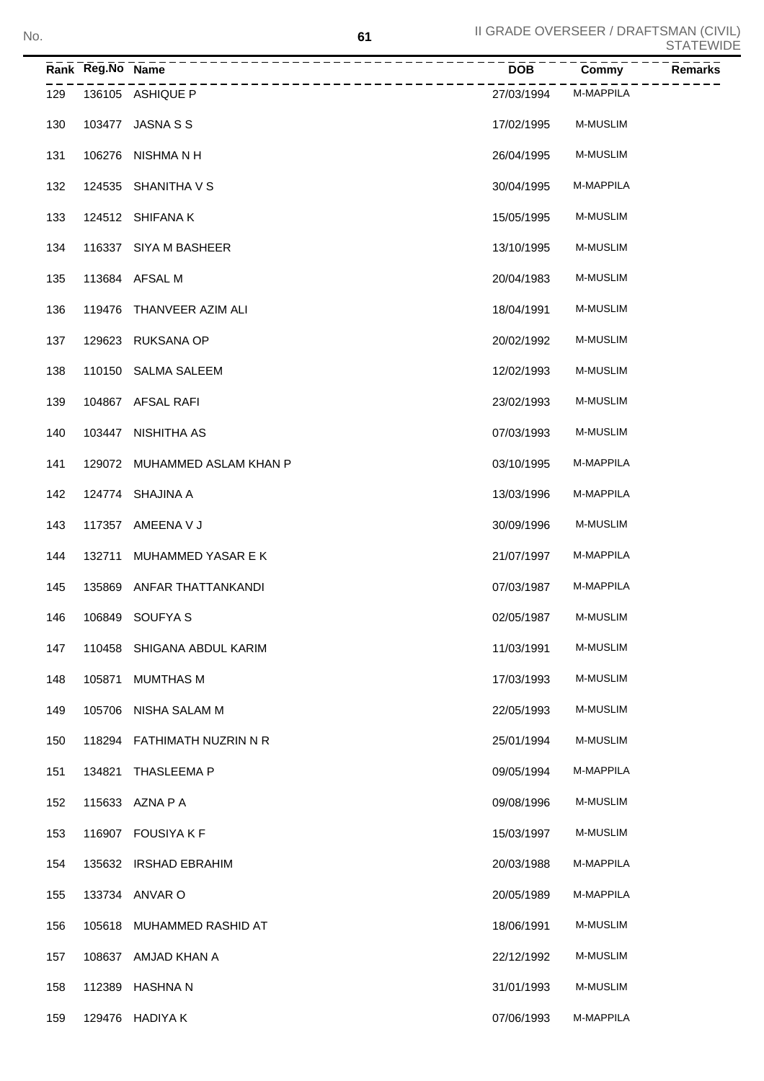|     | Rank Reg.No Name |                                       | <b>DOB</b> | Commy           | <b>Remarks</b> |
|-----|------------------|---------------------------------------|------------|-----------------|----------------|
| 129 |                  | -----------------<br>136105 ASHIQUE P | 27/03/1994 | M-MAPPILA       |                |
| 130 |                  | 103477 JASNA S S                      | 17/02/1995 | M-MUSLIM        |                |
| 131 |                  | 106276 NISHMA N H                     | 26/04/1995 | M-MUSLIM        |                |
| 132 |                  | 124535 SHANITHA V S                   | 30/04/1995 | M-MAPPILA       |                |
| 133 |                  | 124512 SHIFANA K                      | 15/05/1995 | M-MUSLIM        |                |
| 134 |                  | 116337 SIYA M BASHEER                 | 13/10/1995 | M-MUSLIM        |                |
| 135 |                  | 113684 AFSAL M                        | 20/04/1983 | M-MUSLIM        |                |
| 136 |                  | 119476 THANVEER AZIM ALI              | 18/04/1991 | M-MUSLIM        |                |
| 137 |                  | 129623 RUKSANA OP                     | 20/02/1992 | M-MUSLIM        |                |
| 138 |                  | 110150 SALMA SALEEM                   | 12/02/1993 | M-MUSLIM        |                |
| 139 |                  | 104867 AFSAL RAFI                     | 23/02/1993 | <b>M-MUSLIM</b> |                |
| 140 |                  | 103447 NISHITHA AS                    | 07/03/1993 | M-MUSLIM        |                |
| 141 |                  | 129072 MUHAMMED ASLAM KHAN P          | 03/10/1995 | M-MAPPILA       |                |
| 142 |                  | 124774 SHAJINA A                      | 13/03/1996 | M-MAPPILA       |                |
| 143 |                  | 117357 AMEENA V J                     | 30/09/1996 | M-MUSLIM        |                |
| 144 | 132711           | MUHAMMED YASAR E K                    | 21/07/1997 | M-MAPPILA       |                |
| 145 |                  | 135869 ANFAR THATTANKANDI             | 07/03/1987 | M-MAPPILA       |                |
| 146 |                  | 106849 SOUFYA S                       | 02/05/1987 | M-MUSLIM        |                |
| 147 |                  | 110458 SHIGANA ABDUL KARIM            | 11/03/1991 | M-MUSLIM        |                |
| 148 | 105871           | MUMTHAS M                             | 17/03/1993 | M-MUSLIM        |                |
| 149 | 105706           | NISHA SALAM M                         | 22/05/1993 | M-MUSLIM        |                |
| 150 | 118294           | FATHIMATH NUZRIN N R                  | 25/01/1994 | M-MUSLIM        |                |
| 151 | 134821           | <b>THASLEEMA P</b>                    | 09/05/1994 | M-MAPPILA       |                |
| 152 |                  | 115633 AZNA P A                       | 09/08/1996 | M-MUSLIM        |                |
| 153 | 116907           | <b>FOUSIYA K F</b>                    | 15/03/1997 | M-MUSLIM        |                |
| 154 |                  | 135632 IRSHAD EBRAHIM                 | 20/03/1988 | M-MAPPILA       |                |
| 155 |                  | 133734 ANVAR O                        | 20/05/1989 | M-MAPPILA       |                |
| 156 | 105618           | MUHAMMED RASHID AT                    | 18/06/1991 | M-MUSLIM        |                |
| 157 |                  | 108637 AMJAD KHAN A                   | 22/12/1992 | M-MUSLIM        |                |
| 158 | 112389           | HASHNA N                              | 31/01/1993 | M-MUSLIM        |                |
| 159 |                  | 129476 HADIYA K                       | 07/06/1993 | M-MAPPILA       |                |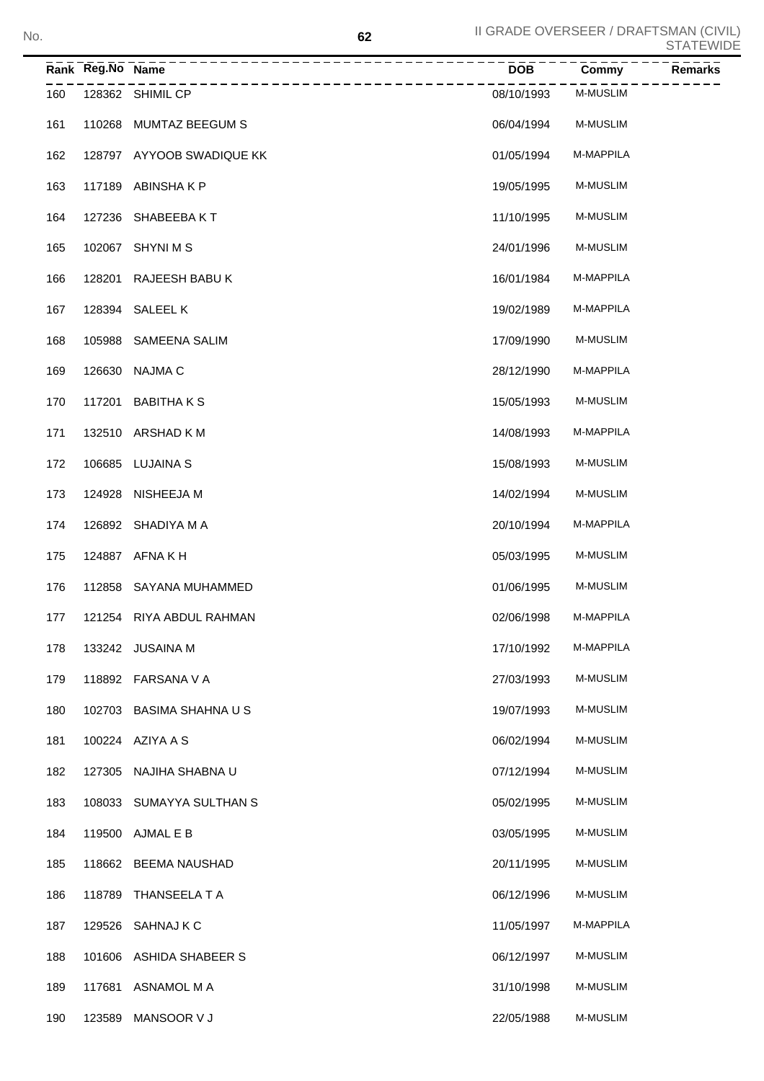|     | Rank Reg.No Name |                                       | <b>DOB</b> | Remarks<br>Commy |
|-----|------------------|---------------------------------------|------------|------------------|
| 160 |                  | _________________<br>128362 SHIMIL CP | 08/10/1993 | M-MUSLIM         |
| 161 |                  | 110268 MUMTAZ BEEGUM S                | 06/04/1994 | <b>M-MUSLIM</b>  |
| 162 |                  | 128797 AYYOOB SWADIQUE KK             | 01/05/1994 | M-MAPPILA        |
| 163 |                  | 117189 ABINSHAKP                      | 19/05/1995 | <b>M-MUSLIM</b>  |
| 164 |                  | 127236 SHABEEBAKT                     | 11/10/1995 | <b>M-MUSLIM</b>  |
| 165 |                  | 102067 SHYNI M S                      | 24/01/1996 | <b>M-MUSLIM</b>  |
| 166 |                  | 128201 RAJEESH BABU K                 | 16/01/1984 | M-MAPPILA        |
| 167 |                  | 128394 SALEEL K                       | 19/02/1989 | M-MAPPILA        |
| 168 |                  | 105988 SAMEENA SALIM                  | 17/09/1990 | <b>M-MUSLIM</b>  |
| 169 |                  | 126630 NAJMA C                        | 28/12/1990 | M-MAPPILA        |
| 170 |                  | 117201 BABITHAKS                      | 15/05/1993 | <b>M-MUSLIM</b>  |
| 171 |                  | 132510 ARSHAD KM                      | 14/08/1993 | M-MAPPILA        |
| 172 |                  | 106685 LUJAINA S                      | 15/08/1993 | <b>M-MUSLIM</b>  |
| 173 |                  | 124928 NISHEEJA M                     | 14/02/1994 | <b>M-MUSLIM</b>  |
| 174 |                  | 126892 SHADIYA M A                    | 20/10/1994 | M-MAPPILA        |
| 175 |                  | 124887 AFNA K H                       | 05/03/1995 | <b>M-MUSLIM</b>  |
| 176 |                  | 112858 SAYANA MUHAMMED                | 01/06/1995 | <b>M-MUSLIM</b>  |
| 177 |                  | 121254 RIYA ABDUL RAHMAN              | 02/06/1998 | M-MAPPILA        |
| 178 |                  | 133242 JUSAINA M                      | 17/10/1992 | M-MAPPILA        |
| 179 |                  | 118892 FARSANA V A                    | 27/03/1993 | M-MUSLIM         |
| 180 | 102703           | BASIMA SHAHNA U S                     | 19/07/1993 | M-MUSLIM         |
| 181 |                  | 100224 AZIYA A S                      | 06/02/1994 | M-MUSLIM         |
| 182 | 127305           | NAJIHA SHABNA U                       | 07/12/1994 | M-MUSLIM         |
| 183 | 108033           | SUMAYYA SULTHAN S                     | 05/02/1995 | M-MUSLIM         |
| 184 |                  | 119500 AJMAL E B                      | 03/05/1995 | M-MUSLIM         |
| 185 |                  | 118662 BEEMA NAUSHAD                  | 20/11/1995 | M-MUSLIM         |
| 186 | 118789           | THANSEELA T A                         | 06/12/1996 | M-MUSLIM         |
| 187 | 129526           | SAHNAJ K C                            | 11/05/1997 | M-MAPPILA        |
| 188 |                  | 101606 ASHIDA SHABEER S               | 06/12/1997 | M-MUSLIM         |
| 189 | 117681           | ASNAMOL M A                           | 31/10/1998 | M-MUSLIM         |
| 190 | 123589           | MANSOOR V J                           | 22/05/1988 | M-MUSLIM         |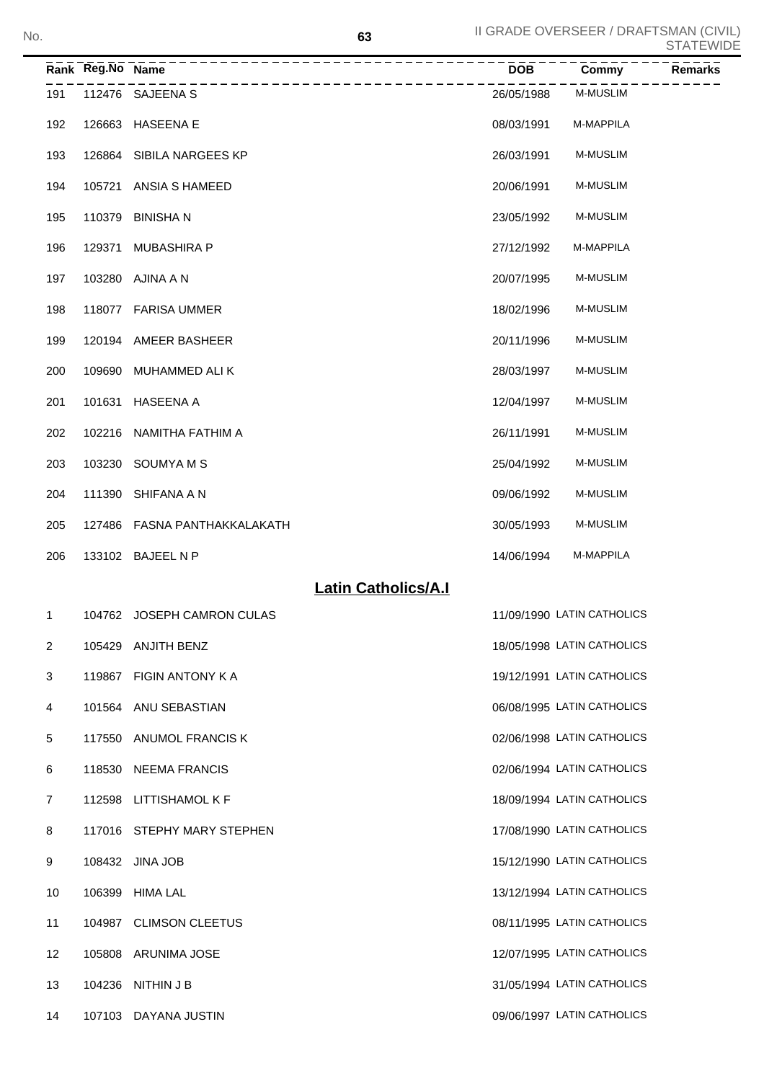| No. |                |                  |                              | 63                         |            | II GRADE OVERSEER / DRAFTSMAN (CIVIL) | <b>STATEWIDE</b> |
|-----|----------------|------------------|------------------------------|----------------------------|------------|---------------------------------------|------------------|
|     |                | Rank Reg.No Name | --------------               |                            | <b>DOB</b> | Commy                                 | Remarks          |
|     | 191            |                  | 112476 SAJEENA S             |                            | 26/05/1988 | <b>M-MUSLIM</b>                       |                  |
|     | 192            |                  | 126663 HASEENA E             |                            | 08/03/1991 | M-MAPPILA                             |                  |
|     | 193            |                  | 126864 SIBILA NARGEES KP     |                            | 26/03/1991 | <b>M-MUSLIM</b>                       |                  |
|     | 194            |                  | 105721 ANSIA S HAMEED        |                            | 20/06/1991 | <b>M-MUSLIM</b>                       |                  |
|     | 195            |                  | 110379 BINISHAN              |                            | 23/05/1992 | <b>M-MUSLIM</b>                       |                  |
|     | 196            |                  | 129371 MUBASHIRA P           |                            | 27/12/1992 | M-MAPPILA                             |                  |
|     | 197            |                  | 103280 AJINA A N             |                            | 20/07/1995 | <b>M-MUSLIM</b>                       |                  |
|     | 198            |                  | 118077 FARISA UMMER          |                            | 18/02/1996 | <b>M-MUSLIM</b>                       |                  |
|     | 199            |                  | 120194 AMEER BASHEER         |                            | 20/11/1996 | <b>M-MUSLIM</b>                       |                  |
|     | 200            |                  | 109690 MUHAMMED ALI K        |                            | 28/03/1997 | <b>M-MUSLIM</b>                       |                  |
|     | 201            |                  | 101631 HASEENA A             |                            | 12/04/1997 | <b>M-MUSLIM</b>                       |                  |
|     | 202            |                  | 102216 NAMITHA FATHIM A      |                            | 26/11/1991 | <b>M-MUSLIM</b>                       |                  |
|     | 203            |                  | 103230 SOUMYA M S            |                            | 25/04/1992 | <b>M-MUSLIM</b>                       |                  |
|     | 204            |                  | 111390 SHIFANA A N           |                            | 09/06/1992 | <b>M-MUSLIM</b>                       |                  |
|     | 205            |                  | 127486 FASNA PANTHAKKALAKATH |                            | 30/05/1993 | <b>M-MUSLIM</b>                       |                  |
|     | 206            |                  | 133102 BAJEEL N P            |                            | 14/06/1994 | M-MAPPILA                             |                  |
|     |                |                  |                              | <b>Latin Catholics/A.I</b> |            |                                       |                  |
|     | 1              |                  | 104762 JOSEPH CAMRON CULAS   |                            |            | 11/09/1990 LATIN CATHOLICS            |                  |
|     | $\overline{2}$ |                  | 105429 ANJITH BENZ           |                            |            | 18/05/1998 LATIN CATHOLICS            |                  |
|     | 3              |                  | 119867 FIGIN ANTONY K A      |                            |            | 19/12/1991 LATIN CATHOLICS            |                  |
|     | 4              |                  | 101564 ANU SEBASTIAN         |                            |            | 06/08/1995 LATIN CATHOLICS            |                  |
|     | 5              |                  | 117550 ANUMOL FRANCIS K      |                            |            | 02/06/1998 LATIN CATHOLICS            |                  |
|     | 6              |                  | 118530 NEEMA FRANCIS         |                            |            | 02/06/1994 LATIN CATHOLICS            |                  |
|     | $\overline{7}$ |                  | 112598 LITTISHAMOL K F       |                            |            | 18/09/1994 LATIN CATHOLICS            |                  |
|     | 8              |                  | 117016 STEPHY MARY STEPHEN   |                            |            | 17/08/1990 LATIN CATHOLICS            |                  |
|     | 9              |                  | 108432 JINA JOB              |                            |            | 15/12/1990 LATIN CATHOLICS            |                  |
|     | 10             |                  | 106399 HIMA LAL              |                            |            | 13/12/1994 LATIN CATHOLICS            |                  |
|     | 11             |                  | 104987 CLIMSON CLEETUS       |                            |            | 08/11/1995 LATIN CATHOLICS            |                  |
|     | 12             |                  | 105808 ARUNIMA JOSE          |                            |            | 12/07/1995 LATIN CATHOLICS            |                  |
|     | 13             |                  | 104236 NITHIN J B            |                            |            | 31/05/1994 LATIN CATHOLICS            |                  |

14 107103 DAYANA JUSTIN 2009 100 100 2009/06/1997 LATIN CATHOLICS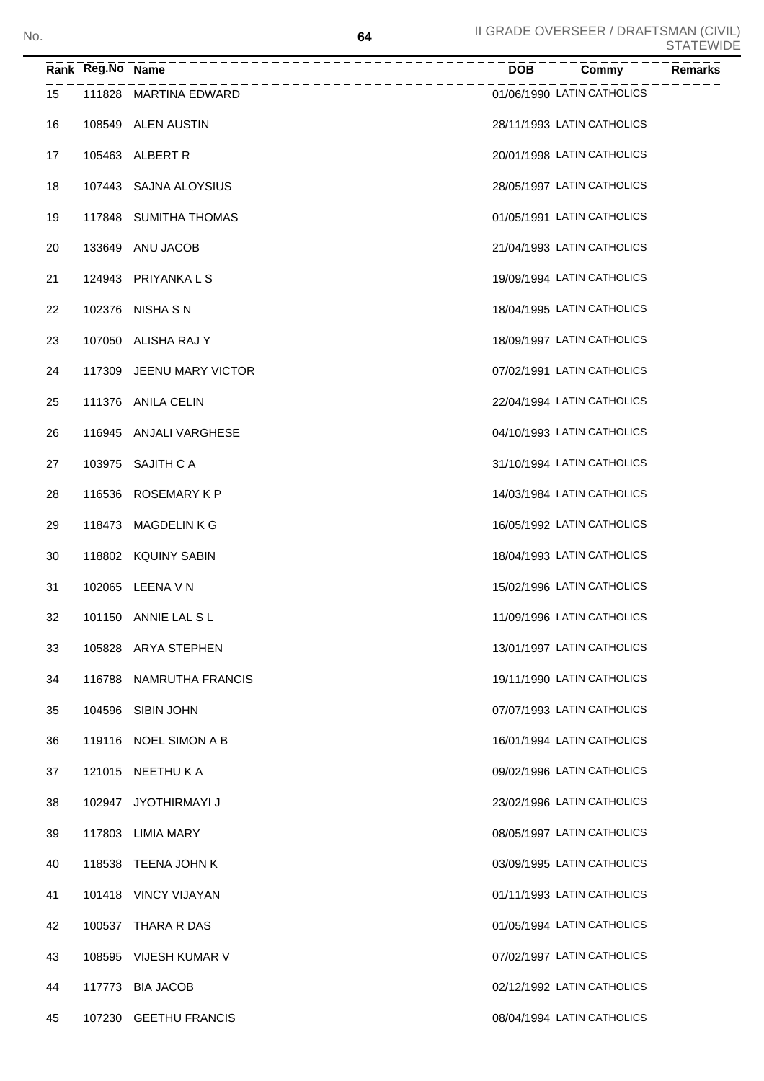|    | Rank Reg.No Name | ---------------------------- | $\overline{DOB}$ ----- | $\overline{Commy}$         | Remarks |
|----|------------------|------------------------------|------------------------|----------------------------|---------|
| 15 |                  | 111828 MARTINA EDWARD        |                        | 01/06/1990 LATIN CATHOLICS |         |
| 16 |                  | 108549 ALEN AUSTIN           |                        | 28/11/1993 LATIN CATHOLICS |         |
| 17 |                  | 105463 ALBERT R              |                        | 20/01/1998 LATIN CATHOLICS |         |
| 18 |                  | 107443 SAJNA ALOYSIUS        |                        | 28/05/1997 LATIN CATHOLICS |         |
| 19 |                  | 117848 SUMITHA THOMAS        |                        | 01/05/1991 LATIN CATHOLICS |         |
| 20 |                  | 133649 ANU JACOB             |                        | 21/04/1993 LATIN CATHOLICS |         |
| 21 |                  | 124943 PRIYANKA L S          |                        | 19/09/1994 LATIN CATHOLICS |         |
| 22 |                  | 102376 NISHA S N             |                        | 18/04/1995 LATIN CATHOLICS |         |
| 23 |                  | 107050 ALISHA RAJ Y          |                        | 18/09/1997 LATIN CATHOLICS |         |
| 24 |                  | 117309 JEENU MARY VICTOR     |                        | 07/02/1991 LATIN CATHOLICS |         |
| 25 |                  | 111376 ANILA CELIN           |                        | 22/04/1994 LATIN CATHOLICS |         |
| 26 |                  | 116945 ANJALI VARGHESE       |                        | 04/10/1993 LATIN CATHOLICS |         |
| 27 |                  | 103975 SAJITH C A            |                        | 31/10/1994 LATIN CATHOLICS |         |
| 28 |                  | 116536 ROSEMARY K P          |                        | 14/03/1984 LATIN CATHOLICS |         |
| 29 | 118473           | MAGDELIN K G                 |                        | 16/05/1992 LATIN CATHOLICS |         |
| 30 |                  | 118802 KQUINY SABIN          |                        | 18/04/1993 LATIN CATHOLICS |         |
| 31 |                  | 102065 LEENA V N             |                        | 15/02/1996 LATIN CATHOLICS |         |
| 32 |                  | 101150 ANNIE LAL SL          |                        | 11/09/1996 LATIN CATHOLICS |         |
| 33 |                  | 105828 ARYA STEPHEN          |                        | 13/01/1997 LATIN CATHOLICS |         |
| 34 |                  | 116788 NAMRUTHA FRANCIS      |                        | 19/11/1990 LATIN CATHOLICS |         |
| 35 |                  | 104596 SIBIN JOHN            |                        | 07/07/1993 LATIN CATHOLICS |         |
| 36 |                  | 119116 NOEL SIMON A B        |                        | 16/01/1994 LATIN CATHOLICS |         |
| 37 |                  | 121015 NEETHU K A            |                        | 09/02/1996 LATIN CATHOLICS |         |
| 38 |                  | 102947 JYOTHIRMAYI J         |                        | 23/02/1996 LATIN CATHOLICS |         |
| 39 |                  | 117803 LIMIA MARY            |                        | 08/05/1997 LATIN CATHOLICS |         |
| 40 |                  | 118538 TEENA JOHN K          |                        | 03/09/1995 LATIN CATHOLICS |         |
| 41 |                  | 101418 VINCY VIJAYAN         |                        | 01/11/1993 LATIN CATHOLICS |         |
| 42 |                  | 100537 THARA R DAS           |                        | 01/05/1994 LATIN CATHOLICS |         |
| 43 |                  | 108595 VIJESH KUMAR V        |                        | 07/02/1997 LATIN CATHOLICS |         |
| 44 |                  | 117773 BIA JACOB             |                        | 02/12/1992 LATIN CATHOLICS |         |
| 45 |                  | 107230 GEETHU FRANCIS        |                        | 08/04/1994 LATIN CATHOLICS |         |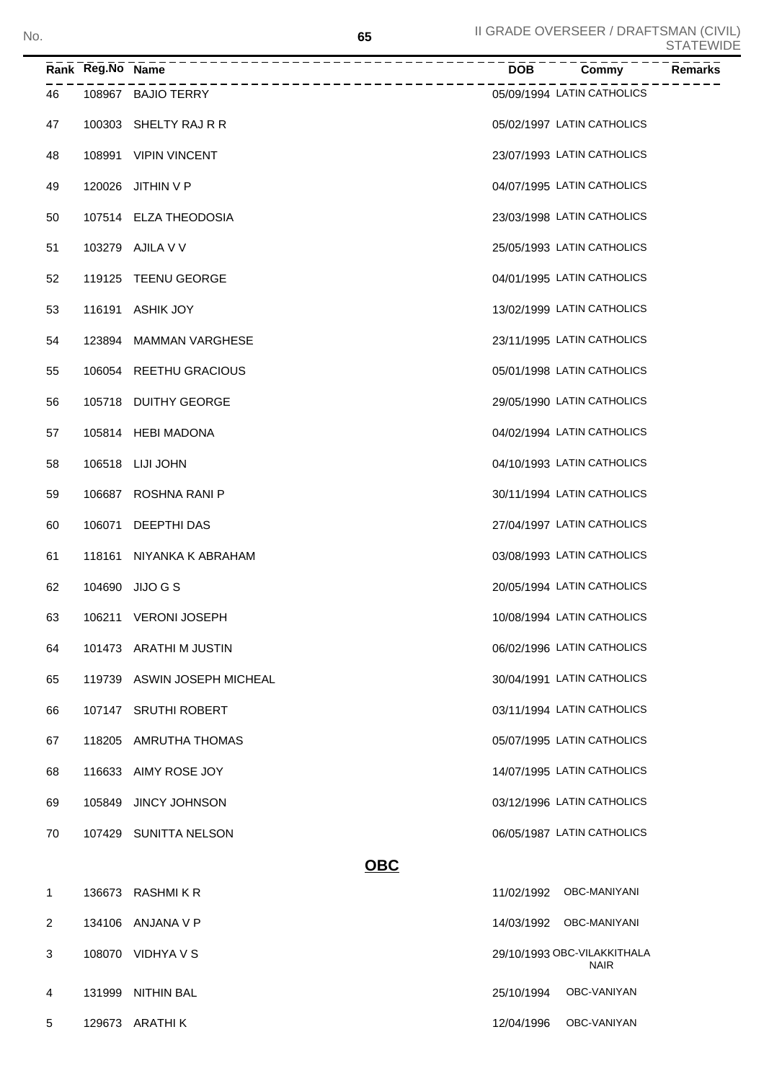| No. |  |                                                   | 65         |            | II GRADE OVERSEER / DRAFTSMAN (CIVIL) | <b>STATEWIDE</b> |
|-----|--|---------------------------------------------------|------------|------------|---------------------------------------|------------------|
|     |  |                                                   |            | <b>DOB</b> | . <u>.</u><br>Commy                   | Remarks          |
| 46  |  | ---------------------------<br>108967 BAJIO TERRY |            |            | 05/09/1994 LATIN CATHOLICS            |                  |
| 47  |  | 100303 SHELTY RAJ R R                             |            |            | 05/02/1997 LATIN CATHOLICS            |                  |
| 48  |  | 108991 VIPIN VINCENT                              |            |            | 23/07/1993 LATIN CATHOLICS            |                  |
| 49  |  | 120026 JITHIN V P                                 |            |            | 04/07/1995 LATIN CATHOLICS            |                  |
| 50  |  | 107514 ELZA THEODOSIA                             |            |            | 23/03/1998 LATIN CATHOLICS            |                  |
| 51  |  | 103279 AJILA V V                                  |            |            | 25/05/1993 LATIN CATHOLICS            |                  |
| 52  |  | 119125 TEENU GEORGE                               |            |            | 04/01/1995 LATIN CATHOLICS            |                  |
| 53  |  | 116191 ASHIK JOY                                  |            |            | 13/02/1999 LATIN CATHOLICS            |                  |
| 54  |  | 123894 MAMMAN VARGHESE                            |            |            | 23/11/1995 LATIN CATHOLICS            |                  |
| 55  |  | 106054 REETHU GRACIOUS                            |            |            | 05/01/1998 LATIN CATHOLICS            |                  |
| 56  |  | 105718 DUITHY GEORGE                              |            |            | 29/05/1990 LATIN CATHOLICS            |                  |
| 57  |  | 105814 HEBI MADONA                                |            |            | 04/02/1994 LATIN CATHOLICS            |                  |
| 58  |  | 106518 LIJI JOHN                                  |            |            | 04/10/1993 LATIN CATHOLICS            |                  |
| 59  |  | 106687 ROSHNA RANI P                              |            |            | 30/11/1994 LATIN CATHOLICS            |                  |
| 60  |  | 106071 DEEPTHI DAS                                |            |            | 27/04/1997 LATIN CATHOLICS            |                  |
| 61  |  | 118161 NIYANKA K ABRAHAM                          |            |            | 03/08/1993 LATIN CATHOLICS            |                  |
| 62  |  | 104690 JIJO G S                                   |            |            | 20/05/1994 LATIN CATHOLICS            |                  |
| 63  |  | 106211 VERONI JOSEPH                              |            |            | 10/08/1994 LATIN CATHOLICS            |                  |
| 64  |  | 101473 ARATHI M JUSTIN                            |            |            | 06/02/1996 LATIN CATHOLICS            |                  |
| 65  |  | 119739 ASWIN JOSEPH MICHEAL                       |            |            | 30/04/1991 LATIN CATHOLICS            |                  |
| 66  |  | 107147 SRUTHI ROBERT                              |            |            | 03/11/1994 LATIN CATHOLICS            |                  |
| 67  |  | 118205 AMRUTHA THOMAS                             |            |            | 05/07/1995 LATIN CATHOLICS            |                  |
| 68  |  | 116633 AIMY ROSE JOY                              |            |            | 14/07/1995 LATIN CATHOLICS            |                  |
| 69  |  | 105849 JINCY JOHNSON                              |            |            | 03/12/1996 LATIN CATHOLICS            |                  |
| 70  |  | 107429 SUNITTA NELSON                             |            |            | 06/05/1987 LATIN CATHOLICS            |                  |
|     |  |                                                   | <b>OBC</b> |            |                                       |                  |
| 1   |  | 136673 RASHMIKR                                   |            |            | 11/02/1992 OBC-MANIYANI               |                  |
|     |  |                                                   |            |            |                                       |                  |

| 1 | 136673 | RASHMI K R | 11/02/1992 | OBC-MANIYANI                               |
|---|--------|------------|------------|--------------------------------------------|
| 2 | 134106 | ANJANA V P | 14/03/1992 | OBC-MANIYANI                               |
| 3 | 108070 | VIDHYA V S |            | 29/10/1993 OBC-VILAKKITHALA<br><b>NAIR</b> |
| 4 | 131999 | NITHIN BAL | 25/10/1994 | OBC-VANIYAN                                |
| 5 | 129673 | ARATHI K   | 12/04/1996 | OBC-VANIYAN                                |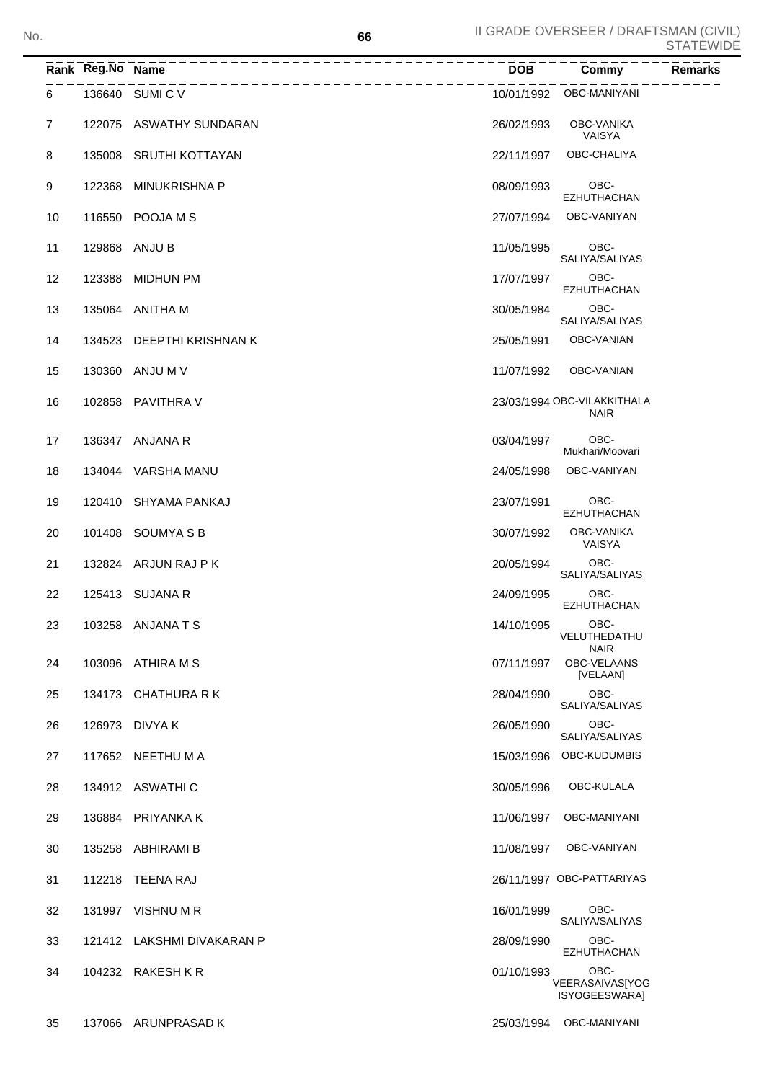|                | Rank Reg.No Name | ______________________________ | <b>DOB</b> | Commy                                      | Remarks |
|----------------|------------------|--------------------------------|------------|--------------------------------------------|---------|
| 6              |                  | 136640 SUMICV                  |            | 10/01/1992 OBC-MANIYANI                    |         |
| $\overline{7}$ |                  | 122075 ASWATHY SUNDARAN        | 26/02/1993 | OBC-VANIKA<br>VAISYA                       |         |
| 8              |                  | 135008 SRUTHI KOTTAYAN         | 22/11/1997 | OBC-CHALIYA                                |         |
| 9              |                  | 122368 MINUKRISHNA P           | 08/09/1993 | OBC-<br><b>EZHUTHACHAN</b>                 |         |
| 10             |                  | 116550 POOJA M S               | 27/07/1994 | OBC-VANIYAN                                |         |
| 11             |                  | 129868 ANJU B                  | 11/05/1995 | OBC-<br>SALIYA/SALIYAS                     |         |
| 12             |                  | 123388 MIDHUN PM               | 17/07/1997 | OBC-<br><b>EZHUTHACHAN</b>                 |         |
| 13             |                  | 135064 ANITHA M                | 30/05/1984 | OBC-<br>SALIYA/SALIYAS                     |         |
| 14             |                  | 134523 DEEPTHI KRISHNAN K      | 25/05/1991 | OBC-VANIAN                                 |         |
| 15             |                  | 130360 ANJU M V                | 11/07/1992 | OBC-VANIAN                                 |         |
| 16             |                  | 102858 PAVITHRA V              |            | 23/03/1994 OBC-VILAKKITHALA<br><b>NAIR</b> |         |
| 17             |                  | 136347 ANJANA R                | 03/04/1997 | OBC-<br>Mukhari/Moovari                    |         |
| 18             |                  | 134044 VARSHA MANU             | 24/05/1998 | OBC-VANIYAN                                |         |
| 19             |                  | 120410 SHYAMA PANKAJ           | 23/07/1991 | OBC-<br><b>EZHUTHACHAN</b>                 |         |
| 20             |                  | 101408 SOUMYA S B              | 30/07/1992 | OBC-VANIKA<br>VAISYA                       |         |
| 21             |                  | 132824 ARJUN RAJ P K           | 20/05/1994 | OBC-<br>SALIYA/SALIYAS                     |         |
| 22             |                  | 125413 SUJANA R                | 24/09/1995 | OBC-<br><b>EZHUTHACHAN</b>                 |         |
| 23             |                  | 103258 ANJANA T S              | 14/10/1995 | OBC-<br>VELUTHEDATHU<br><b>NAIR</b>        |         |
| 24             |                  | 103096 ATHIRA M S              | 07/11/1997 | OBC-VELAANS<br>[VELAAN]                    |         |
| 25             |                  | 134173 CHATHURA R K            | 28/04/1990 | OBC-<br>SALIYA/SALIYAS                     |         |
| 26             |                  | 126973 DIVYA K                 | 26/05/1990 | OBC-<br>SALIYA/SALIYAS                     |         |
| 27             |                  | 117652 NEETHU M A              | 15/03/1996 | OBC-KUDUMBIS                               |         |
| 28             |                  | 134912 ASWATHIC                | 30/05/1996 | OBC-KULALA                                 |         |
| 29             |                  | 136884 PRIYANKA K              | 11/06/1997 | OBC-MANIYANI                               |         |
| 30             |                  | 135258 ABHIRAMI B              | 11/08/1997 | OBC-VANIYAN                                |         |
| 31             |                  | 112218 TEENA RAJ               |            | 26/11/1997 OBC-PATTARIYAS                  |         |
| 32             |                  | 131997 VISHNU M R              | 16/01/1999 | OBC-<br>SALIYA/SALIYAS                     |         |
| 33             |                  | 121412 LAKSHMI DIVAKARAN P     | 28/09/1990 | OBC-<br><b>EZHUTHACHAN</b>                 |         |
| 34             |                  | 104232 RAKESH K R              | 01/10/1993 | OBC-<br>VEERASAIVAS[YOG<br>ISYOGEESWARA]   |         |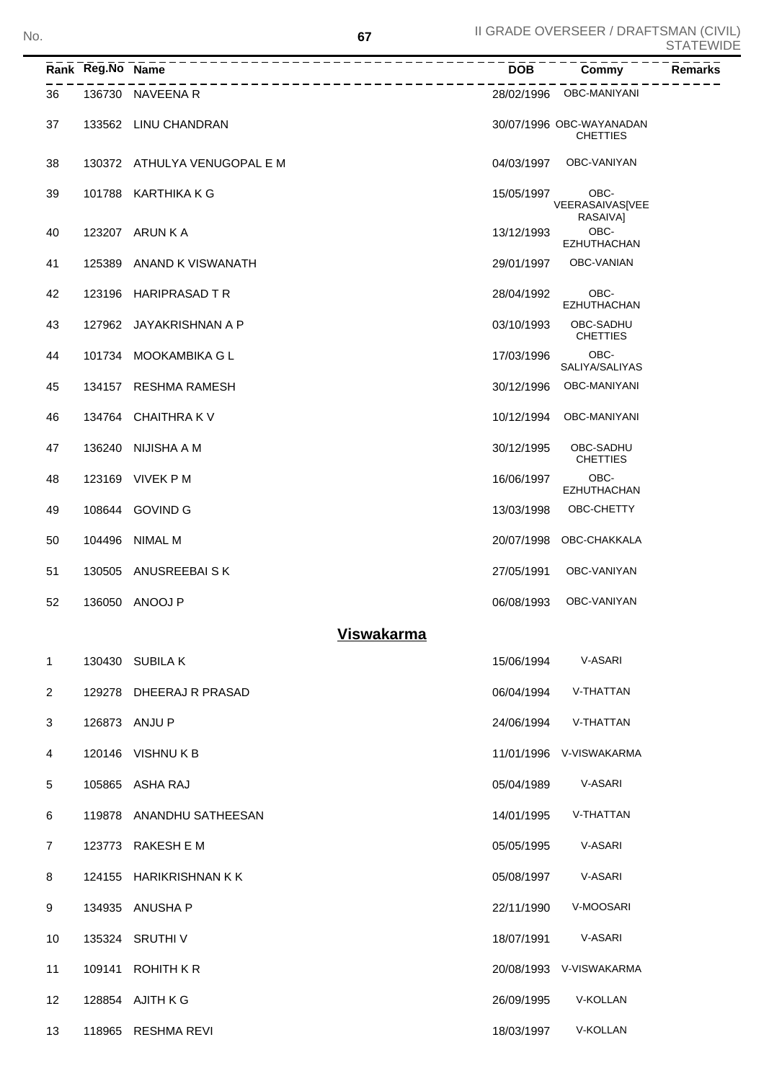|                | Rank Reg.No Name | _________________            | <b>DOB</b> | Commy                                       | <b>Remarks</b> |
|----------------|------------------|------------------------------|------------|---------------------------------------------|----------------|
| 36             |                  | 136730 NAVEENA R             |            | 28/02/1996 OBC-MANIYANI                     |                |
| 37             |                  | 133562 LINU CHANDRAN         |            | 30/07/1996 OBC-WAYANADAN<br><b>CHETTIES</b> |                |
| 38             |                  | 130372 ATHULYA VENUGOPAL E M | 04/03/1997 | OBC-VANIYAN                                 |                |
| 39             |                  | 101788 KARTHIKA K G          | 15/05/1997 | OBC-<br>VEERASAIVAS[VEE<br>RASAIVAI         |                |
| 40             |                  | 123207 ARUN K A              | 13/12/1993 | OBC-<br><b>EZHUTHACHAN</b>                  |                |
| 41             |                  | 125389 ANAND K VISWANATH     | 29/01/1997 | OBC-VANIAN                                  |                |
| 42             |                  | 123196 HARIPRASAD TR         | 28/04/1992 | OBC-<br><b>EZHUTHACHAN</b>                  |                |
| 43             |                  | 127962 JAYAKRISHNAN A P      | 03/10/1993 | OBC-SADHU<br><b>CHETTIES</b>                |                |
| 44             |                  | 101734 MOOKAMBIKA G L        | 17/03/1996 | OBC-<br>SALIYA/SALIYAS                      |                |
| 45             |                  | 134157 RESHMA RAMESH         | 30/12/1996 | <b>OBC-MANIYANI</b>                         |                |
| 46             |                  | 134764 CHAITHRA K V          | 10/12/1994 | OBC-MANIYANI                                |                |
| 47             |                  | 136240 NIJISHA A M           | 30/12/1995 | OBC-SADHU<br><b>CHETTIES</b>                |                |
| 48             |                  | 123169 VIVEK P M             | 16/06/1997 | OBC-<br>EZHUTHACHAN                         |                |
| 49             |                  | 108644 GOVIND G              | 13/03/1998 | OBC-CHETTY                                  |                |
| 50             |                  | 104496 NIMAL M               |            | 20/07/1998 OBC-CHAKKALA                     |                |
| 51             |                  | 130505 ANUSREEBAISK          | 27/05/1991 | OBC-VANIYAN                                 |                |
| 52             |                  | 136050 ANOOJ P               | 06/08/1993 | OBC-VANIYAN                                 |                |
|                |                  | <u>Viswakarma</u>            |            |                                             |                |
| 1              |                  | 130430 SUBILA K              | 15/06/1994 | V-ASARI                                     |                |
| $\overline{2}$ |                  | 129278 DHEERAJ R PRASAD      | 06/04/1994 | V-THATTAN                                   |                |
| 3              |                  | 126873 ANJU P                | 24/06/1994 | V-THATTAN                                   |                |
| 4              |                  | 120146 VISHNU K B            |            | 11/01/1996 V-VISWAKARMA                     |                |
| 5              |                  | 105865 ASHA RAJ              | 05/04/1989 | V-ASARI                                     |                |
| 6              |                  | 119878 ANANDHU SATHEESAN     | 14/01/1995 | V-THATTAN                                   |                |
| $\overline{7}$ |                  | 123773 RAKESH E M            | 05/05/1995 | V-ASARI                                     |                |
| 8              |                  | 124155 HARIKRISHNAN K K      | 05/08/1997 | V-ASARI                                     |                |
| 9              |                  | 134935 ANUSHA P              | 22/11/1990 | V-MOOSARI                                   |                |
| 10             |                  | 135324 SRUTHI V              | 18/07/1991 | V-ASARI                                     |                |
| 11             |                  | 109141 ROHITH KR             |            | 20/08/1993 V-VISWAKARMA                     |                |
| 12             |                  | 128854 AJITH K G             | 26/09/1995 | V-KOLLAN                                    |                |
| 13             |                  | 118965 RESHMA REVI           | 18/03/1997 | V-KOLLAN                                    |                |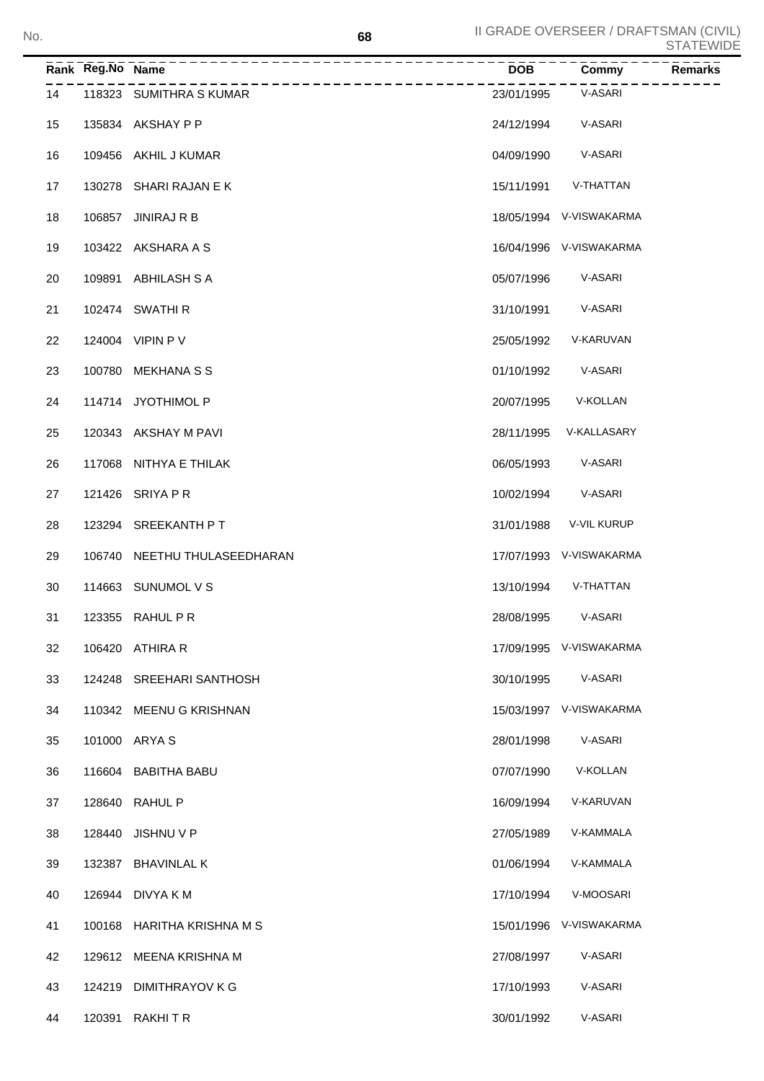|    | Rank Reg.No Name | ---------------<br>__________________ | $\overline{DOB}$ | Commy                   | <b>Remarks</b> |
|----|------------------|---------------------------------------|------------------|-------------------------|----------------|
| 14 |                  | 118323 SUMITHRA S KUMAR               | 23/01/1995       | V-ASARI                 |                |
| 15 |                  | 135834 AKSHAY P P                     |                  | 24/12/1994 V-ASARI      |                |
| 16 |                  | 109456 AKHIL J KUMAR                  | 04/09/1990       | V-ASARI                 |                |
| 17 |                  | 130278 SHARI RAJAN E K                | 15/11/1991       | V-THATTAN               |                |
| 18 |                  | 106857 JINIRAJ R B                    |                  | 18/05/1994 V-VISWAKARMA |                |
| 19 |                  | 103422 AKSHARA A S                    |                  | 16/04/1996 V-VISWAKARMA |                |
| 20 |                  | 109891 ABHILASH S A                   | 05/07/1996       | V-ASARI                 |                |
| 21 |                  | 102474 SWATHI R                       | 31/10/1991       | V-ASARI                 |                |
| 22 |                  | 124004 VIPIN P V                      | 25/05/1992       | V-KARUVAN               |                |
| 23 |                  | 100780 MEKHANA S S                    | 01/10/1992       | V-ASARI                 |                |
| 24 |                  | 114714 JYOTHIMOL P                    | 20/07/1995       | V-KOLLAN                |                |
| 25 |                  | 120343 AKSHAY M PAVI                  | 28/11/1995       | V-KALLASARY             |                |
| 26 |                  | 117068 NITHYA E THILAK                | 06/05/1993       | V-ASARI                 |                |
| 27 |                  | 121426 SRIYA P R                      | 10/02/1994       | V-ASARI                 |                |
| 28 |                  | 123294 SREEKANTH PT                   | 31/01/1988       | V-VIL KURUP             |                |
| 29 |                  | 106740 NEETHU THULASEEDHARAN          |                  | 17/07/1993 V-VISWAKARMA |                |
| 30 |                  | 114663 SUNUMOL V S                    | 13/10/1994       | V-THATTAN               |                |
| 31 |                  | 123355 RAHUL P R                      | 28/08/1995       | V-ASARI                 |                |
| 32 |                  | 106420 ATHIRA R                       |                  | 17/09/1995 V-VISWAKARMA |                |
| 33 |                  | 124248 SREEHARI SANTHOSH              | 30/10/1995       | V-ASARI                 |                |
| 34 |                  | 110342 MEENU G KRISHNAN               |                  | 15/03/1997 V-VISWAKARMA |                |
| 35 |                  | 101000 ARYA S                         | 28/01/1998       | V-ASARI                 |                |
| 36 |                  | 116604 BABITHA BABU                   | 07/07/1990       | V-KOLLAN                |                |
| 37 |                  | 128640 RAHUL P                        | 16/09/1994       | V-KARUVAN               |                |
| 38 | 128440           | JISHNU V P                            | 27/05/1989       | V-KAMMALA               |                |
| 39 | 132387           | <b>BHAVINLAL K</b>                    | 01/06/1994       | V-KAMMALA               |                |
| 40 |                  | 126944 DIVYA K M                      | 17/10/1994       | V-MOOSARI               |                |
| 41 |                  | 100168 HARITHA KRISHNA M S            | 15/01/1996       | V-VISWAKARMA            |                |
| 42 |                  | 129612 MEENA KRISHNA M                | 27/08/1997       | V-ASARI                 |                |
| 43 |                  | 124219 DIMITHRAYOV K G                | 17/10/1993       | V-ASARI                 |                |
| 44 |                  | 120391 RAKHITR                        | 30/01/1992       | V-ASARI                 |                |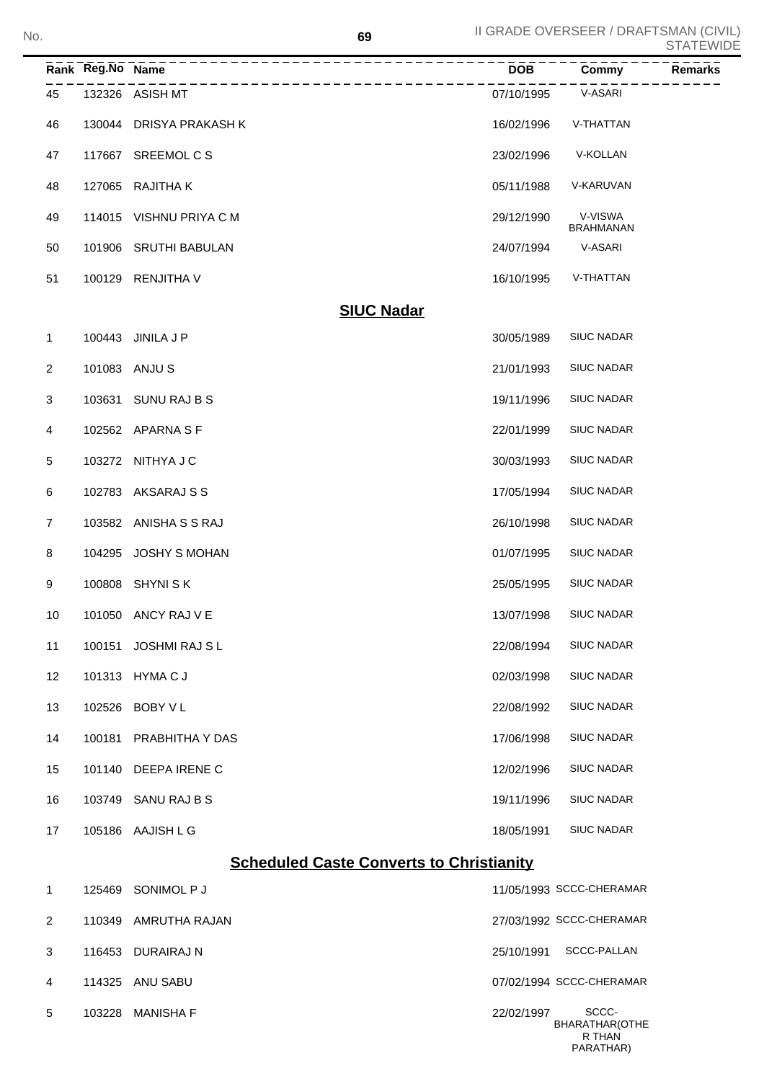| No.            |                  |                         | 69                                              |            | II GRADE OVERSEER / DRAFTSMAN (CIVIL) | <b>STATEWIDE</b> |
|----------------|------------------|-------------------------|-------------------------------------------------|------------|---------------------------------------|------------------|
|                | Rank Reg.No Name |                         | ----------------------------------              | <b>DOB</b> | Commy                                 | Remarks          |
| 45             |                  | 132326 ASISH MT         |                                                 | 07/10/1995 | V-ASARI                               |                  |
| 46             |                  | 130044 DRISYA PRAKASH K |                                                 | 16/02/1996 | V-THATTAN                             |                  |
| 47             |                  | 117667 SREEMOL C S      |                                                 | 23/02/1996 | V-KOLLAN                              |                  |
| 48             |                  | 127065 RAJITHA K        |                                                 | 05/11/1988 | V-KARUVAN                             |                  |
| 49             |                  | 114015 VISHNU PRIYA C M |                                                 | 29/12/1990 | V-VISWA<br><b>BRAHMANAN</b>           |                  |
| 50             |                  | 101906 SRUTHI BABULAN   |                                                 | 24/07/1994 | V-ASARI                               |                  |
| 51             |                  | 100129 RENJITHA V       |                                                 | 16/10/1995 | V-THATTAN                             |                  |
|                |                  |                         | <b>SIUC Nadar</b>                               |            |                                       |                  |
| $\mathbf{1}$   |                  | 100443 JINILA J P       |                                                 | 30/05/1989 | <b>SIUC NADAR</b>                     |                  |
| $\overline{2}$ |                  | 101083 ANJUS            |                                                 | 21/01/1993 | <b>SIUC NADAR</b>                     |                  |
| 3              |                  | 103631 SUNU RAJ B S     |                                                 | 19/11/1996 | <b>SIUC NADAR</b>                     |                  |
| 4              |                  | 102562 APARNA S F       |                                                 | 22/01/1999 | <b>SIUC NADAR</b>                     |                  |
| 5              |                  | 103272 NITHYA J C       |                                                 | 30/03/1993 | <b>SIUC NADAR</b>                     |                  |
| 6              |                  | 102783 AKSARAJ S S      |                                                 | 17/05/1994 | <b>SIUC NADAR</b>                     |                  |
| $\overline{7}$ |                  | 103582 ANISHA S S RAJ   |                                                 | 26/10/1998 | <b>SIUC NADAR</b>                     |                  |
| 8              |                  | 104295 JOSHY S MOHAN    |                                                 | 01/07/1995 | <b>SIUC NADAR</b>                     |                  |
| 9              |                  | 100808 SHYNISK          |                                                 | 25/05/1995 | <b>SIUC NADAR</b>                     |                  |
| 10             |                  | 101050 ANCY RAJ V E     |                                                 | 13/07/1998 | <b>SIUC NADAR</b>                     |                  |
| 11             |                  | 100151 JOSHMI RAJ SL    |                                                 | 22/08/1994 | <b>SIUC NADAR</b>                     |                  |
| 12             |                  | 101313 HYMA C J         |                                                 | 02/03/1998 | <b>SIUC NADAR</b>                     |                  |
| 13             |                  | 102526 BOBY V L         |                                                 | 22/08/1992 | <b>SIUC NADAR</b>                     |                  |
| 14             |                  | 100181 PRABHITHA Y DAS  |                                                 | 17/06/1998 | <b>SIUC NADAR</b>                     |                  |
| 15             |                  | 101140 DEEPA IRENE C    |                                                 | 12/02/1996 | <b>SIUC NADAR</b>                     |                  |
| 16             |                  | 103749 SANU RAJ B S     |                                                 | 19/11/1996 | <b>SIUC NADAR</b>                     |                  |
| 17             |                  | 105186 AAJISH L G       |                                                 | 18/05/1991 | <b>SIUC NADAR</b>                     |                  |
|                |                  |                         | <b>Scheduled Caste Converts to Christianity</b> |            |                                       |                  |
| $\mathbf{1}$   |                  | 125469 SONIMOL P J      |                                                 |            | 11/05/1993 SCCC-CHERAMAR              |                  |
| $\overline{2}$ |                  | 110349 AMRUTHA RAJAN    |                                                 |            | 27/03/1992 SCCC-CHERAMAR              |                  |

|  | 116453 DURAIRAJ N |  | 25/10/1991 SCCC-PALLAN |
|--|-------------------|--|------------------------|

- 114325 ANU SABU 07/02/1994 SCCC-CHERAMAR
- 5 103228 MANISHA F 22/02/1997 SCCC-
	- BHARATHAR(OTHE R THAN PARATHAR)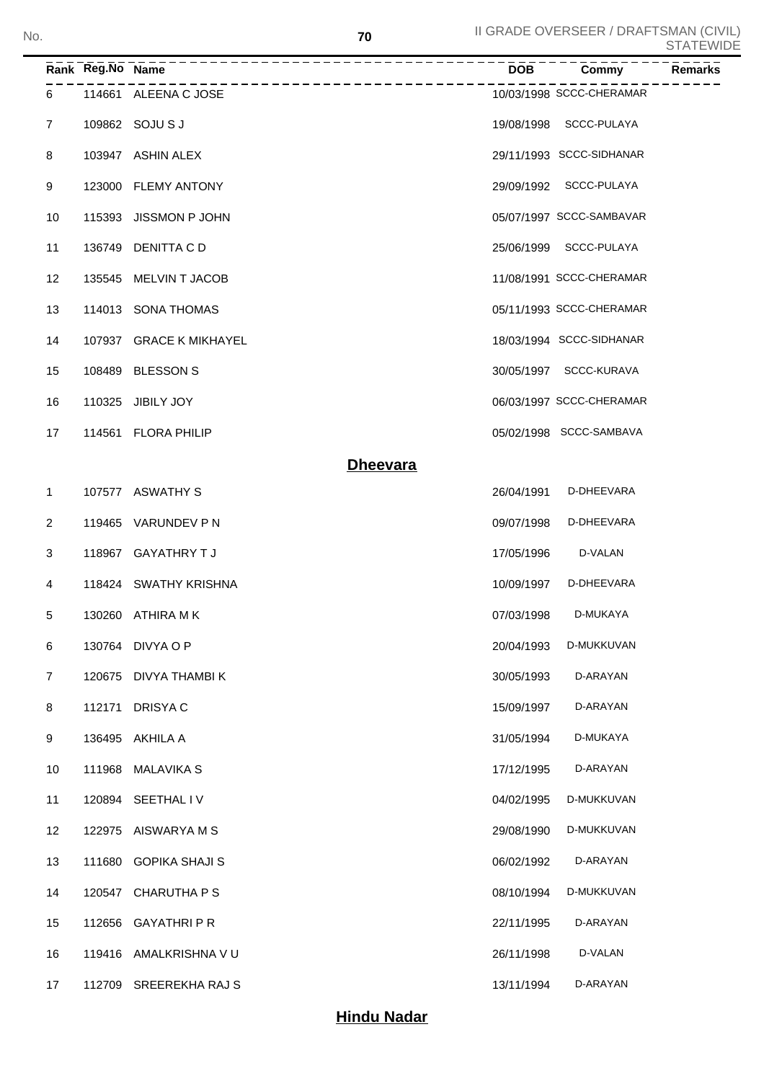|                | Rank Reg.No Name | -------------------     | <b>DOB</b> | Commy<br><b>Remarks</b>  |
|----------------|------------------|-------------------------|------------|--------------------------|
| 6              |                  | 114661 ALEENA C JOSE    |            | 10/03/1998 SCCC-CHERAMAR |
| $\overline{7}$ |                  | 109862 SOJU S J         |            | 19/08/1998 SCCC-PULAYA   |
| 8              |                  | 103947 ASHIN ALEX       |            | 29/11/1993 SCCC-SIDHANAR |
| 9              |                  | 123000 FLEMY ANTONY     |            | 29/09/1992 SCCC-PULAYA   |
| 10             |                  | 115393 JISSMON P JOHN   |            | 05/07/1997 SCCC-SAMBAVAR |
| 11             |                  | 136749 DENITTA CD       |            | 25/06/1999 SCCC-PULAYA   |
| 12             |                  | 135545 MELVIN T JACOB   |            | 11/08/1991 SCCC-CHERAMAR |
| 13             |                  | 114013 SONA THOMAS      |            | 05/11/1993 SCCC-CHERAMAR |
| 14             |                  | 107937 GRACE K MIKHAYEL |            | 18/03/1994 SCCC-SIDHANAR |
| 15             |                  | 108489 BLESSON S        |            | 30/05/1997 SCCC-KURAVA   |
| 16             |                  | 110325 JIBILY JOY       |            | 06/03/1997 SCCC-CHERAMAR |
| 17             |                  | 114561 FLORA PHILIP     |            | 05/02/1998 SCCC-SAMBAVA  |
|                |                  | <b>Dheevara</b>         |            |                          |
| 1              |                  | 107577 ASWATHY S        | 26/04/1991 | D-DHEEVARA               |
| $\overline{2}$ |                  | 119465 VARUNDEV P N     | 09/07/1998 | D-DHEEVARA               |
| 3              |                  | 118967 GAYATHRY TJ      | 17/05/1996 | D-VALAN                  |
| 4              |                  | 118424 SWATHY KRISHNA   | 10/09/1997 | D-DHEEVARA               |
| 5              |                  | 130260 ATHIRA MK        | 07/03/1998 | D-MUKAYA                 |
| 6              |                  | 130764 DIVYA O P        | 20/04/1993 | D-MUKKUVAN               |
| $\overline{7}$ |                  | 120675 DIVYA THAMBI K   | 30/05/1993 | D-ARAYAN                 |
| 8              |                  | 112171 DRISYAC          | 15/09/1997 | D-ARAYAN                 |
| 9              |                  | 136495 AKHILA A         | 31/05/1994 | D-MUKAYA                 |
| 10             |                  | 111968 MALAVIKA S       | 17/12/1995 | D-ARAYAN                 |
| 11             |                  | 120894 SEETHAL IV       | 04/02/1995 | D-MUKKUVAN               |
| 12             |                  | 122975 AISWARYA M S     | 29/08/1990 | D-MUKKUVAN               |
| 13             |                  | 111680 GOPIKA SHAJI S   | 06/02/1992 | D-ARAYAN                 |
| 14             |                  | 120547 CHARUTHA P S     | 08/10/1994 | D-MUKKUVAN               |
| 15             |                  | 112656 GAYATHRI P R     | 22/11/1995 | D-ARAYAN                 |
| 16             |                  | 119416 AMALKRISHNA V U  | 26/11/1998 | D-VALAN                  |
| 17             |                  | 112709 SREEREKHA RAJ S  | 13/11/1994 | D-ARAYAN                 |

## **Hindu Nadar**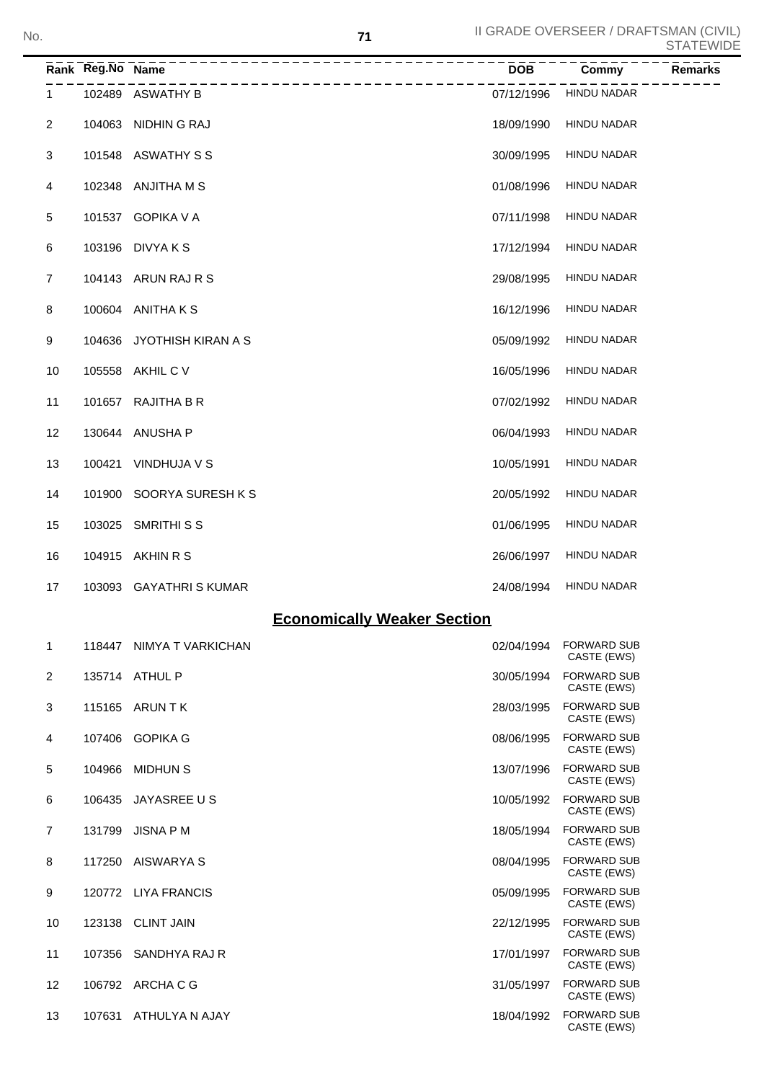CASTE (EWS)

|                | Rank Reg.No Name |                                                      | <b>DOB</b> | Commy                             | ──────<br><b>Remarks</b> |
|----------------|------------------|------------------------------------------------------|------------|-----------------------------------|--------------------------|
| 1.             |                  | ________________________________<br>102489 ASWATHY B | 07/12/1996 | <b>HINDU NADAR</b>                |                          |
| 2              |                  | 104063 NIDHIN G RAJ                                  | 18/09/1990 | <b>HINDU NADAR</b>                |                          |
| 3              |                  | 101548 ASWATHY S S                                   | 30/09/1995 | <b>HINDU NADAR</b>                |                          |
| 4              |                  | 102348 ANJITHA M S                                   | 01/08/1996 | <b>HINDU NADAR</b>                |                          |
| 5              |                  | 101537 GOPIKA V A                                    | 07/11/1998 | <b>HINDU NADAR</b>                |                          |
| 6              |                  | 103196 DIVYA K S                                     | 17/12/1994 | <b>HINDU NADAR</b>                |                          |
| $\overline{7}$ |                  | 104143 ARUN RAJ R S                                  | 29/08/1995 | <b>HINDU NADAR</b>                |                          |
| 8              |                  | 100604 ANITHAKS                                      | 16/12/1996 | <b>HINDU NADAR</b>                |                          |
| 9              |                  | 104636 JYOTHISH KIRAN A S                            | 05/09/1992 | <b>HINDU NADAR</b>                |                          |
| 10             |                  | 105558 AKHIL C V                                     | 16/05/1996 | <b>HINDU NADAR</b>                |                          |
| 11             |                  | 101657 RAJITHA B R                                   | 07/02/1992 | <b>HINDU NADAR</b>                |                          |
| 12             |                  | 130644 ANUSHA P                                      | 06/04/1993 | <b>HINDU NADAR</b>                |                          |
| 13             |                  | 100421 VINDHUJA V S                                  | 10/05/1991 | <b>HINDU NADAR</b>                |                          |
| 14             |                  | 101900 SOORYA SURESH K S                             | 20/05/1992 | <b>HINDU NADAR</b>                |                          |
| 15             |                  | 103025 SMRITHI S S                                   | 01/06/1995 | <b>HINDU NADAR</b>                |                          |
| 16             |                  | 104915 AKHIN R S                                     | 26/06/1997 | <b>HINDU NADAR</b>                |                          |
| 17             |                  | 103093 GAYATHRIS KUMAR                               | 24/08/1994 | <b>HINDU NADAR</b>                |                          |
|                |                  | <b>Economically Weaker Section</b>                   |            |                                   |                          |
| $\mathbf 1$    |                  | 118447 NIMYA T VARKICHAN                             | 02/04/1994 | <b>FORWARD SUB</b><br>CASTE (EWS) |                          |
| $\overline{2}$ |                  | 135714 ATHUL P                                       | 30/05/1994 | <b>FORWARD SUB</b><br>CASTE (EWS) |                          |
| 3              |                  | 115165 ARUN T K                                      | 28/03/1995 | <b>FORWARD SUB</b><br>CASTE (EWS) |                          |
| 4              |                  | 107406 GOPIKA G                                      | 08/06/1995 | <b>FORWARD SUB</b><br>CASTE (EWS) |                          |
| 5              |                  | 104966 MIDHUN S                                      | 13/07/1996 | <b>FORWARD SUB</b><br>CASTE (EWS) |                          |
| 6              |                  | 106435 JAYASREE US                                   | 10/05/1992 | <b>FORWARD SUB</b><br>CASTE (EWS) |                          |
| $\overline{7}$ |                  | 131799 JISNA P M                                     | 18/05/1994 | <b>FORWARD SUB</b><br>CASTE (EWS) |                          |
| 8              |                  | 117250 AISWARYA S                                    | 08/04/1995 | <b>FORWARD SUB</b><br>CASTE (EWS) |                          |
| 9              |                  | 120772 LIYA FRANCIS                                  | 05/09/1995 | <b>FORWARD SUB</b><br>CASTE (EWS) |                          |
| 10             |                  | 123138 CLINT JAIN                                    | 22/12/1995 | <b>FORWARD SUB</b><br>CASTE (EWS) |                          |
| 11             |                  | 107356 SANDHYA RAJ R                                 | 17/01/1997 | <b>FORWARD SUB</b><br>CASTE (EWS) |                          |
| 12             |                  | 106792 ARCHA C G                                     | 31/05/1997 | <b>FORWARD SUB</b><br>CASTE (EWS) |                          |

13 107631 ATHULYA N AJAY 18/04/1992 FORWARD SUB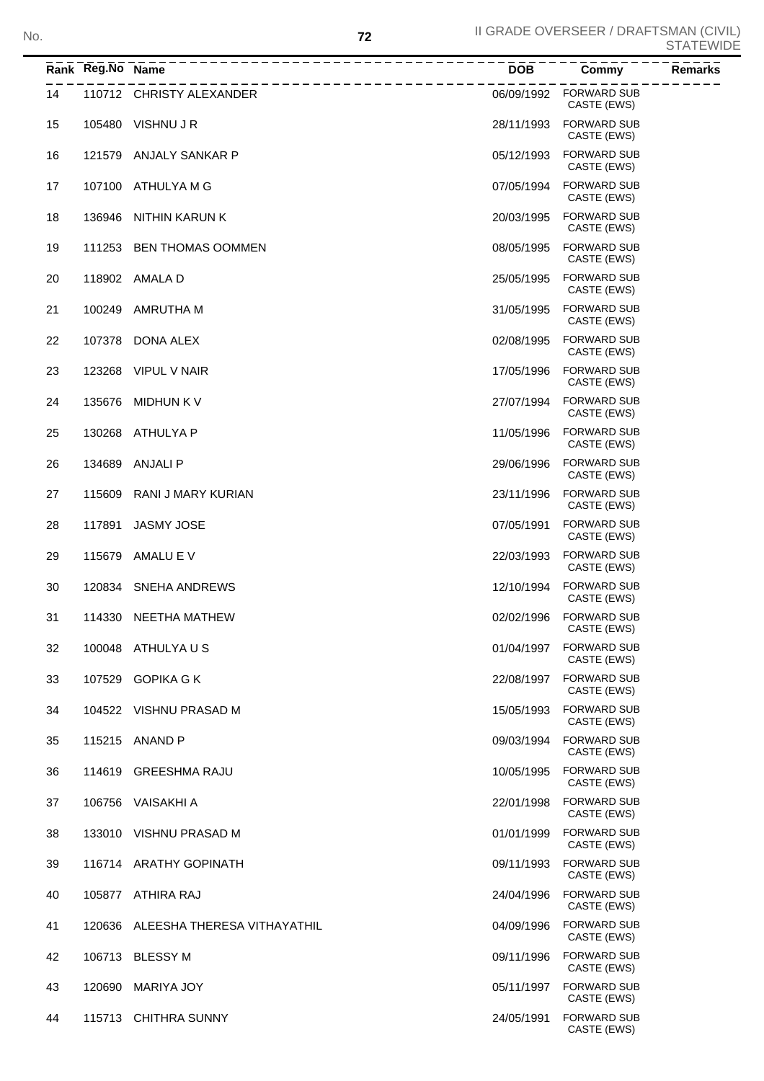|    | Rank Reg.No Name |                                    | <b>DOB</b> | Commy<br><b>Remarks</b>           |
|----|------------------|------------------------------------|------------|-----------------------------------|
| 14 |                  | 110712 CHRISTY ALEXANDER           | 06/09/1992 | <b>FORWARD SUB</b><br>CASTE (EWS) |
| 15 | 105480           | VISHNU J R                         | 28/11/1993 | <b>FORWARD SUB</b><br>CASTE (EWS) |
| 16 | 121579           | ANJALY SANKAR P                    | 05/12/1993 | <b>FORWARD SUB</b><br>CASTE (EWS) |
| 17 | 107100           | ATHULYA M G                        | 07/05/1994 | <b>FORWARD SUB</b><br>CASTE (EWS) |
| 18 | 136946           | NITHIN KARUN K                     | 20/03/1995 | <b>FORWARD SUB</b><br>CASTE (EWS) |
| 19 | 111253           | <b>BEN THOMAS OOMMEN</b>           | 08/05/1995 | <b>FORWARD SUB</b><br>CASTE (EWS) |
| 20 |                  | 118902 AMALA D                     | 25/05/1995 | <b>FORWARD SUB</b><br>CASTE (EWS) |
| 21 | 100249           | AMRUTHA M                          | 31/05/1995 | <b>FORWARD SUB</b><br>CASTE (EWS) |
| 22 |                  | 107378 DONA ALEX                   | 02/08/1995 | <b>FORWARD SUB</b><br>CASTE (EWS) |
| 23 | 123268           | VIPUL V NAIR                       | 17/05/1996 | <b>FORWARD SUB</b><br>CASTE (EWS) |
| 24 | 135676           | <b>MIDHUN K V</b>                  | 27/07/1994 | <b>FORWARD SUB</b><br>CASTE (EWS) |
| 25 | 130268           | ATHULYA P                          | 11/05/1996 | <b>FORWARD SUB</b><br>CASTE (EWS) |
| 26 | 134689           | ANJALI P                           | 29/06/1996 | <b>FORWARD SUB</b><br>CASTE (EWS) |
| 27 | 115609           | RANI J MARY KURIAN                 | 23/11/1996 | <b>FORWARD SUB</b><br>CASTE (EWS) |
| 28 | 117891           | <b>JASMY JOSE</b>                  | 07/05/1991 | <b>FORWARD SUB</b><br>CASTE (EWS) |
| 29 | 115679           | AMALU E V                          | 22/03/1993 | <b>FORWARD SUB</b><br>CASTE (EWS) |
| 30 |                  | 120834 SNEHA ANDREWS               | 12/10/1994 | <b>FORWARD SUB</b><br>CASTE (EWS) |
| 31 | 114330           | NEETHA MATHEW                      | 02/02/1996 | <b>FORWARD SUB</b><br>CASTE (EWS) |
| 32 |                  | 100048 ATHULYAUS                   | 01/04/1997 | <b>FORWARD SUB</b><br>CASTE (EWS) |
| 33 |                  | 107529 GOPIKA G K                  | 22/08/1997 | <b>FORWARD SUB</b><br>CASTE (EWS) |
| 34 |                  | 104522 VISHNU PRASAD M             | 15/05/1993 | <b>FORWARD SUB</b><br>CASTE (EWS) |
| 35 |                  | 115215 ANAND P                     | 09/03/1994 | <b>FORWARD SUB</b><br>CASTE (EWS) |
| 36 |                  | 114619 GREESHMA RAJU               | 10/05/1995 | <b>FORWARD SUB</b><br>CASTE (EWS) |
| 37 |                  | 106756 VAISAKHI A                  | 22/01/1998 | <b>FORWARD SUB</b><br>CASTE (EWS) |
| 38 |                  | 133010 VISHNU PRASAD M             | 01/01/1999 | <b>FORWARD SUB</b><br>CASTE (EWS) |
| 39 |                  | 116714 ARATHY GOPINATH             | 09/11/1993 | <b>FORWARD SUB</b><br>CASTE (EWS) |
| 40 |                  | 105877 ATHIRA RAJ                  | 24/04/1996 | <b>FORWARD SUB</b><br>CASTE (EWS) |
| 41 |                  | 120636 ALEESHA THERESA VITHAYATHIL | 04/09/1996 | <b>FORWARD SUB</b><br>CASTE (EWS) |
| 42 |                  | 106713 BLESSY M                    | 09/11/1996 | <b>FORWARD SUB</b><br>CASTE (EWS) |
| 43 | 120690           | MARIYA JOY                         | 05/11/1997 | <b>FORWARD SUB</b><br>CASTE (EWS) |
| 44 |                  | 115713 CHITHRA SUNNY               | 24/05/1991 | <b>FORWARD SUB</b><br>CASTE (EWS) |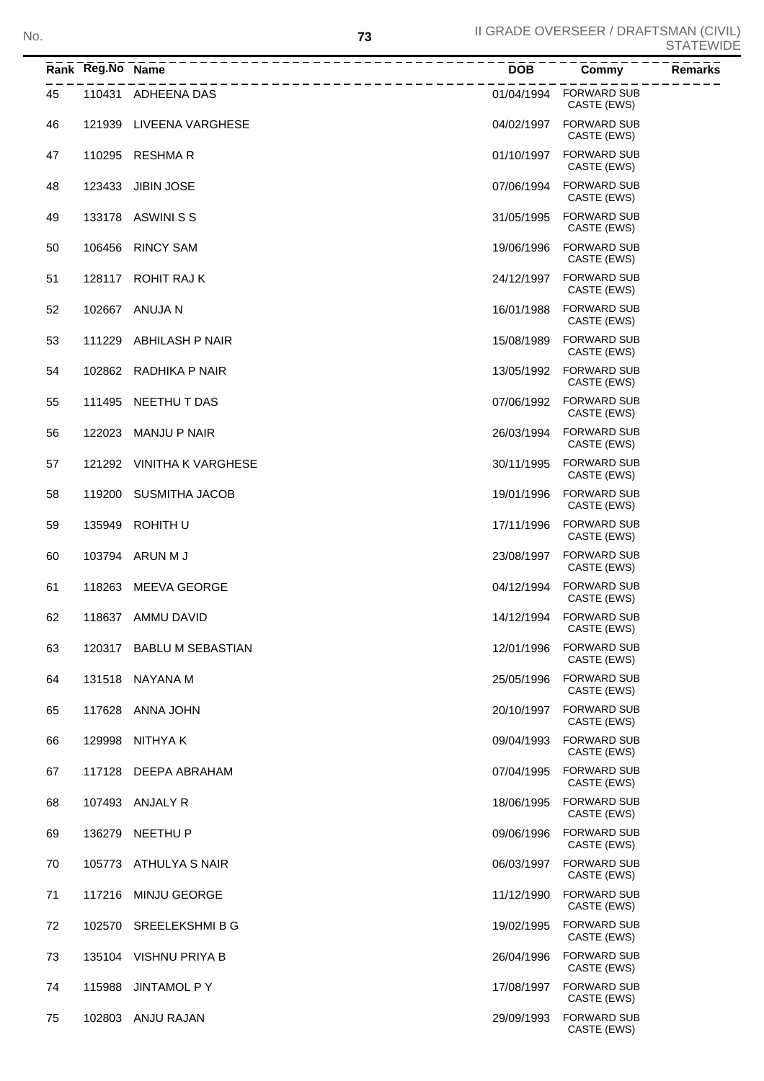CASTE (EWS)

|    | Rank Reg.No Name | __________________________<br>_________________ | $\overline{DOB}$ - - - | Commy                                 | <b>Remarks</b> |
|----|------------------|-------------------------------------------------|------------------------|---------------------------------------|----------------|
| 45 |                  | 110431 ADHEENA DAS                              |                        | 01/04/1994 FORWARD SUB<br>CASTE (EWS) |                |
| 46 | 121939           | LIVEENA VARGHESE                                | 04/02/1997             | <b>FORWARD SUB</b><br>CASTE (EWS)     |                |
| 47 | 110295           | <b>RESHMAR</b>                                  | 01/10/1997             | <b>FORWARD SUB</b><br>CASTE (EWS)     |                |
| 48 | 123433           | <b>JIBIN JOSE</b>                               | 07/06/1994             | <b>FORWARD SUB</b><br>CASTE (EWS)     |                |
| 49 |                  | 133178 ASWINISS                                 | 31/05/1995             | <b>FORWARD SUB</b><br>CASTE (EWS)     |                |
| 50 | 106456           | <b>RINCY SAM</b>                                | 19/06/1996             | <b>FORWARD SUB</b><br>CASTE (EWS)     |                |
| 51 | 128117           | ROHIT RAJ K                                     | 24/12/1997             | <b>FORWARD SUB</b><br>CASTE (EWS)     |                |
| 52 | 102667           | ANUJA N                                         | 16/01/1988             | <b>FORWARD SUB</b><br>CASTE (EWS)     |                |
| 53 | 111229           | ABHILASH P NAIR                                 | 15/08/1989             | <b>FORWARD SUB</b><br>CASTE (EWS)     |                |
| 54 | 102862           | RADHIKA P NAIR                                  | 13/05/1992             | <b>FORWARD SUB</b><br>CASTE (EWS)     |                |
| 55 | 111495           | NEETHU T DAS                                    | 07/06/1992             | <b>FORWARD SUB</b><br>CASTE (EWS)     |                |
| 56 | 122023           | <b>MANJU P NAIR</b>                             | 26/03/1994             | <b>FORWARD SUB</b><br>CASTE (EWS)     |                |
| 57 | 121292           | <b>VINITHA K VARGHESE</b>                       | 30/11/1995             | <b>FORWARD SUB</b><br>CASTE (EWS)     |                |
| 58 | 119200           | <b>SUSMITHA JACOB</b>                           | 19/01/1996             | <b>FORWARD SUB</b><br>CASTE (EWS)     |                |
| 59 | 135949           | ROHITH U                                        | 17/11/1996             | <b>FORWARD SUB</b><br>CASTE (EWS)     |                |
| 60 |                  | 103794 ARUN M J                                 | 23/08/1997             | <b>FORWARD SUB</b><br>CASTE (EWS)     |                |
| 61 | 118263           | MEEVA GEORGE                                    | 04/12/1994             | <b>FORWARD SUB</b><br>CASTE (EWS)     |                |
| 62 |                  | 118637 AMMU DAVID                               | 14/12/1994             | <b>FORWARD SUB</b><br>CASTE (EWS)     |                |
| 63 |                  | 120317 BABLU M SEBASTIAN                        | 12/01/1996             | <b>FORWARD SUB</b><br>CASTE (EWS)     |                |
| 64 | 131518           | NAYANA M                                        | 25/05/1996             | <b>FORWARD SUB</b><br>CASTE (EWS)     |                |
| 65 | 117628           | ANNA JOHN                                       | 20/10/1997             | <b>FORWARD SUB</b><br>CASTE (EWS)     |                |
| 66 | 129998           | NITHYA K                                        | 09/04/1993             | <b>FORWARD SUB</b><br>CASTE (EWS)     |                |
| 67 |                  | 117128 DEEPA ABRAHAM                            | 07/04/1995             | <b>FORWARD SUB</b><br>CASTE (EWS)     |                |
| 68 | 107493           | ANJALY R                                        | 18/06/1995             | <b>FORWARD SUB</b><br>CASTE (EWS)     |                |
| 69 | 136279           | <b>NEETHU P</b>                                 | 09/06/1996             | <b>FORWARD SUB</b><br>CASTE (EWS)     |                |
| 70 |                  | 105773 ATHULYA S NAIR                           | 06/03/1997             | <b>FORWARD SUB</b><br>CASTE (EWS)     |                |
| 71 | 117216           | <b>MINJU GEORGE</b>                             | 11/12/1990             | <b>FORWARD SUB</b><br>CASTE (EWS)     |                |
| 72 |                  | 102570 SREELEKSHMIBG                            | 19/02/1995             | <b>FORWARD SUB</b><br>CASTE (EWS)     |                |
| 73 | 135104           | VISHNU PRIYA B                                  | 26/04/1996             | <b>FORWARD SUB</b><br>CASTE (EWS)     |                |
| 74 | 115988           | <b>JINTAMOL P Y</b>                             | 17/08/1997             | <b>FORWARD SUB</b><br>CASTE (EWS)     |                |
| 75 | 102803           | ANJU RAJAN                                      | 29/09/1993             | <b>FORWARD SUB</b>                    |                |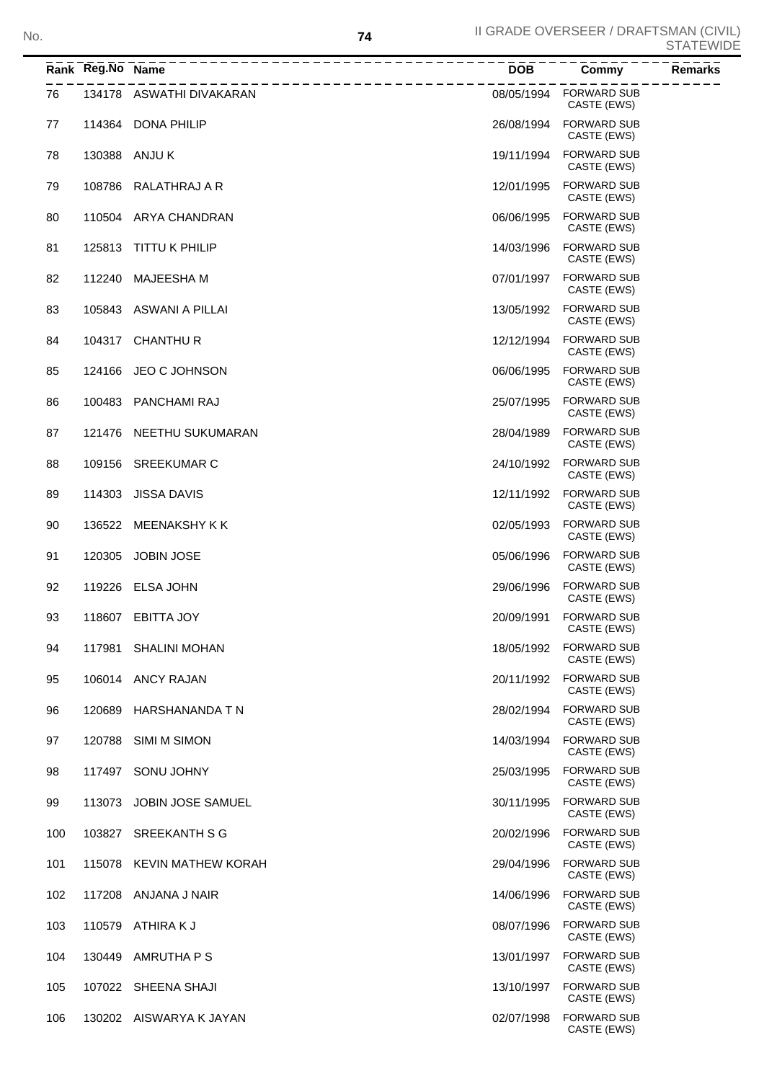CASTE (EWS)

CASTE (EWS)

|     | Rank Reg.No Name | ______________________   | <b>DOB</b> | <b>Commy</b><br><b>Remarks</b>    |
|-----|------------------|--------------------------|------------|-----------------------------------|
| 76  |                  | 134178 ASWATHI DIVAKARAN | 08/05/1994 | <b>FORWARD SUB</b><br>CASTE (EWS) |
| 77  |                  | 114364 DONA PHILIP       | 26/08/1994 | <b>FORWARD SUB</b><br>CASTE (EWS) |
| 78  |                  | 130388 ANJU K            | 19/11/1994 | <b>FORWARD SUB</b><br>CASTE (EWS) |
| 79  | 108786           | RALATHRAJ A R            | 12/01/1995 | <b>FORWARD SUB</b><br>CASTE (EWS) |
| 80  |                  | 110504 ARYA CHANDRAN     | 06/06/1995 | <b>FORWARD SUB</b><br>CASTE (EWS) |
| 81  | 125813           | TITTU K PHILIP           | 14/03/1996 | <b>FORWARD SUB</b><br>CASTE (EWS) |
| 82  | 112240           | MAJEESHA M               | 07/01/1997 | <b>FORWARD SUB</b><br>CASTE (EWS) |
| 83  |                  | 105843 ASWANI A PILLAI   | 13/05/1992 | <b>FORWARD SUB</b><br>CASTE (EWS) |
| 84  |                  | 104317 CHANTHUR          | 12/12/1994 | <b>FORWARD SUB</b><br>CASTE (EWS) |
| 85  | 124166           | JEO C JOHNSON            | 06/06/1995 | <b>FORWARD SUB</b><br>CASTE (EWS) |
| 86  | 100483           | PANCHAMI RAJ             | 25/07/1995 | <b>FORWARD SUB</b><br>CASTE (EWS) |
| 87  | 121476           | NEETHU SUKUMARAN         | 28/04/1989 | <b>FORWARD SUB</b><br>CASTE (EWS) |
| 88  | 109156           | SREEKUMAR C              | 24/10/1992 | <b>FORWARD SUB</b><br>CASTE (EWS) |
| 89  | 114303           | <b>JISSA DAVIS</b>       | 12/11/1992 | <b>FORWARD SUB</b><br>CASTE (EWS) |
| 90  | 136522           | MEENAKSHY K K            | 02/05/1993 | <b>FORWARD SUB</b><br>CASTE (EWS) |
| 91  | 120305           | <b>JOBIN JOSE</b>        | 05/06/1996 | <b>FORWARD SUB</b><br>CASTE (EWS) |
| 92  | 119226           | <b>ELSA JOHN</b>         | 29/06/1996 | <b>FORWARD SUB</b><br>CASTE (EWS) |
| 93  |                  | 118607 EBITTA JOY        | 20/09/1991 | <b>FORWARD SUB</b><br>CASTE (EWS) |
| 94  |                  | 117981 SHALINI MOHAN     | 18/05/1992 | <b>FORWARD SUB</b><br>CASTE (EWS) |
| 95  |                  | 106014 ANCY RAJAN        | 20/11/1992 | <b>FORWARD SUB</b><br>CASTE (EWS) |
| 96  | 120689           | HARSHANANDA T N          | 28/02/1994 | <b>FORWARD SUB</b><br>CASTE (EWS) |
| 97  | 120788           | SIMI M SIMON             | 14/03/1994 | <b>FORWARD SUB</b><br>CASTE (EWS) |
| 98  |                  | 117497 SONU JOHNY        | 25/03/1995 | <b>FORWARD SUB</b><br>CASTE (EWS) |
| 99  | 113073           | JOBIN JOSE SAMUEL        | 30/11/1995 | <b>FORWARD SUB</b><br>CASTE (EWS) |
| 100 |                  | 103827 SREEKANTH S G     | 20/02/1996 | <b>FORWARD SUB</b><br>CASTE (EWS) |
| 101 | 115078           | KEVIN MATHEW KORAH       | 29/04/1996 | <b>FORWARD SUB</b><br>CASTE (EWS) |
| 102 | 117208           | ANJANA J NAIR            | 14/06/1996 | <b>FORWARD SUB</b><br>CASTE (EWS) |
| 103 | 110579           | ATHIRA K J               | 08/07/1996 | <b>FORWARD SUB</b><br>CASTE (EWS) |
| 104 |                  | 130449 AMRUTHA P S       | 13/01/1997 | <b>FORWARD SUB</b><br>CASTE (EWS) |

105 107022 SHEENA SHAJI 2008 13/10/1997 FORWARD SUB 107022 SHEENA SHAJI

106 130202 AISWARYA K JAYAN 02/07/1998 FORWARD SUB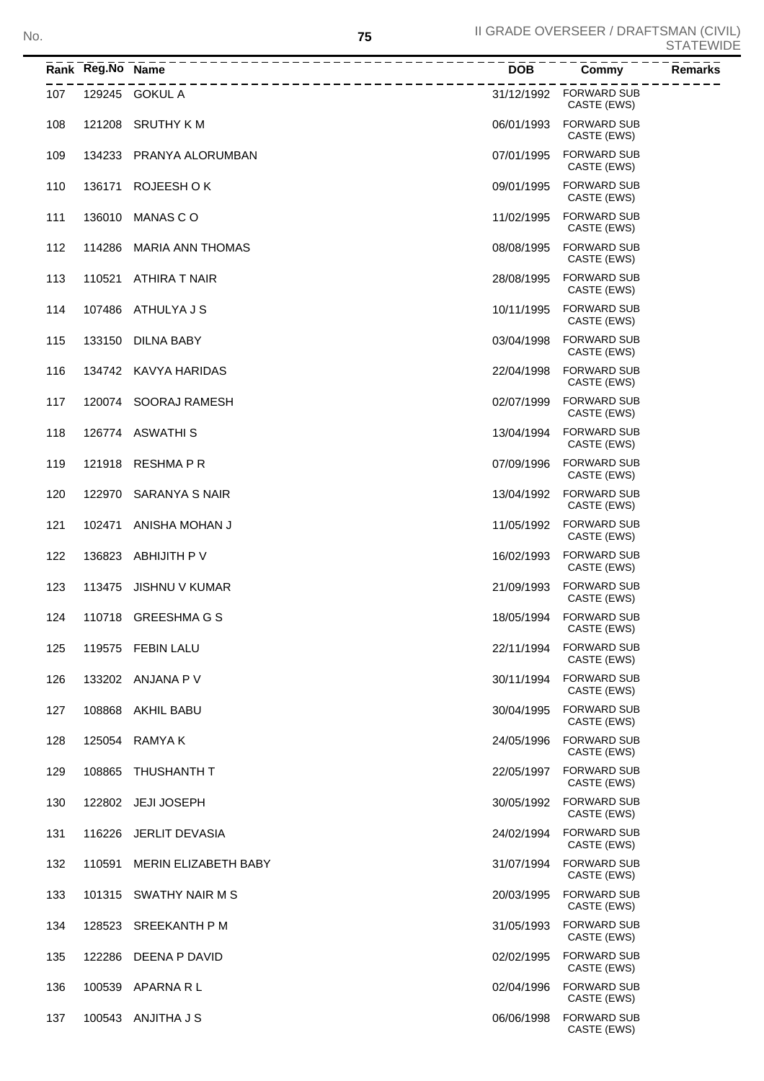|     | Rank Reg.No Name | ____________________________ | <b>DOB</b> | Commy                                 | <b>Remarks</b> |
|-----|------------------|------------------------------|------------|---------------------------------------|----------------|
| 107 |                  | 129245 GOKUL A               |            | 31/12/1992 FORWARD SUB<br>CASTE (EWS) |                |
| 108 | 121208           | <b>SRUTHY KM</b>             | 06/01/1993 | <b>FORWARD SUB</b><br>CASTE (EWS)     |                |
| 109 |                  | 134233 PRANYA ALORUMBAN      | 07/01/1995 | <b>FORWARD SUB</b><br>CASTE (EWS)     |                |
| 110 |                  | 136171 ROJEESH OK            | 09/01/1995 | <b>FORWARD SUB</b><br>CASTE (EWS)     |                |
| 111 | 136010           | MANAS C O                    | 11/02/1995 | <b>FORWARD SUB</b><br>CASTE (EWS)     |                |
| 112 | 114286           | <b>MARIA ANN THOMAS</b>      | 08/08/1995 | <b>FORWARD SUB</b><br>CASTE (EWS)     |                |
| 113 | 110521           | ATHIRA T NAIR                | 28/08/1995 | <b>FORWARD SUB</b><br>CASTE (EWS)     |                |
| 114 | 107486           | ATHULYA J S                  | 10/11/1995 | <b>FORWARD SUB</b><br>CASTE (EWS)     |                |
| 115 | 133150           | <b>DILNA BABY</b>            | 03/04/1998 | <b>FORWARD SUB</b><br>CASTE (EWS)     |                |
| 116 |                  | 134742 KAVYA HARIDAS         | 22/04/1998 | <b>FORWARD SUB</b><br>CASTE (EWS)     |                |
| 117 |                  | 120074 SOORAJ RAMESH         | 02/07/1999 | <b>FORWARD SUB</b><br>CASTE (EWS)     |                |
| 118 |                  | 126774 ASWATHIS              | 13/04/1994 | <b>FORWARD SUB</b><br>CASTE (EWS)     |                |
| 119 |                  | 121918 RESHMA P R            | 07/09/1996 | <b>FORWARD SUB</b><br>CASTE (EWS)     |                |
| 120 | 122970           | SARANYA S NAIR               | 13/04/1992 | <b>FORWARD SUB</b><br>CASTE (EWS)     |                |
| 121 | 102471           | ANISHA MOHAN J               | 11/05/1992 | <b>FORWARD SUB</b><br>CASTE (EWS)     |                |
| 122 | 136823           | ABHIJITH P V                 | 16/02/1993 | <b>FORWARD SUB</b><br>CASTE (EWS)     |                |
| 123 | 113475           | JISHNU V KUMAR               | 21/09/1993 | <b>FORWARD SUB</b><br>CASTE (EWS)     |                |
| 124 |                  | 110718 GREESHMAGS            | 18/05/1994 | <b>FORWARD SUB</b><br>CASTE (EWS)     |                |
| 125 |                  | 119575 FEBIN LALU            | 22/11/1994 | <b>FORWARD SUB</b><br>CASTE (EWS)     |                |
| 126 |                  | 133202 ANJANA P V            | 30/11/1994 | <b>FORWARD SUB</b><br>CASTE (EWS)     |                |
| 127 | 108868           | AKHIL BABU                   | 30/04/1995 | <b>FORWARD SUB</b><br>CASTE (EWS)     |                |
| 128 | 125054           | RAMYA K                      | 24/05/1996 | <b>FORWARD SUB</b><br>CASTE (EWS)     |                |
| 129 | 108865           | THUSHANTH T                  | 22/05/1997 | <b>FORWARD SUB</b><br>CASTE (EWS)     |                |
| 130 |                  | 122802 JEJI JOSEPH           | 30/05/1992 | <b>FORWARD SUB</b><br>CASTE (EWS)     |                |
| 131 |                  | 116226 JERLIT DEVASIA        | 24/02/1994 | <b>FORWARD SUB</b><br>CASTE (EWS)     |                |
| 132 | 110591           | MERIN ELIZABETH BABY         | 31/07/1994 | <b>FORWARD SUB</b><br>CASTE (EWS)     |                |
| 133 | 101315           | SWATHY NAIR M S              | 20/03/1995 | <b>FORWARD SUB</b><br>CASTE (EWS)     |                |
| 134 | 128523           | SREEKANTH P M                | 31/05/1993 | <b>FORWARD SUB</b><br>CASTE (EWS)     |                |
| 135 | 122286           | DEENA P DAVID                | 02/02/1995 | <b>FORWARD SUB</b><br>CASTE (EWS)     |                |
| 136 |                  | 100539 APARNA R L            | 02/04/1996 | <b>FORWARD SUB</b><br>CASTE (EWS)     |                |
| 137 |                  | 100543 ANJITHA J S           | 06/06/1998 | <b>FORWARD SUB</b><br>CASTE (EWS)     |                |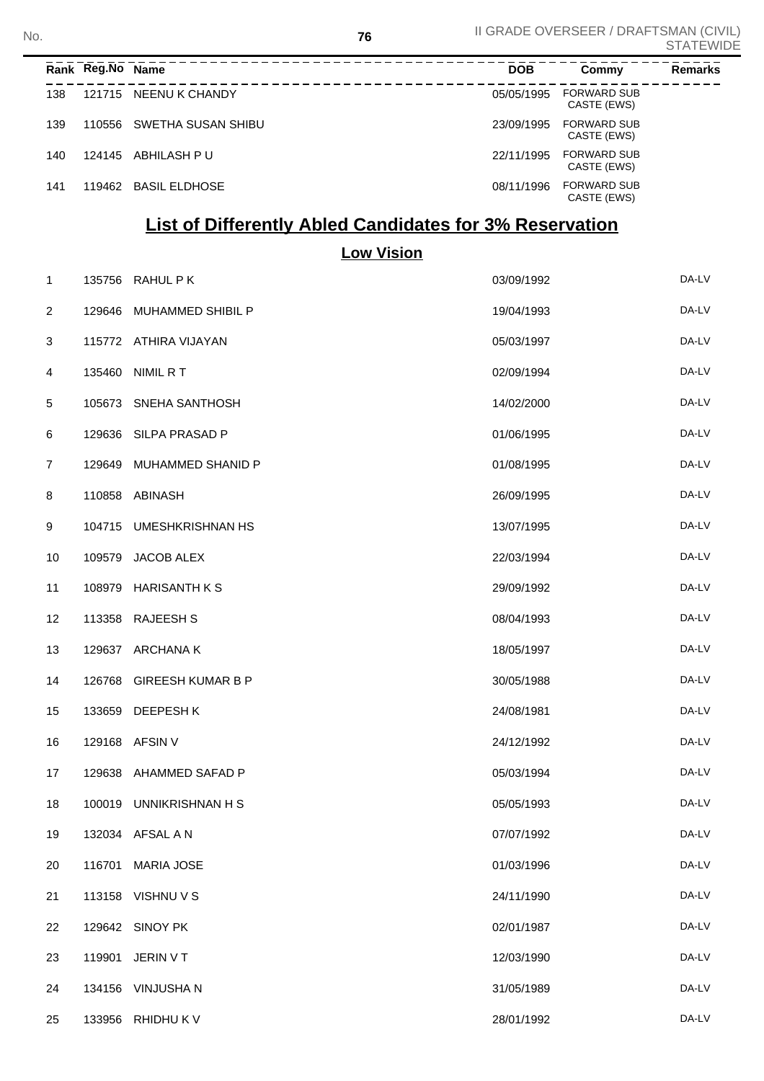**<sup>76</sup>** II GRADE OVERSEER / DRAFTSMAN (CIVIL) STATEWIDE No.

|     | Rank Reg.No Name |                       | <b>DOB</b> | Commy                             | <b>Remarks</b> |
|-----|------------------|-----------------------|------------|-----------------------------------|----------------|
| 138 |                  | 121715 NEENU K CHANDY | 05/05/1995 | <b>FORWARD SUB</b><br>CASTE (EWS) |                |
| 139 | 110556           | SWETHA SUSAN SHIBU    | 23/09/1995 | <b>FORWARD SUB</b><br>CASTE (EWS) |                |
| 140 | 124145           | ABHILASH P U          | 22/11/1995 | <b>FORWARD SUB</b><br>CASTE (EWS) |                |
| 141 | 119462           | BASIL ELDHOSE         | 08/11/1996 | <b>FORWARD SUB</b><br>CASTE (EWS) |                |

## **List of Differently Abled Candidates for 3% Reservation**

**Low Vision**

| 1              |        | 135756 RAHUL P K         | 03/09/1992 | DA-LV |
|----------------|--------|--------------------------|------------|-------|
| 2              | 129646 | MUHAMMED SHIBIL P        | 19/04/1993 | DA-LV |
| 3              |        | 115772 ATHIRA VIJAYAN    | 05/03/1997 | DA-LV |
| 4              | 135460 | NIMIL R T                | 02/09/1994 | DA-LV |
| 5              | 105673 | SNEHA SANTHOSH           | 14/02/2000 | DA-LV |
| 6              | 129636 | SILPA PRASAD P           | 01/06/1995 | DA-LV |
| $\overline{7}$ | 129649 | MUHAMMED SHANID P        | 01/08/1995 | DA-LV |
| 8              | 110858 | ABINASH                  | 26/09/1995 | DA-LV |
| 9              | 104715 | <b>UMESHKRISHNAN HS</b>  | 13/07/1995 | DA-LV |
| 10             | 109579 | JACOB ALEX               | 22/03/1994 | DA-LV |
| 11             | 108979 | <b>HARISANTH K S</b>     | 29/09/1992 | DA-LV |
| 12             | 113358 | <b>RAJEESH S</b>         | 08/04/1993 | DA-LV |
| 13             | 129637 | ARCHANA K                | 18/05/1997 | DA-LV |
| 14             | 126768 | <b>GIREESH KUMAR B P</b> | 30/05/1988 | DA-LV |
| 15             | 133659 | DEEPESH K                | 24/08/1981 | DA-LV |
| 16             |        | 129168 AFSIN V           | 24/12/1992 | DA-LV |
| 17             | 129638 | AHAMMED SAFAD P          | 05/03/1994 | DA-LV |
| 18             | 100019 | UNNIKRISHNAN H S         | 05/05/1993 | DA-LV |
| 19             |        | 132034 AFSAL A N         | 07/07/1992 | DA-LV |
| 20             | 116701 | <b>MARIA JOSE</b>        | 01/03/1996 | DA-LV |
| 21             |        | 113158 VISHNU V S        | 24/11/1990 | DA-LV |
| 22             |        | 129642 SINOY PK          | 02/01/1987 | DA-LV |
| 23             | 119901 | JERIN V T                | 12/03/1990 | DA-LV |
| 24             |        | 134156 VINJUSHA N        | 31/05/1989 | DA-LV |
| 25             |        | 133956 RHIDHU K V        | 28/01/1992 | DA-LV |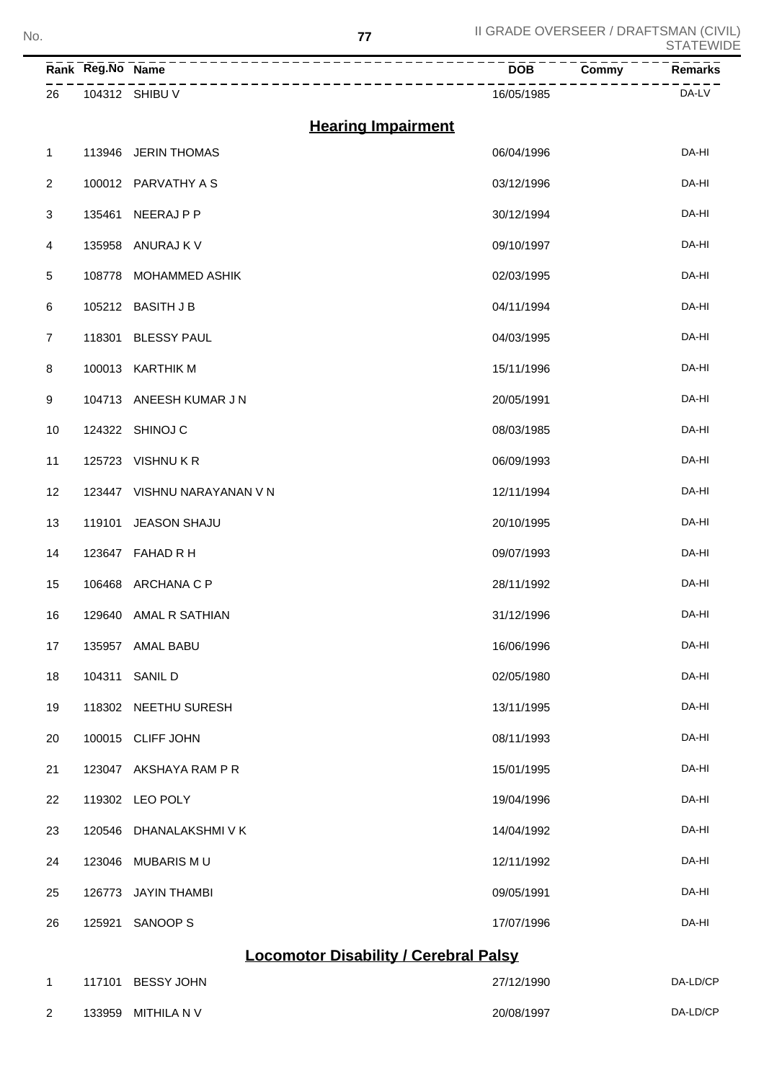**<sup>77</sup>** II GRADE OVERSEER / DRAFTSMAN (CIVIL) STATEWIDE No.

|                | Rank Reg.No Name                             |                           | <b>DOB</b><br>Commy | Remarks  |  |  |
|----------------|----------------------------------------------|---------------------------|---------------------|----------|--|--|
| 26             |                                              | 104312 SHIBU V            | 16/05/1985          | DA-LV    |  |  |
|                |                                              | <b>Hearing Impairment</b> |                     |          |  |  |
| $\mathbf{1}$   | 113946                                       | <b>JERIN THOMAS</b>       | 06/04/1996          | DA-HI    |  |  |
| $\overline{2}$ |                                              | 100012 PARVATHY A S       | 03/12/1996          | DA-HI    |  |  |
| 3              | 135461                                       | NEERAJ P P                | 30/12/1994          | DA-HI    |  |  |
| 4              | 135958                                       | ANURAJ K V                | 09/10/1997          | DA-HI    |  |  |
| $\,$ 5 $\,$    | 108778                                       | <b>MOHAMMED ASHIK</b>     | 02/03/1995          | DA-HI    |  |  |
| 6              |                                              | 105212 BASITH J B         | 04/11/1994          | DA-HI    |  |  |
| $\overline{7}$ | 118301                                       | <b>BLESSY PAUL</b>        | 04/03/1995          | DA-HI    |  |  |
| 8              |                                              | 100013 KARTHIK M          | 15/11/1996          | DA-HI    |  |  |
| 9              |                                              | 104713 ANEESH KUMAR J N   | 20/05/1991          | DA-HI    |  |  |
| 10             |                                              | 124322 SHINOJ C           | 08/03/1985          | DA-HI    |  |  |
| 11             | 125723                                       | <b>VISHNUKR</b>           | 06/09/1993          | DA-HI    |  |  |
| 12             | 123447                                       | VISHNU NARAYANAN V N      | 12/11/1994          | DA-HI    |  |  |
| 13             | 119101                                       | JEASON SHAJU              | 20/10/1995          | DA-HI    |  |  |
| 14             | 123647                                       | FAHAD R H                 | 09/07/1993          | DA-HI    |  |  |
| 15             |                                              | 106468 ARCHANA C P        | 28/11/1992          | DA-HI    |  |  |
| 16             |                                              | 129640 AMAL R SATHIAN     | 31/12/1996          | DA-HI    |  |  |
| 17             |                                              | 135957 AMAL BABU          | 16/06/1996          | DA-HI    |  |  |
| 18             |                                              | 104311 SANIL D            | 02/05/1980          | DA-HI    |  |  |
| 19             |                                              | 118302 NEETHU SURESH      | 13/11/1995          | DA-HI    |  |  |
| 20             |                                              | 100015 CLIFF JOHN         | 08/11/1993          | DA-HI    |  |  |
| 21             |                                              | 123047 AKSHAYA RAM P R    | 15/01/1995          | DA-HI    |  |  |
| 22             |                                              | 119302 LEO POLY           | 19/04/1996          | DA-HI    |  |  |
| 23             |                                              | 120546 DHANALAKSHMIVK     | 14/04/1992          | DA-HI    |  |  |
| 24             |                                              | 123046 MUBARIS MU         | 12/11/1992          | DA-HI    |  |  |
| 25             |                                              | 126773 JAYIN THAMBI       | 09/05/1991          | DA-HI    |  |  |
| 26             | 125921                                       | SANOOP S                  | 17/07/1996          | DA-HI    |  |  |
|                | <b>Locomotor Disability / Cerebral Palsy</b> |                           |                     |          |  |  |
| $\mathbf{1}$   |                                              | 117101 BESSY JOHN         | 27/12/1990          | DA-LD/CP |  |  |

133959 MITHILA N V 20/08/1997 DA-LD/CP

| v<br>۰,<br>$\sim$ |  |
|-------------------|--|
|                   |  |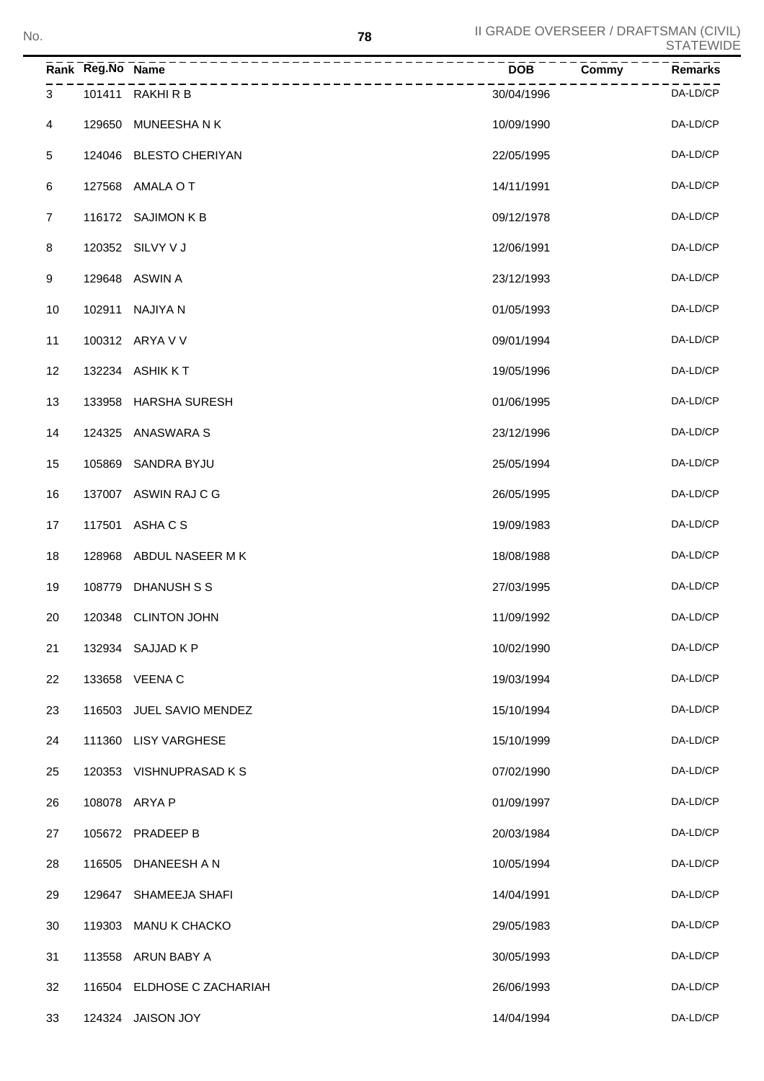|                | Rank Reg.No Name |                            | <b>DOB</b> | <b>Remarks</b><br>Commy |
|----------------|------------------|----------------------------|------------|-------------------------|
| 3              |                  | 101411 RAKHIRB             | 30/04/1996 | DA-LD/CP                |
| 4              |                  | 129650 MUNEESHANK          | 10/09/1990 | DA-LD/CP                |
| $\,$ 5 $\,$    |                  | 124046 BLESTO CHERIYAN     | 22/05/1995 | DA-LD/CP                |
| 6              |                  | 127568 AMALA O T           | 14/11/1991 | DA-LD/CP                |
| $\overline{7}$ |                  | 116172 SAJIMON K B         | 09/12/1978 | DA-LD/CP                |
| 8              |                  | 120352 SILVY V J           | 12/06/1991 | DA-LD/CP                |
| 9              |                  | 129648 ASWIN A             | 23/12/1993 | DA-LD/CP                |
| 10             | 102911           | NAJIYA N                   | 01/05/1993 | DA-LD/CP                |
| 11             |                  | 100312 ARYA V V            | 09/01/1994 | DA-LD/CP                |
| 12             |                  | 132234 ASHIK KT            | 19/05/1996 | DA-LD/CP                |
| 13             |                  | 133958 HARSHA SURESH       | 01/06/1995 | DA-LD/CP                |
| 14             |                  | 124325 ANASWARA S          | 23/12/1996 | DA-LD/CP                |
| 15             |                  | 105869 SANDRA BYJU         | 25/05/1994 | DA-LD/CP                |
| 16             |                  | 137007 ASWIN RAJ C G       | 26/05/1995 | DA-LD/CP                |
| 17             | 117501           | ASHA C S                   | 19/09/1983 | DA-LD/CP                |
| 18             |                  | 128968 ABDUL NASEER MK     | 18/08/1988 | DA-LD/CP                |
| 19             |                  | 108779 DHANUSH S S         | 27/03/1995 | DA-LD/CP                |
| 20             |                  | 120348 CLINTON JOHN        | 11/09/1992 | DA-LD/CP                |
| 21             |                  | 132934 SAJJAD K P          | 10/02/1990 | DA-LD/CP                |
| 22             |                  | 133658 VEENA C             | 19/03/1994 | DA-LD/CP                |
| 23             |                  | 116503 JUEL SAVIO MENDEZ   | 15/10/1994 | DA-LD/CP                |
| 24             |                  | 111360 LISY VARGHESE       | 15/10/1999 | DA-LD/CP                |
| 25             |                  | 120353 VISHNUPRASAD KS     | 07/02/1990 | DA-LD/CP                |
| 26             |                  | 108078 ARYA P              | 01/09/1997 | DA-LD/CP                |
| 27             |                  | 105672 PRADEEP B           | 20/03/1984 | DA-LD/CP                |
| 28             | 116505           | DHANEESH A N               | 10/05/1994 | DA-LD/CP                |
| 29             | 129647           | SHAMEEJA SHAFI             | 14/04/1991 | DA-LD/CP                |
| 30             | 119303           | <b>MANU K CHACKO</b>       | 29/05/1983 | DA-LD/CP                |
| 31             | 113558           | ARUN BABY A                | 30/05/1993 | DA-LD/CP                |
| 32             |                  | 116504 ELDHOSE C ZACHARIAH | 26/06/1993 | DA-LD/CP                |
| 33             |                  | 124324 JAISON JOY          | 14/04/1994 | DA-LD/CP                |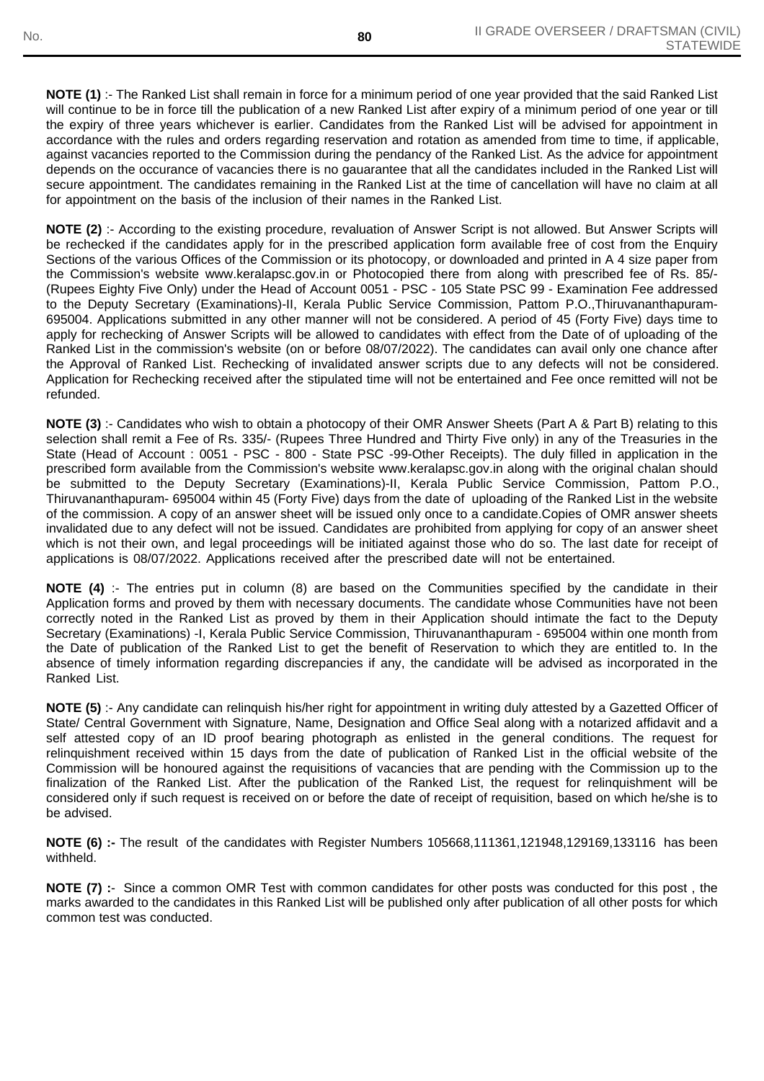**NOTE (1)** :- The Ranked List shall remain in force for a minimum period of one year provided that the said Ranked List will continue to be in force till the publication of a new Ranked List after expiry of a minimum period of one year or till the expiry of three years whichever is earlier. Candidates from the Ranked List will be advised for appointment in accordance with the rules and orders regarding reservation and rotation as amended from time to time, if applicable, against vacancies reported to the Commission during the pendancy of the Ranked List. As the advice for appointment depends on the occurance of vacancies there is no gauarantee that all the candidates included in the Ranked List will secure appointment. The candidates remaining in the Ranked List at the time of cancellation will have no claim at all for appointment on the basis of the inclusion of their names in the Ranked List.

**NOTE (2)** :- According to the existing procedure, revaluation of Answer Script is not allowed. But Answer Scripts will be rechecked if the candidates apply for in the prescribed application form available free of cost from the Enquiry Sections of the various Offices of the Commission or its photocopy, or downloaded and printed in A 4 size paper from the Commission's website www.keralapsc.gov.in or Photocopied there from along with prescribed fee of Rs. 85/- (Rupees Eighty Five Only) under the Head of Account 0051 - PSC - 105 State PSC 99 - Examination Fee addressed to the Deputy Secretary (Examinations)-II, Kerala Public Service Commission, Pattom P.O.,Thiruvananthapuram-695004. Applications submitted in any other manner will not be considered. A period of 45 (Forty Five) days time to apply for rechecking of Answer Scripts will be allowed to candidates with effect from the Date of of uploading of the Ranked List in the commission's website (on or before 08/07/2022). The candidates can avail only one chance after the Approval of Ranked List. Rechecking of invalidated answer scripts due to any defects will not be considered. Application for Rechecking received after the stipulated time will not be entertained and Fee once remitted will not be refunded.

**NOTE (3)** :- Candidates who wish to obtain a photocopy of their OMR Answer Sheets (Part A & Part B) relating to this selection shall remit a Fee of Rs. 335/- (Rupees Three Hundred and Thirty Five only) in any of the Treasuries in the State (Head of Account : 0051 - PSC - 800 - State PSC -99-Other Receipts). The duly filled in application in the prescribed form available from the Commission's website www.keralapsc.gov.in along with the original chalan should be submitted to the Deputy Secretary (Examinations)-II, Kerala Public Service Commission, Pattom P.O., Thiruvananthapuram- 695004 within 45 (Forty Five) days from the date of uploading of the Ranked List in the website of the commission. A copy of an answer sheet will be issued only once to a candidate.Copies of OMR answer sheets invalidated due to any defect will not be issued. Candidates are prohibited from applying for copy of an answer sheet which is not their own, and legal proceedings will be initiated against those who do so. The last date for receipt of applications is 08/07/2022. Applications received after the prescribed date will not be entertained.

**NOTE (4)** :- The entries put in column (8) are based on the Communities specified by the candidate in their Application forms and proved by them with necessary documents. The candidate whose Communities have not been correctly noted in the Ranked List as proved by them in their Application should intimate the fact to the Deputy Secretary (Examinations) -I, Kerala Public Service Commission, Thiruvananthapuram - 695004 within one month from the Date of publication of the Ranked List to get the benefit of Reservation to which they are entitled to. In the absence of timely information regarding discrepancies if any, the candidate will be advised as incorporated in the Ranked List.

**NOTE (5)** :- Any candidate can relinquish his/her right for appointment in writing duly attested by a Gazetted Officer of State/ Central Government with Signature, Name, Designation and Office Seal along with a notarized affidavit and a self attested copy of an ID proof bearing photograph as enlisted in the general conditions. The request for relinquishment received within 15 days from the date of publication of Ranked List in the official website of the Commission will be honoured against the requisitions of vacancies that are pending with the Commission up to the finalization of the Ranked List. After the publication of the Ranked List, the request for relinquishment will be considered only if such request is received on or before the date of receipt of requisition, based on which he/she is to be advised.

**NOTE (6) :-** The resultof the candidates with Register Numbers 105668,111361,121948,129169,133116 has been withheld.

**NOTE (7) :**- Since a common OMR Test with common candidates for other posts was conducted for this post , the marks awarded to the candidates in this Ranked List will be published only after publication of all other posts for which common test was conducted.